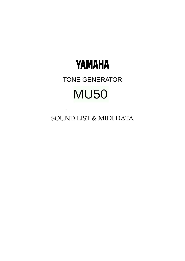

# TONE GENERATOR MU50

SOUND LIST & MIDI DATA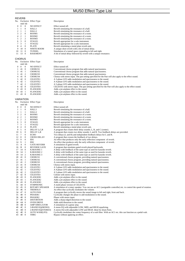# REVERB

|               | 1757 LIV<br>msb lsb |                  | No. Exclusive Effect Type | Description                                                                                                         |
|---------------|---------------------|------------------|---------------------------|---------------------------------------------------------------------------------------------------------------------|
| $\mathbf{0}$  | $\mathbf{0}$        | $\bf{0}$         | NO EFFECT                 | Effect turned off.                                                                                                  |
| 1             | 1                   | 0                | HALL1                     | Reverb simulating the resonance of a hall.                                                                          |
| 2             | 1                   | $\mathbf{1}$     | HALL2                     | Reverb simulating the resonance of a hall.                                                                          |
| 3             | 2                   | $\mathbf{0}$     | ROOM1                     | Reverb simulating the resonance of a room.                                                                          |
| 4             | 2                   | $\mathbf{1}$     | ROOM <sub>2</sub>         | Reverb simulating the resonance of a room.                                                                          |
| 5             | 2                   | 2                | ROOM3                     | Reverb simulating the resonance of a room.                                                                          |
| 6             | 3                   | $\mathbf{0}$     | STAGE1                    | Reverb appropriate for a solo instrument.                                                                           |
| 7             | 3                   | 1                | STAGE2                    | Reverb appropriate for a solo instrument.                                                                           |
| 8             | 4                   | 0                | PLATE                     | Reverb simulating a metal plate reverb unit.                                                                        |
| 9             | 10                  | $\mathbf{0}$     | WHITE ROOM                | A unique short reverb with a bit of initial delay.                                                                  |
| 10            | 11                  | $\bf{0}$         | TUNNEL                    | Simulation of a tunnel space expanding to left and right.                                                           |
| 11            | 13                  | $\boldsymbol{0}$ | <b>BASEMENT</b>           | A bit of initial delay followed by reverb with a unique resonance.                                                  |
|               |                     |                  |                           |                                                                                                                     |
| <b>CHORUS</b> |                     |                  |                           |                                                                                                                     |
|               |                     |                  | No. Exclusive Effect Type | Description                                                                                                         |
|               | msb lsb             |                  |                           |                                                                                                                     |
| 0             | $\bf{0}$            | 0                | NO EFFECT                 | Effect turned off.                                                                                                  |
| 1             | 41                  | $\mathbf{0}$     | <b>CHORUS1</b>            | Conventional chorus program that adds natural spaciousness.                                                         |
| 2             | 41                  | -1               | CHORUS2                   | Conventional chorus program that adds natural spaciousness.                                                         |
| 3             | 41                  | 2                | CHORUS3                   | Conventional chorus program that adds natural spaciousness.                                                         |
| 4             | 41                  | 8                | <b>CHORUS4</b>            |                                                                                                                     |
| 5             | 42                  | $\bf{0}$         | CELESTE1                  | Chorus with stereo input. The pan setting specified for the Part will also apply to the effect sound.               |
|               |                     | $\mathbf{1}$     |                           | A 3-phase LFO adds modulation and spaciousness to the sound.                                                        |
| 6             | 42<br>42            | $\overline{c}$   | CELESTE2                  | A 4-phase LFO adds modulation and spaciousness to the sound.                                                        |
| 7             |                     |                  | CELESTE3                  | A 5-phase LFO adds modulation and spaciousness to the sound.                                                        |
| 8             | 42                  | 8                | CELESTE4                  | CELESTE with stereo input. The pan setting specified for the Part will also apply to the effect sound.              |
| 9             | 43                  | 0                | FLANGER1                  | Adds a jet-airplane effect to the sound.                                                                            |
| 10            | 43                  | 1                | <b>FLANGER2</b>           | Adds a jet-airplane effect to the sound.                                                                            |
| 11            | 43                  | 8                | FLANGER3                  | Adds a jet-airplane effect to the sound.                                                                            |
|               |                     |                  |                           |                                                                                                                     |
|               |                     | VARIATION        |                           |                                                                                                                     |
|               |                     |                  | No. Exclusive Effect Type | Description                                                                                                         |
|               | msb lsb             |                  |                           |                                                                                                                     |
| 0             | $\bf{0}$            | 0                | NO EFFECT                 | Effect turned off.                                                                                                  |
| 1             | 1                   | $\boldsymbol{0}$ | HALL1                     | Reverb simulating the resonance of a hall.                                                                          |
| 2             | 1                   | $\mathbf{1}$     | HALL2                     | Reverb simulating the resonance of a hall.                                                                          |
| 3             | 2                   | 0                | ROOM1                     | Reverb simulating the resonance of a room.                                                                          |
| 4             | 2                   | $\mathbf{1}$     | ROOM2                     | Reverb simulating the resonance of a room.                                                                          |
| 5             | $\overline{c}$      | $\overline{c}$   | ROOM3                     | Reverb simulating the resonance of a room.                                                                          |
| 6             | 3                   | 0                | STAGE1                    | Reverb appropriate for a solo instrument.                                                                           |
| 7             | 3                   | 1                | STAGE2                    | Reverb appropriate for a solo instrument.                                                                           |
| 8             | $\overline{4}$      | $\mathbf{0}$     | <b>PLATE</b>              | Reverb simulating a metal plate reverb unit.                                                                        |
| 9             | 5                   | 0                | DELAY L,C,R               | A program that creates three delay sounds; L, R, and C (center).                                                    |
| 10            | 6                   | 0                | DELAY L,R                 | A program that creates two delay sounds; L and R. Two feedback delays are provided.                                 |
| 11            | 7                   | $\mathbf{0}$     | ECHO                      | Two delays (L and R) and independent feedback delays for L and R.                                                   |
| 12            | 8                   | 0                | CROSS DELAY               | A program that crosses the feedback of two delays.                                                                  |
| 13            | 9                   | 0                | ER1                       | An effect that produces only the early reflection component of reverb.                                              |
| 14            | 9                   | 1                | ER2                       | An effect that produces only the early reflection component of reverb.                                              |
| 15            | A                   | 0                | GATE REVERB               | A simulation of gated reverb.                                                                                       |
| 16            | B                   | 0                | REVERSE GATE              | A program that simulates gated reverb played backwards.                                                             |
| 17            | 14                  | $\mathbf{0}$     | <b>KARAOKE1</b>           | A delay with feedback of the same type as used for karaoke reverb.                                                  |
| 18            | 14                  | 1                | KARAOKE 2                 | A delay with feedback of the same type as used for karaoke reverb.                                                  |
| 19            | 14                  | 2                | KARAOKE 3                 | A delay with feedback of the same type as used for karaoke reverb.                                                  |
| 20            | 41                  | $\mathbf{0}$     | <b>CHORUS1</b>            | A conventional chorus program, providing natural spaciousness.                                                      |
| 21            | 41                  | 1                | <b>CHORUS2</b>            | A conventional chorus program, providing natural spaciousness.                                                      |
| 22            | 41                  | 2                | CHORUS3                   | A conventional chorus program, providing natural spaciousness.                                                      |
| 23            | 41                  | 8                | CHORUS4                   | Chorus with stereo input.                                                                                           |
| 24            | 42                  | $\bf{0}$         | CELESTE1                  | A 3-phase LFO adds modulation and spaciousness to the sound.                                                        |
| 25            | 42                  | $\mathbf{1}$     | CELESTE2                  | A 4-phase LFO adds modulation and spaciousness to the sound.                                                        |
|               |                     |                  |                           |                                                                                                                     |
| 26            | 42                  | $\overline{c}$   | CELESTE3                  | A 5-phase LFO adds modulation and spaciousness to the sound.                                                        |
| 27            | 42                  | 8                | CELESTE4                  | Celeste with stereo input.                                                                                          |
| 28            | 43                  | $\bf{0}$         | <b>FLANGER1</b>           | Adds a jet-airplane effect to the sound.                                                                            |
| 29            | 43                  | $\mathbf{I}$     | FLANGER2                  | Adds a jet-airplane effect to the sound.                                                                            |
| 30            | 43 8                |                  | <b>FLANGER3</b>           | Adds a jet-airplane effect to the sound.                                                                            |
|               | 31 44               | $\bf{0}$         | <b>SYMPHONIC</b>          | A multi-phase version of CELESTE.                                                                                   |
|               | 32 45 0             |                  | <b>ROTARY SPEAKER</b>     | A simulation of a rotary speaker. You can use an AC1 (assignable controller) etc. to control the speed of rotation. |
| 33            | 46                  | $\bf{0}$         | TREMOLO                   | An effect that cyclically modulates the volume.                                                                     |
| 34            | 47                  | $\boldsymbol{0}$ | AUTO PAN                  | A program that cyclically moves the sound image to left and right, front and back.                                  |
| 35            | -48                 | 0                | PHASER1                   | Cyclically changes the phase to add modulation to the sound.                                                        |
| 36            | -48                 | 8                | PHASER <sub>2</sub>       | Phaser with stereo input.                                                                                           |
|               | 37 49               | $\bf{0}$         | <b>DISTORTION</b>         | Adds a sharp-edged distortion to the sound.                                                                         |
|               | 38 4A 0             |                  | OVER DRIVE                | Adds mild distortion to the sound.                                                                                  |
| 39            | 4B 0                |                  | AMP SIMULATOR             | A simulation of a guitar amp.                                                                                       |
|               | 40 4C 0             |                  | 3-BAND EQ(MONO)           | A mono EQ with adjustable LOW, MID, and HIGH equalizing.                                                            |
|               | 41 4D 0             |                  | 2-BAND EQ(STEREO)         | A stereo EQ with adjustable LOW and HIGH. Ideal for drum Parts.                                                     |
|               | 42 4E 0             |                  | AUTO WAH(LFO)             | Cyclically modulates the center frequency of a wah filter. With an AC1 etc. this can function as a pedal wah.       |
|               | 43 40 0             |                  | THRU                      | Bypass without applying an effect.                                                                                  |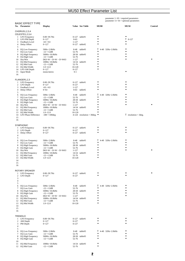|                                               |                                                                                                                                                                |                        |                                               |                        |                    | parameter $1 - 10$ = required parameters<br>parameter $11 - 16$ = optional parameters |           |
|-----------------------------------------------|----------------------------------------------------------------------------------------------------------------------------------------------------------------|------------------------|-----------------------------------------------|------------------------|--------------------|---------------------------------------------------------------------------------------|-----------|
| <b>BASIC EFFECT TYPE</b><br>No. Parameter     | <b>Display</b>                                                                                                                                                 |                        | Value See Table                               | <b>MU80</b>            |                    | <b>MU50</b>                                                                           | Control   |
| CHORUS1, 2, 3, 4<br>CELESTE1,2,3,4            |                                                                                                                                                                |                        |                                               |                        |                    |                                                                                       |           |
| 1 LFO Frequency                               | $0.00 - 39.7$ Hz                                                                                                                                               |                        | 0-127 table#1                                 |                        |                    |                                                                                       |           |
| 2 LFO PM Depth<br>Feedback Level<br>3         | $0 - 127$<br>$-63$ ~+63                                                                                                                                        | $0 - 63$<br>$1 - 127$  |                                               | ٠<br>٠                 |                    | $T$ 0-127<br>٠                                                                        |           |
| Delay Offset<br>4                             | $0 - 127$                                                                                                                                                      |                        | 0-127 table#2                                 | $\bullet$              |                    | ٠                                                                                     |           |
| 5<br>EQ Low Frequency<br>6                    | 50Hz~2.0kHz                                                                                                                                                    | 8-40                   | table#3                                       | Τ                      | 4-40 32Hz~2.0kHz   |                                                                                       |           |
| 7<br>EQ Low Gain                              | $-12$ ~+12dB                                                                                                                                                   | 52-76                  |                                               | $\bullet$              |                    |                                                                                       |           |
| EQ High Frequency<br>8<br>EQ High Gain<br>9.  | 500Hz~16.0kHz<br>$-12$ ~+12dB                                                                                                                                  | 28-58<br>52-76         | table#3                                       | ٠<br>٠                 |                    | $\bullet$<br>٠                                                                        |           |
| 10 Dry/Wet                                    | $D63>$ W ~ D=W ~ D <w63< td=""><td><math>1 - 127</math></td><td></td><td>٠</td><td></td><td></td><td></td></w63<>                                              | $1 - 127$              |                                               | ٠                      |                    |                                                                                       |           |
| EQ Mid Frequency<br>11<br>EQ Mid Gain<br>12   | 100Hz~10.0kHz<br>$-12$ ~+12dB                                                                                                                                  | 52-76                  | 14-54 table#3                                 | $\bullet$<br>٠         |                    |                                                                                       |           |
| 13<br>EQ Mid Width                            | $1.0 - 12.0$                                                                                                                                                   | 10-120                 |                                               | ٠                      |                    |                                                                                       |           |
| LFO AM Depth<br>14<br><b>Input Mode</b><br>15 | $0 - 127$<br>mono/stereo                                                                                                                                       | $0 - 127$<br>$0 - 1$   |                                               |                        |                    | ۰                                                                                     |           |
| 16                                            |                                                                                                                                                                |                        |                                               |                        |                    |                                                                                       |           |
| FLANGER1,2,3                                  |                                                                                                                                                                |                        |                                               |                        |                    |                                                                                       |           |
| 1 LFO Frequency                               | $0.00 - 39.7$ Hz                                                                                                                                               |                        | 0-127 table#1                                 |                        |                    |                                                                                       |           |
| 2 LFO Depth<br>3<br>Feedback Level            | $0 - 127$<br>$-63$ ~+63                                                                                                                                        | $0 - 127$<br>$1 - 127$ |                                               | ٠<br>٠                 |                    |                                                                                       |           |
| Delay Offset<br>4                             | $0 - 63$                                                                                                                                                       | $0 - 63$               | table#2                                       |                        |                    |                                                                                       |           |
| 5<br>6 EQ Low Frequency                       | 50Hz~2.0kHz                                                                                                                                                    | $8-40$                 | table#3                                       | т                      | 4-40 32Hz~2.0kHz   |                                                                                       |           |
| 7<br>EQ Low Gain                              | $-12$ ~+12dB                                                                                                                                                   | $52 - 76$              |                                               | ٠                      |                    | $\bullet$                                                                             |           |
| EQ High Frequency<br>8<br>9.<br>EQ High Gain  | 500Hz~16.0kHz<br>$-12$ ~+12dB                                                                                                                                  | $52 - 76$              | 28-58 table#3                                 | ٠<br>٠                 |                    | $\bullet$                                                                             |           |
| Dry/Wet<br>10                                 | $D63>$ W ~ D=W ~ D <w63< td=""><td><math>1 - 127</math></td><td></td><td><math>\bullet</math><br/><math>\bullet</math></td><td></td><td></td><td>٠</td></w63<> | $1 - 127$              |                                               | $\bullet$<br>$\bullet$ |                    |                                                                                       | ٠         |
| 11<br>EQ Mid Frequency<br>12<br>EQ Mid Gain   | 100Hz~10.0kHz<br>$-12$ ~+12dB                                                                                                                                  | $52 - 76$              | 14-54 table#3                                 |                        |                    |                                                                                       |           |
| EQ Mid Width<br>13                            | $1.0 - 12.0$                                                                                                                                                   | $10-120$               |                                               |                        |                    |                                                                                       |           |
| LFO Phase Difference<br>14<br>15              | $-180 - +180$ deg                                                                                                                                              |                        | 4-124 resolution = $30 \text{deg.}$ $\bullet$ |                        |                    | $\overline{\phantom{a}}$ resolution = 3 deg.                                          |           |
| 16                                            |                                                                                                                                                                |                        |                                               |                        |                    |                                                                                       |           |
| SYMPHONIC                                     |                                                                                                                                                                |                        |                                               |                        |                    |                                                                                       |           |
| 1 LFO Frequency<br>2 LFO Depth                | $0.00 - 39.7$ Hz<br>$0 - 127$                                                                                                                                  | $0 - 127$              | 0-127 table#1                                 | ٠                      |                    |                                                                                       |           |
| 3<br>Delay Offset                             | $0 - 127$                                                                                                                                                      |                        | 0-127 table#2                                 | $\bullet$              |                    |                                                                                       |           |
| 4<br>5                                        |                                                                                                                                                                |                        |                                               |                        |                    |                                                                                       |           |
| 6 EQ Low Frequency                            | 50Hz~2.0kHz                                                                                                                                                    | 8-40                   | table#3                                       | Τ                      | 4-40 32Hz~2.0kHz   |                                                                                       |           |
| EQ Low Gain<br>7<br>8<br>EQ High Frequency    | $-12$ ~+12dB<br>500Hz~16.0kHz                                                                                                                                  | 52-76<br>28-58         | table#3                                       | ٠<br>٠                 |                    | $\bullet$                                                                             |           |
| 9<br>EQ High Gain                             | $-12$ ~+12dB                                                                                                                                                   | 52-76                  |                                               | ٠                      |                    |                                                                                       |           |
| Dry/Wet<br>10<br>EQ Mid Frequency<br>11       | $D63>$ W ~ D=W ~ D <w63<br>100Hz~10.0kHz</w63<br>                                                                                                              | $1 - 127$<br>14-54     | table#3                                       | $\bullet$<br>٠         |                    |                                                                                       |           |
| EQ Mid Gain<br>12                             | $-12$ ~+12dB                                                                                                                                                   | 52-76                  |                                               | ٠                      |                    |                                                                                       |           |
| EQ Mid Width<br>13<br>14                      | $1.0 - 12.0$                                                                                                                                                   | 10-120                 |                                               |                        |                    |                                                                                       |           |
| 15                                            |                                                                                                                                                                |                        |                                               |                        |                    |                                                                                       |           |
| 16                                            |                                                                                                                                                                |                        |                                               |                        |                    |                                                                                       |           |
| ROTARY SPEAKER                                |                                                                                                                                                                |                        |                                               | ٠                      |                    |                                                                                       | $\bullet$ |
| 1 LFO Frequency<br>2 LFO Depth                | $0.00 - 39.7$ Hz<br>$0 - 127$                                                                                                                                  | $0 - 127$              | 0-127 table#1                                 | ٠                      |                    |                                                                                       |           |
| 3<br>4                                        |                                                                                                                                                                |                        |                                               |                        |                    |                                                                                       |           |
| 5                                             |                                                                                                                                                                |                        |                                               |                        |                    |                                                                                       |           |
| 6 EQ Low Frequency<br>EQ Low Gain<br>7        | 50Hz~2.0kHz<br>$-12$ ~+12dB                                                                                                                                    | 52-76                  | 8-40 table#3                                  |                        | T 4-40 32Hz~2.0kHz |                                                                                       |           |
| 8 EQ High Frequency                           | 500Hz~16.0kHz                                                                                                                                                  |                        | 28-58 table#3                                 | ٠                      |                    |                                                                                       |           |
| 9 EQ High Gain<br>10 Dry/Wet                  | $-12$ ~+12dB<br>$D63>$ W ~ $D=$ W ~ $D<$ W63                                                                                                                   | 52-76<br>$1 - 127$     |                                               | ٠<br>٠                 |                    | $\bullet$                                                                             |           |
| <b>EQ Mid Frequency</b><br>11                 | 100Hz~10.0kHz                                                                                                                                                  |                        | 14-54 table#3                                 | $\bullet$              |                    |                                                                                       |           |
| EQ Mid Gain<br>12<br>13<br>EQ Mid Width       | $-12$ ~+12dB<br>$1.0 - 12.0$                                                                                                                                   | 52-76<br>10-120        |                                               | $\bullet$              |                    |                                                                                       |           |
| 14                                            |                                                                                                                                                                |                        |                                               |                        |                    |                                                                                       |           |
| 15<br>16                                      |                                                                                                                                                                |                        |                                               |                        |                    |                                                                                       |           |
|                                               |                                                                                                                                                                |                        |                                               |                        |                    |                                                                                       |           |
| <b>TREMOLO</b><br>1 LFO Frequency             | $0.00 - 39.7$ Hz                                                                                                                                               |                        | 0-127 table#1                                 |                        |                    |                                                                                       | $\bullet$ |
| 2 AM Depth                                    | $0 - 127$                                                                                                                                                      | $0 - 127$              |                                               | $\bullet$              |                    |                                                                                       |           |
| 3<br>PM Depth<br>4                            | $0 - 127$                                                                                                                                                      | $0 - 127$              |                                               |                        |                    |                                                                                       |           |
| 5                                             |                                                                                                                                                                |                        |                                               |                        |                    |                                                                                       |           |
| 6 EQ Low Frequency<br>7<br>EQ Low Gain        | 50Hz~2.0kHz<br>$-12$ ~+12dB                                                                                                                                    | 8-40<br>52-76          | table#3                                       | Τ                      | 4-40 32Hz~2.0kHz   |                                                                                       |           |
| 8 EQ High Frequency<br>9<br>EQ High Gain      | 500Hz~16.0kHz<br>$-12 - +12dB$                                                                                                                                 | 52-76                  | 28-58 table#3                                 | ٠<br>٠                 |                    | ٠                                                                                     |           |
| 10                                            |                                                                                                                                                                |                        |                                               |                        |                    |                                                                                       |           |
| 11 EQ Mid Frequency<br>12 EQ Mid Gain         | 100Hz~10.0kHz<br>$-12 - +12dB$                                                                                                                                 | 52-76                  | 14-54 table#3                                 | ٠<br>$\bullet$         |                    |                                                                                       |           |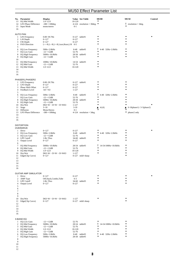| 13<br>14<br>16                                                  | No. Parameter<br>EQ Mid Width<br>LFO Phase Difference<br>15 Input Mode                                                                                                                                                         | <b>Display</b><br>$1.0 - 12.0$<br>$-180 - +180$ deg<br>mono/stereo                                                                                                                                 | 10-120<br>$0 - 1$                                                            | Value See Table<br>4-124 resolution = 30 deg. $\bullet$       | ٠                                                            | <b>MU80</b>                               | <b>MU50</b><br>$T$ resolution = 3deg.                                       | Control   |
|-----------------------------------------------------------------|--------------------------------------------------------------------------------------------------------------------------------------------------------------------------------------------------------------------------------|----------------------------------------------------------------------------------------------------------------------------------------------------------------------------------------------------|------------------------------------------------------------------------------|---------------------------------------------------------------|--------------------------------------------------------------|-------------------------------------------|-----------------------------------------------------------------------------|-----------|
| 4<br>5<br>7<br>8<br>10<br>11<br>12<br>13                        | <b>AUTO PAN</b><br>1 LFO Frequency<br>2 L/R Depth<br>3 F/R Depth<br><b>PAN Direction</b><br>6 EQ Low Frequency<br>EQ Low Gain<br><b>EQ High Frequency</b><br>9 EQ High Gain<br>EQ Mid Frequency<br>EQ Mid Gain<br>EQ Mid Width | $0.00 - 39.7$ Hz<br>$0 - 127$<br>$0 - 127$<br>L<->R,L->R,L<-R,Lturn,Rturn,L/R 0-5<br>50Hz~2.0kHz<br>$-12$ ~+12dB<br>500Hz~16.0kHz<br>$-12$ ~+12dB<br>100Hz~10.0kHz<br>$-12$ ~+12dB<br>$1.0 - 12.0$ | $0 - 127$<br>$0 - 127$<br>8-40<br>52-76<br>52-76<br>52-76<br>10-120          | 0-127 table#1<br>table#3<br>28-58 table#3<br>14-54 table#3    | ٠<br>$\bullet$<br>٠<br>$\bullet$<br>Τ<br>٠<br>٠<br>$\bullet$ | 4-40 32Hz~2.0kHz                          |                                                                             | $\bullet$ |
| 14<br>15<br>16                                                  |                                                                                                                                                                                                                                |                                                                                                                                                                                                    |                                                                              |                                                               |                                                              |                                           |                                                                             |           |
| 3<br>$\overline{4}$<br>5<br>8<br>9<br>11                        | PHASER1, PHASER2<br>1 LFO Frequency<br>2 LFO Depth<br>Phase Shift Offset<br>Feedback Level<br>6 EQ Low Frequency<br>7 EQ Low Gain<br><b>EQ High Frequency</b><br>EQ High Gain<br>10 Dry/Wet<br>Stage                           | $0.00 - 39.7$ Hz<br>$0 - 127$<br>$0 - 127$<br>$-63$ ~+63<br>50Hz~2.0kHz<br>$-12$ ~+12dB<br>500Hz~16.0kHz<br>$-12$ ~+12dB<br>$D63>$ W ~ $D=$ W ~ $D<$ W63<br>$3 - 10$                               | $0 - 127$<br>$0 - 127$<br>$1 - 127$<br>52-76<br>52-76<br>$1 - 127$<br>$3-10$ | $0-127$ table#1<br>8-40 table#3<br>28-58 table#3              | ٠<br>$\bullet$<br>Τ<br>$\bullet$<br>٠<br>٠<br>▲              | 4-40 32Hz~2.0kHz<br>4,6,8,                | $\bullet$<br>$\bullet$<br>▲<br>$6 \sim 10$ (phaser1) / $3 \sim 5$ (phaser2) |           |
| 12<br>13<br>14<br>15<br>16                                      | Diffusion<br>LFO Phase Difference                                                                                                                                                                                              | Mono/Stereo<br>$-180 \rightarrow +180$ deg.                                                                                                                                                        | $0 - 1$                                                                      | $4-124$ resolution = 3deg.                                    |                                                              |                                           | $\bullet$<br>٠<br>phaser2 only                                              |           |
| 3<br>6<br>7<br>8<br>9<br>10<br>11<br>12<br>13<br>14<br>15<br>16 | <b>DISTORTION</b><br>OVERDRIVE<br>1 Drive<br>2 EQ Low Frequency<br>EQ Low Gain<br>4 LPF Cutoff<br>5 Output Level<br>EQ Mid Frequency<br>EQ Mid Gain<br>EQ Mid Width<br>Dry/Wet<br>Edge(Clip Curve)                             | $0 - 127$<br>50Hz~2.0kHz<br>$-12$ ~+12dB<br>1.0k~Thru<br>$0 - 127$<br>500Hz~10.0kHz<br>$-12$ ~+12dB<br>$1.0 - 12.0$<br>$D63>$ W ~ D=W ~ D <w63<br><math>0 - 127</math></w63<br>                    | $0 - 127$<br>8-40<br>52-76<br>$0 - 127$<br>52-76<br>10-120<br>$1 - 127$      | table#3<br>34-60 table#3<br>28-54 table#3<br>0-127 mild~sharp | ٠<br>٠<br>$\bullet$<br>٠<br>٠<br>٠                           | 4-40 32Hz~2.0kHz<br>T 14-54 100Hz~10.0kHz | ٠<br>٠<br>$\bullet$                                                         |           |
| 2<br>3<br>4<br>5<br>6<br>$\tau$<br>$\,$ 8 $\,$<br>9             | <b>GUITAR AMP SIMULATOR</b><br>1 Drive<br>AMP Type<br>LPF Cutoff<br>Output Level                                                                                                                                               | $0 - 127$<br>Off,Stack,Combo,Tube<br>$1.0k~T$ hru<br>$0 - 127$                                                                                                                                     | $0-127$<br>$0 - 3$<br>$0 - 127$                                              | 34-60 table#3                                                 | ٠                                                            |                                           | ٠                                                                           | ٠         |
| 10<br>11<br>12<br>13<br>14<br>15<br>16                          | Dry/Wet<br>Edge(Clip Curve)                                                                                                                                                                                                    | $D63>$ W ~ D=W ~ D <w63<br><math>0 - 127</math></w63<br>                                                                                                                                           | $1 - 127$                                                                    | 0-127 mild~sharp                                              |                                                              |                                           |                                                                             |           |
| 6<br>7<br>8<br>9<br>$\overline{10}$                             | 3-BAND EQ<br>1 EQ Low Gain<br>2 EQ Mid Frequency<br>3 EQ Mid Gain<br>4 EQ Mid Width<br>5 EQ High Gain<br><b>EQ Low Frequency</b><br><b>EQ High Frequency</b>                                                                   | $-12$ ~+12dB<br>500Hz~10.0kHz<br>$-12$ ~+12dB<br>$1.0 - 12.0$<br>$-12$ ~+12dB<br>50Hz~2.0kHz<br>500Hz~16.0kHz                                                                                      | 52-76<br>52-76<br>10-120<br>52-76                                            | 28-54 table#3<br>8-40 table#3<br>28-58 table#3                | т<br>٠<br>٠<br>Т                                             | 14-54 100Hz~10.0kHz<br>4-40 32Hz~2.0kHz   |                                                                             |           |

10 11 12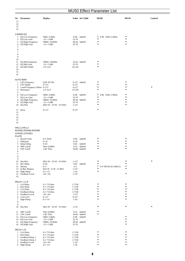| 13<br>14<br>15<br>16                                                  | No. Parameter                                                                                                               | <b>Display</b>                                                                                                                                                                                     |                                                                            | Value See Table                                | <b>MU80</b>                              | <b>MU50</b> | Control |
|-----------------------------------------------------------------------|-----------------------------------------------------------------------------------------------------------------------------|----------------------------------------------------------------------------------------------------------------------------------------------------------------------------------------------------|----------------------------------------------------------------------------|------------------------------------------------|------------------------------------------|-------------|---------|
| $\mathbf{1}$<br>3<br>4<br>5<br>6<br>$\tau$<br>8                       | 2-BAND EQ<br>EQ Low Frequency<br>2 EQ Low Gain<br>EQ High Frequency<br>EQ High Gain                                         | 50Hz~2.0kHz<br>$-12$ ~+12dB<br>500Hz~16.0kHz<br>$-12$ ~+12dB                                                                                                                                       | $8-40$<br>52-76<br>52-76                                                   | table#3<br>28-58 table#3                       | Τ<br>4-40 32Hz~2.0kHz<br>٠<br>$\bullet$  |             |         |
| 9<br>10<br>11<br>12<br>13<br>14<br>15<br>16                           | <b>EQ Mid Frequency</b><br>EQ Mid Gain<br>EQ Mid Width                                                                      | 100Hz~10.0kHz<br>$-12 - +12dB$<br>$1.0 - 12.0$                                                                                                                                                     | 52-76<br>10-120                                                            | 14-54 table#3                                  |                                          |             |         |
| 3<br>4                                                                | AUTO WAH<br>1 LFO Frequency<br>2 LFO Depth<br>Cutoff Frequency Offset 0~127<br>Resonance                                    | $0.00 - 39.7$ Hz<br>$0 - 127$<br>$1.0 - 12.0$                                                                                                                                                      | $0 - 127$<br>$0 - 127$<br>10-120                                           | 0-127 table#1                                  |                                          |             |         |
| 5<br>7<br>8<br>9                                                      | 6 EQ Low Frequency<br>EQ Low Gain<br>EQ High Frequency<br>EQ High Gain<br>10 Dry/Wet                                        | 50Hz~2.0kHz<br>$-12$ ~+12dB<br>500Hz~16.0kHz<br>$-12$ ~+12dB<br>$D63>$ W ~ $D=$ W ~ $D<$ W63                                                                                                       | 8-40<br>52-76<br>52-76<br>$1 - 127$                                        | table#3<br>28-58 table#3                       | т<br>4-40 32Hz~2.0kHz<br>٠<br>٠<br>٠     | ٠           |         |
| 11<br>12<br>13<br>14<br>15<br>16                                      | Drive                                                                                                                       | $0 - 127$                                                                                                                                                                                          | $0 - 127$                                                                  |                                                | $\bullet$                                |             |         |
|                                                                       | HALL1,HALL2<br>ROOM1,ROOM2,ROOM3<br>STAGE1,STAGE2                                                                           |                                                                                                                                                                                                    |                                                                            |                                                |                                          |             |         |
| PLATE<br>$\mathbf{1}$<br>3<br>4<br>5 <sup>5</sup><br>6<br>$\tau$<br>8 | Reverb Time<br>2 Diffusion<br><b>Initial Delay</b><br><b>HPF</b> Cutoff<br>LPF Cutoff                                       | $0.3 - 30.0s$<br>$0 - 10$<br>$0 - 63$<br>Thru~8.0kHz<br>$1.0k~T$ hru                                                                                                                               | $0 - 69$<br>$0 - 10$<br>$0 - 63$<br>$0 - 52$                               | table#4<br>table#5<br>table#3<br>34-60 table#3 |                                          |             |         |
| 9<br>11<br>12<br>13<br>16                                             | 10 Dry/Wet<br>Rev Delay<br>Density<br>Er/Rev Balance<br>14 High Damp<br>15 Feedback Level                                   | $D63>$ W ~ D=W ~ D <w63<br><math>0 - 63</math><br/><math>0 - 3</math><br/><math>E63&gt;R \sim E=R \sim E &lt; R63</math><br/><math>0.1 - 1.0</math><br/><math>-63</math>~<math>+63</math></w63<br> | $1 - 127$<br>$0 - 63$<br>$0 - 3$<br>$1 - 127$<br>$1 - 10$<br>$1 - 127$     | table#5                                        | т<br>$0-4$ *REV(0-4), VAR(0-3)<br>٠<br>٠ |             | ٠       |
| 3<br>$\overline{4}$<br>5<br>6<br>7<br>8                               | DELAY L,C,R<br>1 Lch Delay<br>2 Rch Delay<br>Cch Delay<br>Feedback Delay<br>Feedback Level<br>Cch Level<br><b>High Damp</b> | $0.1 - 715.0$ ms<br>$0.1 - 715.0$ ms<br>$0.1 - 715.0$ ms<br>$0.1 - 715.0$ ms<br>$-63$ ~+63<br>$0 - 127$<br>$0.1 - 1.0$                                                                             | 1-7150<br>1-7150<br>1-7150<br>1-7150<br>$1 - 127$<br>$0 - 127$<br>$1 - 10$ |                                                |                                          |             |         |
| 9                                                                     | 10 Dry/Wet                                                                                                                  | $D63>$ W ~ D=W ~ D <w63< td=""><td><math>1 - 127</math></td><td></td><td></td><td></td><td></td></w63<>                                                                                            | $1 - 127$                                                                  |                                                |                                          |             |         |
| 11                                                                    | <b>HPF</b> Cutoff<br>12 LPF Cutoff<br>13 EQ Low Frequency<br>14 EQ Low Gain<br>15 EQ High Frequency<br>16 EQ High Gain      | Thru~8.0kHz<br>1.0k~Thru<br>50Hz~2.0kHz<br>$-12$ ~+12dB<br>500Hz~16.0kHz<br>$-12$ ~+12dB                                                                                                           | $0 - 52$<br>34-60<br>8-40<br>52-76<br>52-76                                | table#3<br>table#3<br>table#3<br>28-58 table#3 |                                          |             |         |
| $\mathbf{1}$                                                          | DELAY L,R<br>Lch Delay                                                                                                      | $0.1 - 715.0$ ms                                                                                                                                                                                   | 1-7150                                                                     |                                                |                                          |             |         |
| $\mathbf{2}$<br>3<br>4<br>5<br>6                                      | <b>Rch Delay</b><br>Feedback Delay 1<br>Feedback Delay 2<br>Feedback Level<br><b>High Damp</b>                              | $0.1 - 715.0$ ms<br>$0.1 - 715.0$ ms<br>$0.1 - 715.0$ ms<br>$-63 - +63$<br>$0.1 - 1.0$                                                                                                             | 1-7150<br>1-7150<br>1-7150<br>$1 - 127$<br>$1 - 10$                        |                                                |                                          |             |         |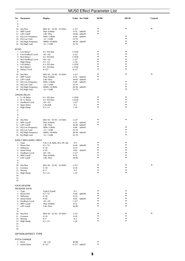| 7                                                                                        | No. Parameter                                                                                                                          | <b>Display</b>                                                                                                                                                     |                                                                                            | Value See Table                                           | <b>MU80</b> | <b>MU50</b> | Control |
|------------------------------------------------------------------------------------------|----------------------------------------------------------------------------------------------------------------------------------------|--------------------------------------------------------------------------------------------------------------------------------------------------------------------|--------------------------------------------------------------------------------------------|-----------------------------------------------------------|-------------|-------------|---------|
| 8<br>9<br>11<br>12<br>13<br>14<br>15                                                     | 10 Dry/Wet<br><b>HPF</b> Cutoff<br><b>LPF</b> Cutoff<br><b>EQ Low Frequency</b><br>EQ Low Gain<br>EQ High Frequency<br>16 EQ High Gain | $D63>$ W ~ $D=$ W ~ $D<$ W63<br>Thru~8.0kHz<br>$1.0k~$ Thru<br>50Hz~2.0kHz<br>$-12$ ~+12dB<br>500Hz~16.0kHz<br>$-12$ ~+12dB                                        | $1 - 127$<br>34-60<br>8-40<br>52-76<br>52-76                                               | $0-52$ table#3<br>table#3<br>table#3<br>28-58 table#3     |             | ٠           |         |
| <b>ECHO</b>                                                                              |                                                                                                                                        |                                                                                                                                                                    |                                                                                            |                                                           |             |             |         |
| $\mathbf{1}$<br>2<br>3<br>$\overline{4}$<br>7<br>8<br>9                                  | Lch Delay1<br>Lch Feedback Level<br>Rch Delay1<br>Rch Feedback Level<br>5 High Damp<br>6 Lch Delay2<br>Rch Delay2<br>Delay2 Level      | $0.1 - 355.0$ ms<br>$-63 - +63$<br>$0.1 - 355.0$ ms<br>$-63 - +63$<br>$0.1 - 1.0$<br>$0.1 - 355.0$ ms<br>$0.1 - 355.0$ ms<br>$0 - 127$                             | 1-3550<br>$1 - 127$<br>1-3550<br>$1 - 127$<br>$1 - 10$<br>1-3550<br>1-3550<br>$0-127$      |                                                           |             |             |         |
| 11<br>13<br>14<br>15                                                                     | 10 Dry/Wet<br>HPF Cutoff<br>12 LPF Cutoff<br><b>EQ Low Frequency</b><br>EQ Low Gain<br>EQ High Frequency<br>16 EQ High Gain            | $D63>$ W ~ D=W ~ D <w63<br>Thru~8.0kHz<br/>1.0k~Thru<br/>50Hz~2.0kHz<br/><math>-12</math>~+12dB<br/>500Hz~16.0kHz<br/><math>-12</math>~+12dB</w63<br>              | $1 - 127$<br>$0 - 52$<br>34-60<br>$8 - 40$<br>52-76<br>52-76                               | table#3<br>table#3<br>table#3<br>28-58 table#3            |             |             |         |
|                                                                                          | <b>CROSS DELAY</b><br>1 L->R Delay                                                                                                     | $0.1 - 355.0$ ms                                                                                                                                                   | 1-3550                                                                                     |                                                           |             | $\bullet$   |         |
| 3<br>4<br>5<br>6<br>$\tau$<br>$\,$ 8 $\,$                                                | 2 R->L Delay<br>Feedback Level<br><b>Input Select</b><br><b>High Damp</b>                                                              | $0.1 - 355.0$ ms<br>$-63 - +63$<br>L, R, L & R<br>$0.1 - 1.0$                                                                                                      | 1-3550<br>$1 - 127$<br>$0 - 2$<br>$1 - 10$                                                 |                                                           |             |             |         |
| 9<br>10<br>11<br>13<br>14<br>15                                                          | Dry/Wet<br><b>HPF</b> Cutoff<br>12 LPF Cutoff<br>EQ Low Frequency<br>EQ Low Gain<br>EQ High Frequency<br>16 EQ High Gain               | $D63>$ W ~ D=W ~ D <w63<br>Thru~8.0kHz<br/><math>1.0k~T</math>hru<br/>50Hz~2.0kHz<br/><math>-12</math>~+12dB<br/>500Hz~16.0kHz<br/><math>-12</math>~+12dB</w63<br> | $1 - 127$<br>8-40<br>52-76<br>52-76                                                        | 0-52 table#3<br>34-60 table#3<br>table#3<br>28-58 table#3 |             |             |         |
|                                                                                          | EARLY REF1, EARLY REF2                                                                                                                 |                                                                                                                                                                    |                                                                                            |                                                           |             |             |         |
| $\mathbf{1}$<br>$\mathbf{2}$<br>3<br>$\overline{4}$<br>5<br>6<br>7<br>8<br>9<br>10<br>11 | Type<br>Room Size<br>Diffusion<br><b>Initial Delay</b><br>Feedback Level<br><b>HPF Cutoff</b><br>LPF Cutoff<br>Dry/Wet<br>Liveness     | S-H, L-H, Rdm, Rvs, Plt, Spr<br>$0.1 - 7.0$<br>$0 - 10$<br>$0 - 63$<br>$-63$ ~+63<br>Thru~8.0kHz<br>$1.0k~T$ hru<br>$D63>$ W ~ $D=$ W ~ $D<$ W63<br>$0 - 10$       | $0 - 5$<br>$0 - 44$<br>$0 - 10$<br>$1 - 127$<br>$0 - 52$<br>34-60<br>$1 - 127$<br>$0 - 10$ | table#6<br>0-63 table#5                                   |             |             |         |
| 12<br>13<br>14<br>15<br>16                                                               | Density<br>High Damp                                                                                                                   | $0 - 3$<br>$0.1 - 1.0$                                                                                                                                             | $0 - 3$<br>$1 - 10$                                                                        |                                                           | $\bullet$   |             |         |
|                                                                                          | <b>GATE REVERB</b><br><b>REVERSE GATE</b>                                                                                              |                                                                                                                                                                    |                                                                                            |                                                           |             |             |         |
| $\mathbf{1}$<br>2<br>3<br>$\overline{4}$<br>5<br>6<br>7<br>8<br>9                        | Type<br>Room Size<br>Diffusion<br><b>Initial Delay</b><br>Feedback Level<br><b>HPF</b> Cutoff<br>LPF Cutoff                            | TypeA,TypeB<br>$0.1 - 7.0$<br>$0 - 10$<br>$0 - 63$<br>$-63$ ~+63<br>Thru~8.0kHz<br>$1.0k~T$ hru                                                                    | $0 - 1$<br>$0 - 44$<br>$0 - 10$<br>$1 - 127$<br>$0 - 52$<br>34-60                          | table#6<br>0-63 table#5                                   |             | ٠           |         |
| 10<br>11<br>12<br>13<br>14<br>15<br>16                                                   | Dry/Wet<br>Liveness<br>Density<br>High Damp                                                                                            | $D63>$ W ~ D=W ~ D <w63<br><math>0 - 10</math><br/><math>0 - 3</math><br/><math>0.1 - 1.0</math></w63<br>                                                          | $1 - 127$<br>$0 - 10$<br>$0 - 3$<br>$1 - 10$                                               |                                                           |             |             |         |

# OPTION EFFECT TYPE

# PITCH CHANGE

| 1 Pitch         | $-24 - 24$ | 40-88           |  |
|-----------------|------------|-----------------|--|
| 2 Initial Delay | $0 - 127$  | $0-127$ table#7 |  |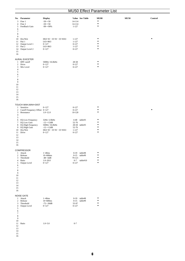| 3<br>$\overline{4}$<br>5<br>6<br>$\tau$<br>$\,$ 8 $\,$                                                                                                        | No. Parameter<br>Fine 1<br>Fine 2<br>Feedback Gain                                              | <b>Display</b><br>$-50 - +50$<br>$-50-+50$<br>$-99 - +99%$                                                             | Value See Table<br>14-114<br>14-114<br>$1 - 127$                                       | <b>MU80</b><br>$\bullet$<br>$\bullet$<br>$\bullet$ | <b>MU50</b> | Control   |
|---------------------------------------------------------------------------------------------------------------------------------------------------------------|-------------------------------------------------------------------------------------------------|------------------------------------------------------------------------------------------------------------------------|----------------------------------------------------------------------------------------|----------------------------------------------------|-------------|-----------|
| 9<br>11<br>12<br>13<br>14<br>15<br>16                                                                                                                         | 10 Dry/Wet<br>Pan 1<br>Output Level 1<br>Pan 2<br>Output Level 2                                | $D63>$ W ~ $D=$ W ~ $D<$ W63<br>$L63 - R63$<br>$0 - 127$<br>L63~R63<br>$0 - 127$                                       | $1 - 127$<br>$1 - 127$<br>$0 - 127$<br>$1 - 127$<br>$0 - 127$                          | ٠<br>$\bullet$<br>$\bullet$                        |             | ٠         |
| $\mathbf{1}$<br>$\overline{c}$<br>3<br>$\overline{4}$<br>$\sqrt{5}$<br>$\sqrt{6}$<br>$\tau$<br>$\,$ 8 $\,$<br>9<br>$10\,$<br>11<br>12<br>13<br>14<br>15<br>16 | AURAL EXICETER<br>HPF cutoff<br>Drive<br>Mix Level                                              | 500Hz~16.0kHz<br>$0 - 127$<br>$0 - 127$                                                                                | 28-58<br>$0 - 127$<br>$0 - 127$                                                        | ٠                                                  |             |           |
| $\mathbf{1}$<br>$\boldsymbol{2}$<br>3                                                                                                                         | TOUCH WAH, WAH+DIST<br>Sensitive<br>Cutoff Frequency Offset 0~127<br>Resonance                  | $0 - 127$<br>$1.0 - 12.0$                                                                                              | $0 - 127$<br>$0 - 127$<br>$10 - 120$                                                   |                                                    |             | $\bullet$ |
| $\overline{4}$<br>5<br>6<br>7<br>8<br>9<br>10<br>11<br>12<br>13<br>14<br>15<br>16                                                                             | <b>EQ Low Frequency</b><br>EQ Low Gain<br>EQ High Frequency<br>EQ High Gain<br>Dry/Wet<br>Drive | 32Hz~2.0kHz<br>$-12 - +12dB$<br>500Hz~16.0kHz<br>$-12$ ~+12dB<br>D63>W ~ D=W ~ D <w63<br><math>0 - 127</math></w63<br> | $4 - 40$<br>table#3<br>52-76<br>28-58 table#3<br>52-76<br>$1 - 127$<br>$0 - 127$       | ٠<br>$\bullet$<br>$\bullet$<br>٠                   |             |           |
| 1<br>$\overline{c}$<br>3<br>$\overline{4}$<br>$\sqrt{5}$<br>6<br>$\tau$<br>$\,$ 8 $\,$<br>$\mathbf{Q}$<br>10<br>11<br>12<br>13<br>14<br>15                    | <b>COMPRESSOR</b><br>Attack<br>Release<br>Threshold<br>Ratio<br><b>Output Level</b>             | $1 - 40$ ms<br>$10 - 680$ ms<br>$-48 - -6dB$<br>$1.0 - 20.0$<br>$0 - 127$                                              | $0-19$<br>table#8<br>table#9<br>$0 - 15$<br>79-121<br>$0 - 7$<br>table#10<br>$0 - 127$ | ٠<br>٠<br>$\bullet$                                |             |           |
| 16<br>$\overline{2}$<br>3<br>4<br>$\sqrt{5}$<br>6<br>$\tau$<br>$\,$ 8 $\,$                                                                                    | <b>NOISE GATE</b><br>1 Attack<br>Release<br>Threshold<br>Output Level                           | $1 - 40$ ms<br>$10 - 680$ ms<br>$-72 - -30dB$<br>$0 - 127$                                                             | $0-19$<br>table#8<br>$0 - 15$<br>table#9<br>55-97<br>$0 - 127$                         | ٠<br>٠<br>٠<br>$\bullet$                           |             |           |
| 9<br>$10\,$<br>11<br>12<br>13<br>14<br>15<br>16                                                                                                               | Ratio                                                                                           | $1.0 - 5.0$                                                                                                            | $0 - 7$                                                                                |                                                    |             |           |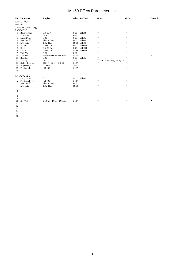|               | No. Parameter        | <b>Display</b>                |           | Value See Table | <b>MU80</b>  | <b>MU50</b>                   | Control |
|---------------|----------------------|-------------------------------|-----------|-----------------|--------------|-------------------------------|---------|
|               | WHITE ROOM           |                               |           |                 |              |                               |         |
| <b>TUNNEL</b> |                      |                               |           |                 |              |                               |         |
|               | CANYON (MU80 Only)   |                               |           |                 |              |                               |         |
|               | <b>BASEMENT</b>      |                               |           |                 |              |                               |         |
| $\mathbf{1}$  | <b>Reverb Time</b>   | $0.3 - 30.0s$                 | $0 - 69$  | table#4         |              |                               |         |
| 2             | Diffusion            | $0 - 10$                      | $0 - 10$  |                 |              |                               |         |
| 3             | <b>Initial Delay</b> | $0 - 63$                      | $0 - 63$  | table#5         |              |                               |         |
| 4             | <b>HPF</b> Cutoff    | Thru~8.0kHz                   | $0 - 52$  | table#3         |              |                               |         |
| 5             | <b>LPF</b> Cutoff    | $1.0k~T$ hru                  |           | 34-60 table#3   |              |                               |         |
| 6             | Width                | $0.5 - 10.2m$                 | $0 - 37$  | table#11        |              |                               |         |
| 7             | Heigt                | $0.5 - 20.2m$                 | $0 - 73$  | table#11        |              |                               |         |
| 8             | Depth                | $0.5 - 30.2m$                 |           | 0-104 table#11  |              |                               |         |
| 9             | Wall Vary            | $0 - 30$                      | $0 - 30$  |                 |              |                               |         |
| 10            | Dry/Wet              | $D63>$ W ~ $D=$ W ~ $D<$ W63  | $1 - 127$ |                 |              |                               |         |
| 11            | Rev Delay            | $0 - 63$                      | $0 - 63$  | table#5         |              |                               |         |
| 12            | Density              | $0 - 3$                       | $0 - 3$   |                 | т<br>$0 - 4$ | *REV(0-4), VAR(0-3) $\bullet$ |         |
| 13            | Er/Rev Balance       | $E63>R \sim E=R \sim E < R63$ | $1 - 127$ |                 |              |                               |         |
| 14            | <b>High Damp</b>     | $0.1 - 1.0$                   | $1 - 10$  |                 |              |                               |         |
| 15            | Feedback Level       | $-63 - +63$                   | $1 - 127$ |                 |              | ٠                             |         |
| 16            |                      |                               |           |                 |              |                               |         |
|               | KARAOKE1,2,3         |                               |           |                 |              |                               |         |
| 1             | Delay Time           | $0 - 127$                     |           | 0-127 table#7   |              |                               |         |
| 2             | Feedback Level       | $-63 - +63$                   | $1 - 127$ |                 |              |                               |         |
| 3             | <b>HPF</b> Cutoff    | Thru~8.0kHz                   | $0 - 52$  |                 |              |                               |         |
| 4             | LPF Cutoff           | $1.0k~T$ hru                  | 34-60     |                 |              |                               |         |
| 5             |                      |                               |           |                 |              |                               |         |
| 6             |                      |                               |           |                 |              |                               |         |
| 7             |                      |                               |           |                 |              |                               |         |
| 8             |                      |                               |           |                 |              |                               |         |
| 9             |                      |                               |           |                 |              |                               |         |
| 10            | Dry/Wet              | $D63>$ W ~ $D=$ W ~ $D<$ W63  | $1 - 127$ |                 |              |                               |         |
| 11            |                      |                               |           |                 |              |                               |         |
| 12            |                      |                               |           |                 |              |                               |         |
| 13            |                      |                               |           |                 |              |                               |         |
| 14            |                      |                               |           |                 |              |                               |         |

14 15 16

7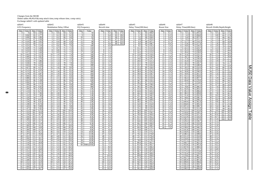Changes from the MU80 Delete tables #8,#9,#10(comp attack time,comp release time, comp ratio). Exchange table#1 with updated table

| table#1                                                                                                                                                                                                                                                                                                                                                                                                                                                                                                                                                                                                                                                                                                                                                                                                                                                                                                                                                                                                                                                                                                                                                                                                                                                                                                                                                                                                                                                         | table#2                                                                                                                                                                                                                                                                                                                                                                                                                                                                                                                                                                                                                                                                                                                                                                                                                                                                                                                                                                                                                                                                                                                                                                                                                                                                                                                                                                                                                                                                       | table#3                                                                                                                                                                                                                                                                                                                                                                                                                                                                                                                                                                                                                                                                                                   | table#4                                                                                                                                                                                                                                                                                                                                                                                                                                                                                                                                                                                                                                                                                                                                                                                                                                                                                                      | table#5                                                                                                                                                                                                                                                                                                                                                                                                                                                                                                                                                                                                                                                                                                                                                                                                                                                                                                                                                                                                                                                                                                                                                                                                                                                                               | table#6                                                                                                                                                                                                                                                                                                                                                                                                                                                                                                                                                                                                                                                                                                                                                                                    | table#7                                                                                                                                                                                                                                                                                                                                                                                                                                                                                                                                                                                                                                                                                                                                                                                                                                                                                                                                                                                                                                                                                                                                                                                                                                                                                                                                                                                                                                                               | table#8                                                                                                                                                                                                                                                                                                                                                                                                                                                                                                                                                                                                                                                                                                                                                                                                                                                                                                                                                                                                                                                                                                                                                                                                                                                                                                                                                                                                                                                                                                             |
|-----------------------------------------------------------------------------------------------------------------------------------------------------------------------------------------------------------------------------------------------------------------------------------------------------------------------------------------------------------------------------------------------------------------------------------------------------------------------------------------------------------------------------------------------------------------------------------------------------------------------------------------------------------------------------------------------------------------------------------------------------------------------------------------------------------------------------------------------------------------------------------------------------------------------------------------------------------------------------------------------------------------------------------------------------------------------------------------------------------------------------------------------------------------------------------------------------------------------------------------------------------------------------------------------------------------------------------------------------------------------------------------------------------------------------------------------------------------|-------------------------------------------------------------------------------------------------------------------------------------------------------------------------------------------------------------------------------------------------------------------------------------------------------------------------------------------------------------------------------------------------------------------------------------------------------------------------------------------------------------------------------------------------------------------------------------------------------------------------------------------------------------------------------------------------------------------------------------------------------------------------------------------------------------------------------------------------------------------------------------------------------------------------------------------------------------------------------------------------------------------------------------------------------------------------------------------------------------------------------------------------------------------------------------------------------------------------------------------------------------------------------------------------------------------------------------------------------------------------------------------------------------------------------------------------------------------------------|-----------------------------------------------------------------------------------------------------------------------------------------------------------------------------------------------------------------------------------------------------------------------------------------------------------------------------------------------------------------------------------------------------------------------------------------------------------------------------------------------------------------------------------------------------------------------------------------------------------------------------------------------------------------------------------------------------------|--------------------------------------------------------------------------------------------------------------------------------------------------------------------------------------------------------------------------------------------------------------------------------------------------------------------------------------------------------------------------------------------------------------------------------------------------------------------------------------------------------------------------------------------------------------------------------------------------------------------------------------------------------------------------------------------------------------------------------------------------------------------------------------------------------------------------------------------------------------------------------------------------------------|---------------------------------------------------------------------------------------------------------------------------------------------------------------------------------------------------------------------------------------------------------------------------------------------------------------------------------------------------------------------------------------------------------------------------------------------------------------------------------------------------------------------------------------------------------------------------------------------------------------------------------------------------------------------------------------------------------------------------------------------------------------------------------------------------------------------------------------------------------------------------------------------------------------------------------------------------------------------------------------------------------------------------------------------------------------------------------------------------------------------------------------------------------------------------------------------------------------------------------------------------------------------------------------|--------------------------------------------------------------------------------------------------------------------------------------------------------------------------------------------------------------------------------------------------------------------------------------------------------------------------------------------------------------------------------------------------------------------------------------------------------------------------------------------------------------------------------------------------------------------------------------------------------------------------------------------------------------------------------------------------------------------------------------------------------------------------------------------|-----------------------------------------------------------------------------------------------------------------------------------------------------------------------------------------------------------------------------------------------------------------------------------------------------------------------------------------------------------------------------------------------------------------------------------------------------------------------------------------------------------------------------------------------------------------------------------------------------------------------------------------------------------------------------------------------------------------------------------------------------------------------------------------------------------------------------------------------------------------------------------------------------------------------------------------------------------------------------------------------------------------------------------------------------------------------------------------------------------------------------------------------------------------------------------------------------------------------------------------------------------------------------------------------------------------------------------------------------------------------------------------------------------------------------------------------------------------------|---------------------------------------------------------------------------------------------------------------------------------------------------------------------------------------------------------------------------------------------------------------------------------------------------------------------------------------------------------------------------------------------------------------------------------------------------------------------------------------------------------------------------------------------------------------------------------------------------------------------------------------------------------------------------------------------------------------------------------------------------------------------------------------------------------------------------------------------------------------------------------------------------------------------------------------------------------------------------------------------------------------------------------------------------------------------------------------------------------------------------------------------------------------------------------------------------------------------------------------------------------------------------------------------------------------------------------------------------------------------------------------------------------------------------------------------------------------------------------------------------------------------|
|                                                                                                                                                                                                                                                                                                                                                                                                                                                                                                                                                                                                                                                                                                                                                                                                                                                                                                                                                                                                                                                                                                                                                                                                                                                                                                                                                                                                                                                                 |                                                                                                                                                                                                                                                                                                                                                                                                                                                                                                                                                                                                                                                                                                                                                                                                                                                                                                                                                                                                                                                                                                                                                                                                                                                                                                                                                                                                                                                                               |                                                                                                                                                                                                                                                                                                                                                                                                                                                                                                                                                                                                                                                                                                           |                                                                                                                                                                                                                                                                                                                                                                                                                                                                                                                                                                                                                                                                                                                                                                                                                                                                                                              |                                                                                                                                                                                                                                                                                                                                                                                                                                                                                                                                                                                                                                                                                                                                                                                                                                                                                                                                                                                                                                                                                                                                                                                                                                                                                       |                                                                                                                                                                                                                                                                                                                                                                                                                                                                                                                                                                                                                                                                                                                                                                                            |                                                                                                                                                                                                                                                                                                                                                                                                                                                                                                                                                                                                                                                                                                                                                                                                                                                                                                                                                                                                                                                                                                                                                                                                                                                                                                                                                                                                                                                                       |                                                                                                                                                                                                                                                                                                                                                                                                                                                                                                                                                                                                                                                                                                                                                                                                                                                                                                                                                                                                                                                                                                                                                                                                                                                                                                                                                                                                                                                                                                                     |
| <b>LFO</b> Frequency<br>Data Value<br>Data<br>Value<br>2.69<br>$\overline{0}$<br>$\Omega$<br>64<br>2.77<br>0.04<br>65<br>2.86<br>$\overline{2}$<br>0.08<br>66<br>2.94<br>0.12<br>67<br>3<br>3.02<br>$\overline{4}$<br>0.16<br>68 l<br>3.11<br>5<br>0.21<br>69 l<br>$\overline{6}$<br>3.19<br>0.25<br>70<br>$\overline{\tau}$<br>71<br>3.28<br>0.29<br>8<br>0.33<br>72<br>3.36<br>73<br>$\overline{9}$<br>0.37<br>3.44<br>10<br>0.42<br>74<br>3.53<br>$\overline{75}$<br>11<br>0.46<br>3.61<br>76<br>3.70<br>12<br>0.50<br>13<br>0.54<br>77<br>3.86<br>0.58<br>78<br>4.03<br>14<br>79<br>4.20<br>0.63<br>15<br>80<br>4.37<br>16<br>0.67<br>17<br>0.71<br>81<br>4.54<br>82<br>4.71<br>18<br>0.75<br>83<br>4.87<br>19<br>0.79<br>20<br>84<br>5.04<br>0.84<br>21<br>0.88<br>85 l<br>5.21<br>$\overline{22}$<br>0.92<br>86<br>5.38<br>$\overline{23}$<br>5.55<br>87<br>0.96<br>24<br>5.72<br>1.00<br>88<br>25<br>1.05<br>89<br>6.05<br>26<br>90<br>6.39<br>1.09<br>27<br>91<br>6.72<br>1.13<br>28<br>1.17<br>92<br>7.06<br>$\overline{29}$<br>93<br>7.40<br>1.22<br>30<br>1.26<br>94<br>7.73<br>95<br>8.07<br>31<br>1.30<br>32<br>1.34<br>96 <sup>1</sup><br>8.41<br>33<br>97<br>1.38<br>8.74<br>$\overline{34}$<br>98<br>9.08<br>1.43<br>35<br>99<br>9.42<br>1.47<br>9.75<br>36<br>1.51<br>$100^{-1}$<br>$\overline{37}$<br>1.55<br>10.0<br>101<br>10.7<br>38<br>1.59<br>102<br>39<br>1.64<br>103<br>11.4<br>12.1<br>40<br>104<br>1.68<br>12.7<br>41<br>1.72<br>105 | <b>Modulation Delay Offset</b><br>Value<br>Data<br>Value<br><b>Data</b><br>$\overline{0}$<br>0.0<br>64<br>6.4<br>0.1<br>6.5<br>1<br>65<br>$\overline{2}$<br>0.2<br>66<br>6.6<br>0.3<br>67<br>$\overline{\mathbf{3}}$<br>6.7<br>68<br>$\overline{4}$<br>0.4<br>6.8<br>$\overline{5}$<br>0.5<br>69<br>6.9<br>$\overline{6}$<br>70<br>7.0<br>0.6<br>71<br>$\overline{7}$<br>7.1<br>0.7<br>8<br>0.8<br>72<br>7.2<br>73<br>$\overline{9}$<br>0.9<br>7.3<br>10<br>1.0<br>74<br>7.4<br>$\overline{11}$<br>1.1<br>75<br>7.5<br>1.2<br>$\overline{76}$<br>7.6<br>12<br>13<br>1.3<br>77<br>7.7<br>1.4<br>78<br>7.8<br>14<br>79<br>7.9<br>15<br>1.5<br>1.6<br>80<br>8.0<br>16<br>17<br>1.7<br>81<br>8.1<br>1.8<br>82<br>18<br>8.2<br>1.9<br>83<br>19<br>8.3<br>$\overline{2.0}$<br>20<br>84<br>8.4<br>85<br>21<br>2.1<br>8.5<br>$\overline{22}$<br>2.2<br>86<br>8.6<br>2.3<br>$\overline{23}$<br>87<br>8.7<br>2.4<br>24<br>88<br>8.8<br>$\overline{25}$<br>2.5<br>8.9<br>89<br>2.6<br>26<br>90<br>9.0<br>27<br>2.7<br>91<br>9.1<br>$\overline{28}$<br>2.8<br>92<br>9.2<br>$\overline{29}$<br>2.9<br>93<br>9.3<br>30<br>3.0<br>94<br>9.4<br>3.1<br>95<br>9.5<br>31<br>32<br>3.2<br>96<br>9.6<br>33<br>3.3<br>97<br>9.7<br>3.4<br>$\overline{34}$<br>98<br>9.8<br>3.5<br>$\overline{35}$<br>9.9<br>99<br>100<br>10.0<br>36<br>3.6<br>$\overline{37}$<br>3.7<br>101<br>11.1<br>38<br>3.8<br>102<br>12.2<br>39<br>3.9<br>13.3<br>103<br>40<br>4.0<br>104<br>14.4<br>41<br>4.1<br>105<br>15.5 | <b>EO</b> Frequency<br>Data<br>Value<br>8<br>50<br>56<br>$\overline{9}$<br>10<br>63<br>$\overline{11}$<br>70<br>80<br>12<br>13<br>90<br>$\overline{14}$<br>100<br>15<br>110<br>16<br>125<br>140<br>17<br>18<br>160<br>19<br>180<br>$\overline{20}$<br>200<br>225<br>21<br>250<br>22<br>$\overline{23}$<br>280<br>24<br>315<br>25<br>355<br>26<br>400<br>27<br>450<br>$\overline{28}$<br>500<br>29<br>560<br>30<br>630<br>$\overline{31}$<br>700<br>32<br>800<br>33<br>900<br>34<br>1.0k<br>35<br>1.1k<br>36<br>1.2k<br>37<br>1.4k<br>38<br>1.6k<br>39<br>1.8k<br>40<br>2.0k<br>41<br>2.2k<br>42<br>2.5k<br>2.8k<br>43<br>44<br>3.2k<br>45<br>3.6k<br>46<br>4.0k<br>47<br>4.5k<br>48<br>5.0k<br>49<br>5.6k | Reverb time<br>Data Value<br>Data<br>Value<br>0.3<br>64<br>17.0<br>$\bf{0}$<br>0.4<br>65<br>18.0<br>0.5<br>$\overline{2}$<br>66<br>19.0<br>0.6<br>67<br>20.0<br>3<br>25.0<br>$\overline{4}$<br>0.7<br>68 l<br>30.0<br>5<br>0.8<br>69 l<br>$\overline{6}$<br>0.9<br>$\overline{7}$<br>1.0<br>$\overline{8}$<br>1.1<br>$\overline{9}$<br>1.2<br>10<br>1.3<br>11<br>1.4<br>$\overline{12}$<br>1.5<br>13<br>1.6<br>14<br>1.7<br>15<br>1.8<br>16<br>1.9<br>17<br>2.0<br>2.1<br>18<br>19<br>2.2<br>2.3<br>20<br>21<br>2.4<br>$\overline{22}$<br>2.5<br>$\overline{23}$<br>2.6<br>2.7<br>$\overline{24}$<br>$\overline{25}$<br>2.8<br>2.9<br>26<br>27<br>3.0<br>$\overline{28}$<br>3.1<br>29<br>3.2<br>30<br>3.3<br>31<br>3.4<br>$\overline{32}$<br>3.5<br>33<br>3.6<br>$\overline{34}$<br>3.7<br>$\overline{35}$<br>3.8<br>3.9<br>36<br>$\overline{37}$<br>4.0<br>38<br>4.1<br>39<br>4.2<br>40<br>4.3<br>41<br>4.4 | Delay Time(200.0ms)<br>Data Value<br>Data<br>Value<br>0.1<br>$64$ 100.8<br>$\mathbf{0}$<br>1.7<br>$65 \mid 102.4$<br>3.2<br>$\overline{c}$<br>66 104.0<br>4.8<br>$67$ 105.6<br>3<br>68 107.1<br>$\overline{4}$<br>6.4<br>69 108.7<br>5<br>8.0<br>$\overline{6}$<br>70 110.3<br>9.5<br>$\overline{\tau}$<br>71 111.9<br>11.1<br>8<br>12.7<br>72 113.4<br>73 115.0<br>9<br>14.3<br>10<br>15.8<br>74 116.6<br>$75$ 118.2<br>11<br>17.4<br>76 119.7<br>12<br>19.0<br>13<br>20.6<br>$77$ 121.3<br>22.1<br>78 122.9<br>14<br>23.7<br>79 124.4<br>15<br>25.3<br>80 126.0<br>16<br>17<br>26.9<br>81 127.6<br>82 129.2<br>28.4<br>18<br>83 130.7<br>19<br>30.0<br>20<br>31.6<br>84 132.3<br>21<br>33.2<br>85 133.9<br>86 135.5<br>22<br>34.7<br>$\overline{23}$<br>87 137.0<br>36.3<br>24<br>37.9<br>88 138.6<br>25<br>39.5<br>89 140.2<br>26<br>41.0<br>90 141.8<br>27<br>42.6<br>91 143.3<br>$92$ 144.9<br>28<br>44.2<br>29<br>93 146.5<br>45.7<br>30<br>47.3<br>94 148.1<br>95 149.6<br>31<br>48.9<br>32<br>50.5<br>96 151.2<br>33<br>52.0<br>97 152.8<br>$\overline{34}$<br>53.6<br>98 154.4<br>35<br>55.2<br>99 155.9<br>36<br>56.8<br>100 157.5<br>37<br>58.3<br>$101$ 159.1<br>38<br>59.9<br>102 160.6<br>103 162.2<br>39<br>61.5<br>40<br>63.1<br>104 163.8<br>41<br>105 165.4<br>64.6 | Room Size<br>Value<br>Data<br>0.1<br>$\bf{0}$<br>0.3<br>$\mathbf{1}$<br>2<br>0.4<br>0.6<br>3<br>$\overline{4}$<br>0.7<br>$\overline{5}$<br>0.9<br>$\overline{6}$<br>$\overline{1.0}$<br>7<br>1.2<br>8<br>1.4<br>$\overline{9}$<br>1.5<br>10<br>1.7<br>$\overline{11}$<br>1.8<br>2.0<br>12<br>2.1<br>13<br>2.3<br>14<br>2.5<br>15<br>2.6<br>16<br>2.8<br>17<br>2.9<br>18<br>3.1<br>19<br>3.2<br>20<br>21<br>3.4<br>$\overline{22}$<br>3.5<br>$\overline{23}$<br>3.7<br>3.9<br>24<br>$\overline{25}$<br>4.0<br>26<br>4.2<br>27<br>4.3<br>$\overline{28}$<br>4.5<br>$\overline{29}$<br>4.6<br>30<br>4.8<br>31<br>5.0<br>32<br>5.1<br>33<br>5.3<br>5.4<br>$\overline{34}$<br>$\overline{35}$<br>5.6<br>5.7<br>36<br>$\overline{37}$<br>5.9<br>38<br>6.1<br>39<br>6.2<br>40<br>6.4<br>41<br>6.5 | Delay Time(400.0ms)<br>Data<br>Value<br>Value<br>Data<br>201.6<br>$\overline{0}$<br>0.1<br>64<br>$\overline{3.2}$<br>204.8<br>65<br>$\mathbf{1}$<br>207.9<br>2<br>6.4<br>66<br>$\overline{3}$<br>211.1<br>9.5<br>67<br>68 214.2<br>4 <sup>1</sup><br>12.7<br>$\overline{5}$<br>69 217.4<br>15.8<br>6<br>19.0<br>70 220.5<br>$71 \overline{)223.7}$<br>$\overline{7}$<br>22.1<br>$\overline{8}$<br>25.3<br>$72$ 226.8<br>$\overline{9}$<br>73<br>28.4<br>230.0<br>$10^{-}$<br>31.6<br>$74$ 233.1<br>$\overline{11}$<br>34.7<br>75 236.3<br>37.9<br>76 239.4<br>12<br>13<br>41.0<br>77<br>242.6<br>44.2<br>78 245.7<br>14<br>47.3<br>79 248.9<br>15<br>50.5<br>80<br>252.0<br>16<br>81 255.2<br>17<br>53.6<br>82 258.3<br>18<br>56.8<br>83<br>19<br>59.9<br>261.5<br>84<br>20<br>264.6<br>63.1<br>21<br>66.2<br>85 267.7<br>$\overline{22}$<br>69.4<br>86<br>270.9<br>23<br>72.5<br>87<br>274.0<br>88 277.2<br>24<br>75.7<br>25<br>78.8<br>89<br>280.3<br>26<br>82.0<br>90<br>283.5<br>27<br>85.1<br>91<br>286.6<br>$\overline{28}$<br>92 289.8<br>88.3<br>$\overline{29}$<br>93 292.9<br>91.4<br>30<br>94.6<br>94<br>296.1<br>31<br>97.7<br>95<br>299.2<br>302.4<br>32<br>100.9<br>96<br>33<br>97<br>305.5<br>104.0<br>34<br>107.2<br>98<br>308.7<br>35<br>99<br>311.8<br>110.3<br>100<br>36<br>113.5<br>315.0<br>37<br>318.1<br>116.6<br>101<br>38<br>119.8<br>102 321.3<br>39<br>324.4<br>122.9<br>$103 -$<br>$40$ 126.1<br>104 327.6<br>41<br>129.2<br>105<br>330.7 | Reverb Width; Depth; Height<br>Value<br>Data<br>Data<br>Value<br>0.5<br>$\overline{0}$<br>64<br>17.6<br>0.8<br>65<br>17.9<br>$\mathbf{1}$<br>2<br>1.0<br>18.2<br>66<br>$\overline{3}$<br>1.3<br>67<br>18.5<br>4 <sup>1</sup><br>1.5<br>68<br>18.8<br>1.8<br>69<br>5 <sup>1</sup><br>19.1<br>2.0<br>6<br>$\overline{70}$<br>19.4<br>2.3<br>7<br>71<br>19.7<br>2.6<br>8<br>$\overline{72}$<br>20.0<br>9<br>2.8<br>73<br>20.2<br>$10^{-}$<br>3.1<br>74<br>20.5<br>3.3<br>$\overline{75}$<br>11<br>20.8<br>3.6<br>$\overline{76}$<br>12<br>21.1<br>13<br>3.9<br>77<br>21.4<br>14<br>4.1<br>78<br>21.7<br>4.4<br>15<br>79<br>22.0<br>16<br>4.6<br>80<br>22.4<br>4.9<br>$\overline{81}$<br>$\frac{22.7}{23.0}$<br>17<br>5.2<br>18<br>82<br>19<br>5.4<br>23.3<br>83<br>20<br>5.7<br>84<br>23.6<br>21<br>5.9<br>85<br>23.9<br>$\overline{22}$<br>6.2<br>86<br>24.2<br>$\overline{23}$<br>6.5<br>87<br>24.5<br>24<br>6.7<br>88<br>24.9<br>$\overline{25}$<br>7.0<br>89<br>25.2<br>7.2<br>26<br>90<br>25.5<br>7.5<br>27<br>91<br>25.8<br>7.8<br>$\overline{92}$<br>28<br>$\frac{26.1}{26.5}$<br>$\overline{29}$<br>8.0<br>93<br>30 <sup>7</sup><br>8.3<br>94<br>26.8<br>$\overline{31}$<br>8.6<br>95<br>27.1<br>32<br>8.8<br>96<br>27.5<br>33<br>9.1<br>97<br>27.8<br>$\overline{34}$<br>9.4<br>$\overline{98}$<br>28.1<br>9.6<br>35<br>28.5<br>99<br>36<br>9.9<br>100<br>28.8<br>$\overline{37}$<br>10.2<br>101<br>29.2<br>38<br>10.4<br>102<br>29.5<br>39<br>10.7<br>103<br>29.9<br>40<br>11.0<br>104<br>30.2<br>41<br>11.2 |
| 42<br>13.4<br>1.76<br>106<br>43<br>107<br>14.1<br>1.80<br>44<br>14.8<br>1.85<br>108<br>45<br>1.89<br>109<br>15.4<br>16.1<br>46<br>1.93<br>110<br>47<br>1.97<br>111<br>16.8<br>17.5<br>48<br>2.01<br>112<br>18.1<br>49<br>2.06<br>113<br>19.5<br>50<br>2.10<br>114                                                                                                                                                                                                                                                                                                                                                                                                                                                                                                                                                                                                                                                                                                                                                                                                                                                                                                                                                                                                                                                                                                                                                                                               | 42<br>4.2<br>106<br>17.1<br>4.3<br>43<br>107<br>18.6<br>44<br>4.4<br>108<br>20.2<br>45<br>4.5<br>109<br>21.8<br>23.3<br>4.6<br>46<br>110<br>47<br>4.7<br>111<br>24.9<br>4.8<br>112<br>26.5<br>48<br>49<br>4.9<br>113<br>28.0<br>5.0<br>29.6<br>50<br>114                                                                                                                                                                                                                                                                                                                                                                                                                                                                                                                                                                                                                                                                                                                                                                                                                                                                                                                                                                                                                                                                                                                                                                                                                      | 50<br>6.3k<br>51<br>7.0k<br>52<br>8.0k<br>53<br>9.0k<br>54<br>10.0 <sub>k</sub><br>55<br>11.0k<br>56<br>12.0k<br>57<br>14.0k<br>58<br>16.0k                                                                                                                                                                                                                                                                                                                                                                                                                                                                                                                                                               | 42<br>4.5<br>43<br>4.6<br>44<br>4.7<br>45<br>4.8<br>46<br>4.9<br>47<br>5.0<br>5.5<br>48<br>49<br>6.0<br>50<br>6.5                                                                                                                                                                                                                                                                                                                                                                                                                                                                                                                                                                                                                                                                                                                                                                                            | 42<br>66.2<br>106 166.9<br>43<br>67.8<br>$107$ 168.5<br>170.1<br>44<br>69.4<br>108<br>45<br>70.9<br>109<br>171.7<br>72.5<br>110 173.2<br>46<br>47<br>74.1<br>174.8<br>111<br>75.7<br>48<br>112<br>176.4<br>77.2<br>113 178.0<br>49<br>114 179.5<br>50<br>78.8                                                                                                                                                                                                                                                                                                                                                                                                                                                                                                                                                                                                                                                                                                                                                                                                                                                                                                                                                                                                                         | 42<br>6.7<br>43<br>6.8<br>44<br>7.0                                                                                                                                                                                                                                                                                                                                                                                                                                                                                                                                                                                                                                                                                                                                                        | 42<br>132.4<br>106<br>333.9<br>337.0<br>43<br>135.5<br>107<br>44<br>138.6<br>340.2<br>108<br>45<br>141.8<br>109<br>343.3<br>46<br>144.9<br>110 346.5<br>47<br>349.6<br>148.1<br>111<br>352.8<br>48<br>151.2<br>112<br>154.4<br>355.9<br>49<br>113<br>157.5<br>359.1<br>50<br>114                                                                                                                                                                                                                                                                                                                                                                                                                                                                                                                                                                                                                                                                                                                                                                                                                                                                                                                                                                                                                                                                                                                                                                                      | 42<br>11.5<br>43<br>11.8<br>44<br>12.1<br>12.3<br>45<br>12.6<br>$\overline{46}$<br>47<br>12.9<br>48<br>13.1<br>49<br>13.4<br>50<br>13.7                                                                                                                                                                                                                                                                                                                                                                                                                                                                                                                                                                                                                                                                                                                                                                                                                                                                                                                                                                                                                                                                                                                                                                                                                                                                                                                                                                             |
| 2.14<br>115<br>20.8<br>51<br>22.2<br>52<br>2.18<br>116<br>53<br>23.5<br>2.22<br>117<br>54<br>2.27<br>24.8<br>118<br>55<br>2.31<br>119<br>26.2<br>27.5<br>56<br>2.35<br>120<br>$\overline{57}$<br>2.39<br>28.9<br>121<br>58<br>2.43<br>122<br>30.2<br>59<br>2.48<br>123<br>31.6<br>2.52<br>124<br>32.9<br>60<br>2.56<br>125<br>34.3<br>61<br>2.60<br>126<br>37.0<br>62<br>127<br>39.7<br>63<br>2.65                                                                                                                                                                                                                                                                                                                                                                                                                                                                                                                                                                                                                                                                                                                                                                                                                                                                                                                                                                                                                                                              | $\overline{51}$<br>5.1<br>115<br>31.2<br>$\overline{5.2}$<br>52<br>32.8<br>116<br>53<br>5.3<br>34.3<br>117<br>54<br>5.4<br>118<br>35.9<br>55<br>5.5<br>119<br>37.5<br>56<br>5.6<br>120<br>39.0<br>$\overline{57}$<br>5.7<br>121<br>40.6<br>42.2<br>58<br>5.8<br>122<br>123<br>59<br>5.9<br>43.7<br>124<br>60<br>6.0<br>45.3<br>125<br>46.9<br>61<br>6.1<br>6.2<br>126<br>48.4<br>62<br>6.3<br>127<br>63<br>50.0                                                                                                                                                                                                                                                                                                                                                                                                                                                                                                                                                                                                                                                                                                                                                                                                                                                                                                                                                                                                                                                               | 59<br>18.0k<br>60 THRU(20.0k)                                                                                                                                                                                                                                                                                                                                                                                                                                                                                                                                                                                                                                                                             | $\overline{51}$<br>7.0<br>52<br>7.5<br>$\overline{53}$<br>8.0<br>$\overline{54}$<br>8.5<br>55<br>9.0<br>56<br>9.5<br>57<br>10.0<br>58<br>11.0<br>59<br>12.0<br>60<br>13.0<br>61<br>14.0<br>62<br>15.0<br>63<br>16.0                                                                                                                                                                                                                                                                                                                                                                                                                                                                                                                                                                                                                                                                                          | $\overline{51}$<br>$115$ 181.1<br>80.4<br>52<br>81.9<br>116   182.7<br>$\overline{53}$<br>83.5<br>$117$ 184.3<br>54<br>85.1<br>118   185.8<br>55<br>86.7<br>119 187.4<br>56<br>88.2<br>120<br>189.0<br>57<br>89.8<br>121<br>190.6<br>58<br>91.4<br>122<br>192.1<br>59<br>93.0<br>123 193.7<br>94.5<br>124 195.3<br>60<br>96.1<br>125 196.9<br>61<br>97.7<br>126 198.4<br>62<br>127 200.0<br>63<br>99.3                                                                                                                                                                                                                                                                                                                                                                                                                                                                                                                                                                                                                                                                                                                                                                                                                                                                                |                                                                                                                                                                                                                                                                                                                                                                                                                                                                                                                                                                                                                                                                                                                                                                                            | 51<br>362.2<br>160.7<br>115<br>52<br>116 365.4<br>163.8<br>$\overline{53}$<br>167.0<br>117<br>368.5<br>54<br>118<br>170.1<br>371.7<br>55<br>173.3<br>119<br>374.8<br>56<br>176.4<br>120 378.0<br>57<br>121<br>381.1<br>179.6<br>58<br>182.7<br>122<br>384.3<br>123<br>59<br>185.9<br>387.4<br>189.0<br>124<br>390.6<br>60<br>192.2<br>125<br>393.7<br>61<br>62<br>195.3<br>126 396.9<br>127 400.0<br>63 198.5                                                                                                                                                                                                                                                                                                                                                                                                                                                                                                                                                                                                                                                                                                                                                                                                                                                                                                                                                                                                                                                         | 51<br>14.0<br>52<br>14.2<br>$\overline{53}$<br>14.5<br>54<br>14.8<br>55<br>15.1<br>56<br>15.4<br>57<br>15.6<br>58<br>15.9<br>59<br>16.2<br>16.5<br>60<br>61<br>16.8<br>17.1<br>62<br>63<br>17.3                                                                                                                                                                                                                                                                                                                                                                                                                                                                                                                                                                                                                                                                                                                                                                                                                                                                                                                                                                                                                                                                                                                                                                                                                                                                                                                     |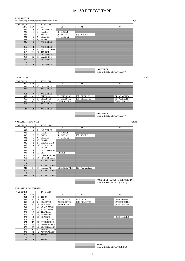#### REVERB TYPE

The following effect types are required under XG. 11typ 11typ 11typ 11typ 11typ 11typ 11typ 11typ 11typ 11typ 11typ 11typ 11typ 11typ 11typ 11typ 11typ 11typ 11typ 11typ 11typ 11typ 11typ 11typ 11typ 11typ 11typ 11typ 11ty

| <b>TYPE MSB</b>             |                      | <b>TYPE LSB</b>          |               |             |        |
|-----------------------------|----------------------|--------------------------|---------------|-------------|--------|
| <b>DEC</b>                  | <b>HEX</b>           | $00\,$                   | 01            | 02          | <br>08 |
| 000                         | $\Omega$             | <b>NO EFFECT</b><br>[0]  |               |             |        |
| 001                         |                      | HALL1<br>$\sqcap$        | $[2]$ HALL2   |             |        |
| 002                         | 2                    | ROOM1<br>$[3]$           | ROOM2<br>[4]  | $[5]$ ROOM3 |        |
| 003                         | 3                    | STAGE1<br>[6]            | STAGE2<br>[7] |             |        |
| 004                         | 4                    | <b>PLATE</b><br>[8]      |               |             |        |
| 005                         | $\overline{5}$       | <b>NO EFFECT</b>         |               |             |        |
| $\bullet$                   | $\ddot{\phantom{a}}$ |                          |               |             |        |
| 015                         | F                    | <b>NO EFFECT</b>         |               |             |        |
| 016                         | 10                   | <b>WHITE ROOM</b><br>[9] |               |             |        |
| 017                         | 11                   | [10] TUNNEL              |               |             |        |
| 018                         | 12                   | <b>NO EFFECT</b>         |               |             |        |
| 019                         | 13                   | [11] BASEMENT            |               |             |        |
| 020                         | 14                   | <b>NO EFFECT</b>         |               |             |        |
| $\bullet$<br>$\blacksquare$ | $\bullet$            |                          |               |             |        |
| 127                         | 7F                   | <b>NO EFFECT</b>         |               |             |        |

NO EFFECT same as BASIC EFFECT(LSB=0)

| <b>CHORUS TYPE</b> |              |                         |                              |                              |                       | 11type |
|--------------------|--------------|-------------------------|------------------------------|------------------------------|-----------------------|--------|
| <b>TYPE MSB</b>    |              | <b>TYPE LSB</b>         |                              |                              |                       |        |
| <b>DEC</b>         | <b>HEX</b>   | 0 <sup>0</sup>          | 01                           | 02                           | <br>08                |        |
| 000                | $\mathbf{0}$ | <b>NO EFFECT</b><br>[0] |                              |                              |                       |        |
| 001                |              | <b>NO EFFECT</b>        |                              |                              |                       |        |
| $\bullet$          |              |                         |                              |                              |                       |        |
| 064                | 40           | <b>NO EFFECT</b>        |                              |                              |                       |        |
| 065                | 41           | <b>CHORUS1</b>          | CHORUS2<br>$\lceil 2 \rceil$ | $\lceil 3 \rceil$<br>CHORUS3 | <b>CHORUS4</b><br>[4] |        |
| 066                | 42           | <b>CELESTE1</b><br>51   | <b>CELESTE2</b><br>[6]       | Γ7<br><b>CELESTE3</b>        | CELESTE4<br>[8]       |        |
| 067                | 43           | <b>FLANGER 1</b><br>Γ9  | $[10]$ FLANGER $2$           |                              | [11] FLANGER3         |        |
| 068                | 44           | <b>NO EFFECT</b>        |                              |                              |                       |        |
|                    |              |                         |                              |                              |                       |        |
| 127                | 7F           | <b>NO EFFECT</b>        |                              |                              |                       |        |

NO EFFECT same as BASIC EFFECT(LSB=0)

VARIATION TYPE(0~63) 42type TYPE MSB TYPE LSB 00 01 02 ... 08<br>000 0 [0] NO EFFECT 02 ... 08<br>001 1 [1] HALL1 [2] HALL2 002 2 [3] ROOM1 [4] ROOM2 [5] ROOM3 003 3 [6] STAGE1 [7] STAGE2 004 4 [8] PLATE 005 5 [9] DELAY L,C,R 006 6 [10] DELAY L,R 007 7 [11] ECHO<br>008 8 [12] CROSS 008 8 [12] CROSS DELAY<br>009 9 [13] ER1 [14] ER2 010 A [15] GATE REVERB<br>011 B [16] REVERSE GATE 011 B [16] REVERSE GATE<br>012 C NO EFFECT or THRU NO EFFECT or THRU : :: 019 13 NO EFFECT or THRU<br>020 14 [17] KARAOKE1 020 14 [17] KARAOKE1 [18] KARAOKE2 [19] KARAOKE3<br>021 15 NO EFFECT or THRU NO EFFECT or THRU : :: 063 3F NO EFFECT or THRU

> NO EFFECT (for SYS) or THRU (for INS) same as BASIC EFFECT (LSB=0)

# VARIATION TYPE(64~127)

| <b>TYPE MSB</b> |            | <b>TYPE LSB</b>        |                |               |               |
|-----------------|------------|------------------------|----------------|---------------|---------------|
| <b>DEC</b>      | <b>HEX</b> | $^{00}$                | 01             | 02            | <br>08        |
| 064             | 40         | [43] THRU              |                |               |               |
| 065             | 41         | [20] CHORUS1           | [21] CHORUS2   | [22] CHORUS3  | [23] CHORUS4  |
| 066             | 42         | [24] CELESTE1          | [25] CELESTE2  | [26] CELESTE3 | [27] CELESTE4 |
| 067             | 43         | [28] FLANGER 1         | [29] FLANGER 2 |               | [30] FLANGER3 |
| 068             | 44         | [31] SYMPHONIC         |                |               |               |
| 069             | 45         | [32] ROTARY SPEAKER    |                |               |               |
| 070             | 46         | [33] TREMOLO           |                |               |               |
| 071             | 47         | [34] AUTO PAN          |                |               |               |
| 072             | 48         | [35] PHASER1           |                |               | [36] PHASER2  |
| 073             | 49         | <b>[37] DISTORTION</b> |                |               |               |
| 074             | 4A         | [38] OVER DRIVE        |                |               |               |
| 075             | 4B         | [39] AMP SIMULATOR     |                |               |               |
| 076             | 4C         | [40] 3-BAND EQ(MONO)   |                |               |               |
| 077             | 4D         | [41] 2-BAND EQ(STEREO) |                |               |               |
| 078             | 4E         | [42] AUTO WAH(LFO)     |                |               |               |
| 079             | 4F         | <b>THRU</b>            |                |               |               |
|                 |            |                        |                |               |               |
| 127             | 7F         | <b>THRU</b>            |                |               |               |

THRU same as BASIC EFFECT (LSB=0)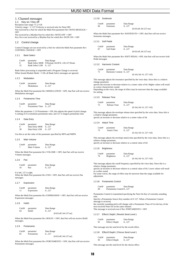### 1. Channel messages

1.1 Key on / Key off Reception note range =C-2~G8 Velocity range  $= 1 - 127$  (Velocity is received only for Note Off) Not received by a Part for which the Multi Part parameter Rcv NOTE MESSAGE = OFF Not received by a Rhythm Part for which Rcv NOTE OFF = OFF Key On is not received by a Rhythm Part for which Rcv NOTE ON = OFF

#### 1.2 Control change

Control Changes are not received by a Part for which the Multi Part parameter Rcv CONTROL CHANGE = OFF

#### 1.2.1 Bank Select

Cntrl# parameter Data Range 0 Bank Select MSB 0:Normal, 64:SFX, 126-127:Drum<br>32 Bank Select LSB 0...127 Bank Select LSB 0...127

Bank Select processing is suspended until a Program Change is received. When Sound Module Mode = C/M, all Bank Select messages are ignored.

#### 1.2.2 Modulation

| Cntrl# | parameter  | Data Range |
|--------|------------|------------|
|        | Modulation | 0127       |

When the Multi Part parameter Rcv MODULATION = OFF, that Part will not receive Modulation messages.

#### 1.2.3 Portamento Time

| Cntrl# | parameter       | Data Range |
|--------|-----------------|------------|
| 5      | Portamento Time | 0.127      |

When the parameter 1.2.9 Portamento = ON, this adjusts the speed of pitch change. A setting of 0 is minimum portamento time, and 127 is longest portamento time.

#### 1.2.4 Data Entry

| Cntrl# | parameter      | Data Range |
|--------|----------------|------------|
| б      | Data Entry MSB | 0127       |
| 38     | Data Entry LSB | 0127       |

Use this to set the value of the parameter specified by RPN and NRPN.

#### 1.2.5 Main Volume

| Cint1#        | parameter   | Data Range |
|---------------|-------------|------------|
| $\mathcal{I}$ | Main Volume | 0127       |

When the Multi Part parameter Rcv VOLUME = OFF, that Part will not receive Volume messages.

1.2.6 Pan

| Cntrl# | parameter | Data Range |  |
|--------|-----------|------------|--|
| 10     | Pan       | 0127       |  |

0 is left, 127 is right.

When the Multi Part parameter Rcv PAN = OFF, that Part will not receive Pan messages.

#### 1.2.7 Expression

| Cint1# | parameter  | Data Range |
|--------|------------|------------|
| 11     | Expression | 0127       |

When the Multi Part parameter Rcv EXPRESSION = OFF, that Part will not receive Expression messages.

#### 1.2.8 Hold1

| $Cntr$ <sup>#</sup> | parameter | Data Range              |
|---------------------|-----------|-------------------------|
| 64                  | Hold1     | 0.127                   |
|                     |           | $(0-63:off, 64-127:on)$ |

When the Multi Part parameter Rcv HOLD1 = OFF, that Part will not receive Hold1 messages.

#### 1.2.9 Portamento

| $Cntr$ <sup>#</sup> | parameter  | Data Range              |
|---------------------|------------|-------------------------|
| 65                  | Portamento | 0127                    |
|                     |            | $(0-63:off, 64-127:on)$ |

When the Multi Part parameter Rcv PORTAMENTO = OFF, that Part will not receive Portamento messages.

### 1.2.10 Sostenuto

| $Cntr$ <sup>#</sup> | parameter |
|---------------------|-----------|
| 66                  | Sostenuto |

Data Range  $0...127$ (0-63:off, 64-127:on)

When the Multi Part parameter Rcv SOSTENUTO = OFF, that Part will not receive Sostenuto messages.

#### 1.2.11 Soft Pedal

| $Cntr$ <sup>#</sup> | parameter  | Data Range                  |
|---------------------|------------|-----------------------------|
| -67                 | Soft Pedal | 0127                        |
|                     |            | $(0-63:$ off. $64-127:$ on) |

When the Multi Part parameter Rcv SOFT PEDAL= OFF, that Part will not receive Soft Pedal messages.

1.2.12 Harmonic Content

| $_{\rm Chtr}$ | parameter             | Data Range                |
|---------------|-----------------------|---------------------------|
| 71            | Harmonic Content 0127 |                           |
|               |                       | $(0:-64, 64:+0, 127:+63)$ |

This message adjusts the resonance specified by the voice data. Since this is a relative change parameter,

specify the increase or decrease relative to a center value of 64. Higher values will result in a more characteristic sound.

Depending on the voice, the range of effect may be narrower than the range available for setting.

1.2.13 Release Time

| Cntrl# | parameter    | Data Range             |
|--------|--------------|------------------------|
| 72     | Release Time | 0127                   |
|        |              | $(0:64.64:+0.127:+63)$ |

This message adjusts the envelope release time specified by the voice data. Since this is a relative change parameter, specify an increase or decrease relative to a center value of 64.

#### 1.2.14 Attack Time

| $Cntr$ <sup>#</sup> | parameter          | Data Range                |
|---------------------|--------------------|---------------------------|
| -73                 | <b>Attack Time</b> | 0127                      |
|                     |                    | $(0:-64, 64:+0, 127:+63)$ |

This message adjusts the envelope attack time specified by the voice data. Since this is a relative change parameter,

specify an increase or decrease relative to a central value of 64.

#### 1.2.15 Brightness

| $Cntr$ <sup>#</sup> | parameter         | Data Range                |
|---------------------|-------------------|---------------------------|
| 74                  | <b>Brightness</b> | 0127                      |
|                     |                   | $(0:-64, 64:+0, 127:+63)$ |

This message adjusts the cutoff frequency specified by the voice data. Since this is a relative change parameter,

specify an increase or decrease relative to a central value of 64. Lower values will result in a softer sound.

For some voices, the range of effect may be narrower than the range available for adjustment.

#### 1.2.16 Portamento Control

| Cint1# | parameter               | Data Range |
|--------|-------------------------|------------|
| 84     | Portamento Control 0127 |            |

Portamento Control is transmitted specifying the Note On Key of currently-sounding note.

Specify a Portamento Source Key number of 0~127. When a Portamento Control message is received,

the currently sounding pitch will change with a Portamento Time of 0 to the key of the next-received Note On on the same channel. This message is received even if Rcv PORTAMENTO = OFF

#### 1.2.17 Effect1 Depth ( Reverb Send Level )

| Cint1# | parameter     | Data Range |
|--------|---------------|------------|
| 91     | Effect1 Depth | 0127       |

This message sets the send level for the reverb effect.

#### 1.2.18 Effect3 Depth ( Chorus Send Level )

| Cint1# | parameter     | Data Range |
|--------|---------------|------------|
| 93     | Effect3 Depth | 0127       |

This message sets the send level for the chorus effect.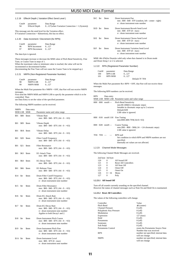| 1.2.19                    |                            | Effect4 Depth (Variation Effect Send Level)                                                                                  |
|---------------------------|----------------------------|------------------------------------------------------------------------------------------------------------------------------|
| $Cntr$ <sup>#</sup><br>94 | parameter<br>Effect4 Depth | Data Range<br>$0127$ (when Variation Connection = 1 (System))                                                                |
|                           |                            | This message sets the send level for the Variation effect.<br>If Variation Connection = $0$ (Insertion), this has no effect. |
| 1.2.20                    |                            | Data Increment / Decrement (for RPN)                                                                                         |
| $Cntr$ <sup>#</sup>       | parameter                  | Data Range                                                                                                                   |

| 96 | <b>RPN</b> Increment | 0.127 |  |
|----|----------------------|-------|--|
| 97 | <b>RPN</b> Decrement | 0127  |  |

The data byte is ignored.

These messages increase or decrease the MSB value of Pitch Bend Sensitivity, Fine Tune, or Coarse Tune in steps of 1.

When the maximum value or minimum value is reached, the value will not be

incremented or decremented further. (Incrementing the Fine Tune will not cause the Coarse Tune to be stepped up.)

#### 1.2.21 NRPN (Non-Registered Parameter Number)

| Cint1# | parameter       | Data Range |
|--------|-----------------|------------|
| 98     | <b>NRPN LSB</b> | 0127       |
| 99     | <b>NRPN MSB</b> | 0127       |

When the Multi Part parameter Rcv NRPN = OFF, that Part will not receive NRPN messages.

First send the NRPN MSB and NRPN LSB to specify the parameter which is to be controlled. Then

use Data Entry to set the value of the specified parameter.

The following NRPN numbers can be received.

| NRPN<br>MSB LSB         | Data entry<br><b>MSB</b> | Parameter name and value range                                                                                                  |  |  |
|-------------------------|--------------------------|---------------------------------------------------------------------------------------------------------------------------------|--|--|
| <b>SO1</b><br>\$08      | Smm                      | Vibrato Rate<br>$mm: $00 - $40 - $7F (-64 - 0 - 63)$                                                                            |  |  |
| \$01<br>\$09            | Smm                      | Vibrato Depth<br>$mm: $00 - $40 - $7F (-64 - 0 - 63)$                                                                           |  |  |
| \$01                    | \$0A \$mm                | Vibrato Delay<br>$mm: $00 - $40 - $7F (-64 - 0 - 63)$                                                                           |  |  |
| SO 1<br>\$20            | Smm                      | <b>Filter Cutoff Frequency</b><br>$mm: $00 - $40 - $7F (-64 - 0 - 63)$                                                          |  |  |
| \$01<br>\$21            | Smm                      | <b>Filter Resonance</b><br>mm: \$00 - \$40 - \$7F (-64 - 0 - +63)                                                               |  |  |
| \$01<br>\$63            | Smm                      | <b>EG Attack Time</b><br>$mm: $00 - $40 - $7F(-64 - 0 - 63)$                                                                    |  |  |
| \$01<br>\$64            | Smm                      | <b>EG Decay Time</b><br>mm: \$00 - \$40 - \$7F (-64 - 0 - +63)                                                                  |  |  |
| <b>SO1</b><br>\$66      | Smm                      | <b>EG Release Time</b><br>$mm: $00 - $40 - $7F (-64 - 0 - 63)$                                                                  |  |  |
| $$14$ Srr               | <b>Smm</b>               | Drum Filter Cutoff Frequency<br>$mm: $00 - $40 - $7F (-64 - 0 - 63)$<br>$\pi$ : drum instrument note number                     |  |  |
| $$15$ $$rr$             | <b>Smm</b>               | Drum Filter Resonance<br>mm: \$00 - \$40 - \$7F (-64 - 0 - +63)<br>rr : drum instrument note number                             |  |  |
| \$16<br>- Srr           | Smm                      | Drum EG Attack Rate<br>$mm: $00 - $40 - $7F(-64 - 0 - 63)$<br>rr : drum instrument note number                                  |  |  |
| $$17$ Srr               | Smm                      | Drum EG Decay Rate<br>$mm: $00 - $40 - $7F (-64 - 0 - 63)$<br>rr : drum instrument note number<br>Applies to both Decay1 and 2. |  |  |
| \$18<br>$S_{\text{IT}}$ | <b>Smm</b>               | Drum Instrument Pitch Coarse<br>$mm: $00 - $40 - $7F(-64 - 0 - 63)$<br>$rr:$ drum instrument note number                        |  |  |
| \$19<br>$S_{\rm IT}$    | \$mm                     | Drum Instrument Pitch Fine<br>$mm: $00 - $40 - $7F(-64 - 0 - 63)$<br>rr : drum instrument note number                           |  |  |
| $$1A$ $$rr$             | \$mm                     | Drum Instrument Level<br>mm: \$00 - \$7F (0 - max)<br>rr : drum instrument note number                                          |  |  |

|     | S1C Srr   | Smm | Drum Instrument Pan<br>mm: \$00 - \$40 - \$7F (random, left - center - right)<br>$rr:$ drum instrument note number |
|-----|-----------|-----|--------------------------------------------------------------------------------------------------------------------|
|     | S1D Srr   | Smm | Drum Instrument Reverb Send Level<br>$mm: $00 - $7F(0 - max)$<br>$rr:$ drum instrument note number                 |
|     | $S1E$ Srr | Smm | Drum Instrument Chorus Send Level<br>$mm: $00 - $7F (0 - max)$<br>$rr:$ drum instrument note number                |
| S1F | Srr       | Smm | Drum Instrument Variation Send Level<br>$mm: $00 - $7F (0 - max)$<br>$rr:$ drum instrument note number             |

MSB 14h-1Fh(for Drum)is valid only when that channel is in Drum mode and Drum Setup 1 or 2 is selected.

1.2.22 RPN (Registered Parameter Number)

| $Cntr$ <sup>#</sup> | parameter      | Data Range     |
|---------------------|----------------|----------------|
| 100                 | <b>RPN LSB</b> | 0127           |
| 101                 | <b>RPN MSB</b> | 0127           |
|                     |                | Default 7F 7FH |

When the Multi Part parameter Rcv RPN = OFF, that Part will not receive these messages.

#### The following RPN numbers can be received.

| <b>RPN</b>            | Data entry |                                                                                                                                                        |
|-----------------------|------------|--------------------------------------------------------------------------------------------------------------------------------------------------------|
|                       |            | MSB LSB MSB LSB Parameter name and value range                                                                                                         |
| $00H$ $00H$ $mmH$ $-$ |            | <b>Pitch Bend Sensitivity</b><br>mm:00-18H(0-2 chromatic steps)<br>Settable in chromatic steps up to 2 octaves<br>Default:02H<br>LSB value is ignored. |
|                       |            | 00H 01H mmH 11H Fine Tuning<br>mm:00H-40H-7FH(-64-0-+63)                                                                                               |
| $00H$ $02H$ mmH $-$   |            | Coarse Tuning<br>mm: $28H - 40H - 58H(-24 - +24$ chromatic steps)<br>LSB value is ignored.                                                             |
| 7FH 7FH               |            | RPN null<br>Set condition in which RPN and NRPN numbers are not<br>specified.<br>Internally set values are not affected.                               |
| 1.2.23                |            | <b>Channel Mode Messages</b>                                                                                                                           |

The following Channel Mode Messages are received.

| 2nd byte 3rd byte |          |                       |
|-------------------|----------|-----------------------|
| 120               | $\Omega$ | All Sound Off         |
| 121               | $\Omega$ | Reset All Controllers |
| 123               | $\Omega$ | All Note Off          |
| 124               | $\Omega$ | Omni Off              |
| 125               | $\Omega$ | Omni On               |
| 126               | $0 - 16$ | Mono                  |
| 127               | 0        | Poly                  |

#### **1.2.23.1 All Sound Off**

Turn off all sounds currently sounding on the specified channel. However the status of channel messages such as Note On and Hold On is maintained.

#### **1.2.23.2 Reset All Controllers**

The values of the following controllers will change.

| Controller              | Value                               |
|-------------------------|-------------------------------------|
| Pitch Bend              | $\pm 0$ (center)                    |
| <b>Channel Pressure</b> | $0$ (off)                           |
| Polyphonic Key Pressure | $0$ (off)                           |
| Modulation              | $0$ (off)                           |
| Expression              | $127$ (max)                         |
| Hold                    | $0$ (off)                           |
| Portamento              | $0$ (off)                           |
| Sostenuto               | $0$ (off)                           |
| Soft Pedal              | $0$ (off)                           |
| Portamento Control      | resets the Portamento Source Note   |
|                         | Number that was received            |
| <b>RPN</b>              | number not specified; internal data |
|                         | will not change                     |
| <b>NRPN</b>             | number not specified; internal data |
|                         | will not change                     |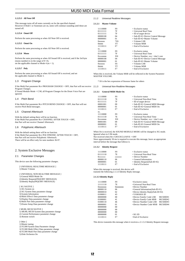#### **1.2.23.3 All Note Off**

This message turns off all notes currently on for the specified channel. However if Hold 1 or Sostenuto are on, notes will continue sounding until these are turned off.

#### **1.2.23.4 Omni Off**

Perform the same processing as when All Note Off is received.

#### **1.2.23.5 Omni On**

Perform the same processing as when All Note Off is received.

#### **1.2.23.6 Mono**

Perform the same processing as when All Sound Off is received, and if the 3rd byte (mono number) is in the range of  $0\nu$ -16, set the applicable channel to Mode 4 ( $m = 1$ ).

#### **1.2.23.7 Poly**

Perform the same processing as when All Sound Off is received, and set the applicable channel to Mode 3.

#### 1.3 Program Change

If the Multi Part parameter  $Rcv$  PROGRAM CHANGE = OFF, that Part will not receive 2.1.3 Program Changes

If Sound Module Mode = C/M, all Program Changes for the Drum Voice Part are ignored.

#### 1.4 Pitch Bend

If the Multi Part parameter Rcv PITCH BEND CHANGE = OFF, that Part will not receive Pitch Bend messages.

#### 1.5 Channel Aftertouch

With the default setting there will be no function. If the Multi Part parameter Rcv CHANNEL AFTER TOUCH = OFF. that Part will not receive Channel Aftertouch.

### 1.6 Polyphonic Aftertouch

With the default setting there will be no function. If the Multi Part parameter Rcv POLYPHONIC AFTER TOUCH = OFF, that Part will not receive Polyphonic Aftertouch. There will be an effect only for note numbers 36-97.

#### 2. System Exclusive Messages

#### 2.1 Parameter Changes

This device uses the following parameter changes.

- [ UNIVERSAL REALTIME MESSAGE ] 1) Master Volume
- [ UNIVERSAL NON REALTIME MESSAGE ]
- 1) General MIDI Mode On
- 2) Identity Request(INQUIRY MESSAGE)
- 3) Identity Reply(INQUIRY MESSAGE)

| <b>[XG NATIVE ]</b> |  |
|---------------------|--|
| 1) XG System on     |  |

- 
- 2) XG System Data parameter change 3) System Information
- 4) Multi Effect1 Data parameter change
- 5) Display Data parameter change
- 6) Multi Part Data parameter change
- 7) Drums Setup Data parameter change

[ MU80, MU50 NATIVE ]

- 1) MU80, MU50 System data parameter change
- 2) Current Performance parameter change
- 3) Remote switch
- [ Other ]
- 1) Master tuning
- 2) TG300 System Data Parameter change 3) TG300 Multi Effect Data parameter change
- 
- 4) TG300 Mutli Part Data parameter change

5) Disk Orchestra On

## 2.1.2 Universal Realtime Messages

#### **2.1.2.1 Master Volume**

| 11110000    | F <sub>0</sub> | $=$ Exclusive status                  |
|-------------|----------------|---------------------------------------|
| 01111111    | 7F             | $=$ Universal Real Time               |
| 01111111    | 7F             | $=$ ID of target device               |
| 00000100    | 04             | $=$ Sub-ID #1=Device Control Message  |
| 00000001    | 01             | $=$ Sub-ID #2=Master Volume           |
| Osssssss    | *SS            | $=$ Volume LSB                        |
| Ottttttt    | TT             | $=$ Volume MSB                        |
| 11110111    | F7             | $=$ End of Exclusive                  |
| or,         |                |                                       |
| 11110000    | F <sub>0</sub> | $=$ Exclusive status                  |
| 01111111    | 7F             | $=$ Universal Real Time               |
| $0$ xxxnnnn | XN             | $=$ Device Number, $xxx =$ don't care |
| 00000100    | 04             | $=$ Sub-ID #1=Device Control Message  |
| 00000001    | 01             | $=$ Sub-ID #2=Master Volume           |
| Osssssss    | SS             | $=$ Volume LSB                        |
| Ottttttt    | TT             | $=$ Volume MSB                        |
| 11110111    | F7             | $=$ End of Exclusive                  |

When this is received, the Volume MSB will be reflected in the System Parameter MASTER VOLUME.

\* SS is the hex expression of 0sssssss Same for others

#### 2.1.3 Universal Non-Realtime Messages

#### **2.1.3.1 General MIDI Mode On**

| 11110000    | F <sub>0</sub> | $=$ Exclusive status                  |
|-------------|----------------|---------------------------------------|
| 01111110    | 7E             | = Universal Non-Real Time             |
| 01111111    | 7F             | $=$ ID of target device               |
| 00001001    | 09             | $=$ Sub-ID #1=General MIDI Message    |
| 00000001    | 01             | $=$ Sub-ID #2=General MIDI On         |
| 11110111    | F7             | $=$ End of Exclusive                  |
| or.         |                |                                       |
| 11110000    | F <sub>0</sub> | $=$ Exclusive status                  |
| 01111110    | 7E             | = Universal Non-Real Time             |
| $0$ xxxnnnn | XN             | $=$ Device Number, $xxx =$ don't care |
| 00001001    | 09             | $=$ Sub-ID #1=General MIDI Message    |
| 00000001    | 01             | $=$ Sub-ID #2=General MIDI On         |
| 11110111    | F7             | $=$ End of Exclusive                  |

When On is received, the SOUND MODULE MODE will be changed to XG mode. Ignored when in C/M mode.

Not received when Rcv GM EXCLUSIVE = OFF

Since approximately 50 ms is required to execute this message, leave an appropriate interval before the message that follows it.

### **2.1.3.2 Identity Request**

| 11110000 | F0.     | $=$ Exclusive status            |
|----------|---------|---------------------------------|
| 01111110 | 7F.     | $=$ Universal Non-Real Time     |
|          | ccccccc | $=$ Device Number               |
| 00000110 | 06      | $=$ General Information         |
| 00000001 | 01      | $=$ Identity Request(Sub-ID #2) |
| 11110111 | F7      | $=$ End of Exclusive            |

When this message is received, this device will transmit the following 2.1.3.3 Identity Reply message.

#### **2.1.3.3 Identity Reply**

| F0      | $=$ Exclusive status                             |                 |
|---------|--------------------------------------------------|-----------------|
| 7E      | =Universal Non-Real Time                         |                 |
| Onnnnnn | $=$ Device Number                                |                 |
| 06      | $=\text{General Information}(\text{Sub-ID} \#1)$ |                 |
| 02      | $=$ Device Identity Reply(Sub-ID #2)             |                 |
| 43      | $=$ YAMAHA ID                                    |                 |
| $^{00}$ | $=$ Device Family Code LSB                       | <b>MU50ID#1</b> |
| 41      | =Device Family Code MSB                          | <b>MU50ID#2</b> |
| 46      | $=$ Device Number Code LSB                       | MU50ID#3        |
| 01      | $=$ Device Number Code MSB                       | <b>MU50ID#4</b> |
| $^{00}$ |                                                  |                 |
| $^{00}$ |                                                  |                 |
| $^{00}$ |                                                  |                 |
| 01      | $= XG$ ID                                        |                 |
| F7      | $=$ End of Exclusive                             |                 |
|         |                                                  |                 |

This device transmits this message when it receives a 2.1.3.2 Identity Request message.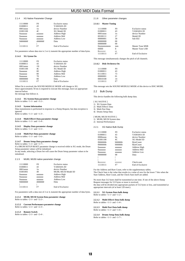# 2.1.4 XG Native Parameter Change

| 11110000        | F <sub>0</sub> | Exclusive status   |
|-----------------|----------------|--------------------|
| 01000011        | 43             | YAMAHA ID          |
| $0001$ nnnn     | 1n             | device Number      |
| 01001100        | 4C             | XG Model ID        |
| Оааааааа        | aaaaaaa        | Address High       |
| Oaaaaaaa        | aaaaaaa        | <b>Address Mid</b> |
| Oaaaaaaa        | aaaaaaa        | <b>Address Low</b> |
| <b>Oddddddd</b> | ddddddd        | Data               |
|                 |                |                    |
| 11110111        | Е7             | End of Exclusive   |

For parameters whose data size is 2 or 4, transmit the appropriate number of data bytes.

#### **2.1.4.1 XG Sytem On**

| 11110000    | F0             | <b>Exclusive status</b> |
|-------------|----------------|-------------------------|
| 01000011    | 43             | YAMAHA ID               |
| $0001$ nnnn | 1 <sup>N</sup> | device Number           |
| 01001100    | 4C             | XG Model ID             |
| Oaaaaaaa    | $^{00}$        | Address High            |
| Oaaaaaaa    | $^{00}$        | <b>Address Mid</b>      |
| Oaaaaaaa    | 7E             | <b>Address Low</b>      |
| 00000000    | 0 <sup>0</sup> | Data                    |
| 11110111    | F7             | <b>End of Exclusive</b> |
|             |                |                         |

When On is received, the SOUND MODULE MODE will change to XG. Since approximately 50 ms is required to execute this message, leave an appropriate interval before the message that follows it.

### **2.1.4.2 XG System Data parameter change**

Refer to tables <1-1> and <1-2>.

#### **2.1.4.3 System Information**

Data transmission is performed in response to a Dump Request, but data reception is ignored.

Refer to tables  $<1-1>$  and  $<1-3>$ .

**2.1.4.4 Multi Effect1 Data parameter change** Refer to tables <1-1> and <1-4>.

#### **2.1.4.5 Display Data parameter change** Refer to tables <1-1> and <1-5>.

# **2.1.4.6 Multi Part Data parameter change**

Refer to tables  $\lt 1-1$  and  $\lt 1-6$ .

#### **2.1.4.7 Drums Setup Data parameter change** Refer to tables <1-1> and <1-7>.

If a DRUM SETUP RESET parameter change is received while in XG mode, the Drum Setup parameter values will be initialized.

In any mode, selecting a Drum Set will cause the Drum Setup parameter values to be initialized.

#### 2.1.5 MU80, MU50 native parameter change

| 11110000    | F <sub>0</sub> | <b>Exclusive status</b> |
|-------------|----------------|-------------------------|
| 01000011    | 43             | YAMAHA ID               |
| $0001$ nnnn | 1n             | device Number           |
| 01001001    | 49             | MU80, MU50 Model ID     |
| Oaaaaaaa    | aaaaaaa        | Address High            |
| Oaaaaaaa    | aaaaaaa        | Address Mid             |
| Оааааааа    | aaaaaaa        | Address Low             |
| 0ddddddd    | ddddddd        | Data                    |
|             |                |                         |
| 11110111    | F7             | End of Exclusive        |

For parameters with a data size of 2 or 4, transmit the appropriate number of data bytes.

#### **2.1.5.1 MU80, MU50 System Data parameter change** Refer to tables  $\leq$ 2-1> and  $\leq$ 2-2>.

#### **2.1.5.2 Current Performance parameter change** Refer to tables <2-1> and <2-3>.

### **2.1.5.3 Remote Switch**

Refer to tables <2-1> and <2-4>.

#### 2.1.6 Other parameter changes

#### **2.1.6.1 Master Tuning**

| 11110000    | F <sub>0</sub> | Exclusive status    |
|-------------|----------------|---------------------|
| 01000011    | 43             | YAMAHA ID           |
| $0001$ nnnn | 1n             | device Number       |
| 00100111    | 27             | Model ID            |
| 00000001    | 30             | Sub ID <sub>2</sub> |
| 00000000    | $^{00}$        |                     |
| 00000000    | $^{00}$        |                     |
| $0$ mmmmmmm | mm             | Master Tune MSB     |
| Ollilli     | π              | Master Tune LSB     |
|             | cc             |                     |
| 11110111    | F٦             | End of Exclusive    |
|             |                |                     |

This message simultaneously changes the pitch of all channels.

#### **2.1.6.2 Disk Orchestra On**

| 11110000 | F0      |
|----------|---------|
| 01000011 | 43      |
| 01110011 | 73      |
| 00000001 | $^{01}$ |
| 00010100 | 14      |
| 11110111 | F7      |

This message sets the SOUND MODULE MODE of this device to DOC MODE.

#### 2.2 Bulk Dump

This device handles the following bulk dump data.

#### [ XG NATIVE ]

1) XG System Data

- 2) Multi Effect1 Data
- 3) Multi Part Data 4) Drums Setup Data

# [ MU80, MU50 NATIVE ]

1) MU80, MU50 System data

2) Internal Performance

#### 2.2.1 XG Native Bulk Dump

| 11110000        | F <sub>0</sub> | Exclusive status |
|-----------------|----------------|------------------|
| 01000011        | 43             | YAMAHA ID        |
| $0000$ nnnn     | 0n             | device Number    |
| 01001100        | 4C             | XG Model ID      |
| <b>Obbbbbbb</b> | hhhhhh         | <b>ByteCount</b> |
| <b>Obbbbbbb</b> | hhhhhh         | <b>ByteCount</b> |
| Oaaaaaaa        | aaaaaaa        | Address High     |
| Оааааааа        | aaaaaaa        | Address Mid      |
| Оааааааа        | aaaaaaa        | Address Low      |
| 00000000        | 0 <sup>0</sup> | Data             |
|                 |                |                  |
|                 |                |                  |
| 0ccccccc        | ccccccc        | Check-sum        |
| 11110111        | F7             | End of Exclusive |

For the Address and Byte Count, refer to the supplementary tables. The Check Sum is the value that results in a value of zero for the lower 7 bits when the Start Address, Byte Count, and the Check Sum itself are added.

No more than 512 bytes shall be transmitted at one time. If one of the above Dump Request messages for 513 bytes or more is received, the data will be divided into appropriate packets of 512 bytes or less, and transmitted at appropriate intervals (of at least 120 msec).

#### **2.2.1.1 XG System Data bulk dump** Refer to tables  $\lt 1-1$  and  $\lt 1-2$

# **2.2.1.2 Multi Effect1 Data bulk dump**

Refer to tables <1-1> and <1-4>.

**2.2.1.3 Multi Part Data bulk dump** Refer to tables <1-1> and <1-6>.

**2.2.1.4 Drums Setup Data bulk dump** Refer to tables <1-1> and <1-7>.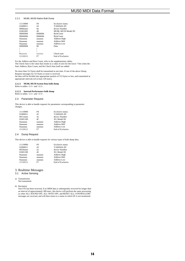# 2.2.2 MU80, MU50 Native Bulk Dump

| Exclusive status    |
|---------------------|
| YAMAHA ID           |
| device Number       |
| MU80, MU50 Model ID |
|                     |
|                     |
|                     |
|                     |
|                     |
|                     |
|                     |
|                     |
|                     |
| End of Exclusive    |
| Address High        |

For the Address and Byte Count, refer to the supplementary tables. The Check Sum is the value that results in a value of zero for the lower 7 bits when the Start Address, Byte Count, and the Check Sum itself are added.

No more than 512 bytes shall be transmitted at one time. If one of the above Dump Request messages for 513 bytes or more is received, the data will be divided into appropriate packets of 512 bytes or less, and transmitted at appropriate intervals (of at least 120 msec).

#### **2.2.2.1 MU80, MU50 System Data bulk dump** Refer to tables  $\langle 2-1 \rangle$  and  $\langle 2-2 \rangle$ .

**2.2.2.2 Internal Performance bulk dump**

Refer to tables <2-1> and <2-5>.

### 2.3 Parameter Request

This device is able to handle requests for parameters corresponding to parameter changes.

| 11110000    | F <sub>0</sub> | Exclusive status   |
|-------------|----------------|--------------------|
| 01000011    | 43             | YAMAHA ID          |
| $0011$ nnnn | 3n             | device Number      |
| 01001100    | 4C             | XG Model ID        |
| Oaaaaaaa    | aaaaaaa        | Address High       |
| Oaaaaaaa    | aaaaaaa        | Address Mid        |
| Oaaaaaaa    | aaaaaaa        | <b>Address Low</b> |
| 11110111    | F7             | End of Exclusive   |

### 2.4 Dump Request

This device is able to handle requests for various types of bulk dump data.

| 11110000    | F0      | <b>Exclusive status</b> |
|-------------|---------|-------------------------|
| 01000011    | 43      | YAMAHA ID               |
| $0010$ nnnn | 2n      | device Number           |
| 01001100    | 4C      | XG Model ID             |
| Oaaaaaaa    | ааааааа | Address High            |
| Oaaaaaaa    | aaaaaaa | Address Mid             |
| Оааааааа    | aaaaaaa | Address Low             |
| 11110111    | F7      | End of Exclusive        |

# 3. Realtime Messages

3.1 Active Sensing

#### a) Transmission

Not transmited.

b) Reception

Once FE has been received, if no MIDI data is subsequently received for longer than an interval of approximately 300 msec, this device will perform the same processing as when ALL SOUND OFF, ALL NOTE OFF, and RESET ALL CONTROLLERS messages are received, and will then return to a status in which FE is not monitored.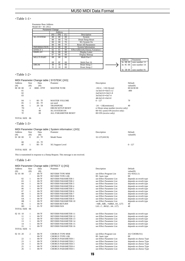# <Table 1-1>

| Parameter Base Address |                 |                 |         |                                  |                |                |
|------------------------|-----------------|-----------------|---------|----------------------------------|----------------|----------------|
| Model $ID = 4C$ [XG]   |                 |                 |         |                                  |                |                |
| Parameter Change       |                 |                 |         |                                  |                |                |
|                        |                 | Address         |         |                                  |                |                |
|                        | (H)             | (M)             | (L)     | Description                      |                |                |
| <b>XG SYSTEM</b>       | $^{00}$         | $^{00}$         | $^{00}$ | System                           |                |                |
|                        | $\overline{00}$ | $\overline{00}$ | 7D      | Drum Setup Reset                 |                |                |
|                        | 0 <sup>0</sup>  | $^{00}$         | 7E      | XG System On                     |                |                |
|                        | $00\,$          | $^{00}$         | 7F      | <b>Reset All Parameters</b>      |                |                |
| <b>INFORMATION</b>     | 01              | $00\,$          | 00      | <b>System Information</b>        |                |                |
| <b>EFFECT 1</b>        | 02              | 01              | 00      | Effect1(Reverb,Chorus,Variation) |                |                |
| <b>DISPLAY</b>         | 06              | 00              | 00      | Display Letter                   |                |                |
|                        | 07              | $00\,$          | $00\,$  | Display Bitmap                   |                |                |
| <b>MULTIPART</b>       | 08              | $^{00}$         | 00      | Multi Part 1                     |                |                |
|                        |                 |                 |         |                                  | <b>Address</b> | Parameter      |
|                        | 08              | 0F              | $00\,$  | Multi Part 16                    | 3n 0B 00       | note number 13 |
| <b>DRUM</b>            | 30              | 18              | 00      | Drum Setup 1                     | 3n OC 00       | note number 14 |
|                        | 31              | 18              | $00\,$  | Drum Setup 2                     |                |                |
|                        |                 |                 |         |                                  | 3n 5B 00       | note number 91 |

# <Table 1-2>

|                |             |               | MIDI Parameter Change table (SYSTEM) [XG] |                                    |                     |
|----------------|-------------|---------------|-------------------------------------------|------------------------------------|---------------------|
| Address<br>(H) | Size<br>(H) | Data<br>(H)   | Prameter                                  | Description                        | Default<br>value(H) |
| 00 00 00       | 4           | $0000 - 07FF$ | <b>MASTER TUNE</b>                        | $-102.4 - +102.3$ [cent]           | 00 04 00 00         |
| 01             |             |               |                                           | 1st bit3-0 $\rightarrow$ bit15-12  | $-400$              |
| 02             |             |               |                                           | 2nd bit3-0 $\rightarrow$ bit11-8   |                     |
| 03             |             |               |                                           | 3rd bit3-0 $\rightarrow$ bit7-4    |                     |
|                |             |               |                                           | 4th bit3-0 $\rightarrow$ bit3-0    |                     |
| 04             |             | $00 - 7F$     | <b>MASTER VOLUME</b>                      | $0 - 127$                          | 7F                  |
| 05             |             | $00 - 7F$     | not used                                  |                                    |                     |
| 06             | 1           | $28 - 58$     | <b>TRANSPOSE</b>                          | $-24 - +24$ [semitones]            | 40                  |
| 7D             |             | n             | <b>DRUM SETUP RESET</b>                   | n=Drum setup number (receive only) |                     |
| 7E             |             | $00\,$        | <b>XG SYSTEM ON</b>                       | 00=XG sytem ON (receive only)      |                     |
| 7F             |             | $^{00}$       | <b>ALL PARAMETER RESET</b>                | $00 = ON$ (receive only)           |                     |
|                |             |               |                                           |                                    |                     |

TOTAL SIZE 06

# <Table 1-3>

|              |      |           | MIDI Parameter Change table (System information) [XG] |               |           |
|--------------|------|-----------|-------------------------------------------------------|---------------|-----------|
| Address      | Size | Data      | Prameter                                              | Description   | Default   |
| (H)          | (H)  | (H)       |                                                       |               | value(H)  |
| 01 00 00     | E    | $20 - 7F$ | Model Name                                            | 32-127(ASCII) |           |
| $\cdot$<br>٠ |      |           |                                                       |               |           |
| 0E           |      | $20 - 7F$ |                                                       |               |           |
| 0F           |      | $00 - 7F$ | XG Support Level                                      |               | $0 - 127$ |
|              |      |           |                                                       |               |           |

# TOTAL SIZE 10

This is transmitted in response to a Dump Request. This message is not received.

# <Table 1-4>

|                   |                |         | MIDI Parameter Change table (EFFECT 1) [XG] |                                |                        |
|-------------------|----------------|---------|---------------------------------------------|--------------------------------|------------------------|
| Address           | Size           | Data    | Prameter                                    | Description                    | Default                |
| (H)               | (H)            | (H)     |                                             |                                | value(H)               |
| 02 01 00          | 2              | $00-7F$ | <b>REVERB TYPE MSB</b>                      | see Effect Program List        | $01(=\text{HALL1})$    |
|                   |                | $00-7F$ | <b>REVERB TYPE LSB</b>                      | $00:$ basic type               | 0 <sup>0</sup>         |
| 02                | 1              | $00-7F$ | <b>REVERB PARAMETER 1</b>                   | see Effect Parameter List      | depends on reverb type |
| 03                | 1              | $00-7F$ | <b>REVERB PARAMETER 2</b>                   | see Effect Parameter List      | depends on reverb type |
| 04                | 1              | $00-7F$ | <b>REVERB PARAMETER 3</b>                   | see Effect Parameter List      | depends on reverb type |
| 05                | $\mathbf{1}$   | $00-7F$ | <b>REVERB PARAMETER 4</b>                   | see Effect Parameter List      | depends on reverb type |
| 06                | $\mathbf{1}$   | $00-7F$ | <b>REVERB PARAMETER 5</b>                   | see Effect Parameter List      | depends on reverb type |
| 07                | 1              | $00-7F$ | <b>REVERB PARAMETER 6</b>                   | see Effect Parameter List      | depends on reverb type |
| 08                | 1              | $00-7F$ | <b>REVERB PARAMETER 7</b>                   | see Effect Parameter List      | depends on reverb type |
| 09                | $\mathbf{1}$   | $00-7F$ | <b>REVERB PARAMETER 8</b>                   | see Effect Parameter List      | depends on reverb type |
| 0A                | $\mathbf{1}$   | $00-7F$ | <b>REVERB PARAMETER 9</b>                   | see Effect Parameter List      | depends on reverb type |
| 0B                | 1              | $00-7F$ | <b>REVERB PARAMETER 10</b>                  | see Effect Parameter List      | depends on reverb type |
| 0 <sup>C</sup>    | $\mathbf{1}$   | $00-7F$ | <b>REVERB RETURN</b>                        | $-\infty$ dB0dB+6dB $(064127)$ | 40                     |
| 0 <sub>D</sub>    | $\mathbf{1}$   | $01-7F$ | <b>REVERB PAN</b>                           | L63CR63(164127)                | 40                     |
| <b>TOTAL SIZE</b> | 0E             |         |                                             |                                |                        |
| 02 01 10          | 1              | $00-7F$ | <b>REVERB PARAMETER 11</b>                  | see Effect Parameter List      | depends on reverb type |
| 11                | 1              | $00-7F$ | <b>REVERB PARAMETER 12</b>                  | see Effect Parameter List      | depends on reverb type |
| 12                | 1              | $00-7F$ | <b>REVERB PARAMETER 13</b>                  | see Effect Parameter List      | depends on reverb type |
| 13                | $\mathbf{1}$   | $00-7F$ | <b>REVERB PARAMETER 14</b>                  | see Effect Parameter List      | depends on reverb type |
| 14                | $\mathbf{1}$   | $00-7F$ | <b>REVERB PARAMETER 15</b>                  | see Effect Parameter List      | depends on reverb type |
| 15                | $\mathbf{1}$   | $00-7F$ | <b>REVERB PARAMETER 16</b>                  | see Effect Parameter List      | depends on reverb type |
| <b>TOTAL SIZE</b> | 6              |         |                                             |                                |                        |
| 02 01 20          | $\overline{2}$ | $00-7F$ | <b>CHORUS TYPE MSB</b>                      | see Effect Program List        | $41(=\text{CHORUS1})$  |
|                   |                | $00-7F$ | <b>CHORUS TYPE LSB</b>                      | $00:$ basic type               | 0 <sup>0</sup>         |
| 22                | 1              | $00-7F$ | <b>CHORUS PARAMETER 1</b>                   | see Effect Parameter List      | depends on chorus Type |
| 23                | 1              | $00-7F$ | <b>CHORUS PARAMETER 2</b>                   | see Effect Parameter List      | depends on chorus Type |
| 24                | 1              | $00-7F$ | <b>CHORUS PARAMETER 3</b>                   | see Effect Parameter List      | depends on chorus Type |
| 25                | 1              | $00-7F$ | <b>CHORUS PARAMETER 4</b>                   | see Effect Parameter List      | depends on chorus Type |
| 26                | 1              | $00-7F$ | <b>CHORUS PARAMETER 5</b>                   | see Effect Parameter List      | depends on chorus Type |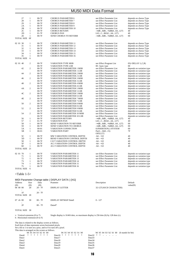| 27                                 | $\mathbf{1}$   | $00-7F$                                               | <b>CHORUS PARAMETER 6</b>                                                                | see Effect Parameter List                             | depends on chorus Type      |
|------------------------------------|----------------|-------------------------------------------------------|------------------------------------------------------------------------------------------|-------------------------------------------------------|-----------------------------|
| 28                                 | $\mathbf{1}$   | $00-7F$                                               | <b>CHORUS PARAMETER 7</b>                                                                | see Effect Parameter List                             | depends on chorus Type      |
| 29                                 | 1              | $00-7F$                                               | <b>CHORUS PARAMETER 8</b>                                                                | see Effect Parameter List                             | depends on chorus Type      |
| 2A                                 | $\mathbf{1}$   | $00-7F$                                               | <b>CHORUS PARAMETER 9</b>                                                                | see Effect Parameter List                             | depends on chorus Type      |
| 2B                                 | $\mathbf{1}$   | $00-7F$                                               | <b>CHORUS PARAMETER 10</b>                                                               | see Effect Parameter List                             | depends on chorus Type      |
| 2C                                 | $\mathbf{1}$   | $00-7F$                                               | <b>CHORUS RETURN</b>                                                                     | $-\infty$ dB0dB+6dB $(064127)$                        | 40                          |
| 2D                                 | $\mathbf{1}$   | $01-7F$                                               | <b>CHORUS PAN</b>                                                                        | L63CR63(164127)                                       | 40                          |
| 2E<br>TOTAL SIZE OF                | $\mathbf{1}$   | $00-7F$                                               | SEND CHORUS TO REVERB                                                                    | $ \infty$ dB0dB+6dB $(064127)$                        | $00\,$                      |
|                                    |                |                                                       |                                                                                          |                                                       |                             |
| 02 01 30                           | $\mathbf{1}$   | $00-7F$                                               | <b>CHORUS PARAMETER 11</b>                                                               | see Effect Parameter List                             | depends on chorus Type      |
| 31                                 | $\mathbf{1}$   | $00-7F$                                               | <b>CHORUS PARAMETER 12</b>                                                               | see Effect Parameter List                             | depends on chorus Type      |
| 32                                 | $\,1$          | $00-7F$                                               | <b>CHORUS PARAMETER 13</b>                                                               | see Effect Parameter List                             | depends on chorus Type      |
| 33                                 | $\mathbf{1}$   | $00-7F$                                               | <b>CHORUS PARAMETER 14</b>                                                               | see Effect Parameter List                             | depends on chorus Type      |
| 34                                 | $\mathbf{1}$   | $00-7F$                                               | <b>CHORUS PARAMETER 15</b>                                                               | see Effect Parameter List                             | depends on chorus Type      |
| 35                                 | $\mathbf{1}$   | $00-7F$                                               | <b>CHORUS PARAMETER 16</b>                                                               | see Effect Parameter List                             | depends on chorus Type      |
| <b>TOTAL SIZE</b>                  | 6              |                                                       |                                                                                          |                                                       |                             |
|                                    |                |                                                       |                                                                                          |                                                       |                             |
| 02 01 40                           | $\overline{c}$ | $00-7F$                                               | <b>VARIATION TYPE MSB</b>                                                                | see Effect Program List                               | $05(=\text{DELAY L}, C, R)$ |
|                                    |                | $00-7F$                                               | <b>VARIATION TYPE LSB</b>                                                                | 00 : basic type                                       | 00                          |
| 42                                 | $\mathfrak{2}$ | $00-7F$                                               | <b>VARIATION PARAMETER 1 MSB</b>                                                         | see Effect Parameter List                             | depends on variation type   |
|                                    |                | $00-7F$                                               | <b>VARIATION PARAMETER 1 LSB</b>                                                         | see Effect Parameter List                             | depends on variation type   |
| 44                                 | $\overline{c}$ | $00-7F$                                               | <b>VARIATION PARAMETER 2 MSB</b>                                                         | see Effect Parameter List                             |                             |
|                                    |                | $00-7F$                                               | VARIATION PARAMETER 2 LSB                                                                | see Effect Parameter List                             | depends on variation type   |
|                                    | $\overline{c}$ | $00-7F$                                               |                                                                                          | see Effect Parameter List                             | depends on variation type   |
| 46                                 |                |                                                       | VARIATION PARAMETER 3 MSB                                                                |                                                       | depends on variation type   |
|                                    |                | $00-7F$                                               | <b>VARIATION PARAMETER 3 LSB</b>                                                         | see Effect Parameter List                             | depends on variation type   |
| 48                                 | $\mathfrak{2}$ | $00-7F$                                               | <b>VARIATION PARAMETER 4 MSB</b>                                                         | see Effect Parameter List                             | depends on variation type   |
|                                    |                | $00-7F$                                               | VARIATION PARAMETER 4 LSB                                                                | see Effect Parameter List                             | depends on variation type   |
| 4Α                                 | $\mathfrak{2}$ | $00-7F$                                               | VARIATION PARAMETER 5 MSB                                                                | see Effect Parameter List                             | depends on variation type   |
|                                    |                | $00-7F$                                               | <b>VARIATION PARAMETER 5 LSB</b>                                                         | see Effect Parameter List                             | depends on variation type   |
| 4C                                 | $\overline{c}$ | $00-7F$                                               | <b>VARIATION PARAMETER 5 MSB</b>                                                         | see Effect Parameter List                             | depends on variation type   |
|                                    |                | $00-7F$                                               | <b>VARIATION PARAMETER 6 LSB</b>                                                         | see Effect Parameter List                             | depends on variation type   |
| 4E                                 | $\mathfrak{2}$ | $00-7F$                                               | <b>VARIATION PARAMETER 7 MSB</b>                                                         | see Effect Parameter List                             | depends on variation type   |
|                                    |                | $00-7F$                                               | VARIATION PARAMETER 7 LSB                                                                | see Effect Parameter List                             | depends on variation type   |
| 50                                 | 2              | $00-7F$                                               | VARIATION PARAMETER 8 MSB                                                                | see Effect Parameter List                             | depends on variation type   |
|                                    |                | $00-7F$                                               | <b>VARIATION PARAMETER 8 LSB</b>                                                         | see Effect Parameter List                             | depends on variation type   |
| 52                                 | $\overline{c}$ | $00-7F$                                               | <b>VARIATION PARAMETER 9 MSB</b>                                                         | see Effect Parameter List                             | depends on variation type   |
|                                    |                | $00-7F$                                               | <b>VARIATION PARAMETER 9 LSB</b>                                                         | see Effect Parameter List                             | depends on variation type   |
| 54                                 | $\mathfrak{2}$ | $00-7F$                                               | VARIATION PARAMETER 10 MSB                                                               | see Effect Parameter List                             | depends on variation type   |
|                                    |                | $00-7F$                                               | VARIATION PARAMETER 10 LSB                                                               | see Effect Parameter List                             | depends on variation type   |
| 56                                 | $\mathbf{1}$   | $00-7F$                                               | <b>VARIATION RETURN</b>                                                                  | $-\infty$ dB0dB+6dB $(064127)$                        | 40                          |
| 57                                 | $\mathbf{1}$   | $01-7F$                                               | <b>VARIATION PAN</b>                                                                     | L63CR63(164127)                                       | 40                          |
| 58                                 | $\mathbf{1}$   | $00-7F$                                               | SEND VARIATION TO REVERB                                                                 | $-\infty$ dB0dB+6dB $(064127)$                        | $00\,$                      |
| 59                                 | $\mathbf{1}$   | $00-7F$                                               | SEND VARIATION TO CHORUS                                                                 | $-\infty$ dB0dB+6dB $(064127)$                        | $00\,$                      |
| 5Α                                 | $\mathbf{1}$   | $00 - 01$                                             | VARIATION CONNECTION                                                                     | 0:INSERTION,1:SYSTEM                                  | $00\,$                      |
| 5Β                                 | $\mathbf{1}$   | $00 - 01$                                             | VARIATION PART                                                                           | Part116(015)                                          | 7F                          |
|                                    |                |                                                       |                                                                                          | OFF(127)                                              |                             |
| 5C                                 | $\mathbf{1}$   | $00-7F$                                               | MW VARIATION CONTROL DEPTH                                                               | $-64 - +63$                                           | 40                          |
|                                    |                |                                                       |                                                                                          | $-64 - +63$                                           |                             |
| 5D                                 | $\mathbf{1}$   | $00-7F$                                               | BEND VARIATION CONTROL DEPTH                                                             |                                                       | 40                          |
| 5E                                 | $\mathbf{1}$   | $00-7F$                                               | CAT VARIATION CONTROL DEPTH                                                              | $-64 - +63$                                           | 40                          |
| 5F                                 | $\mathbf{1}$   | $00-7F$                                               | AC1 VARIATION CONTROL DEPTH                                                              | $-64 - +63$                                           | 40                          |
| 60                                 | $\mathbf{1}$   | $00-7F$                                               | AC2 VARIATION CONTROL DEPTH                                                              | $-64 - +63$                                           | 40                          |
| TOTAL SIZE 21                      |                |                                                       |                                                                                          |                                                       |                             |
|                                    |                |                                                       |                                                                                          |                                                       |                             |
| 02 01 70                           | $\,1$          | $00-7F$                                               | <b>VARIATION PARAMETER 11</b>                                                            | see Effect Parameter List                             | depends on variation type   |
| 71                                 | $\mathbf{1}$   | $00-7F$                                               | <b>VARIATION PARAMETER 12</b>                                                            | see Effect Parameter List                             | depends on variation type   |
| 72                                 | 1              | $00-7F$                                               | <b>VARIATION PARAMETER 13</b>                                                            | see Effect Parameter List                             | depends on variation type   |
| 73                                 | $\mathbf{1}$   | $00-7F$                                               | <b>VARIATION PARAMETER 14</b>                                                            | see Effect Parameter List                             | depends on variation type   |
| 74                                 | $\mathbf{1}$   | $00-7F$                                               | <b>VARIATION PARAMETER 15</b>                                                            | see Effect Parameter List                             | depends on variation type   |
| 75                                 | 1              | $00-7F$                                               | <b>VARIATION PARAMETER 16</b>                                                            | see Effect Parameter List                             | depends on variation type   |
| TOTAL SIZE 6                       |                |                                                       |                                                                                          |                                                       |                             |
|                                    |                |                                                       |                                                                                          |                                                       |                             |
| <table 1-5=""></table>             |                |                                                       |                                                                                          |                                                       |                             |
|                                    |                |                                                       |                                                                                          |                                                       |                             |
|                                    |                |                                                       |                                                                                          |                                                       |                             |
|                                    |                |                                                       | MIDI Parameter Change table (DISPLAY DATA) [XG]                                          |                                                       |                             |
| Address                            | Size           | Data                                                  | Prameter                                                                                 | Description                                           | Default                     |
|                                    |                |                                                       |                                                                                          |                                                       |                             |
| (H)<br>06 00 00                    | (H)<br>20      | (H)<br>$20 - 7F$                                      | <b>DISPLAY LETTER</b>                                                                    | 32-127(ASCII CHARACTER)                               | value(H)                    |
| ÷                                  |                |                                                       |                                                                                          |                                                       |                             |
|                                    |                | ÷                                                     |                                                                                          |                                                       |                             |
| 1F                                 |                | $20 - 7F$                                             |                                                                                          |                                                       |                             |
| TOTAL SIZE 20                      |                |                                                       |                                                                                          |                                                       |                             |
|                                    |                |                                                       |                                                                                          |                                                       |                             |
| 07 vh 00                           | 30             | $00 - 7F$<br>÷                                        | DISPLAY BITMAP Data0                                                                     | $0 - 127$                                             |                             |
| 2F                                 |                | $00 - 7F$                                             |                                                                                          |                                                       |                             |
|                                    |                |                                                       | Data47                                                                                   |                                                       |                             |
|                                    |                |                                                       |                                                                                          |                                                       |                             |
| TOTAL SIZE 30                      |                |                                                       |                                                                                          |                                                       |                             |
|                                    |                |                                                       |                                                                                          |                                                       |                             |
| $v:$ Vertical extension (0 to 7)   |                |                                                       | Single display is $16\times16$ dots, so maximum display is 256 dots (h) by 128 dots (v). |                                                       |                             |
| $h:$ Horizontal extension (0 to F) |                |                                                       |                                                                                          |                                                       |                             |
|                                    |                |                                                       |                                                                                          |                                                       |                             |
|                                    |                | The data is related to the display screen as follows. |                                                                                          |                                                       |                             |
|                                    |                | Each byte of data represents seven horizontal pixels. |                                                                                          |                                                       |                             |
|                                    |                |                                                       | Set a bit to 1 to turn on a pixe, and to 0 to turn off a pixel.                          |                                                       |                             |
|                                    |                | This data is arranged on the screen as follows.       |                                                                                          |                                                       |                             |
|                                    |                | b6 b5 b4 b3 b2 b1 b0<br>* * *<br>$\ast$               | b6 b5 b4 b3 b2 b1 b0<br>$*$<br>* *<br>$\Rightarrow$<br>$\ast$                            | $b6$ $b5$ $b4$ $b3$ $b2$ $b1$ $b0$ (b stands for bit) |                             |
| Data0                              |                |                                                       | ∗<br>Data16                                                                              | $*$<br>Data32<br>*<br>$\sim$                          |                             |
| Datal                              |                |                                                       | Data17                                                                                   | Data33                                                |                             |
| Data <sub>2</sub>                  |                |                                                       | Data18                                                                                   | Data34                                                |                             |
| Data3                              |                |                                                       | Data19                                                                                   | Data35                                                |                             |
| Data4<br>Data5                     |                |                                                       | Data20<br>Data21                                                                         | Data36<br>Data37                                      |                             |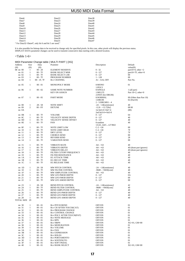| Data22 | Data38                                              |
|--------|-----------------------------------------------------|
| Data23 | Data39                                              |
| Data24 | Data40                                              |
| Data25 | Data41                                              |
| Data26 | Data42                                              |
| Data27 | Data43                                              |
| Data28 | Data44                                              |
| Data29 | Data45                                              |
| Data30 | Data46                                              |
| Data31 | Data47                                              |
|        |                                                     |
|        | "For Data32~Data47, only bit 6 and bit 5 are used." |

It is also possible for bitmap data to be received to change only for specified pixels. In this case, other pixels will display the previous status.<br>DISPLAY DATA parameter changes can be used to transmit consecutive data s

# <Table 1-6>

|                           |                   |                        | MIDI Parameter Change table ( MULTI PART ) [XG] |                                 |                                    |
|---------------------------|-------------------|------------------------|-------------------------------------------------|---------------------------------|------------------------------------|
| Address                   | Size              | Data                   | Prameter                                        | Description                     | Default                            |
| (H)                       | (H)               | (H)                    |                                                 |                                 | value(H)                           |
| 08 nn 00                  | $\mathbf{1}$      | $00 - 20$              | <b>ELEMENT RESERVE</b>                          | $0 - 32$                        | part10=0, other $=2$               |
| $nn$ $01$                 | $\mathbf{1}$      | $00 - 7F$              | <b>BANK SELECT MSB</b>                          | $0 - 127$                       | part10=7F, other=0                 |
| nn 02                     | $\mathbf{1}$      | $00 - 7F$              | <b>BANK SELECT LSB</b>                          | $0 - 127$                       | 0 <sup>0</sup>                     |
| nn 03                     | $\mathbf{1}$      | $00 - 7F$              | PROGRAM NUMBER                                  | $1 - 128$                       | 00                                 |
| nn 04                     | $\mathbf{1}$      | 00 - 1F, 7F            | <b>Rcv CHANNEL</b>                              | A1 - A16, OFF                   | Part No.                           |
| nn 05                     | $\mathbf{1}$      | $00 - 01$              | MONO/POLY MODE                                  | 0:MONO                          | $^{\Omega}$                        |
| nn 06                     | $\mathbf{1}$      | $00 - 02$              | <b>SAME NOTE NUMBER</b>                         | 1:POLY<br>$0:$ SINGLE           |                                    |
|                           |                   |                        | <b>KEY ON ASSIGN</b>                            | 1:MULTI                         | 1 (all part)<br>Part 10=2, other=0 |
|                           |                   |                        |                                                 | 2:INST (for DRUM)               |                                    |
| nn 07                     | $\mathbf{1}$      | $00 - 05$              | PART MODE                                       | 0:NORMAL                        | 00 (Other than Part 10)            |
|                           |                   |                        |                                                 | 1:DRUM                          | 02 (Part10)                        |
|                           |                   |                        |                                                 | 2 - 5:DRUMS1 - 4                |                                    |
| nn 08                     | $\mathbf{1}$      | $28 - 58$              | <b>NOTE SHIFT</b>                               | $-24 - +24$ [semitones]         | 40                                 |
| nn 09                     | $\mathcal{P}$     | $00 - FF$              | <b>DETUNE</b>                                   | $-12.8 - +12.7$ [Hz]            | 08 00                              |
| nn 0A                     |                   |                        |                                                 | 1st bit3-0 $\rightarrow$ bit7-4 | (80)                               |
|                           |                   |                        |                                                 | 2nd bit3-0 $\rightarrow$ bit3-0 |                                    |
| nn OB                     | 1                 | $00 - 7F$              | <b>VOLUME</b>                                   | $0 - 127$                       | 64                                 |
| nn OC                     | 1                 | $00 - 7F$              | VELOCITY SENSE DEPTH                            | $0 - 127$                       | 40                                 |
| nn 0D                     | $\mathbf{1}$      | $00 - 7F$              | VELOCITY SENSE OFFSET                           | $0 - 127$                       | 40                                 |
| nn OE                     | 1                 | $00 - 7F$              | PAN                                             | 0:random                        | 40                                 |
|                           |                   |                        |                                                 | 1/L6364/C127/R63                |                                    |
| nn OF                     | $\mathbf{1}$      | $00 - 7F$              | <b>NOTE LIMIT LOW</b>                           | $C-2 - G8$                      | 0 <sub>0</sub>                     |
| nn 10                     | -1                | $00 - 7F$              | NOTE LIMIT HIGH                                 | $C-2 - G8$                      | 7F                                 |
| nn 11<br>nn <sub>12</sub> | 1<br>$\mathbf{1}$ | $00 - 7F$<br>$00 - 7F$ | DRY LEVEL                                       | $0 - 127$<br>$0 - 127$          | 7F<br>$^{00}$                      |
| nn 13                     | -1                | $00 - 7F$              | <b>CHORUS SEND</b><br><b>REVERB SEND</b>        | $0 - 127$                       | 28                                 |
| nn 14                     | 1                 | $00 - 7F$              | <b>VARIATION SEND</b>                           | $0 - 127$                       | 00                                 |
|                           |                   |                        |                                                 |                                 |                                    |
| nn 15                     | $\mathbf{1}$      | $00 - 7F$              | <b>VIBRATO RATE</b>                             | $-64 - +63$                     | 40                                 |
| nn 16                     | 1                 | $00 - 7F$              | <b>VIBRATO DEPTH</b>                            | $-64 - +63$                     | 40 (drum part ignores)             |
| nn 17                     | -1                | $00 - 7F$              | <b>VIBRATO DELAY</b>                            | $-64 - +63$                     | 40 (drum part ignores)             |
| nn 18                     | 1                 | $00 - 7F$              | FILTER CUTOFF FREQUENCY                         | $-64 - +63$                     | 40                                 |
| nn 19                     | 1                 | $00 - 7F$              | <b>FILTER RESONANCE</b>                         | $-64 - +63$                     | 40                                 |
| nn 1A                     | -1                | $00 - 7F$              | EG ATTACK TIME                                  | $-64 - +63$                     | 40                                 |
| nn 1B<br>nn 1C            | 1<br>1            | $00 - 7F$<br>$00 - 7F$ | EG DECAY TIME<br>EG RELEASE TIME                | $-64 - +63$<br>$-64 - +63$      | 40<br>40                           |
|                           |                   |                        |                                                 |                                 |                                    |
| nn 1D                     | 1                 | $28 - 58$              | MW PITCH CONTROL                                | $-24 - +24$ [semitones]         | 40                                 |
| nn 1E                     | 1                 | $00 - 7F$              | MW FILTER CONTROL                               | $-9600 - +9450[cent]$           | 40                                 |
| nn 1F                     | -1                | $00 - 7F$              | MW AMPLITUDE CONTROL                            | $-64 - +63$                     | 40                                 |
| nn 20                     | 1                 | $00 - 7F$              | MW LFO PMOD DEPTH                               | $0 - 127$                       | 0A                                 |
| nn 21<br>nn 22            | 1<br>-1           | $00 - 7F$<br>$00 - 7F$ | MW LFO FMOD DEPTH<br>MW LFO AMOD DEPTH          | $0 - 127$<br>$0 - 127$          | $^{00}$<br>00                      |
|                           |                   |                        |                                                 |                                 |                                    |
| nn 23                     | $\mathbf{1}$      | $28 - 58$              | <b>BEND PITCH CONTROL</b>                       | $-24 - +24$ [semitones]         | 42                                 |
| nn 24                     | 1                 | $00 - 7F$              | <b>BEND FILTER CONTROL</b>                      | $-9600 - +9450[cent]$           | 40                                 |
| nn 25                     | 1                 | $00 - 7F$              | BEND AMPLITUDE CONTROL                          | $-64 - +63$                     | 40                                 |
| nn 26                     | $\mathbf{1}$      | $00 - 7F$              | BEND LFO PMOD DEPTH                             | $0 - 127$                       | 40                                 |
| nn 27                     | 1                 | $00$ - $7\mathrm{F}$   | BEND LFO FMOD DEPTH                             | $0 - 127$                       | 40                                 |
| nn 28<br>TOTAL SIZE 29    | 1                 | $00 - 7F$              | BEND LFO AMOD DEPTH                             | $0 - 127$                       | 40                                 |
|                           |                   |                        |                                                 |                                 |                                    |
| nn 30                     | $\mathbf{1}$      | $00 - 01$              | <b>Rcv PITCH BEND</b>                           | OFF/ON                          | 01                                 |
| nn 31                     | 1                 | $00 - 01$              | Rcv CH AFTER TOUCH(CAT)                         | OFF/ON                          | 01                                 |
| nn 32                     | 1                 | $00 - 01$              | Rcv PROGRAM CHANGE                              | OFF/ON                          | 01                                 |
| nn 33                     | $\mathbf{1}$      | $00 - 01$              | Rcv CONTROL CHANGE                              | OFF/ON                          | 01                                 |
| nn 34                     | 1                 | $00 - 01$              | Rcv POLY AFTER TOUCH(PAT)                       | OFF/ON                          | 01                                 |
| nn 35                     | 1                 | $00 - 01$              | <b>Rcv NOTE MESSAGE</b>                         | OFF/ON                          | 01                                 |
| nn 36                     | $\mathbf{1}$      | $00 - 01$              | <b>Rcv RPN</b>                                  | OFF/ON                          | 01                                 |
| nn 37                     | $\mathbf{1}$      | $00 - 01$              | <b>Rcv NRPN</b>                                 | OFF/ON                          | $XG=01$ , $GM=00$                  |
| nn 38                     | 1                 | $00 - 01$              | <b>Rcv MODURATION</b>                           | OFF/ON                          | 01                                 |
| nn 39                     | $\mathbf{1}$      | $00 - 01$              | <b>Rcv VOLUME</b>                               | OFF/ON                          | 01                                 |
| nn 3A                     | $\mathbf{1}$<br>1 | $00 - 01$              | <b>Rcv PAN</b>                                  | OFF/ON                          | 01                                 |
| $nn$ $3B$<br>$nn \n3C$    | 1                 | $00 - 01$<br>$00 - 01$ | <b>Rcv EXPRESSION</b><br>Rcv HOLD1              | OFF/ON<br>OFF/ON                | 01<br>01                           |
| nn 3D                     | $\mathbf{1}$      | $00 - 01$              | <b>Rcv PORTAMENTO</b>                           | OFF/ON                          | 01                                 |
| $nn$ $3E$                 | $\mathbf{1}$      | $00 - 01$              | <b>Rcv SOSTENUTO</b>                            | OFF/ON                          | $^{01}$                            |
| nn 3F                     | 1                 | $00 - 01$              | <b>Rcv SOFT PEDAL</b>                           | OFF/ON                          | 01                                 |
| nn 40                     | $\mathbf{1}$      | $00 - 01$              | <b>Rcv BANK SELECT</b>                          | OFF/ON                          | $XG=01$ , $GM=00$                  |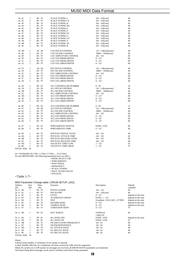| nn 41      | $\mathbf{1}$ | $00 - 7F$ | <b>SCALE TUNING C</b>        | $-64 - +63$ [cent]      | 40 |
|------------|--------------|-----------|------------------------------|-------------------------|----|
| nn 42      | $\mathbf{1}$ | $00 - 7F$ | <b>SCALE TUNING C#</b>       | $-64 - +63$ [cent]      | 40 |
| nn 43      | $\mathbf{1}$ | $00 - 7F$ | <b>SCALE TUNING D</b>        | $-64 - +63$ [cent]      | 40 |
| nn 44      | $\mathbf{1}$ | $00 - 7F$ | <b>SCALE TUNING D#</b>       | $-64 - +63$ [cent]      | 40 |
| nn 45      | $\mathbf{1}$ | $00 - 7F$ | <b>SCALE TUNING E</b>        | $-64 - +63$ [cent]      | 40 |
| nn 46      | 1            | $00 - 7F$ | <b>SCALE TUNING F</b>        | $-64 - +63$ [cent]      | 40 |
| nn 47      | $\mathbf{1}$ | $00 - 7F$ | <b>SCALE TUNING F#</b>       | $-64 - +63$ [cent]      | 40 |
| nn 48      | $\mathbf{1}$ | $00 - 7F$ | <b>SCALE TUNING G</b>        | $-64 - +63$ [cent]      | 40 |
| nn 49      | $\mathbf{1}$ | $00 - 7F$ | <b>SCALE TUNING G#</b>       | $-64 - +63$ [cent]      | 40 |
| nn 4A      | $\mathbf{1}$ | $00 - 7F$ | <b>SCALE TUNING A</b>        | $-64 - +63[cent]$       | 40 |
| $nn$ $4B$  | $\mathbf{1}$ | $00 - 7F$ | <b>SCALE TUNING A#</b>       | $-64 - +63[cent]$       | 40 |
| $nn$ $4C$  | $\mathbf{1}$ | $00 - 7F$ | <b>SCALE TUNING B</b>        | $-64 - +63[cent]$       | 40 |
| nn 4D      | 1            | $28 - 58$ | CAT PITCH CONTROL            | $-24 - +24$ [semitones] | 40 |
| $nn$ $4E$  | 1            | $00 - 7F$ | <b>CAT FILTER CONTROL</b>    | $-9600 - +9450$ [cent]  | 40 |
| nn 4F      | $\mathbf{1}$ | $00 - 7F$ | CAT AMPLITUDE CONTROL        | $-64 - +63$             | 40 |
| nn 50      | $\mathbf{1}$ | $00 - 7F$ | <b>CAT LFO PMOD DEPTH</b>    | $0 - 127$               | 00 |
| nn 51      | $\mathbf{1}$ | $00 - 7F$ | CAT LFO FMOD DEPTH           | $0 - 127$               | 00 |
| nn 52      | $\mathbf{1}$ | $00 - 7F$ | CAT LFO AMOD DEPTH           | $0 - 127$               | 00 |
| nn 53      | $\mathbf{1}$ | $28 - 58$ | PAT PITCH CONTROL            | $-24 - +24$ [semitones] | 40 |
| nn 54      | $\mathbf{1}$ | $00 - 7F$ | PAT FILTER CONTROL           | $-9600 - +9450$ [cent]  | 40 |
| nn 55      | $\mathbf{1}$ | $00 - 7F$ | PAT AMPLITUDE CONTROL        | $-64 - +63$             | 40 |
| nn 56      | $\mathbf{1}$ | $00 - 7F$ | PAT LFO PMOD DEPTH           | $0 - 127$               | 00 |
| nn 57      | $\mathbf{1}$ | $00 - 7F$ | PAT LFO FMOD DEPTH           | $0 - 127$               | 00 |
| nn 58      | $\mathbf{1}$ | $00 - 7F$ | PAT LFO AMOD DEPTH           | $0 - 127$               | 00 |
| nn 59      | $\mathbf{1}$ | $00 - 5F$ | <b>AC1 CONTROLLER NUMBER</b> | $0 - 95$                | 10 |
| nn 5A      | $\mathbf{1}$ | $28 - 58$ | <b>AC1 PITCH CONTROL</b>     | $-24 - +24$ [semitones] | 40 |
| $nn$ 5B    | $\mathbf{1}$ | $00 - 7F$ | <b>AC1 FILTER CONTROL</b>    | $-9600 - +9450$ [cent]  | 40 |
| $nn$ 5 $C$ | $\mathbf{1}$ | $00 - 7F$ | <b>AC1 AMPLITUDE CONTROL</b> | $-64 - +63$             | 40 |
| $nn$ 5D    | $\mathbf{1}$ | $00 - 7F$ | <b>AC1 LFO PMOD DEPTH</b>    | $0 - 127$               | 00 |
| nn 5E      | $\mathbf{1}$ | $00 - 7F$ | <b>AC1 LFO FMOD DEPTH</b>    | $0 - 127$               | 00 |
| nn 5F      | $\mathbf{1}$ | $00 - 7F$ | <b>AC1 LFO AMOD DEPTH</b>    | $0 - 127$               | 00 |
| nn 60      | 1            | $00 - 5F$ | AC2 CONTROLLER NUMBER        | $0 - 95$                | 11 |
| nn 61      | $\mathbf{1}$ | $28 - 58$ | <b>AC2 PITCH CONTROL</b>     | $-24 - +24$ [semitones] | 40 |
| nn 62      | $\mathbf{1}$ | $00 - 7F$ | <b>AC2 FILTER CONTROL</b>    | $-9600 - +9450$ [cent]  | 40 |
| nn 63      | $\mathbf{1}$ | $00 - 7F$ | <b>AC2 AMPLITUDE CONTROL</b> | $-64 - +63$             | 40 |
| nn 64      | $\mathbf{1}$ | $00 - 7F$ | AC2 LFO PMOD DEPTH           | $0 - 127$               | 00 |
| nn 65      | $\mathbf{1}$ | $00 - 7F$ | <b>AC2 LFO FMOD DEPTH</b>    | $0 - 127$               | 00 |
| nn 66      | $\mathbf{1}$ | $00 - 7F$ | <b>AC2 LFO AMOD DEPTH</b>    | $0 - 127$               | 00 |
| nn 67      | $\mathbf{1}$ | $00 - 01$ | PORTAMENTO SWITCH            | $0/OFF$ , $1/ON$        | 00 |
| nn 68      | $\mathbf{1}$ | $00 - 7F$ | PORTAMENTO TIME              | $0 - 127$               | 00 |
| nn 69      | $\mathbf{1}$ | $00 - 7F$ | PITCH EG INITIAL LEVEL       | $-64 - +63$             | 40 |
| nn 6A      | $\mathbf{1}$ | $00 - 7F$ | PITCH EG ATTACK TIME         | $-64 - +63$             | 40 |
| $nn$ 6B    | $\mathbf{1}$ | $00 - 7F$ | PITCH EG RELEASE LEVEL       | $-64 - +63$             | 40 |
| $nn$ $6C$  | $\mathbf{1}$ | $00 - 7F$ | PITCH EG RELEASE TIME        | $-64 - +63$             | 40 |
| $nn$ 6D    | $\mathbf{1}$ | $00 - 7F$ | <b>VELOCITY LIMIT LOW</b>    | $1 - 127$               | 01 |
| nn 6E      | $\mathbf{1}$ | $00 - 7F$ | <b>VELOCITY LIMIT HIGH</b>   | $1 - 127$               | 7F |
|            |              |           |                              |                         |    |

TOTAL SIZE 3F

nn = PartNumber (0:1 Part, 1:2 Part, 2:3 Part,…,15:16 Part) For the DRUM PART, the following parameters have no effect.

| • BANK SELECT LSB |
|-------------------|
| • PORTAMENTO      |

- 
- SOFT PEDAL
- MONO/POLY
- SCALE TUNING
- POLY AFTER TOUCH  $\bullet$  PITCH EG

# <Table 1-7>

# MIDI Parameter Change table ( DRUM SETUP ) [XG]<br>Address Size Data Prameter Address Size Data Prameter Description Default

| (H)                 | (H)          | (H)       |                         |                              | value(H)           |
|---------------------|--------------|-----------|-------------------------|------------------------------|--------------------|
| $3n$ rr $00$        |              | $00 - 7F$ | PITCH COARSE            | $-64 - +63$                  | 40                 |
| $3n$ $\pi$ 01       |              | $00 - 7F$ | <b>PITCH FINE</b>       | $-64 - +63$ [cent]           | 40                 |
| $3n$ m 02           |              | $00 - 7F$ | LEVEL                   | $0 - 127$                    | depend on the note |
| $3n \text{ tr } 03$ |              | $00 - 7F$ | <b>ALTERNATE GROUP</b>  | $0:$ OFF, $1 - 127$          | depend on the note |
| $3n$ rr 04          |              | $00 - 7F$ | PAN                     | 0:random, 1/L63 64/C 127/R63 | depend on the note |
| $3n$ rr $05$        |              | $00 - 7F$ | <b>REVERB SEND</b>      | $0 - 127$                    | depend on the note |
| $3n$ rr 06          |              | $00 - 7F$ | <b>CHORUS SEND</b>      | $0 - 127$                    | depend on the note |
| $3n$ rr $07$        |              | $00 - 7F$ | <b>VARIATION SEND</b>   | $0 - 127$                    | 7F                 |
| $3n$ rr $08$        | $\mathbf{1}$ | $00 - 01$ | <b>KEY ASSIGN</b>       | 0:SIMGLE<br>1:MULTI          | 0 <sup>0</sup>     |
| $3n$ rr 09          |              | $00 - 01$ | <b>Rcv NOTE OFF</b>     | $0/OFF$ , $1/ON$             | depend on the note |
| $3n$ rr $0A$        |              | $00 - 01$ | <b>Rcv NOTE ON</b>      | $0/OFF$ , $1/ON$             | 01                 |
| $3n$ rr $0B$        |              | $00 - 7F$ | FILTER CUTOFF FREOUENCY | $-64 - 63$                   | 40                 |
| $3n$ rr $0C$        |              | $00 - 7F$ | <b>FILTER RESONANCE</b> | $-64 - 63$                   | 40                 |
| $3n$ rr $0D$        |              | $00 - 7F$ | <b>EG ATTACK RATE</b>   | $-64 - 63$                   | 40                 |
| $3n$ rr $0E$        |              | $00 - 7F$ | <b>EG DECAY1 RATE</b>   | $-64 - 63$                   | 40                 |
| $3n$ rr $0F$        |              | $00 - 7F$ | EG DECAY2 RATE          | $-64 - 63$                   | 40                 |
| <b>TOTAL SIZE</b>   | - 10         |           |                         |                              |                    |

[Note]

n:Drum setup number, A minimum of two setups is required. rr:Note Number (0D-54), As a minimum, all notes covered by GMx must be supported.

When XG system on or GM system on messages are received, all DRUM SETUP parameters are initialized.

The Drum Setup Reset message can be used to initialize each Drum Setup parameter.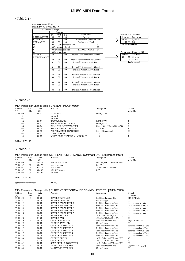# $<$ Table 2-1 $>$

| Parameter Change   |         |                 |                     |                                 |    |
|--------------------|---------|-----------------|---------------------|---------------------------------|----|
|                    |         | Address         |                     |                                 |    |
|                    | (H)     | (M)             | (L)                 | Description                     |    |
| MU50 SYSTEM        | $^{00}$ | $^{00}$         | $\overline{00}$     | System                          |    |
| <b>CURRENT</b>     | 09      | $^{00}$         | 0 <sup>0</sup>      | Performance Common PER-         |    |
| <b>FORMANCE</b>    | 09      | 01              | 0 <sup>0</sup>      | Performance Part1               |    |
| 09                 | 02      |                 |                     | 00Performance Part2             | 09 |
| 03                 |         |                 | 00Performance PartB |                                 | 09 |
| 04                 |         |                 | 00Performance Part4 | <b>REMOTE SWITCH</b>            | 0A |
| 00                 |         | 00Switch remote |                     |                                 |    |
| <b>INTERNAL</b>    | 30      | 00              | 0 <sup>0</sup>      | Internal Performance#1 Common   |    |
| <b>PERFORMANCE</b> |         |                 |                     |                                 |    |
|                    | 30      | 7F              | 0 <sup>0</sup>      | Internal Performance#128 Common |    |
|                    | 31      | 00              | 00                  | Internal Performance#1 Part1    |    |
|                    |         |                 |                     |                                 |    |
|                    | 31      | 7F              | 0 <sup>0</sup>      | Internal Performance#128 Part1  |    |
|                    | 32      | 00              | 00                  | Internal Performance#1 Part2    |    |
|                    |         |                 |                     |                                 |    |
|                    | 32      | 7F              | 0 <sup>0</sup>      | Internal Performance#128 Part2  |    |
|                    | 33      | 00              | 00                  | Internal Performance#1 Part3    |    |
|                    |         |                 |                     |                                 |    |
|                    | 33      | 7F              | $^{00}$             | Internal Performance#128 Part3  |    |
|                    | 34      | $^{00}$         | 00                  | Internal Performance#1 Part4    |    |
|                    |         |                 |                     |                                 |    |
|                    | 34      | 7F              | 0 <sup>0</sup>      | Internal Performance#128 Part4  |    |



# <Table2-2>

|                |      |           | MIDI Parameter Change table (SYSTEM) [MU80, MU50] |                                  |          |
|----------------|------|-----------|---------------------------------------------------|----------------------------------|----------|
| <b>Address</b> | Size | Data      | Prameter                                          | Description                      | Default  |
| (H)            | (H)  | (H)       |                                                   |                                  | value(H) |
| 00 00 00       |      | $00 - 01$ | <b>MUTE LOCK</b>                                  | $0/OFF$ , $1/ON$                 | 0        |
| 01             |      |           | not used                                          |                                  |          |
| 02             |      |           | not used                                          |                                  |          |
| 03             |      | $00-01$   | <b>RECEIVE GM ON</b>                              | 0/OFF.1/ON                       |          |
| $^{04}$        |      | $00-01$   | RECELVE BANK SELECT                               | 0/OFF.1/ON                       |          |
| 05             |      | $00-04$   | <b>BULK OUT INTERVAL TIME</b>                     | 0/50, 1/100, 2/150, 3/200, 4/300 | 2        |
| 06             |      | $00-10$   | PERFORMANCE CHANNEL                               | $1 - 16$ , all                   |          |
| 07             |      | 28-58     | PERFORMANCE TRANSPOSE                             | $-24 - +24$ [semitone]           | 40       |
| 08             |      | $00-07$   | <b>LCD CONTRAST</b>                               | $1 - 8$                          |          |
| 09             |      | $00 - 07$ | MULTI PORT NUMBER for MIDI OUT                    | $1 - 8$                          |          |

### TOTAL SIZE 0A

# <Table2-3>

|          |         |           |                      | MIDI Parameter Change table (CURRENT PERFORMANCE COMMON SYSTEM) [MU80, MU50] |          |
|----------|---------|-----------|----------------------|------------------------------------------------------------------------------|----------|
| Address  | Size    | Data      | Prameter             | Description                                                                  | Default  |
| (H)      | (H)     | (H)       |                      |                                                                              | value(H) |
| 09 00 00 | $_{0<}$ | $20 - 7F$ | performance name     | 32 - 127(ASCII CHARACTER)                                                    |          |
| 09 00 0C | 01      | $00 - 7F$ | master volume        | $0 - 127$                                                                    |          |
| 09000    | 01      | $01 - 7F$ | master pan           | $1/L63 - 64/C - 127/R63$                                                     |          |
| 09 00 0E | 01      | $00 - 5F$ | <b>AC1 CC Number</b> | $0 - 95$                                                                     |          |
| 09 00 OF | $_{01}$ | $00 - 01$ | not used             |                                                                              |          |

#### TOTAL SIZE 10

### pp:performance number (00-40)

# MIDI Parameter Change table ( CURRENT PERFORMANCE COMMON EFFECT ) [MU80, MU50]

| <b>Address</b> | Size         | Data    | Prameter                     | Description                    | Default                   |
|----------------|--------------|---------|------------------------------|--------------------------------|---------------------------|
| (H)            | (H)          | (H)     |                              |                                | value(H)                  |
| 09 00 20       | 2            | $00-7F$ | <b>REVERB TYPE MSB</b>       | See Effect Program List        | $01(=\text{HALL1})$       |
| 09 00 21       |              | $00-7F$ | <b>REVERB TYPE LSB</b>       | $00:$ basic type               | $^{00}$                   |
| 09 00 22       | 1            | $00-7F$ | <b>REVERB PARAMETER 1</b>    | See Effect Parameter List      | depends on reverb type    |
| 09 00 23       |              | $00-7F$ | <b>REVERB PARAMETER 2</b>    | See Effect Parameter List      | depends on reverb type    |
| 09 00 24       | 1            | $00-7F$ | <b>REVERB PARAMETER 3</b>    | See Effect Parameter List      | depends on reverb type    |
| 09 00 25       |              | $00-7F$ | <b>REVERB PARAMETER 4</b>    | See Effect Parameter List      | depends on reverb type    |
| 09 00 26       |              | $00-7F$ | <b>REVERB PARAMETER 5</b>    | See Effect Parameter List      | depends on reverb type    |
| 09 00 27       |              | $00-7F$ | <b>REVERB RETURN</b>         | $-\infty$ dB0dB+6dB $(064127)$ | 40                        |
| 09 00 28       | 1            | $01-7F$ | <b>REVERB PAN</b>            | L63CR63(164127)                | 40                        |
| 09 00 29       | 2            | $00-7F$ | <b>CHORUS TYPE MSB</b>       | See Effect Program List        | $41(=CHORUS1)$            |
| 09 00 2A       |              | $00-7F$ | <b>CHORUS TYPE LSB</b>       | $00:$ basic type               | $^{00}$                   |
| 09 00 2B       | 1            | $00-7F$ | <b>CHORUS PARMETER 1</b>     | See Effect Parameter List      | depends on chorus Type    |
| 09 00 2C       | 1            | $00-7F$ | <b>CHORUS PARMETER 2</b>     | See Effect Parameter List      | depends on chorus Type    |
| 09 00 2D       | $\mathbf{1}$ | $00-7F$ | <b>CHORUS PARMETER 3</b>     | See Effect Parameter List      | depends on chorus Type    |
| 09 00 2E       |              | $00-7F$ | <b>CHORUS PARMETER 4</b>     | See Effect Parameter List      | depends on chorus Type    |
| 09 00 2F       | 1            | $00-7F$ | <b>CHORUS PARMETER 5</b>     | See Effect Parameter List      | depends on chorus Type    |
| 09 00 30       |              | $00-7F$ | <b>CHORUS RETURN</b>         | $-$ ∞dB0dB+6dB $(064127)$      | 40                        |
| 09 00 31       | 1            | $01-7F$ | <b>CHORUS PAN</b>            | L63CR63(164127)                | 40                        |
| 09 00 32       |              | $00-7F$ | <b>SEND CHORUS TO REVERB</b> | $-\infty$ dB0dB+6dB $(064127)$ | $^{00}$                   |
| 09 00 33       | 2            | $00-7F$ | <b>VARIATION TYPE MSB</b>    | See Effect Program List        | $05(=\text{DELAY L.C,R})$ |
| 09 00 34       |              | $00-7F$ | <b>VARIATION TYPE LSB</b>    | $00:$ basic type               | 00                        |
|                |              |         |                              |                                |                           |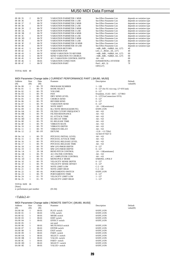| 09 00 35 | 2            | $00-7F$   | <b>VARIATION PARMETER 1 MSB</b>    | See Effect Parameter List      | depends on variation type |
|----------|--------------|-----------|------------------------------------|--------------------------------|---------------------------|
| 09 00 36 |              | $00-7F$   | <b>VARIATION PARMETER 1 LSB</b>    | See Effect Parameter List      | depends on variation type |
| 09 00 37 | 2            | $00-7F$   | <b>VARIATION PARMETER 2 MSB</b>    | See Effect Parameter List      | depends on variation type |
| 09 00 38 |              | $00-7F$   | <b>VARIATION PARMETER 2 LSB</b>    | See Effect Parameter List      | depends on variation type |
| 09 00 39 | 2            | $00-7F$   | <b>VARIATION PARMETER 3 MSB</b>    | See Effect Parameter List      | depends on variation type |
| 09 00 3A |              | $00-7F$   | <b>VARIATION PARMETER 3 LSB</b>    | See Effect Parameter List      | depends on variation type |
| 09 00 3B | 2            | $00-7F$   | <b>VARIATION PARMETER 4 MSB</b>    | See Effect Parameter List      | depends on variation type |
| 09 00 3C |              | $00-7F$   | <b>VARIATION PARMETER 4 LSB</b>    | See Effect Parameter List      | depends on variation type |
| 09 00 3D | 2            | $00-7F$   | <b>VARIATION PARMETER 5 MSB</b>    | See Effect Parameter List      | depends on variation type |
| 09 00 3E |              | $00-7F$   | <b>VARIATION PARMETER 5 LSB</b>    | See Effect Parameter List      | depends on variation type |
| 09 00 3F | 2            | $00-7F$   | <b>VARIATION PARMETER 10 MSB</b>   | See Effect Parameter List      | depends on variation type |
| 09 00 40 |              | $00-7F$   | <b>VARIATION PARMETER 10 LSB</b>   | See Effect Parameter List      | depends on variation type |
| 09 00 41 | $\mathbf{1}$ | $00-7F$   | <b>VARIATION RETURN</b>            | $-\infty$ dB0dB+6dB $(064127)$ | 40                        |
| 09 00 42 |              | $01-7F$   | <b>VARIATION PAN</b>               | L63CR63(164127)                | 40                        |
| 09 00 43 |              | $00-7F$   | <b>SEND VARIATION TO REVERB</b>    | $-\infty$ dB0dB+6dB $(064127)$ | $^{00}$                   |
| 09 00 44 |              | $00-7F$   | <b>SEND VARIATION TO CHORUS</b>    | $-\infty$ dB0dB+6dB $(064127)$ | $^{00}$                   |
| 09 00 45 |              | $00-7F$   | <b>AC1 VARIATION CONTROL DEPTH</b> | $-64 - +63$                    | $^{00}$                   |
| 09 00 46 |              | $00 - 01$ | <b>VARIATION CONECTION</b>         | 0:INSERTION.1:SYSTEM           | $00\,$                    |
| 09 00 47 |              | $00-7F$   | <b>VARIATION PART</b>              | Part $14(03)$<br>OFF(127)      | 7F                        |

# TOTAL SIZE 40

# MIDI Parameter Change table ( CURRENT PERFORMANCE PART ) [MU80, MU50]

| Address       | Size         | Data      | Prameter                      | Description                              | Default  |
|---------------|--------------|-----------|-------------------------------|------------------------------------------|----------|
| (H)           | (H)          | (H)       |                               |                                          | value(H) |
| 09 On 00      | 1            | $00 - 7F$ | PROGRAM NUMBER                | $1 - 128$                                |          |
| 09 On 01      | $\mathbf{1}$ | $00 - 7F$ | <b>BANK SELECT</b>            | 0 - 127 (See XG voice map, 127=SFX bank) |          |
| 09 On 02      | 1            | $00 - 7F$ | <b>VOLUME</b>                 | $0 - 127$                                |          |
| 09 On 03      | $\mathbf{1}$ | $00 - 7F$ | PAN                           | 0/random, 1/L63 - 64/C - 127/R63         |          |
| 09 On 04      | $\mathbf{1}$ | $00 - 7F$ | DRY SEND LEVEL                | 0 - 127(VarConnection=SYS)               |          |
| 09 On 05      | $\mathbf{1}$ | $00 - 7F$ | <b>CHORUS SEND</b>            | $0 - 127$                                |          |
| 09 On 06      | $\mathbf{1}$ | $00 - 7F$ | <b>REVERB SEND</b>            | $0 - 127$                                |          |
| 09 On 07      | $\mathbf{1}$ | $00 - 7F$ | <b>VARIATION SEND</b>         | $0 - 127$                                |          |
| 09 On 08      | $\mathbf{1}$ | $28 - 58$ | <b>NOTE SHIFT</b>             | $-24 - +24$ [semitones]                  |          |
| 09 On 09      | $\mathbf{1}$ | $00 - 01$ | <b>Rcv NOTE MESSAGE(MUTE)</b> | $0/OFF$ , $1/ON$                         |          |
| 09 On 0A      | $\mathbf{1}$ | $00 - 7F$ | FILTER CUTOFF FREQUENCY       | $-64 - +63$                              |          |
| 09 On OB      | 1            | $00 - 7F$ | <b>FILTER RESONANCE</b>       | $-64 - +63$                              |          |
| 09 On OC      | $\mathbf{1}$ | $00 - 7F$ | <b>EG ATTACK TIME</b>         | $-64 - +63$                              |          |
| 09 On OD      | $\mathbf{1}$ | $00 - 7F$ | EG DECAY TIME                 | $-64 - +63$                              |          |
| 09 On OE      | $\mathbf{1}$ | $00 - 7F$ | <b>EG RELEASE TIME</b>        | $-64 - +63$                              |          |
| 09 On OF      | $\mathbf{1}$ | $00 - 7F$ | <b>VIBRATO RATE</b>           | $-64 - +63$                              |          |
| $09$ On $10$  | 1            | $00 - 7F$ | <b>VIBRATO DEPTH</b>          | $-64 - +63$                              |          |
| 09 On 11      | $\mathbf{1}$ | $00 - 7F$ | <b>VIBRATO DELAY</b>          | $-64 - +63$                              |          |
| 09 On 12      | 2            | $00 - FF$ | <b>DETUNE</b>                 | $-12.8 - +12.7$ [Hz]                     |          |
|               |              |           |                               | 1st bit3-0 $\rightarrow$ bit7-4          |          |
| 09 On 14      | $\mathbf{1}$ | $00 - 7F$ | PITCH EG INITIAL LEVEL        | $-64 - +63$                              |          |
| 09 On 15      | $\mathbf{1}$ | $00 - 7F$ | PITCH EG ATTACK TIME          | $-64 - +63$                              |          |
| 09 On 16      | $\mathbf{1}$ | $00 - 7F$ | PITCH EG RELEASE LEVEL        | $-64 - +63$                              |          |
| 09 On 17      | $\mathbf{1}$ | $00 - 7F$ | PITCH EG RELEASE TIME         | $-64 - +63$                              |          |
| 09 On 18      | $\mathbf{1}$ | $00 - 7F$ | MW LFO PMOD DEPTH             | $0 - 127$                                |          |
| 09 On 19      | 1            | $00 - 7F$ | MW LFO FMOD DEPTH             | $0 - 127$                                |          |
| 09 On 1A      | $\mathbf{1}$ | $28 - 58$ | <b>BEND PITCH CONTROL</b>     | $-24 - +24$ [semitones]                  |          |
| 09 On 1B      | $\mathbf{1}$ | $00 - 7F$ | <b>AC1 FILTER CONTROL</b>     | $-64 - +63$                              |          |
| 09 On 1C      | 1            | $00 - 7F$ | AC1 AMPLITUDE CONTROL         | $-64 - +63$                              |          |
| 09 On 1D      | $\mathbf{1}$ | $00 - 01$ | <b>MONO/POLY MODE</b>         | 0/MONO, 1/POLY                           |          |
| 09 On 1E      | $\mathbf{1}$ | $00 - 7F$ | <b>VELOCITY SENSE DEPTH</b>   | $0 - 127$                                |          |
| 09 On 1F      | 1            | $00 - 7F$ | VELOCITY SENSE OFFSET         | $0 - 127$                                |          |
| $09$ On $20$  | $\mathbf{1}$ | $00 - 7F$ | <b>NOTE LIMIT LOW</b>         | $C-2 - G8$                               |          |
| 09 On 21      | $\mathbf{1}$ | $00 - 7F$ | <b>NOTE LIMIT HIGH</b>        | $C-2 - G8$                               |          |
| 09 On 22      | $\mathbf{1}$ | $00 - 01$ | PORTAMENTO SWITCH             | $0/OFF$ , $1/ON$                         |          |
| 09 On 23      | $\mathbf{1}$ | $00 - 7F$ | PORTAMENTO TIME               | $0 - 127$                                |          |
| 09 On 24      | $\mathbf{1}$ | $01 - 7F$ | VELOCITY LIMIT LOW            | $1 - 127$                                |          |
| 09 On 25      | $\mathbf{1}$ | $01 - 7F$ | VELOCITY LIMIT HIGH           | $1 - 127$                                |          |
|               |              |           |                               |                                          |          |
| TOTAL SIZE 26 |              |           |                               |                                          |          |

[Note] n: performance part number (01-04)

# $<$ Table2-4 $>$

|  | MIDI Parameter Change table ( REMOTE SWITCH ) [MU80, MU50] |  |
|--|------------------------------------------------------------|--|
|--|------------------------------------------------------------|--|

|          |      |           | <b>MIDIT GRANDON UNANGO RADIO   REMOTE UTHTUNI /   MOOO, MOOO </b> |                  |          |
|----------|------|-----------|--------------------------------------------------------------------|------------------|----------|
| Address  | Size | Data      | Prameter                                                           | Description      | Default  |
| (H)      | (H)  | (H)       |                                                                    |                  | value(H) |
| 0A 00 00 |      | $00 - 01$ | PLAY switch                                                        | 0/OFF.1/ON       |          |
| 0A 00 01 |      | $00 - 01$ | UTIL switch                                                        | 0/OFF.1/ON       |          |
| 0A 00 02 |      | $00 - 01$ | MODE switch                                                        | 0/OFF.1/ON       |          |
| 0A 00 03 |      | $00 - 01$ | <b>EDIT</b> switch                                                 | 0/OFF.1/ON       |          |
| 0A 00 04 |      | $00 - 01$ | <b>EFFECT</b> switch                                               | 0/OFF.1/ON       |          |
| 0A 00 05 |      |           | not used                                                           |                  |          |
| 0A 00 06 |      | $00 - 01$ | MUTE/SOLO switch                                                   | $0/OFF$ , $1/ON$ |          |
| 0A 00 07 |      | $00 - 01$ | <b>ENTER</b> switch                                                | 0/OFF.1/ON       |          |
| 0A 00 08 |      | $00 - 01$ | <b>EXIT</b> switch                                                 | 0/OFF.1/ON       |          |
| 0A 00 09 |      | $00 - 01$ | PART-switch                                                        | 0/OFF.1/ON       |          |
| 0A 00 0A |      | $00 - 01$ | SELECT- switch                                                     | 0/OFF.1/ON       |          |
| 0A 00 0B |      | $00 - 01$ | VALUE- switch                                                      | 0/OFF.1/ON       |          |
| 0A 00 0C |      | $00 - 01$ | PART+ switch                                                       | 0/OFF.1/ON       |          |
| 0A 00 0D |      | $00 - 01$ | SELECT+ switch                                                     | 0/OFF.1/ON       |          |
| 0A 00 0E |      | $00 - 01$ | VALUE+ switch                                                      | 0/OFF.1/ON       |          |
|          |      |           |                                                                    |                  |          |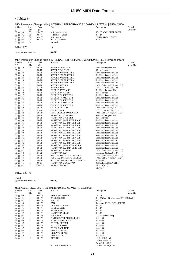# $<$ Table2-5>

| Address               | Size           | Data      | MIDI Parameter Change table ( INTERNAL PERFORMANCE COMMON SYSTEM) [MU80, MU50]<br>Prameter |                                | Default  |
|-----------------------|----------------|-----------|--------------------------------------------------------------------------------------------|--------------------------------|----------|
| (H)                   | (H)            | (H)       |                                                                                            | Description                    | value(H) |
| 30 pp 00              | 0 <sup>C</sup> | $20 - 7F$ | performance name                                                                           | 32-127(ASCII CHARACTER)        |          |
| 30 pp 0C              | 01             | $00 - 7F$ | performance volume                                                                         | $0 - 127$                      |          |
| 30 pp 0D              | 01             | $01 - 7F$ | performance pan                                                                            | $1/L63 - 64/C - 127/R63$       |          |
| 30 pp 0E              | 01             | $00 - 5F$ | <b>AC1 CC Number</b>                                                                       | $0 - 95$                       |          |
| 30 pp 0F              | 01             |           | not used                                                                                   |                                |          |
|                       |                |           |                                                                                            |                                |          |
| <b>TOTAL SIZE</b>     |                |           | 10                                                                                         |                                |          |
| pp:performance number |                |           | $(00-7F)$                                                                                  |                                |          |
|                       |                |           | MIDI Parameter Change table (INTERNAL PERFORMANCE COMMON EFFECT ) [MU80, MU50]             |                                |          |
| <b>Address</b>        | Size           | Data      | Prameter                                                                                   | Description                    | Default  |
| (H)                   | (H)            | (H)       |                                                                                            |                                | value(H) |
| 30 pp 20              | $\overline{c}$ | $00-7F$   | <b>REVERB TYPE MSB</b>                                                                     | See Effect Program List        |          |
| 30 pp 21              |                | $00-7F$   | <b>REVERB TYPE LSB</b>                                                                     | 00 : basic type                |          |
| 30 pp 22              | $\mathbf{1}$   | $00-7F$   | <b>REVERB PARAMETER 1</b>                                                                  | See Effect Parameter List      |          |
| 30 pp 23              | $\mathbf{1}$   | $00-7F$   | <b>REVERB PARAMETER 2</b>                                                                  | See Effect Parameter List      |          |
| 30 pp 24              | $\mathbf{1}$   | $00-7F$   | <b>REVERB PARAMETER 3</b>                                                                  | See Effect Parameter List      |          |
| 30 pp 25              | 1              | $00-7F$   | <b>REVERB PARAMETER 4</b>                                                                  | See Effect Parameter List      |          |
| 30 pp 26              | $\mathbf{1}$   | $00-7F$   | <b>REVERB PARAMETER 5</b>                                                                  | See Effect Parameter List      |          |
| 30 pp 27              | $\mathbf{1}$   | $00-7F$   | <b>REVERB RETURN</b>                                                                       | $-$ ∞dB0dB+6dB $(064127)$      |          |
| 30 pp 28              | $\mathbf{1}$   | $01-7F$   | <b>REVERB PAN</b>                                                                          | L63CR63(164127)                |          |
| 30 pp 29              | $\overline{c}$ | $00-7F$   | <b>CHORUS TYPE MSB</b>                                                                     | See Effect Program List        |          |
| 30 pp 2A              |                | $00-7F$   | <b>CHORUS TYPE LSB</b>                                                                     | 00 : basic type                |          |
| 30 pp 2B              | $\mathbf{1}$   | $00-7F$   | <b>CHORUS PARMETER 1</b>                                                                   | See Effect Parameter List      |          |
| $30$ pp $2C$          | $\mathbf{1}$   | $00-7F$   | <b>CHORUS PARMETER 2</b>                                                                   | See Effect Parameter List      |          |
| 30 pp 2D              | $\mathbf{1}$   | $00-7F$   | <b>CHORUS PARMETER 3</b>                                                                   | See Effect Parameter List      |          |
| 30 pp 2E              | $\mathbf{1}$   | $00-7F$   | <b>CHORUS PARMETER 4</b>                                                                   | See Effect Parameter List      |          |
| 30 pp 2F              | $\mathbf{1}$   | $00-7F$   | <b>CHORUS PARMETER 5</b>                                                                   | See Effect Parameter List      |          |
| 30 pp 30              | $\mathbf{1}$   | $00-7F$   | <b>CHORUS RETURN</b>                                                                       | $-\infty dB0dB+6dB(064127)$    |          |
| 30 pp 31              | $\mathbf{1}$   | $01-7F$   | <b>CHORUS PAN</b>                                                                          | L63CR63(164127)                |          |
| 30 pp 32              | $\mathbf{1}$   | $00-7F$   | <b>SEND CHORUS TO REVERB</b>                                                               | $-$ ∞dB0dB+6dB $(064127)$      |          |
| 30 pp 33              | $\overline{c}$ | $00-7F$   | <b>VARIATION TYPE MSB</b>                                                                  | See Effect Program List        |          |
| 30 pp 34              |                | $00-7F$   | <b>VARIATION TYPE LSB</b>                                                                  | $00:$ basic type               |          |
| 30 pp 35              | $\overline{c}$ | $00-7F$   | <b>VARIATION PARMETER 1 MSB</b>                                                            | See Effect Parameter List      |          |
| 30 pp 36              |                | $00-7F$   | <b>VARIATION PARMETER 1 LSB</b>                                                            | See Effect Parameter List      |          |
| 30 pp 37              | $\overline{c}$ | $00-7F$   | <b>VARIATION PARMETER 2 MSB</b>                                                            | See Effect Parameter List      |          |
| 30 pp 38              |                | $00-7F$   | <b>VARIATION PARMETER 2 LSB</b>                                                            | See Effect Parameter List      |          |
| 30 pp 39              | $\overline{c}$ | $00-7F$   | <b>VARIATION PARMETER 3 MSB</b>                                                            | See Effect Parameter List      |          |
| 30 pp 3A              |                | $00-7F$   | VARIATION PARMETER 3 LSB                                                                   | See Effect Parameter List      |          |
| 30 pp 3B              | $\overline{2}$ | $00-7F$   | <b>VARIATION PARMETER 4 MSB</b>                                                            | See Effect Parameter List      |          |
| 30 pp 3C              |                | $00-7F$   | <b>VARIATION PARMETER 4 LSB</b>                                                            | See Effect Parameter List      |          |
| 30 pp 3D              | $\overline{c}$ | $00-7F$   | <b>VARIATION PARMETER 5 MSB</b>                                                            | See Effect Parameter List      |          |
| 30 pp 3E              |                | $00-7F$   | <b>VARIATION PARMETER 5 LSB</b>                                                            | See Effect Parameter List      |          |
| $30$ pp $3F$          | $\overline{2}$ | $00-7F$   | <b>VARIATION PARMETER 10 MSB</b>                                                           | See Effect Parameter List      |          |
| 30 pp 40              |                | $00-7F$   | VARIATION PARMETER 10 LSB                                                                  | See Effect Parameter List      |          |
| 30 pp 41              | $\mathbf{1}$   | $00-7F$   | <b>VARIATION RETURN</b>                                                                    | $-\infty$ dB0dB+6dB $(064127)$ |          |
| 30 pp 42              | $\mathbf{1}$   | $01-7F$   | <b>VARIATION PAN</b>                                                                       | L63CR63(164127)                |          |
| 30 pp 43              | $\mathbf{1}$   | $00-7F$   | <b>SEND VARIATION TO REVERB</b>                                                            | $-\infty$ dB0dB+6dB $(064127)$ |          |
| 30 pp 44              | $\mathbf{1}$   | $00-7F$   | SEND VARIATION TO CHORUS                                                                   | $-\infty$ dB0dB+6dB $(064127)$ |          |
| 30 pp 45              | $\mathbf{1}$   | $00-7F$   | AC1 VARIATION CONTROL DEPTH                                                                | $-64 - +63$                    |          |
| 30 pp 46              | $\mathbf{1}$   | $00 - 01$ | VARIATION CONECTION                                                                        | 0:INSERTION,1:SYSTEM           |          |
| 30 pp 47              | $\mathbf{1}$   | 00-03,7F  | <b>VARATION PART</b>                                                                       | Part $14(03)$                  |          |
|                       |                |           |                                                                                            | OFF(127)                       |          |

#### TOTAL SIZE 40

#### [Note]

# pp:performance number (00-7F)

MIDI Parameter Change table ( INTERNAL PERFORMANCE PART ) [MU80, MU50]<br>Address Size Data Prameter<br>(H) (H) Address Size Data Prameter and Description Default

| (H)          | (H)            | (H)         |                         | value(H)                                 |
|--------------|----------------|-------------|-------------------------|------------------------------------------|
| $3n$ pp $00$ | -1             | $00 - 7F$   | PROGRAM NUMBER          | $1 - 128$                                |
| $3n$ pp $01$ | -1             | $00 - 7F$   | <b>BANK SELECT</b>      | 0 - 127 (See XG voice map, 127=SFX bank) |
| $3n$ pp $02$ | $\mathbf{1}$   | $00 - 7F$   | <b>VOLUME</b>           | $0 - 127$                                |
| 3n pp 03     | $\mathbf{1}$   | $00 - 7F$   | PAN                     | 0/random, 1/L63 - 64/C - 127/R63         |
| $3n$ pp $04$ | $\mathbf{1}$   | $00 - 7F$   | DRY SEND LEVEL          | $0 - 127$                                |
| 3n pp 05     | -1             | 00 - 7F     | <b>CHORUS SEND</b>      | $0 - 127$                                |
| $3n$ pp $06$ | -1             | $00 - 7F$   | <b>REVERB SEND</b>      | $0 - 127$                                |
| 3n pp 07     | $\mathbf{1}$   | $00$ - $7F$ | <b>VARIATION SEND</b>   | $0 - 127$                                |
| $3n$ pp $08$ | $\mathbf{1}$   | $28 - 58$   | <b>NOTE SHIFT</b>       | $-24 - +24$ [semitones]                  |
| 3n pp 09     | $\mathbf{1}$   | $00$ - $7F$ | FILTER CUTOFF FREQUENCY | $-64 - +63$                              |
| $3n$ pp $0A$ | $\mathbf{1}$   | $00 - 7F$   | <b>FILTER RESONANCE</b> | $-64 - +63$                              |
| $3n$ pp $0B$ | $\overline{1}$ | $00 - 7F$   | <b>EG ATTACK TIME</b>   | $-64 - +63$                              |
| $3n$ pp $0C$ | $\mathbf{1}$   | $00 - 7F$   | EG DECAY TIME           | $-64 - +63$                              |
| $3n$ pp $0D$ |                | $00$ - $7F$ | <b>EG RELEASE TIME</b>  | $-64 - +63$                              |
| $3n$ pp $0E$ |                | $00 - 7F$   | <b>VIBRATO RATE</b>     | $-64 - +63$                              |
| $3n$ pp $0F$ | $\mathbf{1}$   | $00 - 7F$   | <b>VIBRATO DEPTH</b>    | $-64 - +63$                              |
| 3n pp 10     | $\mathbf{1}$   | $00 - 7F$   | <b>VIBRATO DELAY</b>    | $-64 - +63$                              |
| 3n pp 11     | 2              | 00 - FF     | <b>DETUNE</b>           | $-12.8 - +12.7$ [Hz]                     |
|              |                |             |                         | 1st bit3-0 $\rightarrow$ bit7-4          |
|              |                |             |                         | 2st bit3-0 $\rightarrow$ bit3-0          |

Rcv NOTE MESSAGE 1st bit6 : 0/OFF,1/ON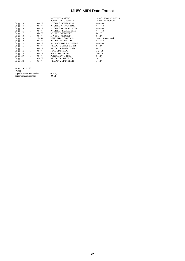|                  |                |           | <b>MONO/POLY MODE</b>                 | 1st bit5 : $0/MONO$ , $1/$ |
|------------------|----------------|-----------|---------------------------------------|----------------------------|
|                  |                |           |                                       |                            |
|                  |                |           | PORTAMENTO SWITCH                     | 1st bit4 : 0/OFF, 1/ON     |
| $3n$ pp $13$ 1   |                | $00 - 7F$ | PITCH EG INITIAL LEVEL                | $-64 - +63$                |
| 3n pp 14 1       |                |           | 00 - 7F PITCH EG ATTACK TIME          | $-64 - +63$                |
| 3n pp 15 1       |                |           | 00 - 7F PITCH EG RELEASE LEVEL        | $-64 - +63$                |
| $3n$ pp $16$     | $\sim$ 1       |           | 00 - 7F PITCH EG RELEASE TIME         | $-64 - +63$                |
| 3n pp 17         | $\overline{1}$ |           | 00 - 7F MW LFO PMOD DEPTH             | $0 - 127$                  |
|                  |                |           | 3n pp 18 1 00 - 7F MW LFO FMOD DEPTH  | $0 - 127$                  |
|                  |                |           | 3n pp 19 1 28 - 58 BEND PITCH CONTROL | $-24 - +24$ [semitones]    |
| $3n$ pp $1A$ $1$ |                |           | 00 - 7F AC1 FILTER CONTROL            | $-64 - +63$                |
| $3n$ pp $1B$ $1$ |                |           | 00 - 7F AC1 AMPLITUDE CONTROL         | $-64 - +63$                |
| $3n$ pp $1C$     | $\overline{1}$ |           | 00 - 7F VELOCITY SENSE DEPTH          | $0 - 127$                  |
| $3n$ pp $1D$ $1$ |                |           |                                       | $0 - 127$                  |
| $3n$ pp $1E$     | $\sim$ 1       |           | 00 - 7F NOTE LIMIT LOW                | $C-2 - G8$                 |
| $3n$ pp $1F$     | $\sim$ 1       | $00 - 7F$ | NOTE LIMIT HIGH                       | $C-2 - G8$                 |
| $3n$ pp $20$     | $\overline{1}$ | $00 - 7F$ | PORTAMENTO TIME                       | $0 - 127$                  |
| 3n pp 21 1       |                |           | 01 - 7F VELOCITY LIMIT LOW            | $1 - 127$                  |
| $3n$ pp $22$     | 1              |           |                                       | $1 - 127$                  |
|                  |                |           |                                       |                            |
|                  |                |           |                                       |                            |

| TOTAL SIZE 23              |           |
|----------------------------|-----------|
| [Note]                     |           |
| n: performance part number | $(01-04)$ |
| pp:performance number      | $(00-7F)$ |

NO, 1/POLY<br><sup>7</sup>,1/ON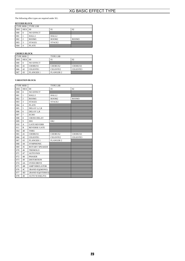The following effect types are required under XG.

# **REVERB BLOCK**

|            |          | <b>TYPE MSB   TYPE LSB</b> |                    |       |
|------------|----------|----------------------------|--------------------|-------|
| <b>DEC</b> | $HEX$ 00 |                            | 01                 | 02    |
| 000        | $\Omega$ | <b>NO EFFECT</b>           |                    |       |
| 001        |          | HALL1                      | HALL <sub>2</sub>  |       |
| 002        | 2        | ROOM1                      | ROOM <sub>2</sub>  | ROOM3 |
| 003        | 3        | STAGE1                     | STAGE <sub>2</sub> |       |
| 004        |          | <b>PLATE</b>               |                    |       |

# **CHORUS BLOCK**

| <b>TYPE MSB</b> |          |                  | <b>TYPE LSB</b>      |                 |
|-----------------|----------|------------------|----------------------|-----------------|
| <b>DEC</b>      | $HEX$ 00 |                  | $^{01}$              | 02              |
| 000             | $\Omega$ | <b>NO EFFECT</b> |                      |                 |
| 065             | 41       | <b>CHORUS1</b>   | <b>CHORUS2</b>       | <b>CHORUS3</b>  |
| 066             | 42       | <b>CELESTE1</b>  | CELESTE <sub>2</sub> | <b>CELESTE3</b> |
| 067             | 43       | <b>FLANGER 1</b> | <b>FLANGER 2</b>     |                 |

# **VARIATION BLOCK**

|      | <b>TYPE MSB</b> |                       | <b>TYPE LSB</b>      |          |
|------|-----------------|-----------------------|----------------------|----------|
| DEC. | <b>HEX</b>      | 0 <sup>0</sup>        | 01                   | 02       |
| 000  | $\theta$        | <b>NO EFFECT</b>      |                      |          |
| 001  | $\mathbf{1}$    | HALL1                 | HALL2                |          |
| 002  | $\overline{c}$  | ROOM1                 | ROOM2                | ROOM3    |
| 003  | 3               | STAGE1                | STAGE2               |          |
| 004  | $\overline{4}$  | <b>PLATE</b>          |                      |          |
| 005  | 5               | DELAY L,C,R           |                      |          |
| 006  | 6               | DELAY L,R             |                      |          |
| 007  | $\overline{7}$  | <b>ECHO</b>           |                      |          |
| 008  | 8               | <b>CROSS DELAY</b>    |                      |          |
| 009  | 9               | ER1                   | ER <sub>2</sub>      |          |
| 010  | A               | <b>GATE REVERB</b>    |                      |          |
| 011  | B               | <b>REVERSE GATE</b>   |                      |          |
| 064  | 40              | <b>THRU</b>           |                      |          |
| 065  | 41              | <b>CHORUS1</b>        | CHORUS2              | CHORUS3  |
| 066  | 42              | <b>CELESTE1</b>       | CELESTE <sub>2</sub> | CELESTE3 |
| 067  | 43              | <b>FLANGER 1</b>      | <b>FLANGER 2</b>     |          |
| 068  | 44              | <b>SYMPHONIC</b>      |                      |          |
| 069  | 45              | <b>ROTARY SPEAKER</b> |                      |          |
| 070  | 46              | <b>TREMOLO</b>        |                      |          |
| 071  | 47              | <b>AUTO PAN</b>       |                      |          |
| 072  | 48              | <b>PHASER</b>         |                      |          |
| 073  | 49              | <b>DISTORTION</b>     |                      |          |
| 074  | 4A              | <b>OVER DRIVE</b>     |                      |          |
| 075  | 4B              | <b>AMP SIMULATOR</b>  |                      |          |
| 076  | 4C              | 3BAND EQ(MONO)        |                      |          |
| 077  | 4D              | 2BAND EQ(STEREO)      |                      |          |
| 078  | 4E              | <b>AUTO WAH(LFO)</b>  |                      |          |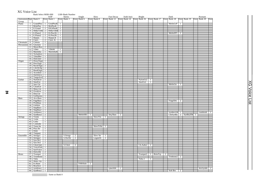# XG Voice List

24

|                       |                     | Bank Select MSB=000   |                  |                           |                | LSB=Bank Number       |                |                       |                |                     |                |            |                |               |                      |                |            |                |            |                |                                                                                                   |              |      |
|-----------------------|---------------------|-----------------------|------------------|---------------------------|----------------|-----------------------|----------------|-----------------------|----------------|---------------------|----------------|------------|----------------|---------------|----------------------|----------------|------------|----------------|------------|----------------|---------------------------------------------------------------------------------------------------|--------------|------|
| Instrument Pgm Bank 0 |                     |                       |                  | <b>KSP</b><br>Elem Bank 1 |                | Stereo<br>Elem Bank 3 |                | Single<br>Elem Bank 6 |                | Slow<br>Elem Bank 8 |                | Fast Decay |                | Double Attack | Bright               |                |            |                | Dark       |                | Elem  Bank 12 Elem  Bank 14 Elem  Bank 16 Elem  Bank 17 Elem  Bank 18 Elem  Bank 19 Elem  Bank 20 | Rsonant      | Elem |
| Group                 |                     |                       |                  |                           |                |                       |                |                       |                |                     |                |            |                |               |                      |                |            |                |            |                |                                                                                                   |              |      |
| Piano                 | 1                   | GrandPno 1            |                  | GrndProof 1               |                |                       |                |                       |                |                     |                |            |                |               |                      |                |            |                | MelloGrP   | $\overline{1}$ |                                                                                                   |              |      |
|                       | $\overline{2}$      | <b>BritePno</b>       | $\top$           | <b>BritPnoK</b>           | $\overline{1}$ |                       |                |                       |                |                     |                |            |                |               |                      |                |            |                |            |                |                                                                                                   |              |      |
|                       | 3                   | E.Grand               | $\overline{2}$   | ElGrPnoK 2                |                |                       |                |                       |                |                     |                |            |                |               |                      |                |            |                |            |                |                                                                                                   |              |      |
|                       | $\overline{4}$      | HnkyTonk <sub>2</sub> |                  | HnkyTnkK <sub>2</sub>     |                |                       |                |                       |                |                     |                |            |                |               |                      |                |            |                |            |                |                                                                                                   |              |      |
|                       | $\overline{5}$      | E.Piano1              | $\frac{2}{2}$    | $ELPnolK$ $1$             |                |                       |                |                       |                |                     |                |            |                |               |                      |                |            |                | MelloEP1   | $\overline{2}$ |                                                                                                   |              |      |
|                       | $6-$                | E.Piano2              |                  | El.Pno2K                  | Τ              |                       |                |                       |                |                     |                |            |                |               |                      |                |            |                |            |                |                                                                                                   |              |      |
|                       | $\overline{\tau}$   | Harpsi.               | $\overline{1}$   | Harpsi.K                  | -1             |                       |                |                       |                |                     |                |            |                |               |                      |                |            |                |            |                |                                                                                                   |              |      |
|                       | 8                   | Clavi.                | $\overline{2}$   | Clavi. K                  | 1              |                       |                |                       |                |                     |                |            |                |               |                      |                |            |                |            |                |                                                                                                   |              |      |
| Chromatic             | $\overline{9}$      | Celesta               | T                |                           |                |                       |                |                       |                |                     |                |            |                |               |                      |                |            |                |            |                |                                                                                                   |              |      |
| Percussion            | 10                  | Glocken               | T                |                           |                |                       |                |                       |                |                     |                |            |                |               |                      |                |            |                |            |                |                                                                                                   |              |      |
|                       | $\overline{\rm II}$ | MusicBox              | $\overline{2}$   |                           |                |                       |                |                       |                |                     |                |            |                |               |                      |                |            |                |            |                |                                                                                                   |              |      |
|                       | 12 <sub>1</sub>     | Vibes                 | $\top$           | VibesK                    | -1             |                       |                |                       |                |                     |                |            |                |               |                      |                |            |                |            |                |                                                                                                   |              |      |
|                       | 13                  | Marimba               | T                | MarimbaK 1                |                |                       |                |                       |                |                     |                |            |                |               |                      |                |            |                |            |                |                                                                                                   |              |      |
|                       | 14                  | Xylophon              | $\top$           |                           |                |                       |                |                       |                |                     |                |            |                |               |                      |                |            |                |            |                |                                                                                                   |              |      |
|                       |                     | 15 TubulBel           | T                |                           |                |                       |                |                       |                |                     |                |            |                |               |                      |                |            |                |            |                |                                                                                                   |              |      |
|                       |                     | 16 Dulcimer           | ┱                |                           |                |                       |                |                       |                |                     |                |            |                |               |                      |                |            |                |            |                |                                                                                                   |              |      |
| Organ                 |                     | 17 DrawOrgn 1         |                  |                           |                |                       |                |                       |                |                     |                |            |                |               |                      |                |            |                |            |                |                                                                                                   |              |      |
|                       |                     | 18 PercOrgn           | T                |                           |                |                       |                |                       |                |                     |                |            |                |               |                      |                |            |                |            |                |                                                                                                   |              |      |
|                       |                     | 19 RockOrgn           | $\frac{2}{2}$    |                           |                |                       |                |                       |                |                     |                |            |                |               |                      |                |            |                |            |                |                                                                                                   |              |      |
|                       | 20 <sub>1</sub>     | ChrchOrg              |                  |                           |                |                       |                |                       |                |                     |                |            |                |               |                      |                |            |                |            |                |                                                                                                   |              |      |
|                       | 21                  | ReedOrgn              |                  |                           |                |                       |                |                       |                |                     |                |            |                |               |                      |                |            |                |            |                |                                                                                                   |              |      |
|                       | 22                  | Acordion              | 2                |                           |                |                       |                |                       |                |                     |                |            |                |               |                      |                |            |                |            |                |                                                                                                   |              |      |
|                       |                     | 23 Harmnica           | T                |                           |                |                       |                |                       |                |                     |                |            |                |               |                      |                |            |                |            |                |                                                                                                   |              |      |
|                       |                     | 24 TangoAcd 2         |                  |                           |                |                       |                |                       |                |                     |                |            |                |               |                      |                |            |                |            |                |                                                                                                   |              |      |
| Guitar                | 25                  | NylonGtr              | T                |                           |                |                       |                |                       |                |                     |                |            |                |               | NylonGt2             | -1             |            |                |            |                |                                                                                                   |              |      |
|                       | 26                  | SteelGtr              | $\top$           |                           |                |                       |                |                       |                |                     |                |            |                |               | SteelGt <sub>2</sub> | T              |            |                |            |                |                                                                                                   |              |      |
|                       |                     | 27 Jazz Gtr           | T                |                           |                |                       |                |                       |                |                     |                |            |                |               |                      |                |            |                | MelloGtr   | -1             |                                                                                                   |              |      |
|                       |                     | 28 CleanGtr           | 1                |                           |                |                       |                |                       |                |                     |                |            |                |               |                      |                |            |                |            |                |                                                                                                   |              |      |
|                       |                     | 29 Mute.Gtr           | $\overline{1}$   |                           |                |                       |                |                       |                |                     |                |            |                |               |                      |                |            |                |            |                |                                                                                                   |              |      |
|                       | 30 <sup>1</sup>     | Ovrdrive              | $\top$           |                           |                |                       |                |                       |                |                     |                |            |                |               |                      |                |            |                |            |                |                                                                                                   |              |      |
|                       | 31<br>32            | Dist.Gtr<br>GtrHarmo  | $\overline{1}$   |                           |                |                       |                |                       |                |                     |                |            |                |               |                      |                |            |                |            |                |                                                                                                   |              |      |
| <b>Bass</b>           | 33                  | Aco.Bass              | $\top$<br>$\top$ |                           |                |                       |                |                       |                |                     |                |            |                |               |                      |                |            |                |            |                |                                                                                                   |              |      |
|                       |                     | 34 FngrBass           | $\top$           |                           |                |                       |                |                       |                |                     |                |            |                |               |                      |                |            |                | FingrDrk   | 2              |                                                                                                   |              |      |
|                       |                     | 35 PickBass           | $\overline{1}$   |                           |                |                       |                |                       |                |                     |                |            |                |               |                      |                |            |                |            |                |                                                                                                   |              |      |
|                       |                     | 36 Fretless           | $\mathbf{1}$     |                           |                |                       |                |                       |                |                     |                |            |                |               |                      |                |            |                |            |                |                                                                                                   |              |      |
|                       |                     | 37 SlapBas1           | $\top$           |                           |                |                       |                |                       |                |                     |                |            |                |               |                      |                |            |                |            |                |                                                                                                   |              |      |
|                       |                     | 38 SlapBas2           | T                |                           |                |                       |                |                       |                |                     |                |            |                |               |                      |                |            |                |            |                |                                                                                                   |              |      |
|                       |                     | 39 SynBass1           | T                |                           |                |                       |                |                       |                |                     |                |            |                |               |                      |                |            |                | SynBa1Dk 1 |                |                                                                                                   | FastResB     | ℸ    |
|                       | 40                  | SynBass2              | $\overline{2}$   |                           |                |                       |                | MelloSB1 1            |                |                     |                | Seq Bass   | $\overline{2}$ |               |                      |                |            |                |            |                | $C$ kSynBa 2 SynBa2Dk 1                                                                           |              |      |
| <b>Strings</b>        | 41                  | Violin                | $\overline{1}$   |                           |                |                       |                |                       |                | SlowVln             | 1              |            |                |               |                      |                |            |                |            |                |                                                                                                   |              |      |
|                       | 42                  | Viola                 | 1                |                           |                |                       |                |                       |                |                     |                |            |                |               |                      |                |            |                |            |                |                                                                                                   |              |      |
|                       | 43                  | Cello                 | $\mathbf{1}$     |                           |                |                       |                |                       |                |                     |                |            |                |               |                      |                |            |                |            |                |                                                                                                   |              |      |
|                       | 44                  | Contrabs              | T                |                           |                |                       |                |                       |                |                     |                |            |                |               |                      |                |            |                |            |                |                                                                                                   |              |      |
|                       | 45                  | Trem.Str              | T                |                           |                |                       |                |                       |                | SlowTrStr           | $\mathbf{1}$   |            |                |               |                      |                |            |                |            |                |                                                                                                   |              |      |
|                       | 46                  | Pizz.Str              | T                |                           |                |                       |                |                       |                |                     |                |            |                |               |                      |                |            |                |            |                |                                                                                                   |              |      |
|                       | 47                  | Harp                  | $\top$           |                           |                |                       |                |                       |                |                     |                |            |                |               |                      |                |            |                |            |                |                                                                                                   |              |      |
|                       | 48                  | Timpani               | 1                |                           |                |                       |                |                       |                |                     |                |            |                |               |                      |                |            |                |            |                |                                                                                                   |              |      |
| Ensemble              | 49                  | Strings1              | $\overline{1}$   |                           |                | S.Strngs              | $\overline{2}$ |                       |                | Slow Str            | $\overline{1}$ |            |                |               |                      |                |            |                |            |                |                                                                                                   |              |      |
|                       | 50                  | Strings2              | $\top$           |                           |                | S.SlwStr              | $\overline{2}$ |                       |                | LegatoSt            | $\overline{2}$ |            |                |               |                      |                |            |                |            |                |                                                                                                   |              |      |
|                       | 51                  | Syn.Str1              | $\overline{2}$   |                           |                |                       |                |                       |                |                     |                |            |                |               |                      |                |            |                |            |                |                                                                                                   |              |      |
|                       | 52                  | Syn.Str2              | $\overline{2}$   |                           |                |                       |                |                       |                |                     |                |            |                |               |                      |                |            |                |            |                |                                                                                                   |              |      |
|                       | 53                  | ChoirAah              | T                |                           |                | S.Choir               | $\overline{2}$ |                       |                |                     |                |            |                |               | Ch.Aahs2             | $\overline{2}$ |            |                |            |                |                                                                                                   |              |      |
|                       | 54                  | VoiceOoh              | T                |                           |                |                       |                |                       |                |                     |                |            |                |               |                      |                |            |                |            |                |                                                                                                   |              |      |
|                       | 55                  | SynVoice              | $\overline{1}$   |                           |                |                       |                |                       |                |                     |                |            |                |               |                      |                |            |                |            |                |                                                                                                   |              |      |
|                       | 56                  | Orch.Hit              | $\overline{2}$   |                           |                |                       |                |                       |                |                     |                |            |                |               |                      |                |            |                |            |                |                                                                                                   |              |      |
| <b>Brass</b>          | 57                  | Trumpet               | $\mathbf{1}$     |                           |                |                       |                |                       |                |                     |                |            |                |               | Trumpet2             |                | 1 BriteTrp | $\overline{2}$ |            |                |                                                                                                   |              |      |
|                       |                     | 58 Trombone           | $\top$           |                           |                |                       |                |                       |                |                     |                |            |                |               |                      |                |            |                | Trmbone222 |                |                                                                                                   |              |      |
|                       |                     | 59 Tuba               | T                |                           |                |                       |                |                       |                |                     |                |            |                |               | Tuba 2               | T              |            |                |            |                |                                                                                                   |              |      |
|                       |                     | 60 Mute.Trp           | $\top$           |                           |                |                       |                |                       |                |                     |                |            |                |               |                      |                |            |                |            |                |                                                                                                   |              |      |
|                       | 61                  | Fr.Horn               | T                |                           |                |                       |                | FrHrSolo              | $\overline{2}$ |                     |                |            |                |               |                      |                |            |                |            |                |                                                                                                   |              |      |
|                       | 62                  | <b>BrasSect</b>       | $\top$           |                           |                |                       |                |                       |                |                     |                |            |                |               |                      |                |            |                |            |                |                                                                                                   |              |      |
|                       |                     | 63 SynBras1           | $\overline{2}$   |                           |                |                       |                |                       |                |                     |                | QuackBr    | 2              |               |                      |                |            |                |            |                |                                                                                                   | $RezSynBr$ 2 |      |
|                       |                     | 64 SynBras2 1         |                  |                           |                |                       |                |                       |                |                     |                |            |                |               |                      |                |            |                | Soft Brs   | 2              |                                                                                                   |              |      |

: Same as Bank 0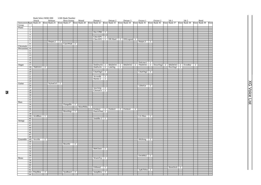|                        |                                    | Bank Select MSB=000 |                |              |                | LSB=Bank Number       |                |              |    |                         |                                  |                         |   |                                               |                |                                                           |                |              |              |                |              |                |              |      |
|------------------------|------------------------------------|---------------------|----------------|--------------|----------------|-----------------------|----------------|--------------|----|-------------------------|----------------------------------|-------------------------|---|-----------------------------------------------|----------------|-----------------------------------------------------------|----------------|--------------|--------------|----------------|--------------|----------------|--------------|------|
|                        |                                    | Attack              |                | Release      |                | Rezo Sweep            |                | Muted        |    | Detune 1                |                                  | Detune 2                |   | Detune 3                                      |                | Octave 1                                                  |                | Octave 2     | 5th 1        |                | 5th2         |                | Bend         |      |
| Instrument Pgm Bank 24 |                                    |                     |                | Elem Bank 25 |                | Elem Bank 27          |                | Elem Bank 28 |    | Elem Bank 32            |                                  | Elem Bank 33            |   | Elem Bank 34                                  |                | Elem Bank 35                                              |                | Elem Bank 36 | Elem Bank 37 |                | Elem Bank 38 |                | Elem Bank 39 | Elem |
| Group<br>Piano         | $\top$                             |                     |                |              |                |                       |                |              |    |                         |                                  |                         |   |                                               |                |                                                           |                |              |              |                |              |                |              |      |
|                        | $\overline{c}$                     |                     |                |              |                |                       |                |              |    |                         |                                  |                         |   |                                               |                |                                                           |                |              |              |                |              |                |              |      |
|                        | $\overline{3}$                     |                     |                |              |                |                       |                |              |    | Det.CP80 2              |                                  |                         |   |                                               |                |                                                           |                |              |              |                |              |                |              |      |
|                        | $\overline{4}$                     |                     |                |              |                |                       |                |              |    |                         |                                  |                         |   |                                               |                |                                                           |                |              |              |                |              |                |              |      |
|                        | $\overline{5}$                     |                     |                |              |                |                       |                |              |    |                         |                                  |                         |   | Chor.EP1 2<br>Chor.EP2 2 DX Hard 2 DXLegend 2 |                |                                                           |                |              |              |                |              |                |              |      |
|                        | $\overline{6}$                     |                     |                |              |                |                       |                |              |    |                         |                                  |                         |   |                                               |                |                                                           |                |              |              |                |              |                |              |      |
|                        | $\tau$                             |                     |                | Harpsi.2     | $\overline{2}$ |                       |                |              |    |                         |                                  |                         |   |                                               |                | Harpsi.3                                                  | $\overline{2}$ |              |              |                |              |                |              |      |
|                        | $\overline{\mathbf{8}}$            |                     |                |              |                | ClaviWah <sup>1</sup> | $\overline{2}$ |              |    |                         |                                  |                         |   |                                               |                |                                                           |                |              |              |                |              |                |              |      |
| Chromatic              | 9<br>$\overline{10}$               |                     |                |              |                |                       |                |              |    |                         |                                  |                         |   |                                               |                |                                                           |                |              |              |                |              |                |              |      |
| Percussion             | 11                                 |                     |                |              |                |                       |                |              |    |                         |                                  |                         |   |                                               |                |                                                           |                |              |              |                |              |                |              |      |
|                        | 12                                 |                     |                |              |                |                       |                |              |    |                         |                                  |                         |   |                                               |                |                                                           |                |              |              |                |              |                |              |      |
|                        | $\overline{13}$                    |                     |                |              |                |                       |                |              |    |                         |                                  |                         |   |                                               |                |                                                           |                |              |              |                |              |                |              |      |
|                        | 14                                 |                     |                |              |                |                       |                |              |    |                         |                                  |                         |   |                                               |                |                                                           |                |              |              |                |              |                |              |      |
|                        | 15                                 |                     |                |              |                |                       |                |              |    |                         |                                  |                         |   |                                               |                |                                                           |                |              |              |                |              |                |              |      |
|                        | 16                                 |                     |                |              |                |                       |                |              |    |                         |                                  |                         |   |                                               |                |                                                           |                |              |              |                |              |                |              |      |
| Organ                  | 17                                 |                     |                |              |                |                       |                |              |    |                         |                                  | $DetDrwOr$ 2 60sDrOr1 2 |   |                                               |                | Dulcimr2 2<br>60sDrOr2 2 70sDrOr1 2 DrawOrg2 2 60sDrOr3 2 |                |              |              |                | EvenBar      | $\overline{2}$ |              |      |
|                        | 18                                 | 70sPcOr1            | $\overline{2}$ |              |                |                       |                |              |    | DetPrcOr 2 LiteOrg      |                                  |                         | 2 |                                               |                |                                                           |                |              | PercOrg2     | $\overline{2}$ |              |                |              |      |
|                        | 19                                 |                     |                |              |                |                       |                |              |    |                         |                                  |                         |   |                                               |                |                                                           |                |              |              |                |              |                |              |      |
|                        | $\overline{20}$                    |                     |                |              |                |                       |                |              |    | $ChurOrg3$ 2            |                                  |                         |   |                                               |                | $ChurOrg2$ 2                                              |                |              |              |                |              |                |              |      |
|                        | 21                                 |                     |                |              |                |                       |                |              |    |                         |                                  |                         |   |                                               |                |                                                           |                |              |              |                |              |                |              |      |
|                        | $\overline{22}$<br>$\overline{23}$ |                     |                |              |                |                       |                |              |    | AccordIt                | $\overline{2}$<br>$\overline{2}$ |                         |   |                                               |                |                                                           |                |              |              |                |              |                |              |      |
|                        | 24                                 |                     |                |              |                |                       |                |              |    | Harmo 2                 |                                  |                         |   |                                               |                |                                                           |                |              |              |                |              |                |              |      |
| Guitar                 | 25                                 |                     |                | $NylonGt3$ 2 |                |                       |                |              |    |                         |                                  |                         |   |                                               |                |                                                           |                |              |              |                |              |                |              |      |
|                        | $\overline{26}$                    |                     |                |              |                |                       |                |              |    |                         |                                  |                         |   |                                               |                | 12StrGtr                                                  | $\overline{2}$ |              |              |                |              |                |              |      |
|                        | 27                                 |                     |                |              |                |                       |                |              |    | JazzAmp                 | $\overline{2}$                   |                         |   |                                               |                |                                                           |                |              |              |                |              |                |              |      |
|                        | $\overline{28}$                    |                     |                |              |                |                       |                |              |    | ChorusGt                | $\overline{2}$                   |                         |   |                                               |                |                                                           |                |              |              |                |              |                |              |      |
|                        | $\overline{29}$                    |                     |                |              |                |                       |                |              |    |                         |                                  |                         |   |                                               |                |                                                           |                |              |              |                |              |                |              |      |
|                        | 30                                 |                     |                |              |                |                       |                |              |    |                         |                                  |                         |   |                                               |                |                                                           |                |              |              |                |              |                |              |      |
|                        | 31                                 |                     |                |              |                |                       |                |              |    |                         |                                  |                         |   |                                               |                |                                                           |                |              |              |                |              |                |              |      |
|                        | $\overline{32}$                    |                     |                |              |                |                       |                |              |    |                         |                                  |                         |   |                                               |                |                                                           |                |              |              |                |              |                |              |      |
| <b>Bass</b>            | $\overline{33}$                    |                     |                |              |                |                       |                |              |    |                         |                                  |                         |   |                                               |                |                                                           |                |              |              |                |              |                |              |      |
|                        | $\overline{34}$                    |                     |                |              |                | $FlangeBa$ $2$        |                |              |    |                         |                                  |                         |   |                                               |                |                                                           |                |              |              |                |              |                |              |      |
|                        | $\overline{35}$                    |                     |                |              |                |                       |                | MutePkBa     | -1 |                         |                                  |                         |   |                                               |                |                                                           |                |              |              |                |              |                |              |      |
|                        | 36<br>37                           |                     |                |              |                | ResoSlap              | $\top$         |              |    | Fretles2<br>PunchThm 2  | $\overline{2}$                   | Fretles3                |   | 2 Fretles4                                    | $\overline{2}$ |                                                           |                |              |              |                |              |                |              |      |
|                        | $\overline{38}$                    |                     |                |              |                |                       |                |              |    |                         |                                  |                         |   |                                               |                |                                                           |                |              |              |                |              |                |              |      |
|                        |                                    | 39 AcidBass         | T              |              |                |                       |                |              |    |                         |                                  |                         |   |                                               |                | Clv Bass                                                  | $\overline{2}$ |              |              |                |              |                |              |      |
|                        | 40                                 |                     |                |              |                |                       |                |              |    | SmthBa $2 \overline{2}$ |                                  |                         |   |                                               |                |                                                           |                |              |              |                |              |                |              |      |
| <b>Strings</b>         | 41                                 |                     |                |              |                |                       |                |              |    |                         |                                  |                         |   |                                               |                |                                                           |                |              |              |                |              |                |              |      |
|                        | 42                                 |                     |                |              |                |                       |                |              |    |                         |                                  |                         |   |                                               |                |                                                           |                |              |              |                |              |                |              |      |
|                        | 43                                 |                     |                |              |                |                       |                |              |    |                         |                                  |                         |   |                                               |                |                                                           |                |              |              |                |              |                |              |      |
|                        | 44                                 |                     |                |              |                |                       |                |              |    |                         |                                  |                         |   |                                               |                |                                                           |                |              |              |                |              |                |              |      |
|                        | 45                                 |                     |                |              |                |                       |                |              |    |                         |                                  |                         |   |                                               |                |                                                           |                |              |              |                |              |                |              |      |
|                        | 46                                 |                     |                |              |                |                       |                |              |    |                         |                                  |                         |   |                                               |                |                                                           |                |              |              |                |              |                |              |      |
|                        | 47<br>48                           |                     |                |              |                |                       |                |              |    |                         |                                  |                         |   |                                               |                |                                                           |                |              |              |                |              |                |              |      |
| Ensemble               | 49                                 | ArcoStr             | $\overline{2}$ |              |                |                       |                |              |    |                         |                                  |                         |   |                                               |                | 60sStrng                                                  | $\overline{2}$ |              |              |                |              |                |              |      |
|                        | 50                                 |                     |                |              |                |                       |                |              |    |                         |                                  |                         |   |                                               |                |                                                           |                |              |              |                |              |                |              |      |
|                        | 51                                 |                     |                |              |                | ResoStr               | $\overline{2}$ |              |    |                         |                                  |                         |   |                                               |                |                                                           |                |              |              |                |              |                |              |      |
|                        | $\overline{52}$                    |                     |                |              |                |                       |                |              |    |                         |                                  |                         |   |                                               |                |                                                           |                |              |              |                |              |                |              |      |
|                        | 53                                 |                     |                |              |                |                       |                |              |    | MelChoir                | $\overline{2}$                   |                         |   |                                               |                |                                                           |                |              |              |                |              |                |              |      |
|                        | 54                                 |                     |                |              |                |                       |                |              |    |                         |                                  |                         |   |                                               |                |                                                           |                |              |              |                |              |                |              |      |
|                        | $\overline{55}$                    |                     |                |              |                |                       |                |              |    |                         |                                  |                         |   |                                               |                |                                                           |                |              |              |                |              |                |              |      |
|                        | 56                                 |                     |                |              |                |                       |                |              |    |                         |                                  |                         |   |                                               |                | OrchHit2                                                  | $\overline{2}$ |              |              |                |              |                |              |      |
| <b>Brass</b>           | 57                                 |                     |                |              |                |                       |                |              |    | WarmTrp                 | $\overline{2}$                   |                         |   |                                               |                |                                                           |                |              |              |                |              |                |              |      |
|                        | 58                                 |                     |                |              |                |                       |                |              |    |                         |                                  |                         |   |                                               |                |                                                           |                |              |              |                |              |                |              |      |
|                        | 59                                 |                     |                |              |                |                       |                |              |    |                         |                                  |                         |   |                                               |                |                                                           |                |              |              |                |              |                |              |      |
|                        | 60                                 |                     |                |              |                |                       |                |              |    |                         |                                  |                         |   |                                               |                |                                                           |                |              | HornOrch     |                |              |                |              |      |
|                        | 61<br>62                           |                     |                |              |                |                       |                |              |    | FrHorn2                 | -1                               |                         |   |                                               |                | Tp&TbSec 2                                                |                |              |              | $\overline{2}$ |              |                |              |      |
|                        |                                    | 63 PolyBrss         | $\overline{2}$ |              |                | SynBras3              | $\overline{2}$ |              |    | JumpBrss                | $\overline{2}$                   |                         |   |                                               |                |                                                           |                |              |              |                |              |                |              |      |
|                        | 64                                 |                     |                |              |                |                       |                |              |    |                         |                                  |                         |   |                                               |                |                                                           |                |              |              |                |              |                |              |      |
|                        |                                    |                     |                |              |                |                       |                |              |    |                         |                                  |                         |   |                                               |                |                                                           |                |              |              |                |              |                |              |      |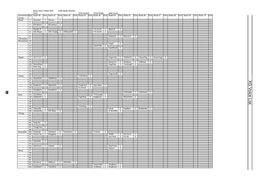|                        |                                           | Bank Select MSB=000                |                |                                  |                | LSB=Bank Number                                     |                |              |                |                                                             |                |                     |                                  |                    |                      |              |                |              |              |              |              |      |
|------------------------|-------------------------------------------|------------------------------------|----------------|----------------------------------|----------------|-----------------------------------------------------|----------------|--------------|----------------|-------------------------------------------------------------|----------------|---------------------|----------------------------------|--------------------|----------------------|--------------|----------------|--------------|--------------|--------------|--------------|------|
| Instrument Pgm Bank 40 |                                           | Tutti                              |                | Elem Bank 41                     |                | Elem Bank 42 Elem Bank 43 Elem Bank 45 Elem Bank 64 |                | Velo-Switch  |                | Velo-Xfade                                                  |                | other wave          |                                  | Elem Bank 65       |                      | Elem Bank 66 |                | Elem Bank 67 | Elem Bank 68 | Elem Bank 69 | Elem Bank 70 | Elem |
| Group                  |                                           |                                    |                |                                  |                |                                                     |                |              |                |                                                             |                |                     |                                  |                    |                      |              |                |              |              |              |              |      |
| Piano                  | -1                                        | PianoStr                           |                | 2 Dream                          | $\overline{2}$ |                                                     |                |              |                |                                                             |                |                     |                                  |                    |                      |              |                |              |              |              |              |      |
|                        | $\overline{2}$<br>$\overline{\mathbf{3}}$ |                                    |                | ElGrPno1 2 ElGrPno2              | $\overline{2}$ |                                                     |                |              |                |                                                             |                |                     |                                  |                    |                      |              |                |              |              |              |              |      |
|                        | $\overline{4}$                            |                                    |                |                                  |                |                                                     |                |              |                |                                                             |                |                     |                                  |                    |                      |              |                |              |              |              |              |      |
|                        | $\overline{5}$                            | HardEl.P                           | $\overline{2}$ |                                  |                |                                                     |                |              |                | VX El.P1   $2$   60sEl.P                                    |                |                     | $\mathbf{1}$                     |                    |                      |              |                |              |              |              |              |      |
|                        | $\overline{6}$                            |                                    |                | DX Phase 2 DX+Analg 2 DXKotoEP 2 |                |                                                     |                |              |                | $VX$ El.P2 $\begin{array}{ c c c }\n\hline\n2\n\end{array}$ |                |                     |                                  |                    |                      |              |                |              |              |              |              |      |
|                        | 7<br>8                                    |                                    |                |                                  |                |                                                     |                |              |                |                                                             |                | PulseClv            |                                  | 1 PierceCl         | 2                    |              |                |              |              |              |              |      |
| Chromatic              | 9                                         |                                    |                |                                  |                |                                                     |                |              |                |                                                             |                |                     |                                  |                    |                      |              |                |              |              |              |              |      |
| Percussion             | 10                                        |                                    |                |                                  |                |                                                     |                |              |                |                                                             |                |                     |                                  |                    |                      |              |                |              |              |              |              |      |
|                        | 11                                        |                                    |                |                                  |                |                                                     |                |              |                |                                                             |                | Orgel               | $\overline{2}$                   |                    |                      |              |                |              |              |              |              |      |
|                        | 12<br>13                                  |                                    |                |                                  |                |                                                     |                |              |                | HardVibe 2                                                  |                | SineMrmb 2          |                                  |                    |                      |              |                |              |              |              |              |      |
|                        | 14                                        |                                    |                |                                  |                |                                                     |                |              |                |                                                             |                |                     |                                  |                    |                      |              |                |              |              |              |              |      |
|                        | $\overline{15}$                           |                                    |                |                                  |                |                                                     |                |              |                |                                                             |                |                     |                                  |                    |                      |              |                |              |              |              |              |      |
|                        | 16                                        |                                    |                |                                  |                |                                                     |                |              |                |                                                             |                |                     |                                  |                    |                      |              |                |              |              |              |              |      |
| Organ                  | 17 <sup>1</sup><br>18                     | $16+2"2/3$                         | $\overline{2}$ |                                  |                |                                                     |                |              |                |                                                             |                | Organ Ba            | $\mathbf{1}$                     | 70sDrOr2           | $\overline{2}$       | CheezOrg     | $\overline{2}$ | $DrawOrg3$ 2 |              |              |              |      |
|                        | 19                                        |                                    |                |                                  |                |                                                     |                |              |                |                                                             |                | RotaryOr            |                                  | 2 SloRotar 2       |                      | FstRotar     | $\overline{2}$ |              |              |              |              |      |
|                        |                                           | 20 NotreDam 2                      |                |                                  |                |                                                     |                |              |                |                                                             |                | OrgFlute            |                                  | 2 $TrmOrgFl$ 2     |                      |              |                |              |              |              |              |      |
|                        |                                           | 21 Puff Org                        | $\overline{2}$ |                                  |                |                                                     |                |              |                |                                                             |                |                     |                                  |                    |                      |              |                |              |              |              |              |      |
|                        | $\overline{22}$                           |                                    |                |                                  |                |                                                     |                |              |                |                                                             |                |                     |                                  |                    |                      |              |                |              |              |              |              |      |
|                        | 23<br>24                                  |                                    |                |                                  |                |                                                     |                |              |                |                                                             |                | TngoAcd2            | $\overline{2}$                   |                    |                      |              |                |              |              |              |              |      |
| Guitar                 | 25                                        |                                    |                |                                  |                |                                                     |                | $VelGtHrm$ 2 |                |                                                             |                |                     |                                  |                    |                      |              |                |              |              |              |              |      |
|                        |                                           |                                    |                | 26 Nyln&Stl 2 Stl&Body           | 2              |                                                     |                |              |                |                                                             |                |                     |                                  |                    |                      |              |                |              |              |              |              |      |
|                        | 27                                        |                                    |                |                                  |                |                                                     |                |              |                |                                                             |                |                     |                                  |                    |                      |              |                |              |              |              |              |      |
|                        | $\overline{28}$                           |                                    |                |                                  |                |                                                     |                |              |                |                                                             |                |                     |                                  |                    |                      |              |                |              |              |              |              |      |
|                        | 30                                        |                                    |                | 29   FunkGtr1   2   MuteStlG   2 |                |                                                     |                | Gt.Pinch     | $\overline{2}$ | FunkGtr2   2   Jazz Man   1                                 |                |                     |                                  |                    |                      |              |                |              |              |              |              |      |
|                        |                                           |                                    |                | 31 FeedbkGt 2 FeedbGt2           | $\overline{2}$ |                                                     |                |              |                |                                                             |                |                     |                                  |                    |                      |              |                |              |              |              |              |      |
|                        | 32                                        |                                    |                |                                  |                |                                                     |                |              |                |                                                             |                |                     |                                  | GtFeedbk           | $\mathbf{1}$         | GtrHrmo2     |                |              |              |              |              |      |
| <b>Bass</b>            |                                           | 33 JazzRthm 2                      |                |                                  |                |                                                     |                |              |                | VXUprght 2                                                  |                |                     |                                  |                    |                      |              |                |              |              |              |              |      |
|                        | 35                                        | 34 Ba&DstEG 2                      |                |                                  |                |                                                     |                |              |                | $FngrSlap$ 2 $FngBass2$ 2                                   |                |                     |                                  | ModAlem            | $\overline{2}$       |              |                |              |              |              |              |      |
|                        | 36                                        |                                    |                |                                  |                |                                                     |                |              |                |                                                             |                |                     |                                  |                    |                      |              |                |              |              |              |              |      |
|                        | $\overline{37}$                           |                                    |                |                                  |                |                                                     |                |              |                |                                                             |                |                     |                                  |                    |                      |              |                |              |              |              |              |      |
|                        | 38                                        |                                    |                |                                  |                |                                                     |                | VeloSlap     | 2              |                                                             |                |                     |                                  |                    |                      |              |                |              |              |              |              |      |
|                        | 40                                        | 39 TeknoBa 2<br>ModulrBa 2 DX Bass |                |                                  | $\overline{2}$ |                                                     |                |              |                |                                                             |                | Oscar<br>X WireBa   | $\overline{2}$<br>$\overline{2}$ | <b>SqrBass</b>     |                      | 2 RubberBa   | $\overline{2}$ |              |              |              |              |      |
| Strings                | 41                                        |                                    |                |                                  |                |                                                     |                |              |                |                                                             |                |                     |                                  |                    |                      |              |                |              |              |              |              |      |
|                        | 42                                        |                                    |                |                                  |                |                                                     |                |              |                |                                                             |                |                     |                                  |                    |                      |              |                |              |              |              |              |      |
|                        | 43                                        |                                    |                |                                  |                |                                                     |                |              |                |                                                             |                |                     |                                  |                    |                      |              |                |              |              |              |              |      |
|                        | 44                                        |                                    | $\overline{2}$ |                                  |                |                                                     |                |              |                |                                                             |                |                     |                                  |                    |                      |              |                |              |              |              |              |      |
|                        | 46                                        | 45 Susp Str                        |                |                                  |                |                                                     |                |              |                |                                                             |                |                     |                                  |                    |                      |              |                |              |              |              |              |      |
|                        |                                           | 47 YangChin 2                      |                |                                  |                |                                                     |                |              |                |                                                             |                |                     |                                  |                    |                      |              |                |              |              |              |              |      |
|                        | 48                                        |                                    |                |                                  |                |                                                     |                |              |                |                                                             |                |                     |                                  |                    |                      |              |                |              |              |              |              |      |
| Ensemble               |                                           | 49 Orchestr 2 Orchstr2             |                |                                  | $\overline{2}$ | TremOrch 2                                          |                |              |                | VeloStr                                                     | $\overline{2}$ |                     |                                  |                    |                      |              |                |              |              |              |              |      |
|                        | 50<br>51                                  |                                    |                | Warm Str 2 Kingdom               | 2              |                                                     |                |              |                |                                                             |                | 70sStr<br>Syn Str4  | $\mathbf{1}$<br>$\overline{2}$   | Str Ens3<br>SS Str | -1<br>$\overline{2}$ |              |                |              |              |              |              |      |
|                        | $\overline{52}$                           |                                    |                |                                  |                |                                                     |                |              |                |                                                             |                |                     |                                  |                    |                      |              |                |              |              |              |              |      |
|                        |                                           | 53 ChoirStr                        | $\overline{2}$ |                                  |                |                                                     |                |              |                |                                                             |                |                     |                                  |                    |                      |              |                |              |              |              |              |      |
|                        | 54                                        |                                    |                |                                  |                |                                                     |                |              |                |                                                             |                |                     |                                  |                    |                      |              |                |              |              |              |              |      |
|                        | 55                                        | $SynVox2$ 2 Choral                 |                |                                  | $\overline{2}$ |                                                     |                |              |                |                                                             |                | AnaVoice            | $\mathbf{1}$                     |                    |                      |              |                |              |              |              |              |      |
| <b>Brass</b>           | 56<br>57                                  |                                    |                |                                  |                |                                                     |                |              |                |                                                             |                | Impact              | 2                                |                    |                      |              |                |              |              |              |              |      |
|                        | 58                                        |                                    |                |                                  |                |                                                     |                |              |                |                                                             |                |                     |                                  |                    |                      |              |                |              |              |              |              |      |
|                        | 59                                        |                                    |                |                                  |                |                                                     |                |              |                |                                                             |                |                     |                                  |                    |                      |              |                |              |              |              |              |      |
|                        | 60                                        |                                    |                |                                  |                |                                                     |                |              |                |                                                             |                |                     |                                  |                    |                      |              |                |              |              |              |              |      |
|                        | 61                                        | 62 BrssSec2 2 HiBrass              |                |                                  |                | 2 MelloBrs                                          | $\overline{2}$ |              |                |                                                             |                |                     |                                  |                    |                      |              |                |              |              |              |              |      |
|                        | 63                                        |                                    |                |                                  |                |                                                     |                |              |                |                                                             |                | AnaVelBr 2 AnaBrss1 | $\overline{2}$                   |                    |                      |              |                |              |              |              |              |      |
|                        |                                           |                                    |                | 64 SynBras4 2 ChorBrss 2         |                |                                                     |                |              |                |                                                             |                | VelBras2 2 AnaBrss2 | $\overline{2}$                   |                    |                      |              |                |              |              |              |              |      |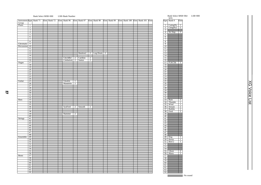# Bank Select MSB=000 LSB=Bank Number Bank Select MSB=064 LSB=000

SFX<br>Pgm Bank 0

| Instrument Pgm Bank 71 Elem Bank 72 |                 |  |  | Elem Bank 96 |                | Elem Bank 97         |                | Elem Bank 98 | Elem           | Bank 99 | Elem Bank 100 Elem Bank 101 Elem |  |                 | Pgm Bank 0                        | Elem              |
|-------------------------------------|-----------------|--|--|--------------|----------------|----------------------|----------------|--------------|----------------|---------|----------------------------------|--|-----------------|-----------------------------------|-------------------|
| Group<br>Piano                      |                 |  |  |              |                |                      |                |              |                |         |                                  |  |                 |                                   |                   |
|                                     | $\overline{1}$  |  |  |              |                |                      |                |              |                |         |                                  |  | $\mathbf{1}$    | CuttngNz                          | $\mathbf{1}$      |
|                                     | $\overline{2}$  |  |  |              |                |                      |                |              |                |         |                                  |  | $rac{2}{3}$     | CttngNz2                          | $\overline{2}$    |
|                                     | 3               |  |  |              |                |                      |                |              |                |         |                                  |  |                 |                                   |                   |
|                                     | $\overline{4}$  |  |  |              |                |                      |                |              |                |         |                                  |  | $\overline{4}$  | Str Slap                          | $\overline{\top}$ |
|                                     | $\overline{5}$  |  |  |              |                |                      |                |              |                |         |                                  |  | $\overline{5}$  |                                   |                   |
|                                     | 6               |  |  |              |                |                      |                |              |                |         |                                  |  | $\overline{6}$  |                                   |                   |
|                                     | $\overline{7}$  |  |  |              |                |                      |                |              |                |         |                                  |  | 7               |                                   |                   |
|                                     | $\overline{8}$  |  |  |              |                |                      |                |              |                |         |                                  |  | $\overline{8}$  |                                   |                   |
| Chromatic                           | $\overline{9}$  |  |  |              |                |                      |                |              |                |         |                                  |  | $\overline{9}$  |                                   |                   |
| Percussion                          | 10              |  |  |              |                |                      |                |              |                |         |                                  |  | 10              |                                   |                   |
|                                     | $\overline{11}$ |  |  |              |                |                      |                |              |                |         |                                  |  | $\overline{11}$ |                                   |                   |
|                                     |                 |  |  |              |                |                      |                |              |                |         |                                  |  | $\overline{12}$ |                                   |                   |
|                                     | $\overline{12}$ |  |  |              |                |                      |                |              |                |         |                                  |  |                 |                                   |                   |
|                                     | 13              |  |  |              |                | Balafon <sub>2</sub> |                | 2 Log Drum   | $\overline{2}$ |         |                                  |  | 13              |                                   |                   |
|                                     | $\overline{14}$ |  |  |              |                |                      |                |              |                |         |                                  |  | 14              |                                   |                   |
|                                     | 15              |  |  | ChrchBel     | $\frac{2}{2}$  | Carillon             | $\overline{2}$ |              |                |         |                                  |  | $\overline{15}$ |                                   |                   |
|                                     | 16              |  |  | Cimbalom     |                | Santur               | $\overline{2}$ |              |                |         |                                  |  | 16              |                                   |                   |
| Organ                               | 17              |  |  |              |                |                      |                |              |                |         |                                  |  | 17              | Fl.KClik                          | $\top$            |
|                                     | 18              |  |  |              |                |                      |                |              |                |         |                                  |  | 18              |                                   |                   |
|                                     | 19              |  |  |              |                |                      |                |              |                |         |                                  |  | 19              |                                   |                   |
|                                     | $\overline{20}$ |  |  |              |                |                      |                |              |                |         |                                  |  | $\frac{1}{20}$  |                                   |                   |
|                                     | 21              |  |  |              |                |                      |                |              |                |         |                                  |  | $\overline{21}$ |                                   |                   |
|                                     | $\frac{1}{22}$  |  |  |              |                |                      |                |              |                |         |                                  |  | 22              |                                   |                   |
|                                     | $\overline{23}$ |  |  |              |                |                      |                |              |                |         |                                  |  |                 |                                   |                   |
|                                     | 24              |  |  |              |                |                      |                |              |                |         |                                  |  | $\frac{23}{24}$ |                                   |                   |
| Guitar                              | 25              |  |  | Ukulele      | T              |                      |                |              |                |         |                                  |  | $\overline{25}$ |                                   |                   |
|                                     | 26              |  |  | Mandolin     | $\overline{2}$ |                      |                |              |                |         |                                  |  | 26              |                                   |                   |
|                                     | 27              |  |  |              |                |                      |                |              |                |         |                                  |  | $\overline{27}$ |                                   |                   |
|                                     | 28              |  |  |              |                |                      |                |              |                |         |                                  |  | 28              |                                   |                   |
|                                     | $\overline{29}$ |  |  |              |                |                      |                |              |                |         |                                  |  | $\overline{29}$ |                                   |                   |
|                                     | $\overline{30}$ |  |  |              |                |                      |                |              |                |         |                                  |  | $\overline{30}$ |                                   |                   |
|                                     | 31              |  |  |              |                |                      |                |              |                |         |                                  |  | $\overline{31}$ |                                   |                   |
|                                     |                 |  |  |              |                |                      |                |              |                |         |                                  |  |                 |                                   |                   |
|                                     | 32              |  |  |              |                |                      |                |              |                |         |                                  |  | 32              |                                   |                   |
| <b>Bass</b>                         | 33              |  |  |              |                |                      |                |              |                |         |                                  |  | $\overline{33}$ | Rain                              | $\overline{1}$    |
|                                     | 34              |  |  |              |                |                      |                |              |                |         |                                  |  | $\overline{34}$ | Thunder                           | $\overline{1}$    |
|                                     | $\overline{35}$ |  |  |              |                |                      |                |              |                |         |                                  |  | 35              | Wind                              | $\overline{1}$    |
|                                     | 36              |  |  | SynFretl     | $\overline{2}$ | Smooth               | 2              |              |                |         |                                  |  | $\overline{36}$ | Stream                            | $\frac{2}{2}$     |
|                                     | $\overline{37}$ |  |  |              |                |                      |                |              |                |         |                                  |  | $\overline{37}$ | <b>Bubble</b>                     |                   |
|                                     | 38              |  |  |              |                |                      |                |              |                |         |                                  |  | 38              | Feed                              | $\overline{2}$    |
|                                     | 39              |  |  | Hammer       | $\overline{2}$ |                      |                |              |                |         |                                  |  | 39              |                                   |                   |
|                                     | 40              |  |  |              |                |                      |                |              |                |         |                                  |  | $\overline{40}$ |                                   |                   |
| <b>Strings</b>                      | 41              |  |  |              |                |                      |                |              |                |         |                                  |  | 41              |                                   |                   |
|                                     | 42              |  |  |              |                |                      |                |              |                |         |                                  |  | 42              |                                   |                   |
|                                     | 43              |  |  |              |                |                      |                |              |                |         |                                  |  | 43              |                                   |                   |
|                                     | 44              |  |  |              |                |                      |                |              |                |         |                                  |  | 44              |                                   |                   |
|                                     | 45              |  |  |              |                |                      |                |              |                |         |                                  |  | 45              |                                   |                   |
|                                     | 46              |  |  |              |                |                      |                |              |                |         |                                  |  | 46              |                                   |                   |
|                                     | 47              |  |  |              |                |                      |                |              |                |         |                                  |  | 47              |                                   |                   |
|                                     | 48              |  |  |              |                |                      |                |              |                |         |                                  |  | 48              |                                   |                   |
| Ensemble                            | 49              |  |  |              |                |                      |                |              |                |         |                                  |  | 49              |                                   | $\overline{1}$    |
|                                     | $\overline{50}$ |  |  |              |                |                      |                |              |                |         |                                  |  | $\overline{50}$ | $\frac{\text{Dog}}{\text{Horse}}$ | $\top$            |
|                                     | 51              |  |  |              |                |                      |                |              |                |         |                                  |  | 51              | Bird 2                            | $\overline{1}$    |
|                                     | 52              |  |  |              |                |                      |                |              |                |         |                                  |  | $\overline{52}$ |                                   |                   |
|                                     | $\overline{53}$ |  |  |              |                |                      |                |              |                |         |                                  |  | 53              |                                   |                   |
|                                     | 54              |  |  |              |                |                      |                |              |                |         |                                  |  | $\overline{54}$ |                                   |                   |
|                                     |                 |  |  |              |                |                      |                |              |                |         |                                  |  |                 |                                   |                   |
|                                     | 55              |  |  |              |                |                      |                |              |                |         |                                  |  | $\overline{55}$ | Ghost                             | $\overline{2}$    |
|                                     | 56              |  |  |              |                |                      |                |              |                |         |                                  |  | 56              | Maou                              | $\overline{2}$    |
| <b>Brass</b>                        | 57              |  |  |              |                |                      |                |              |                |         |                                  |  | 57              |                                   |                   |
|                                     | $\frac{1}{58}$  |  |  |              |                |                      |                |              |                |         |                                  |  | $\overline{58}$ |                                   |                   |
|                                     | 59              |  |  |              |                |                      |                |              |                |         |                                  |  | 59              |                                   |                   |
|                                     | 60              |  |  |              |                |                      |                |              |                |         |                                  |  | 60              |                                   |                   |
|                                     | 61              |  |  |              |                |                      |                |              |                |         |                                  |  | 61              |                                   |                   |
|                                     | 62              |  |  |              |                |                      |                |              |                |         |                                  |  | 62              |                                   |                   |
|                                     | 63              |  |  |              |                |                      |                |              |                |         |                                  |  | 63              |                                   |                   |
|                                     | 64              |  |  |              |                |                      |                |              |                |         |                                  |  | 64              |                                   |                   |

| $\frac{1}{2}$                      | CttngNz2                  | $\overline{2}$      |  |
|------------------------------------|---------------------------|---------------------|--|
| $\frac{2}{3}$                      |                           |                     |  |
| 4                                  | Str Slap                  | ī                   |  |
| 5                                  |                           |                     |  |
| б                                  |                           |                     |  |
| 7                                  |                           |                     |  |
| $\overline{8}$                     |                           |                     |  |
| 9                                  |                           |                     |  |
| 10                                 |                           |                     |  |
| $\overline{11}$                    |                           |                     |  |
|                                    |                           |                     |  |
| $\frac{12}{13}$                    |                           |                     |  |
|                                    |                           |                     |  |
|                                    |                           |                     |  |
| $\frac{11}{15}$                    |                           |                     |  |
| $\overline{17}$                    |                           |                     |  |
| $\overline{18}$                    | Fl.KClik                  | ī                   |  |
| 19                                 |                           |                     |  |
|                                    |                           |                     |  |
| $\overline{20}$                    |                           |                     |  |
| $\overline{21}$                    |                           |                     |  |
| $\frac{22}{23}$                    |                           |                     |  |
|                                    |                           |                     |  |
| $\frac{1}{24}$<br>$\overline{25}$  |                           |                     |  |
|                                    |                           |                     |  |
| $\frac{1}{26}$                     |                           |                     |  |
| $\frac{27}{28}$                    |                           |                     |  |
| 29                                 |                           |                     |  |
| $\overline{30}$                    |                           |                     |  |
| $\frac{1}{31}$                     |                           |                     |  |
| $\overline{32}$                    |                           |                     |  |
|                                    |                           |                     |  |
| $\frac{1}{33}$<br>$\frac{33}{34}$  | Rain                      | 1                   |  |
|                                    | Thunder                   | ĺ                   |  |
| 35                                 | Wind                      | 1<br>$\overline{2}$ |  |
| $\frac{36}{5}$                     | Stream                    | $\bar{2}$           |  |
| $\frac{1}{37}$<br>38               | <b>Bubble</b>             | $\overline{2}$      |  |
| $\frac{2}{39}$                     | Feed                      |                     |  |
| $\frac{5}{40}$                     |                           |                     |  |
|                                    |                           |                     |  |
| 41                                 |                           |                     |  |
| $\frac{42}{43}$                    |                           |                     |  |
|                                    |                           |                     |  |
| 44                                 |                           |                     |  |
| 45                                 |                           |                     |  |
| 46                                 |                           |                     |  |
| 47                                 |                           |                     |  |
| 48<br>49                           |                           | ī                   |  |
| 50                                 | $\overline{\mathrm{Dog}}$ | ī                   |  |
| $\overline{51}$                    | Horse                     | 1                   |  |
| $\frac{5}{52}$                     | Bird 2                    |                     |  |
| 53                                 |                           |                     |  |
| $\frac{12}{54}$                    |                           |                     |  |
| $\frac{5}{55}$                     |                           | 2                   |  |
|                                    |                           |                     |  |
|                                    | Ghost                     |                     |  |
| $\frac{1}{56}$                     | Maou                      | 듓                   |  |
| 57                                 |                           |                     |  |
| $\frac{1}{58}$                     |                           |                     |  |
| 59                                 |                           |                     |  |
| $\overline{60}$                    |                           |                     |  |
| 61                                 |                           |                     |  |
|                                    |                           |                     |  |
| $\frac{62}{63}$<br>$\overline{64}$ |                           |                     |  |

**XG Voice List** XG Voice List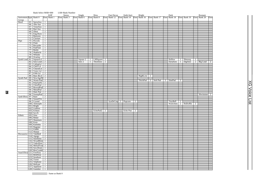|                            |     | Bank Select MSB=000                             |                                  |             | LSB=Bank Number |             |    |              |                |                               |               |                |                                                                  |                |  |             |                |                                   |                |              |      |
|----------------------------|-----|-------------------------------------------------|----------------------------------|-------------|-----------------|-------------|----|--------------|----------------|-------------------------------|---------------|----------------|------------------------------------------------------------------|----------------|--|-------------|----------------|-----------------------------------|----------------|--------------|------|
|                            |     |                                                 |                                  | <b>KSP</b>  | Stereo          | Single      |    | Slow         |                | Fast Decay                    | Double Attack |                | Bright                                                           |                |  | Dark        |                |                                   |                | Rsonant      |      |
| Instrument Pgm Bank 0      |     |                                                 |                                  | Elem Bank 1 | Elem Bank 3     | Elem Bank 6 |    | Elem Bank 8  |                |                               |               |                | Elem Bank 12 Elem Bank 14 Elem Bank 16 Elem Bank 17 Elem Bank 18 |                |  |             |                | Elem Bank 19                      |                | Elem Bank 20 | Elem |
| Group<br>Reed              |     | 65 SprnoSax 1                                   |                                  |             |                 |             |    |              |                |                               |               |                |                                                                  |                |  |             |                |                                   |                |              |      |
|                            |     | 66 Alto Sax                                     | $\overline{1}$                   |             |                 |             |    |              |                |                               |               |                |                                                                  |                |  |             |                |                                   |                |              |      |
|                            |     | 67 TenorSax                                     | $\vert 1$                        |             |                 |             |    |              |                |                               |               |                |                                                                  |                |  |             |                |                                   |                |              |      |
|                            | 68  | Bari.Sax                                        | $\overline{1}$                   |             |                 |             |    |              |                |                               |               |                |                                                                  |                |  |             |                |                                   |                |              |      |
|                            |     | $69$ Oboe                                       | $\overline{2}$                   |             |                 |             |    |              |                |                               |               |                |                                                                  |                |  |             |                |                                   |                |              |      |
|                            |     | 70 Eng.Horn 1                                   |                                  |             |                 |             |    |              |                |                               |               |                |                                                                  |                |  |             |                |                                   |                |              |      |
|                            | 71  | Bassoon                                         | -1                               |             |                 |             |    |              |                |                               |               |                |                                                                  |                |  |             |                |                                   |                |              |      |
|                            | 72  | Clarinet                                        | $\overline{1}$                   |             |                 |             |    |              |                |                               |               |                |                                                                  |                |  |             |                |                                   |                |              |      |
| Pipe                       | 73  | Piccolo                                         | $\overline{1}$                   |             |                 |             |    |              |                |                               |               |                |                                                                  |                |  |             |                |                                   |                |              |      |
|                            |     | 74 Flute                                        | $\overline{1}$                   |             |                 |             |    |              |                |                               |               |                |                                                                  |                |  |             |                |                                   |                |              |      |
|                            | 75  | Recorder                                        | $\overline{1}$                   |             |                 |             |    |              |                |                               |               |                |                                                                  |                |  |             |                |                                   |                |              |      |
|                            |     | 76 PanFlute                                     | $\overline{1}$                   |             |                 |             |    |              |                |                               |               |                |                                                                  |                |  |             |                |                                   |                |              |      |
|                            |     | 77 Bottle                                       | $\overline{2}$                   |             |                 |             |    |              |                |                               |               |                |                                                                  |                |  |             |                |                                   |                |              |      |
|                            | 78  | Shakhchi                                        | $\overline{2}$                   |             |                 |             |    |              |                |                               |               |                |                                                                  |                |  |             |                |                                   |                |              |      |
|                            |     | 79 Whistle                                      | $\top$                           |             |                 |             |    |              |                |                               |               |                |                                                                  |                |  |             |                |                                   |                |              |      |
|                            |     | 80 Ocarina                                      | $\overline{1}$                   |             |                 |             |    |              |                |                               |               |                |                                                                  |                |  |             |                |                                   |                |              |      |
| Synth Lead 81              |     | SquareLd                                        | $\overline{2}$                   |             |                 | Square 2    |    | 1 LMSquare 2 |                |                               |               |                |                                                                  |                |  | Hollow      | $\overline{1}$ | Shmoog                            | $\overline{c}$ |              |      |
|                            |     | 82 Saw.Lead 2<br>83 CaliopLd 2                  |                                  |             |                 | Saw 2       | -1 | ThickSaw     | $\overline{2}$ |                               |               |                |                                                                  |                |  | DynaSaw     | $\mathbf{1}$   | DigiSaw                           |                | $2$ Big Lead | 2    |
|                            |     |                                                 |                                  |             |                 |             |    |              |                |                               |               |                |                                                                  |                |  |             |                |                                   |                |              |      |
|                            |     | 84 Chiff Ld                                     | $\overline{2}$                   |             |                 |             |    |              |                |                               |               |                |                                                                  |                |  |             |                |                                   |                |              |      |
|                            |     | 85 CharanLd 2                                   |                                  |             |                 |             |    |              |                |                               |               |                |                                                                  |                |  |             |                |                                   |                |              |      |
|                            |     | 86 Voice Ld                                     | $\overline{2}$<br>$\overline{2}$ |             |                 |             |    |              |                |                               |               |                |                                                                  |                |  |             |                |                                   |                |              |      |
|                            |     | 87 Fifth Ld 2<br>88 Bass & Ld 2                 |                                  |             |                 |             |    |              |                |                               |               |                |                                                                  |                |  |             |                |                                   |                |              |      |
| Synth Pad 89               |     |                                                 |                                  |             |                 |             |    |              |                |                               |               |                | Big&Low                                                          | $\overline{2}$ |  |             |                |                                   |                |              |      |
|                            |     | 89 NewAgePd 2<br>90 Warm Pad 2                  |                                  |             |                 |             |    |              |                |                               |               |                | ThickPad 2 Soft Pad                                              |                |  | $2$ SinePad | $\overline{2}$ |                                   |                |              |      |
|                            |     |                                                 |                                  |             |                 |             |    |              |                |                               |               |                |                                                                  |                |  |             |                |                                   |                |              |      |
|                            |     | 91 PolySyPd 2<br>92 ChoirPad 2<br>93 BowedPad 2 |                                  |             |                 |             |    |              |                |                               |               |                |                                                                  |                |  |             |                |                                   |                |              |      |
|                            |     |                                                 |                                  |             |                 |             |    |              |                |                               |               |                |                                                                  |                |  |             |                |                                   |                |              |      |
|                            |     | 94 MetalPad 2                                   |                                  |             |                 |             |    |              |                |                               |               |                |                                                                  |                |  |             |                |                                   |                |              |      |
|                            |     | 95 Halo Pad 2                                   |                                  |             |                 |             |    |              |                |                               |               |                |                                                                  |                |  |             |                |                                   |                |              |      |
|                            |     | 96 SweepPad 2                                   |                                  |             |                 |             |    |              |                |                               |               |                |                                                                  |                |  |             |                |                                   |                | Shwimmer 2   |      |
| Synth Effects 97 Rain      |     |                                                 | $\overline{2}$                   |             |                 |             |    |              |                |                               |               |                |                                                                  |                |  |             |                |                                   |                |              |      |
|                            | 98  | SoundTrk 2                                      |                                  |             |                 |             |    |              |                |                               |               |                |                                                                  |                |  |             |                |                                   |                |              |      |
|                            |     | 99 Crystal<br>100 Atmosphr 2<br>101 Bright 2    |                                  |             |                 |             |    |              |                | SynDrCmp <sub>2</sub> Popcorn |               | $\overline{2}$ |                                                                  |                |  | TinyBell    |                |                                   |                |              |      |
|                            |     |                                                 |                                  |             |                 |             |    |              |                |                               |               |                |                                                                  |                |  |             |                | TinyBell 2<br>WarmAtms 2 HollwRls | $\overline{2}$ |              |      |
|                            |     |                                                 |                                  |             |                 |             |    |              |                |                               |               |                |                                                                  |                |  |             |                |                                   |                |              |      |
|                            |     | 102 Goblins                                     | $\overline{2}$                   |             |                 |             |    |              |                |                               |               |                |                                                                  |                |  |             |                |                                   |                |              |      |
|                            |     | 103 Echoes                                      | $\overline{2}$                   |             |                 |             |    | EchoPad2 2   |                |                               | Echo Pan      | $\overline{2}$ |                                                                  |                |  |             |                |                                   |                |              |      |
|                            |     | $104$ Sci-Fi                                    | $\overline{2}$                   |             |                 |             |    |              |                |                               |               |                |                                                                  |                |  |             |                |                                   |                |              |      |
| Ethnic                     | 105 | Sitar                                           | $\overline{1}$                   |             |                 |             |    |              |                |                               |               |                |                                                                  |                |  |             |                |                                   |                |              |      |
|                            |     | 106 Banjo                                       | $\top$                           |             |                 |             |    |              |                |                               |               |                |                                                                  |                |  |             |                |                                   |                |              |      |
|                            |     | 107 Shamisen                                    | $\overline{1}$                   |             |                 |             |    |              |                |                               |               |                |                                                                  |                |  |             |                |                                   |                |              |      |
|                            |     | 108 Koto                                        | $\overline{1}$                   |             |                 |             |    |              |                |                               |               |                |                                                                  |                |  |             |                |                                   |                |              |      |
|                            |     | 109 Kalimba                                     | $\overline{\phantom{a}}$         |             |                 |             |    |              |                |                               |               |                |                                                                  |                |  |             |                |                                   |                |              |      |
|                            |     | 110 Bagpipe<br>111 Fiddle                       | $\overline{c}$                   |             |                 |             |    |              |                |                               |               |                |                                                                  |                |  |             |                |                                   |                |              |      |
|                            |     | 112 Shanai                                      | $\mathbf{1}$<br>$\overline{1}$   |             |                 |             |    |              |                |                               |               |                |                                                                  |                |  |             |                |                                   |                |              |      |
| Percussive 113 TnklBell    |     |                                                 | $\overline{2}$                   |             |                 |             |    |              |                |                               |               |                |                                                                  |                |  |             |                |                                   |                |              |      |
|                            |     |                                                 |                                  |             |                 |             |    |              |                |                               |               |                |                                                                  |                |  |             |                |                                   |                |              |      |
|                            |     | 114 Agogo 2<br>115 SteelDrm 2                   |                                  |             |                 |             |    |              |                |                               |               |                |                                                                  |                |  |             |                |                                   |                |              |      |
|                            |     | 116 WoodBlok 1                                  |                                  |             |                 |             |    |              |                |                               |               |                |                                                                  |                |  |             |                |                                   |                |              |      |
|                            |     | 117 TaikoDrm 1<br>118 MelodTom 2                |                                  |             |                 |             |    |              |                |                               |               |                |                                                                  |                |  |             |                |                                   |                |              |      |
|                            |     |                                                 |                                  |             |                 |             |    |              |                |                               |               |                |                                                                  |                |  |             |                |                                   |                |              |      |
|                            |     | 119 Syn.Drum 1                                  |                                  |             |                 |             |    |              |                |                               |               |                |                                                                  |                |  |             |                |                                   |                |              |      |
|                            |     | 120 RevCymbl 1                                  |                                  |             |                 |             |    |              |                |                               |               |                |                                                                  |                |  |             |                |                                   |                |              |      |
| Sound Effects 121 FretNoiz |     |                                                 | 2                                |             |                 |             |    |              |                |                               |               |                |                                                                  |                |  |             |                |                                   |                |              |      |
|                            |     | 122 BrthNoiz                                    | $\frac{2}{2}$                    |             |                 |             |    |              |                |                               |               |                |                                                                  |                |  |             |                |                                   |                |              |      |
|                            |     | 123 Seashore                                    | $\overline{2}$                   |             |                 |             |    |              |                |                               |               |                |                                                                  |                |  |             |                |                                   |                |              |      |
|                            |     | 124 Tweet                                       | $\overline{2}$                   |             |                 |             |    |              |                |                               |               |                |                                                                  |                |  |             |                |                                   |                |              |      |
|                            |     | 125 Telphone                                    | $\Box$                           |             |                 |             |    |              |                |                               |               |                |                                                                  |                |  |             |                |                                   |                |              |      |
|                            |     | 126 Helicptr                                    | $\overline{1}$                   |             |                 |             |    |              |                |                               |               |                |                                                                  |                |  |             |                |                                   |                |              |      |
|                            |     | 127 Applause                                    | $\overline{1}$                   |             |                 |             |    |              |                |                               |               |                |                                                                  |                |  |             |                |                                   |                |              |      |
|                            |     | 128 Gunshot                                     | $\vert$ 1                        |             |                 |             |    |              |                |                               |               |                |                                                                  |                |  |             |                |                                   |                |              |      |

: Same as Bank 0

**COL** 

28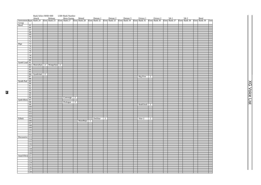|                                                       |                   | Bank Select MSB=000 |                          | LSB=Bank Number |                |            |          |                |  |  |                 |                |                                                                                                                                                                                                                               |  |  |  |      |
|-------------------------------------------------------|-------------------|---------------------|--------------------------|-----------------|----------------|------------|----------|----------------|--|--|-----------------|----------------|-------------------------------------------------------------------------------------------------------------------------------------------------------------------------------------------------------------------------------|--|--|--|------|
| Attack Release<br>Instrument Pgm Bank 24 Elem Bank 25 |                   |                     |                          |                 |                |            |          |                |  |  |                 |                | Rezo Sweep Muted Detune 1 Detune 2 Detune 3 Octave 1 Octave 2 5th 1 5th 2 Bend<br>Elem  Bank 27 Elem  Bank 28 Elem  Bank 32 Elem  Bank 33 Elem  Bank 34 Elem  Bank 35 Elem  Bank 36 Elem  Bank 37 Elem  Bank 38 Elem  Bank 39 |  |  |  |      |
|                                                       |                   |                     |                          |                 |                |            |          |                |  |  |                 |                |                                                                                                                                                                                                                               |  |  |  | Elem |
| Group<br>Reed                                         |                   |                     |                          |                 |                |            |          |                |  |  |                 |                |                                                                                                                                                                                                                               |  |  |  |      |
|                                                       | 65                |                     |                          |                 |                |            |          |                |  |  |                 |                |                                                                                                                                                                                                                               |  |  |  |      |
|                                                       | 66<br>67          |                     |                          |                 |                |            |          |                |  |  |                 |                |                                                                                                                                                                                                                               |  |  |  |      |
|                                                       | 68                |                     |                          |                 |                |            |          |                |  |  |                 |                |                                                                                                                                                                                                                               |  |  |  |      |
|                                                       | 69                |                     |                          |                 |                |            |          |                |  |  |                 |                |                                                                                                                                                                                                                               |  |  |  |      |
|                                                       | 70                |                     |                          |                 |                |            |          |                |  |  |                 |                |                                                                                                                                                                                                                               |  |  |  |      |
|                                                       | 71                |                     |                          |                 |                |            |          |                |  |  |                 |                |                                                                                                                                                                                                                               |  |  |  |      |
|                                                       | 72                |                     |                          |                 |                |            |          |                |  |  |                 |                |                                                                                                                                                                                                                               |  |  |  |      |
| Pipe                                                  | $\overline{73}$   |                     |                          |                 |                |            |          |                |  |  |                 |                |                                                                                                                                                                                                                               |  |  |  |      |
|                                                       | 74                |                     |                          |                 |                |            |          |                |  |  |                 |                |                                                                                                                                                                                                                               |  |  |  |      |
|                                                       | 75                |                     |                          |                 |                |            |          |                |  |  |                 |                |                                                                                                                                                                                                                               |  |  |  |      |
|                                                       | 76                |                     |                          |                 |                |            |          |                |  |  |                 |                |                                                                                                                                                                                                                               |  |  |  |      |
|                                                       | 77                |                     |                          |                 |                |            |          |                |  |  |                 |                |                                                                                                                                                                                                                               |  |  |  |      |
|                                                       | $\overline{78}$   |                     |                          |                 |                |            |          |                |  |  |                 |                |                                                                                                                                                                                                                               |  |  |  |      |
|                                                       | 79                |                     |                          |                 |                |            |          |                |  |  |                 |                |                                                                                                                                                                                                                               |  |  |  |      |
|                                                       | 80                |                     |                          |                 |                |            |          |                |  |  |                 |                |                                                                                                                                                                                                                               |  |  |  |      |
| Synth Lead 81                                         |                   |                     |                          |                 |                |            |          |                |  |  |                 |                |                                                                                                                                                                                                                               |  |  |  |      |
|                                                       |                   |                     | 82 HeavySyn 2 WaspySyn 2 |                 |                |            |          |                |  |  |                 |                |                                                                                                                                                                                                                               |  |  |  |      |
|                                                       | 83                |                     |                          |                 |                |            |          |                |  |  |                 |                |                                                                                                                                                                                                                               |  |  |  |      |
|                                                       | 84                |                     |                          |                 |                |            |          |                |  |  |                 |                |                                                                                                                                                                                                                               |  |  |  |      |
|                                                       | 85                |                     |                          |                 |                |            |          |                |  |  |                 |                |                                                                                                                                                                                                                               |  |  |  |      |
|                                                       |                   | 86 SynthAah 2       |                          |                 |                |            |          |                |  |  |                 |                |                                                                                                                                                                                                                               |  |  |  |      |
|                                                       | 87                |                     |                          |                 |                |            |          |                |  |  | <b>Big Five</b> | $\overline{2}$ |                                                                                                                                                                                                                               |  |  |  |      |
| Synth Pad 89                                          | 88                |                     |                          |                 |                |            |          |                |  |  |                 |                |                                                                                                                                                                                                                               |  |  |  |      |
|                                                       | 90                |                     |                          |                 |                |            |          |                |  |  |                 |                |                                                                                                                                                                                                                               |  |  |  |      |
|                                                       | $\overline{91}$   |                     |                          |                 |                |            |          |                |  |  |                 |                |                                                                                                                                                                                                                               |  |  |  |      |
|                                                       | 92                |                     |                          |                 |                |            |          |                |  |  |                 |                |                                                                                                                                                                                                                               |  |  |  |      |
|                                                       | $\overline{93}$   |                     |                          |                 |                |            |          |                |  |  |                 |                |                                                                                                                                                                                                                               |  |  |  |      |
|                                                       | 94                |                     |                          |                 |                |            |          |                |  |  |                 |                |                                                                                                                                                                                                                               |  |  |  |      |
|                                                       | 95                |                     |                          |                 |                |            |          |                |  |  |                 |                |                                                                                                                                                                                                                               |  |  |  |      |
|                                                       | 96                |                     |                          | $Converge$ 2    |                |            |          |                |  |  |                 |                |                                                                                                                                                                                                                               |  |  |  |      |
| Synth Effects                                         | 97                |                     |                          |                 |                |            |          |                |  |  |                 |                |                                                                                                                                                                                                                               |  |  |  |      |
|                                                       | 98                |                     |                          | Prologue        | $\overline{2}$ |            |          |                |  |  |                 |                |                                                                                                                                                                                                                               |  |  |  |      |
|                                                       | $\overline{99}$   |                     |                          |                 |                |            |          |                |  |  | RndGlock 2      |                |                                                                                                                                                                                                                               |  |  |  |      |
|                                                       | 100               |                     |                          |                 |                |            |          |                |  |  |                 |                |                                                                                                                                                                                                                               |  |  |  |      |
|                                                       | 101               |                     |                          |                 |                |            |          |                |  |  |                 |                |                                                                                                                                                                                                                               |  |  |  |      |
|                                                       | 102               |                     |                          |                 |                |            |          |                |  |  |                 |                |                                                                                                                                                                                                                               |  |  |  |      |
|                                                       | 103               |                     |                          |                 |                |            |          |                |  |  |                 |                |                                                                                                                                                                                                                               |  |  |  |      |
|                                                       | 104               |                     |                          |                 |                |            |          |                |  |  |                 |                |                                                                                                                                                                                                                               |  |  |  |      |
| Ethnic                                                | 105               |                     |                          |                 |                |            | DetSitar | $\overline{2}$ |  |  | Sitar 2         | 2              |                                                                                                                                                                                                                               |  |  |  |      |
|                                                       | 106               |                     |                          |                 |                | MuteBnjo 1 |          |                |  |  |                 |                |                                                                                                                                                                                                                               |  |  |  |      |
|                                                       | 107               |                     |                          |                 |                |            |          |                |  |  |                 |                |                                                                                                                                                                                                                               |  |  |  |      |
|                                                       | 108<br>109        |                     |                          |                 |                |            |          |                |  |  |                 |                |                                                                                                                                                                                                                               |  |  |  |      |
|                                                       | 110               |                     |                          |                 |                |            |          |                |  |  |                 |                |                                                                                                                                                                                                                               |  |  |  |      |
|                                                       | 111               |                     |                          |                 |                |            |          |                |  |  |                 |                |                                                                                                                                                                                                                               |  |  |  |      |
|                                                       | 112               |                     |                          |                 |                |            |          |                |  |  |                 |                |                                                                                                                                                                                                                               |  |  |  |      |
| Percussive 113                                        |                   |                     |                          |                 |                |            |          |                |  |  |                 |                |                                                                                                                                                                                                                               |  |  |  |      |
|                                                       | 114               |                     |                          |                 |                |            |          |                |  |  |                 |                |                                                                                                                                                                                                                               |  |  |  |      |
|                                                       | $\overline{115}$  |                     |                          |                 |                |            |          |                |  |  |                 |                |                                                                                                                                                                                                                               |  |  |  |      |
|                                                       | 116               |                     |                          |                 |                |            |          |                |  |  |                 |                |                                                                                                                                                                                                                               |  |  |  |      |
|                                                       | 117               |                     |                          |                 |                |            |          |                |  |  |                 |                |                                                                                                                                                                                                                               |  |  |  |      |
|                                                       | 118               |                     |                          |                 |                |            |          |                |  |  |                 |                |                                                                                                                                                                                                                               |  |  |  |      |
|                                                       | 119               |                     |                          |                 |                |            |          |                |  |  |                 |                |                                                                                                                                                                                                                               |  |  |  |      |
|                                                       | 120               |                     |                          |                 |                |            |          |                |  |  |                 |                |                                                                                                                                                                                                                               |  |  |  |      |
| Sound Effects 121                                     |                   |                     |                          |                 |                |            |          |                |  |  |                 |                |                                                                                                                                                                                                                               |  |  |  |      |
|                                                       | $\frac{122}{123}$ |                     |                          |                 |                |            |          |                |  |  |                 |                |                                                                                                                                                                                                                               |  |  |  |      |
|                                                       |                   |                     |                          |                 |                |            |          |                |  |  |                 |                |                                                                                                                                                                                                                               |  |  |  |      |
|                                                       | 124               |                     |                          |                 |                |            |          |                |  |  |                 |                |                                                                                                                                                                                                                               |  |  |  |      |
|                                                       | 125               |                     |                          |                 |                |            |          |                |  |  |                 |                |                                                                                                                                                                                                                               |  |  |  |      |
|                                                       | 126               |                     |                          |                 |                |            |          |                |  |  |                 |                |                                                                                                                                                                                                                               |  |  |  |      |
|                                                       | 127               |                     |                          |                 |                |            |          |                |  |  |                 |                |                                                                                                                                                                                                                               |  |  |  |      |
|                                                       | 128               |                     |                          |                 |                |            |          |                |  |  |                 |                |                                                                                                                                                                                                                               |  |  |  |      |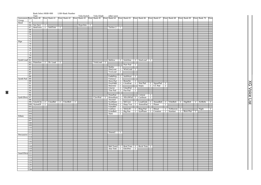|                                 |                  | Bank Select MSB=000    |                |              |   | LSB=Bank Number |                |             |            |   |                                  |                                  |                       |                |                                                                                            |                |          |                |              |                                |              |                |
|---------------------------------|------------------|------------------------|----------------|--------------|---|-----------------|----------------|-------------|------------|---|----------------------------------|----------------------------------|-----------------------|----------------|--------------------------------------------------------------------------------------------|----------------|----------|----------------|--------------|--------------------------------|--------------|----------------|
|                                 |                  | Tutti                  |                |              |   |                 |                | Velo-Switch | Velo-Xfade |   | other wave                       |                                  |                       |                | Elem Bank 42 Elem Bank 43 Elem Bank 45 Elem Bank 64 Elem Bank 65 Elem Bank 66 Elem Bank 67 |                |          |                |              |                                |              |                |
| Instrument Pgm Bank 40<br>Group |                  |                        |                | Elem Bank 41 |   |                 |                |             |            |   |                                  |                                  |                       |                |                                                                                            |                |          |                | Elem Bank 68 | Elem Bank 69                   | Elem Bank 70 | Elem           |
| Reed                            | 65               |                        |                |              |   |                 |                |             |            |   |                                  |                                  |                       |                |                                                                                            |                |          |                |              |                                |              |                |
|                                 |                  | 66 Sax Sect            | $\overline{2}$ |              |   |                 |                | HyprAlto 2  |            |   |                                  |                                  |                       |                |                                                                                            |                |          |                |              |                                |              |                |
|                                 |                  | $67$ Brth $TnSx$       |                | 2 SoftTenr   | 2 |                 |                |             |            |   | TnrSax 2                         | -1                               |                       |                |                                                                                            |                |          |                |              |                                |              |                |
|                                 | 68               |                        |                |              |   |                 |                |             |            |   |                                  |                                  |                       |                |                                                                                            |                |          |                |              |                                |              |                |
|                                 | 69               |                        |                |              |   |                 |                |             |            |   |                                  |                                  |                       |                |                                                                                            |                |          |                |              |                                |              |                |
|                                 | 70               |                        |                |              |   |                 |                |             |            |   |                                  |                                  |                       |                |                                                                                            |                |          |                |              |                                |              |                |
|                                 | 71               |                        |                |              |   |                 |                |             |            |   |                                  |                                  |                       |                |                                                                                            |                |          |                |              |                                |              |                |
|                                 | 72               |                        |                |              |   |                 |                |             |            |   |                                  |                                  |                       |                |                                                                                            |                |          |                |              |                                |              |                |
| Pipe                            | 73               |                        |                |              |   |                 |                |             |            |   |                                  |                                  |                       |                |                                                                                            |                |          |                |              |                                |              |                |
|                                 | 74               |                        |                |              |   |                 |                |             |            |   |                                  |                                  |                       |                |                                                                                            |                |          |                |              |                                |              |                |
|                                 | 75               |                        |                |              |   |                 |                |             |            |   |                                  |                                  |                       |                |                                                                                            |                |          |                |              |                                |              |                |
|                                 | 76               |                        |                |              |   |                 |                |             |            |   |                                  |                                  |                       |                |                                                                                            |                |          |                |              |                                |              |                |
|                                 | 77               |                        |                |              |   |                 |                |             |            |   |                                  |                                  |                       |                |                                                                                            |                |          |                |              |                                |              |                |
|                                 | 78               |                        |                |              |   |                 |                |             |            |   |                                  |                                  |                       |                |                                                                                            |                |          |                |              |                                |              |                |
|                                 | 79               |                        |                |              |   |                 |                |             |            |   |                                  |                                  |                       |                |                                                                                            |                |          |                |              |                                |              |                |
|                                 | 80               |                        |                |              |   |                 |                |             |            |   |                                  |                                  |                       |                |                                                                                            |                |          |                |              |                                |              |                |
| Synth Lead 81                   |                  |                        |                |              |   |                 |                |             |            |   | Mellow                           |                                  | 2 SoloSine            |                | 2 SineLead                                                                                 | 1              |          |                |              |                                |              |                |
|                                 |                  | 82 PulseSaw            |                | 2 Dr. Lead   | 2 |                 |                |             | VeloLead 2 |   |                                  |                                  |                       |                |                                                                                            |                |          |                |              |                                |              |                |
|                                 | 83<br>84         |                        |                |              |   |                 |                |             |            |   |                                  |                                  | Pure Pad              | $\overline{2}$ |                                                                                            |                |          |                |              |                                |              |                |
|                                 | 85               |                        |                |              |   |                 |                |             |            |   | Rubby                            | $\overline{2}$                   |                       |                |                                                                                            |                |          |                |              |                                |              |                |
|                                 | 86               |                        |                |              |   |                 |                |             |            |   | DistLead<br>VoxLead              | $\overline{2}$<br>$\overline{2}$ | WireLead 2            |                |                                                                                            |                |          |                |              |                                |              |                |
|                                 | 87               |                        |                |              |   |                 |                |             |            |   |                                  |                                  |                       |                |                                                                                            |                |          |                |              |                                |              |                |
|                                 | 88               |                        |                |              |   |                 |                |             |            |   |                                  |                                  | Fat&Prky 2 SoftWurl   | $\overline{2}$ |                                                                                            |                |          |                |              |                                |              |                |
| Synth Pad 89                    |                  |                        |                |              |   |                 |                |             |            |   |                                  |                                  |                       |                |                                                                                            |                |          |                |              |                                |              |                |
|                                 | 90               |                        |                |              |   |                 |                |             |            |   | Fantasy2 2<br>Horn Pad 2         |                                  | RotarStr              | $\overline{2}$ |                                                                                            |                |          |                |              |                                |              |                |
|                                 | 91               |                        |                |              |   |                 |                |             |            |   |                                  |                                  | PolyPd80 2 ClickPad   |                | 2 Ana Pad                                                                                  | $\overline{2}$ | SquarPad | $\overline{2}$ |              |                                |              |                |
|                                 | 92               |                        |                |              |   |                 |                |             |            |   | Heaven <sub>2</sub> <sup>2</sup> |                                  |                       |                | Itopia                                                                                     | $\overline{2}$ | CC Pad   | $\overline{2}$ |              |                                |              |                |
|                                 | 93               |                        |                |              |   |                 |                |             |            |   | Glacier                          |                                  | 2 GlassPad 2          |                |                                                                                            |                |          |                |              |                                |              |                |
|                                 | 94               |                        |                |              |   |                 |                |             |            |   | Tine Pad                         |                                  | 2 Pan Pad             | $\overline{2}$ |                                                                                            |                |          |                |              |                                |              |                |
|                                 | 95               |                        |                |              |   |                 |                |             |            |   |                                  |                                  |                       |                |                                                                                            |                |          |                |              |                                |              |                |
|                                 | 96               |                        |                |              |   |                 |                |             |            |   | PolarPad 2                       |                                  |                       |                | Celstial                                                                                   | 2              |          |                |              |                                |              |                |
| Synth Effects                   | 97               |                        |                |              |   |                 |                |             | ClaviPad   | 2 |                                  |                                  | HrmoRain 2 AfrenWnd 2 |                | Caribean                                                                                   | $\overline{2}$ |          |                |              |                                |              |                |
|                                 | 98               |                        |                |              |   |                 |                |             |            |   | Ancestrl                         | $\overline{2}$                   |                       |                |                                                                                            |                |          |                |              |                                |              |                |
|                                 |                  | 99 GlockChi 2 ClearBel |                |              |   | 2 ChorBell      | $\overline{2}$ |             |            |   | SynMalet 1                       |                                  |                       |                | SftCryst 2 LoudGlok 2 XmasBell 2<br>Harp Vox 2 AtmosPad 2 Planet 2                         |                |          |                |              | VibeBell 2 DigiBell 2 AirBells |              | $\overline{2}$ |
|                                 |                  | 100 NylonEP            | $\overline{2}$ |              |   |                 |                |             |            |   | $NylnHarp$ 2                     |                                  |                       |                |                                                                                            |                |          |                |              |                                |              |                |
|                                 | 101              |                        |                |              |   |                 |                |             |            |   | FantaBel                         | $\overline{2}$                   |                       |                |                                                                                            |                |          |                |              |                                |              |                |
|                                 | 102              |                        |                |              |   |                 |                |             |            |   | GobSyn                           |                                  |                       |                | 2 50sSciFi 2 Ring Pad                                                                      | $\overline{2}$ | Ritual   | $\overline{2}$ | ToHeaven 2   |                                | Night        | $\overline{2}$ |
|                                 | 103              |                        |                |              |   |                 |                |             |            |   | EchoBell                         | $\vert 2 \vert$                  |                       |                | Big Pan 2 SynPiano                                                                         | 2              | Creation |                | 2 Stardust   | 2 Reso Pan 2                   |              |                |
|                                 | 104              |                        |                |              |   |                 |                |             |            |   | Starz                            | $\overline{2}$                   |                       |                |                                                                                            |                |          |                |              |                                |              |                |
| Ethnic                          | 105              |                        |                |              |   |                 |                |             |            |   |                                  |                                  |                       |                |                                                                                            |                |          |                |              |                                |              |                |
|                                 | 106              |                        |                |              |   |                 |                |             |            |   |                                  |                                  |                       |                |                                                                                            |                |          |                |              |                                |              |                |
|                                 | 107              |                        |                |              |   |                 |                |             |            |   |                                  |                                  |                       |                |                                                                                            |                |          |                |              |                                |              |                |
|                                 | 108<br>109       |                        |                |              |   |                 |                |             |            |   |                                  |                                  |                       |                |                                                                                            |                |          |                |              |                                |              |                |
|                                 | $\overline{110}$ |                        |                |              |   |                 |                |             |            |   |                                  |                                  |                       |                |                                                                                            |                |          |                |              |                                |              |                |
|                                 | 111              |                        |                |              |   |                 |                |             |            |   |                                  |                                  |                       |                |                                                                                            |                |          |                |              |                                |              |                |
|                                 | 112              |                        |                |              |   |                 |                |             |            |   | Shanai2                          | -1                               |                       |                |                                                                                            |                |          |                |              |                                |              |                |
| Percussive 113                  |                  |                        |                |              |   |                 |                |             |            |   |                                  |                                  |                       |                |                                                                                            |                |          |                |              |                                |              |                |
|                                 | 114              |                        |                |              |   |                 |                |             |            |   |                                  |                                  |                       |                |                                                                                            |                |          |                |              |                                |              |                |
|                                 | 115              |                        |                |              |   |                 |                |             |            |   |                                  |                                  |                       |                |                                                                                            |                |          |                |              |                                |              |                |
|                                 | 116              |                        |                |              |   |                 |                |             |            |   |                                  |                                  |                       |                |                                                                                            |                |          |                |              |                                |              |                |
|                                 | 117              |                        |                |              |   |                 |                |             |            |   |                                  |                                  |                       |                |                                                                                            |                |          |                |              |                                |              |                |
|                                 | 118              |                        |                |              |   |                 |                |             |            |   |                                  |                                  | Mel Tom2 1 Real Tom   |                | 2 Rock Tom                                                                                 | $\overline{2}$ |          |                |              |                                |              |                |
|                                 | 119              |                        |                |              |   |                 |                |             |            |   | Ana Tom                          |                                  | 1 ElecPerc            | 2              |                                                                                            |                |          |                |              |                                |              |                |
|                                 | 120              |                        |                |              |   |                 |                |             |            |   |                                  |                                  |                       |                |                                                                                            |                |          |                |              |                                |              |                |
| Sound Effects 121               |                  |                        |                |              |   |                 |                |             |            |   |                                  |                                  |                       |                |                                                                                            |                |          |                |              |                                |              |                |
|                                 | 122              |                        |                |              |   |                 |                |             |            |   |                                  |                                  |                       |                |                                                                                            |                |          |                |              |                                |              |                |
|                                 | 123              |                        |                |              |   |                 |                |             |            |   |                                  |                                  |                       |                |                                                                                            |                |          |                |              |                                |              |                |
|                                 | 124              |                        |                |              |   |                 |                |             |            |   |                                  |                                  |                       |                |                                                                                            |                |          |                |              |                                |              |                |
|                                 | 125              |                        |                |              |   |                 |                |             |            |   |                                  |                                  |                       |                |                                                                                            |                |          |                |              |                                |              |                |
|                                 | 126              |                        |                |              |   |                 |                |             |            |   |                                  |                                  |                       |                |                                                                                            |                |          |                |              |                                |              |                |
|                                 | 127              |                        |                |              |   |                 |                |             |            |   |                                  |                                  |                       |                |                                                                                            |                |          |                |              |                                |              |                |
|                                 | 128              |                        |                |              |   |                 |                |             |            |   |                                  |                                  |                       |                |                                                                                            |                |          |                |              |                                |              |                |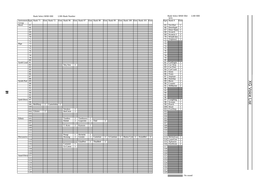# Bank Select MSB=000 LSB=Bank Number Bank Select MSB=064 LSB=000

|                        |                  |          |                |                       |              |                |              |                |              |                |              |                                  |                |          |                |                  | <b>SFX</b>   |                |
|------------------------|------------------|----------|----------------|-----------------------|--------------|----------------|--------------|----------------|--------------|----------------|--------------|----------------------------------|----------------|----------|----------------|------------------|--------------|----------------|
| Instrument Pgm Bank 71 |                  |          |                | Elem Bank 72          | Elem Bank 96 |                | Elem Bank 97 |                | Elem Bank 98 |                | Elem Bank 99 | Elem Bank 100 Elem Bank 101 Elem |                |          |                |                  | Pgm Bank 0   | Elem           |
| Group                  |                  |          |                |                       |              |                |              |                |              |                |              |                                  |                |          |                |                  |              |                |
| Reed                   | 65               |          |                |                       |              |                |              |                |              |                |              |                                  |                |          |                | 65               | Tel.Dial     | $\mathbf{1}$   |
|                        | 66               |          |                |                       |              |                |              |                |              |                |              |                                  |                |          |                | 66               | DoorSqek     | $\top$         |
|                        | 67               |          |                |                       |              |                |              |                |              |                |              |                                  |                |          |                | 67               | Door Slam 1  |                |
|                        | 68               |          |                |                       |              |                |              |                |              |                |              |                                  |                |          |                | 68               | Scratch      | $\top$         |
|                        | 69               |          |                |                       |              |                |              |                |              |                |              |                                  |                |          |                | 69               | Scratch 2    | $\overline{2}$ |
|                        | 70               |          |                |                       |              |                |              |                |              |                |              |                                  |                |          |                | 70               | WindChm 1    |                |
|                        | 71               |          |                |                       |              |                |              |                |              |                |              |                                  |                |          |                | 71               | Telphon2     | $\overline{1}$ |
|                        | 72               |          |                |                       |              |                |              |                |              |                |              |                                  |                |          |                | 72               |              |                |
| Pipe                   | 73               |          |                |                       |              |                |              |                |              |                |              |                                  |                |          |                | 73               |              |                |
|                        | 74               |          |                |                       |              |                |              |                |              |                |              |                                  |                |          |                | 74               |              |                |
|                        | $\overline{75}$  |          |                |                       |              |                |              |                |              |                |              |                                  |                |          |                | $\overline{75}$  |              |                |
|                        | 76               |          |                |                       |              |                |              |                |              |                |              |                                  |                |          |                | 76               |              |                |
|                        | 77               |          |                |                       |              |                |              |                |              |                |              |                                  |                |          |                | 77               |              |                |
|                        | 78               |          |                |                       |              |                |              |                |              |                |              |                                  |                |          |                | 78               |              |                |
|                        | 79               |          |                |                       |              |                |              |                |              |                |              |                                  |                |          |                | 79               |              |                |
|                        | 80               |          |                |                       |              |                |              |                |              |                |              |                                  |                |          |                | 80               |              |                |
| Synth Lead             | 81               |          |                |                       |              |                |              |                |              |                |              |                                  |                |          |                | 81               | CarEngin     | $\overline{1}$ |
|                        | 82               |          |                |                       | Seq Ana      | $\overline{2}$ |              |                |              |                |              |                                  |                |          |                | 82               | Car Stop     | $\overline{1}$ |
|                        | 83               |          |                |                       |              |                |              |                |              |                |              |                                  |                |          |                | 83               | Car Pass     | $\mathbf{1}$   |
|                        | 84               |          |                |                       |              |                |              |                |              |                |              |                                  |                |          |                | 84               | CarCrash     | $\top$         |
|                        | 85               |          |                |                       |              |                |              |                |              |                |              |                                  |                |          |                | 85               | Siren        | $\overline{2}$ |
|                        | 86               |          |                |                       |              |                |              |                |              |                |              |                                  |                |          |                | 86               | Train        | $\top$         |
|                        | 87               |          |                |                       |              |                |              |                |              |                |              |                                  |                |          |                | 87               | Jetplane     | $\overline{2}$ |
|                        | 88               |          |                |                       |              |                |              |                |              |                |              |                                  |                |          |                | 88               | Starship     | $\overline{2}$ |
| Synth Pad              | 89               |          |                |                       |              |                |              |                |              |                |              |                                  |                |          |                | 89               | <b>Burst</b> | $\overline{2}$ |
|                        | 90               |          |                |                       |              |                |              |                |              |                |              |                                  |                |          |                | 90               | Coaster      | $\overline{2}$ |
|                        | 91               |          |                |                       |              |                |              |                |              |                |              |                                  |                |          |                | 91               |              | $\overline{2}$ |
|                        | 92               |          |                |                       |              |                |              |                |              |                |              |                                  |                |          |                | 92               | SbMarine     |                |
|                        | 93               |          |                |                       |              |                |              |                |              |                |              |                                  |                |          |                | 93               |              |                |
|                        | 94               |          |                |                       |              |                |              |                |              |                |              |                                  |                |          |                |                  |              |                |
|                        | 95               |          |                |                       |              |                |              |                |              |                |              |                                  |                |          |                | 94<br>95         |              |                |
|                        |                  |          |                |                       |              |                |              |                |              |                |              |                                  |                |          |                |                  |              |                |
|                        | 96               |          |                |                       |              |                |              |                |              |                |              |                                  |                |          |                | 96               |              |                |
| Synth Effects          | 97               |          |                |                       |              |                |              |                |              |                |              |                                  |                |          |                | 97               | Laughing     | $\mathbf{1}$   |
|                        | 98               |          |                |                       |              |                |              |                |              |                |              |                                  |                |          |                | $\overline{98}$  | Scream       | $\overline{1}$ |
|                        | 99               | BellHarp | $\overline{2}$ | Gamelmba <sub>2</sub> |              |                |              |                |              |                |              |                                  |                |          |                | 99               | Punch        | $\overline{1}$ |
|                        | 100              |          |                |                       |              |                |              |                |              |                |              |                                  |                |          |                | 100              | Heart        | $\overline{1}$ |
|                        | 101              |          |                |                       | Smokey       | $\overline{2}$ |              |                |              |                |              |                                  |                |          |                | $\overline{101}$ | FootStep     | $\top$         |
|                        | 102              | Glisten  | $\overline{2}$ |                       | BelChoir     | $\overline{2}$ |              |                |              |                |              |                                  |                |          |                | 102              |              |                |
|                        | 103              |          |                |                       |              |                |              |                |              |                |              |                                  |                |          |                | 103              |              |                |
|                        | 104              |          |                |                       |              |                |              |                |              |                |              |                                  |                |          |                | 104              |              |                |
| Ethnic                 | 105              |          |                |                       | Tambra       | $\overline{2}$ | Tamboura     | $\overline{2}$ |              |                |              |                                  |                |          |                | 105              |              |                |
|                        | 106              |          |                |                       | Rabab        | $\overline{2}$ | Gopichnt     | $\overline{2}$ | Oud          | $\overline{2}$ |              |                                  |                |          |                | 106              |              |                |
|                        | 107              |          |                |                       |              |                |              |                |              |                |              |                                  |                |          |                | 107              |              |                |
|                        | 108              |          |                |                       | T. Koto      | $\overline{2}$ | Kanoon       | $\overline{2}$ |              |                |              |                                  |                |          |                | 108              |              |                |
|                        | 109              |          |                |                       |              |                |              |                |              |                |              |                                  |                |          |                | 109              |              |                |
|                        | 110              |          |                |                       |              |                |              |                |              |                |              |                                  |                |          |                | 110              |              |                |
|                        | $\overline{111}$ |          |                |                       |              |                |              |                |              |                |              |                                  |                |          |                | 111              |              |                |
|                        | 112              |          |                |                       | Pungi        | $\mathbf{1}$   | Hichriki     | 2              |              |                |              |                                  |                |          |                | 112              |              |                |
| Percussive 113         |                  |          |                |                       | Bonang       | $\overline{2}$ | Gender       | $\overline{2}$ | Gamelan      | $\overline{2}$ | S.Gamlan     | 2 Rama Cym                       | $\overline{2}$ | AsianBel | $\overline{2}$ |                  | 113 MchinGun | $\mathbf{1}$   |
|                        | 114              |          |                |                       |              |                |              |                |              |                |              |                                  |                |          |                |                  | 114 LaserGun | $\overline{2}$ |
|                        | 115              |          |                |                       |              |                | GlasPerc     | $\overline{2}$ | ThaiBell     | $\overline{2}$ |              |                                  |                |          |                |                  | 115 Xplosion | $\frac{2}{2}$  |
|                        | 116              |          |                |                       | Castanet     | $\overline{1}$ |              |                |              |                |              |                                  |                |          |                | 116              | FireWork     |                |
|                        | $\overline{117}$ |          |                |                       | Gr.Cassa     | 1              |              |                |              |                |              |                                  |                |          |                | 117              |              |                |
|                        | 118              |          |                |                       |              |                |              |                |              |                |              |                                  |                |          |                | 118              |              |                |
|                        | 119              |          |                |                       |              |                |              |                |              |                |              |                                  |                |          |                | 119              |              |                |
|                        | 120              |          |                |                       |              |                |              |                |              |                |              |                                  |                |          |                | 120              |              |                |
| Sound Effects 121      |                  |          |                |                       |              |                |              |                |              |                |              |                                  |                |          |                | 121              |              |                |
|                        | 122              |          |                |                       |              |                |              |                |              |                |              |                                  |                |          |                | 122              |              |                |
|                        | 123              |          |                |                       |              |                |              |                |              |                |              |                                  |                |          |                | 123              |              |                |
|                        | 124              |          |                |                       |              |                |              |                |              |                |              |                                  |                |          |                | 124              |              |                |
|                        | 125              |          |                |                       |              |                |              |                |              |                |              |                                  |                |          |                | 125              |              |                |
|                        | 126              |          |                |                       |              |                |              |                |              |                |              |                                  |                |          |                | 126              |              |                |
|                        | 127              |          |                |                       |              |                |              |                |              |                |              |                                  |                |          |                | 127              |              |                |
|                        | 128              |          |                |                       |              |                |              |                |              |                |              |                                  |                |          |                | 128              |              |                |
|                        |                  |          |                |                       |              |                |              |                |              |                |              |                                  |                |          |                |                  |              |                |

| ٠                                            |                                  |                          |  |
|----------------------------------------------|----------------------------------|--------------------------|--|
| 65                                           | Tel.Dial                         | ī                        |  |
| 66                                           | DoorSqek                         | Ī                        |  |
| 67                                           | Door Slam                        | 1                        |  |
| 68                                           | Scratch                          | Ī                        |  |
| 69                                           |                                  | $\overline{2}$           |  |
| 70                                           | Scratch 2<br>WindChm             | 1                        |  |
| 71                                           |                                  | Ī                        |  |
| 72                                           | Telphon2                         |                          |  |
|                                              |                                  |                          |  |
| $\overline{73}$                              |                                  |                          |  |
| 74                                           |                                  |                          |  |
| $\overline{75}$                              |                                  |                          |  |
| 76                                           |                                  |                          |  |
| 77                                           |                                  |                          |  |
| 78                                           |                                  |                          |  |
| 79                                           |                                  |                          |  |
| 80                                           |                                  |                          |  |
| 81                                           |                                  | 1                        |  |
|                                              | CarEngin<br>Car Stop<br>Car Pass | ī                        |  |
| $\frac{82}{82}$                              |                                  |                          |  |
| 83                                           |                                  | 1                        |  |
| 84                                           | CarCrash                         | ī                        |  |
| 85                                           | <u>Siren</u>                     | $\overline{2}$           |  |
| 86                                           | Train                            | Ī                        |  |
| 87                                           | Jetplane                         | $\overline{c}$           |  |
| $\overline{\overline{\mathbf{8}}\mathbf{8}}$ | Starship                         | $\overline{2}$           |  |
| 89                                           | <b>Burst</b>                     | 7                        |  |
| 90                                           | Coaster                          | $\overline{2}$           |  |
| 91                                           | SbMarine                         | $\overline{2}$           |  |
| 92                                           |                                  |                          |  |
| 93                                           |                                  |                          |  |
| 94                                           |                                  |                          |  |
| 95                                           |                                  |                          |  |
|                                              |                                  |                          |  |
| 96                                           |                                  |                          |  |
| 97                                           | Laughing                         | ī                        |  |
| 98                                           | Scream                           | 1                        |  |
| 99                                           | Punch                            | ı                        |  |
| 100                                          | Heart                            | Ī                        |  |
| 101                                          | FootStep                         | 1                        |  |
| 102                                          |                                  |                          |  |
| $\overline{103}$                             |                                  |                          |  |
| 104                                          |                                  |                          |  |
| 105                                          |                                  |                          |  |
| 106                                          |                                  |                          |  |
| 107                                          |                                  |                          |  |
|                                              |                                  |                          |  |
| 108                                          |                                  |                          |  |
| 109                                          |                                  |                          |  |
| 110                                          |                                  |                          |  |
| $\overline{111}$                             |                                  |                          |  |
| $\frac{112}{113}$                            |                                  |                          |  |
|                                              | MchinGun                         | 1                        |  |
| 114                                          | LaserGun                         | 2                        |  |
| $\frac{115}{115}$                            | Xplosion                         | $\overline{\mathcal{I}}$ |  |
| 116                                          | FireWork                         | $\overline{2}$           |  |
| 117                                          |                                  |                          |  |
| 118                                          |                                  |                          |  |
| $\overline{119}$                             |                                  |                          |  |
|                                              |                                  |                          |  |
| $\frac{120}{121}$                            |                                  |                          |  |
|                                              |                                  |                          |  |
| 122                                          |                                  |                          |  |
| 123                                          |                                  |                          |  |
|                                              |                                  |                          |  |
|                                              |                                  |                          |  |
| $\frac{125}{124}$                            |                                  |                          |  |
| $\frac{1}{126}$                              |                                  |                          |  |
| 127                                          |                                  |                          |  |
| 128                                          |                                  |                          |  |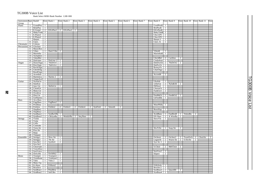Bank Select MSB=Bank Number LSB=000 TG300B Voice List

| Instrument Pgm Bank0  |   |                                |                              | Elem Bank 1                             |                | Elem Bank 2 | Elem Bank 3 |   | Elem Bank 4 | Elem Bank 5 |   | Elem Bank 6 | Elem Bank 7 | Elem Bank 8              |                     | Elem Bank 9                   |                | Elem Bank 10          |                | Elem Bank 11 | Elem           |
|-----------------------|---|--------------------------------|------------------------------|-----------------------------------------|----------------|-------------|-------------|---|-------------|-------------|---|-------------|-------------|--------------------------|---------------------|-------------------------------|----------------|-----------------------|----------------|--------------|----------------|
| Group                 |   |                                |                              |                                         |                |             |             |   |             |             |   |             |             |                          |                     |                               |                |                       |                |              |                |
| Piano                 |   | 1   GrandPno   1               |                              |                                         |                |             |             |   |             |             |   |             |             | GrndPnoK 1<br>BritPnoK 1 |                     |                               |                |                       |                |              |                |
|                       |   | 2 BritePno<br>3 E.Grand        | $\top$                       | $2$ ElGrPno1 2 ElGrPno2 2               |                |             |             |   |             |             |   |             |             | ElGrPnoK 2               |                     |                               |                |                       |                |              |                |
|                       |   | 4 HnkyTonk 2                   |                              |                                         |                |             |             |   |             |             |   |             |             | HnkyTnkK <sub>2</sub>    |                     |                               |                |                       |                |              |                |
|                       |   | 5 E.Piano1                     | $\overline{2}$               |                                         |                |             |             |   |             |             |   |             |             | $Chor.EP1$ 2             |                     |                               |                |                       |                |              |                |
|                       |   | 6 E.Piano2                     | $\overline{2}$               |                                         |                |             |             |   |             |             |   |             |             | $Chor.EP2$ 2             |                     |                               |                |                       |                |              |                |
|                       |   | 7 Harpsi.                      | $\top$                       |                                         |                |             |             |   |             |             |   |             |             | Harpsi.3                 | $\overline{2}$      |                               |                |                       |                |              |                |
|                       | 8 | Clavi.                         | $\overline{2}$               |                                         |                |             |             |   |             |             |   |             |             | Clavi. K                 | $\Box$              |                               |                |                       |                |              |                |
| Chromatic             | 9 | Celesta                        | T                            |                                         |                |             |             |   |             |             |   |             |             |                          |                     |                               |                |                       |                |              |                |
| Percussion 10 Glocken |   |                                | $\top$                       |                                         |                |             |             |   |             |             |   |             |             |                          |                     |                               |                |                       |                |              |                |
|                       |   | 11 MusicBox                    | $\overline{2}$               |                                         |                |             |             |   |             |             |   |             |             |                          |                     |                               |                |                       |                |              |                |
|                       |   | 12 Vibes                       |                              | 1 Hard Vibe                             | $\overline{2}$ |             |             |   |             |             |   |             |             | VibesK                   | -1                  |                               |                |                       |                |              |                |
|                       |   | 13 Marimba 1                   |                              |                                         |                |             |             |   |             |             |   |             |             | MarimbaK 1               |                     |                               |                |                       |                |              |                |
|                       |   | 14 Xylophon 1                  |                              |                                         |                |             |             |   |             |             |   |             |             |                          |                     |                               |                |                       |                |              |                |
|                       |   | $15$ TubulBel   1              |                              |                                         |                |             |             |   |             |             |   |             |             | ChrchBel   2   Carillon  |                     |                               | 2              |                       |                |              |                |
|                       |   |                                |                              | 16 Dulcimer 1 Dulcimr 2 2               |                |             |             |   |             |             |   |             |             | Cimbalom 2               |                     |                               |                |                       |                |              |                |
| Organ                 |   |                                |                              | $17$ DrawOrgn 1 70sDrOr1                | $\overline{2}$ |             |             |   |             |             |   |             |             |                          |                     | DetDrwOr 2 70sDrOr2           | $\overline{2}$ |                       |                |              |                |
|                       |   |                                |                              | 18 PercOrgn 1 70sPcOr1<br>19 RockOrgn 2 | $\overline{2}$ |             |             |   |             |             |   |             |             | $DetProOr$ 2             |                     |                               |                |                       |                |              |                |
|                       |   |                                |                              |                                         |                |             |             |   |             |             |   |             |             | RotaryOr 2               |                     |                               |                |                       |                |              |                |
|                       |   | 20 ChrchOrg 2<br>21 ReedOrgn 1 |                              |                                         |                |             |             |   |             |             |   |             |             | ChurOrg2 2               |                     |                               |                |                       |                |              |                |
|                       |   | $\overline{22}$ Acordion 2     |                              |                                         |                |             |             |   |             |             |   |             |             | AccordIt                 | 2                   |                               |                |                       |                |              |                |
|                       |   | 23 Harmnica 1 Harmo 2          |                              |                                         | $\overline{2}$ |             |             |   |             |             |   |             |             |                          |                     |                               |                |                       |                |              |                |
|                       |   | $24$ TangoAcd 2                |                              |                                         |                |             |             |   |             |             |   |             |             |                          |                     |                               |                |                       |                |              |                |
| Guitar                |   | $25$ NylonGtr                  | $\overline{1}$               |                                         |                |             |             |   |             |             |   |             |             | Ukulele                  | $\mathbf{1}$        |                               |                |                       |                |              |                |
|                       |   | 26 SteelGtr                    | $\overline{1}$               |                                         |                |             |             |   |             |             |   |             |             | 12StrGtr                 |                     | $2$ Nyln&Stl                  | 2              |                       |                |              |                |
|                       |   | $27$ Jazz Gtr                  |                              | $\vert$ 1   MelloGtr   1                |                |             |             |   |             |             |   |             |             | PdlSteel                 | $\Box$              |                               |                |                       |                |              |                |
|                       |   | 28 CleanGtr                    | $\mathbf{1}$                 |                                         |                |             |             |   |             |             |   |             |             | $ChorusGt$ 2             |                     |                               |                |                       |                |              |                |
|                       |   | $29$ Mute.Gtr                  | $\mathbf{1}$                 |                                         |                |             |             |   |             |             |   |             |             | $FunkGtr1$ 2             |                     |                               |                |                       |                |              |                |
|                       |   | 30 Ovrdrive                    | $\overline{1}$               |                                         |                |             |             |   |             |             |   |             |             |                          |                     |                               |                |                       |                |              |                |
|                       |   | 31 Dist.Gtr                    | $\top$                       |                                         |                |             |             |   |             |             |   |             |             |                          |                     | FeedbkGt 2 FeedbGt2           | $\overline{2}$ |                       |                |              |                |
|                       |   | 32 GtrHarmo 1                  |                              |                                         |                |             |             |   |             |             |   |             |             | GtFeedbk                 | $\overline{1}$      |                               |                |                       |                |              |                |
| <b>Bass</b>           |   | 33 Aco.Bass                    | $\mathbf{1}$                 |                                         |                |             |             |   |             |             |   |             |             |                          |                     |                               |                |                       |                |              |                |
|                       |   | 34   FngrBass                  |                              | $1$   FngBass2                          | 2              |             |             |   |             |             |   |             |             |                          |                     |                               |                |                       |                |              |                |
|                       |   | 35 PickBass                    | $\overline{1}$               |                                         |                |             |             |   |             |             |   |             |             | MutePkBa 1               |                     |                               |                |                       |                |              |                |
|                       |   | 36 Fretless                    |                              | 1 Fretles2                              |                | 2 Fretles3  | 2 Fretles4  |   | 2 SynFret1  | 2 Smooth    | 2 |             |             |                          |                     |                               |                |                       |                |              |                |
|                       |   | 37 SlapBas1                    | $\mathbf{1}$                 |                                         |                |             |             |   |             |             |   |             |             | ResoSlap                 | $\overline{1}$      |                               |                |                       |                |              |                |
|                       |   | 38 SlapBas2                    | $\overline{1}$               | 39 SynBass1 1 SynBa1Dk 1                |                |             |             |   |             |             |   |             |             |                          |                     | AcidBass 1 FastResB 1 TeknoBa |                |                       | $\overline{2}$ |              |                |
|                       |   | 40 SynBass2                    |                              | 2 ClkSynBa 2 ModulrBa 2 Seq Bass        |                |             |             | 2 |             |             |   |             |             |                          |                     | DX Bass 2 X WireBa            | $\overline{2}$ |                       |                |              |                |
| Strings               |   | $41$ Violin                    | $\mathbf{1}$                 |                                         |                |             |             |   |             |             |   |             |             | SlowVln                  | $\overline{1}$      |                               |                |                       |                |              |                |
|                       |   | 42 Viola                       | $\overline{1}$               |                                         |                |             |             |   |             |             |   |             |             |                          |                     |                               |                |                       |                |              |                |
|                       |   | 43 Cello                       | $\mathbf{1}$                 |                                         |                |             |             |   |             |             |   |             |             |                          |                     |                               |                |                       |                |              |                |
|                       |   | 44 Contrabs                    | $\overline{1}$               |                                         |                |             |             |   |             |             |   |             |             |                          |                     |                               |                |                       |                |              |                |
|                       |   | 45 Trem.Str                    | $\overline{1}$               |                                         |                |             |             |   |             |             |   |             |             | SlwTrStr 1 Susp Str      |                     |                               | $\overline{2}$ |                       |                |              |                |
|                       |   | 46   Pizz.Str                  | $\top$                       |                                         |                |             |             |   |             |             |   |             |             |                          |                     |                               |                |                       |                |              |                |
|                       |   | 47 Harp                        | $\overline{1}$               |                                         |                |             |             |   |             |             |   |             |             |                          |                     |                               |                |                       |                |              |                |
|                       |   | 48 Timpani                     | $\overline{1}$               |                                         |                |             |             |   |             |             |   |             |             |                          |                     |                               |                |                       |                |              |                |
| Ensemble              |   | 49 Strings1                    |                              | 1 Slow Str                              | $\overline{1}$ |             |             |   |             |             |   |             |             | Orchestr                 |                     | 2 Orchstr2                    |                | 2 TremOrch 2 ChoirStr |                |              | $\overline{2}$ |
|                       |   | $50$ Strings2                  | $\top$                       | $70s$ Str                               | $\overline{1}$ |             |             |   |             |             |   |             |             | LegatoSt                 | $\overline{2}$      | Warm Str                      |                | $2$ S.SlwStr          | $\overline{2}$ |              |                |
|                       |   | $51$ Syn.Str1                  |                              | $2$ SynStr4                             | $\overline{2}$ |             |             |   |             |             |   |             |             | Syn Str 3                | $\overline{2}$      |                               |                |                       |                |              |                |
|                       |   | $52$ Syn.Str2                  | $\overline{2}$               |                                         |                |             |             |   |             |             |   |             |             |                          |                     |                               |                |                       |                |              |                |
|                       |   | 53 ChoirAah                    | $\top$                       |                                         |                |             |             |   |             |             |   |             |             | S.Choir                  |                     | 2 MelChoir                    | $\overline{2}$ |                       |                |              |                |
|                       |   | 54 VoiceDoo<br>$55$ SynVoice   | $\mathbf{1}$<br>$\mathbf{1}$ |                                         |                |             |             |   |             |             |   |             |             | SynVox2                  |                     |                               |                |                       |                |              |                |
|                       |   | 56 Orch.Hit                    | $\overline{2}$               | OrchHit2                                | $\overline{2}$ |             |             |   |             |             |   |             |             | Impact                   | 2<br>$\overline{2}$ |                               |                |                       |                |              |                |
| <b>Brass</b>          |   | $57$ Trumpet $1$               |                              | Trumpet2 1                              |                |             |             |   |             |             |   |             |             |                          |                     |                               |                |                       |                |              |                |
|                       |   | 58 Trombone                    | $\overline{1}$               | Trmbone2                                | $\overline{2}$ |             |             |   |             |             |   |             |             |                          |                     |                               |                |                       |                |              |                |
|                       |   | $59$ Tuba                      | $\top$                       | Tuba 2                                  | $\top$         |             |             |   |             |             |   |             |             |                          |                     |                               |                |                       |                |              |                |
|                       |   | $60$ Mute.Trp   1              |                              |                                         |                |             |             |   |             |             |   |             |             |                          |                     |                               |                |                       |                |              |                |
|                       |   | $61$ Fr.Horn                   |                              | $2$ FrHorn $2$                          | $\overline{2}$ |             |             |   |             |             |   |             |             | FrHrSolo 1               |                     |                               |                |                       |                |              |                |
|                       |   | 62 BrasSect                    | $\top$                       |                                         |                |             |             |   |             |             |   |             |             | $BrssSec2 \quad 2$       |                     |                               |                |                       |                |              |                |
|                       |   | $63$ SynBras1                  |                              | $\sqrt{2}$ PolyBrss                     | $\overline{2}$ |             |             |   |             |             |   |             |             | SynBras3 2 QuackBr       |                     |                               | $\overline{2}$ |                       |                |              |                |
|                       |   | 64 SynBras2 1 Soft Brs         |                              |                                         | $\overline{2}$ |             |             |   |             |             |   |             |             | $SynBras4$ 2             |                     |                               |                |                       |                |              |                |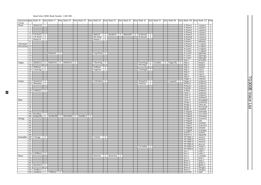#### Bank Select MSB=Bank Number LSB=000

| Instrument Pgm Bank 16 |                       |                              |                                  | Elem Bank 17             |   | Elem Bank 18 Elem Bank 19 Elem Bank 24 |   |   |                      |                                  | Elem Bank 25 |                | Elem Bank 26                               | Elem Bank 32 Elem Bank 33        |                |         | Elem Bank 40 | Elem Bank 126 Elem Bank 127 Elem |                                  |                                                                                                                       |                                                                                                                                                                                    |
|------------------------|-----------------------|------------------------------|----------------------------------|--------------------------|---|----------------------------------------|---|---|----------------------|----------------------------------|--------------|----------------|--------------------------------------------|----------------------------------|----------------|---------|--------------|----------------------------------|----------------------------------|-----------------------------------------------------------------------------------------------------------------------|------------------------------------------------------------------------------------------------------------------------------------------------------------------------------------|
| Group<br>Piano         |                       | 1 MelloGrP                   |                                  |                          |   |                                        |   |   |                      |                                  |              |                |                                            |                                  |                |         |              | A-Piano1                         |                                  |                                                                                                                       |                                                                                                                                                                                    |
|                        | $\overline{2}$        |                              | -1                               |                          |   |                                        |   |   |                      |                                  |              |                |                                            |                                  |                |         |              | A-Piano2                         |                                  | $2 \mid$ a.piano1                                                                                                     | $\mathbf{1}$<br>$\top$                                                                                                                                                             |
|                        | $\overline{3}$        |                              |                                  |                          |   |                                        |   |   |                      |                                  |              |                |                                            |                                  |                |         |              | A-Piano3                         |                                  | $\begin{array}{ c c }\n\hline\n2 & a.piano2 \\ \hline\n2 & a.piano3\n\end{array}$                                     | T                                                                                                                                                                                  |
|                        | $\overline{4}$        |                              |                                  |                          |   |                                        |   |   |                      |                                  |              |                |                                            |                                  |                |         |              | A-Piano4                         | $\overline{2}$                   | e.piano1                                                                                                              | $\overline{1}$                                                                                                                                                                     |
|                        |                       | 5 VX El.P1                   | $\overline{2}$                   |                          |   |                                        |   |   | 60sELP               |                                  |              |                | 1   HardEl.P   2   MelloEP1   2   El.Pno1K |                                  |                |         |              | A-Piano5                         | -1                               | e.piano2                                                                                                              | $\top$                                                                                                                                                                             |
|                        |                       | 6 VX El.P2                   | $\overline{2}$<br>$\overline{1}$ |                          |   |                                        |   |   | DX Hard              | $\overline{2}$<br>$\overline{2}$ |              |                |                                            | El.Pno2K                         | $\top$         |         |              | A-Piano6                         | $\overline{1}$                   | e.piano3                                                                                                              | $\top$<br>$\overline{1}$                                                                                                                                                           |
|                        | 7<br>8                | Harpsi.K                     |                                  |                          |   |                                        |   |   | Harpsi.2             |                                  |              |                |                                            |                                  |                |         |              | A-Piano7<br>E-Piano1             | $\mathbf{1}$<br>$\overline{2}$   | e.piano4<br>hnkytnk                                                                                                   |                                                                                                                                                                                    |
| Chromatic              | 9                     |                              |                                  |                          |   |                                        |   |   |                      |                                  |              |                |                                            |                                  |                |         |              | E-Piano2                         | $\overline{2}$                   | e.organ1                                                                                                              | $\frac{2}{2}$                                                                                                                                                                      |
| Percussion 10          |                       |                              |                                  |                          |   |                                        |   |   |                      |                                  |              |                |                                            |                                  |                |         |              | E-Piano3                         | $\frac{2}{1}$                    | e.organ2                                                                                                              | $\frac{2}{1}$                                                                                                                                                                      |
|                        | 11                    |                              |                                  |                          |   |                                        |   |   |                      |                                  |              |                |                                            |                                  |                |         |              | $A-Guitr1$                       |                                  | e.organ3                                                                                                              |                                                                                                                                                                                    |
|                        | 12                    |                              |                                  |                          |   |                                        |   |   |                      |                                  |              |                |                                            |                                  |                |         |              | A-Guitr2                         | $\overline{2}$                   | e.organ4                                                                                                              | $\top$                                                                                                                                                                             |
|                        | 13<br>$\overline{14}$ |                              |                                  | Balafon <sub>2</sub>     | 2 |                                        |   |   | Log Drum 2           |                                  |              |                |                                            |                                  |                |         |              | A-Guitr3<br>E-Guitr1             | 2 <sup>1</sup>                   | pipeorg1<br>$\overline{2}$ pipeorg2                                                                                   |                                                                                                                                                                                    |
|                        | 15                    |                              |                                  |                          |   |                                        |   |   |                      |                                  |              |                |                                            |                                  |                |         |              | E-Guitr2                         | $\vert$                          | pipeorg3                                                                                                              |                                                                                                                                                                                    |
|                        | 16                    |                              |                                  |                          |   |                                        |   |   |                      |                                  |              |                |                                            |                                  |                |         |              | $Slap-1$                         |                                  | 2 acordion                                                                                                            | $\begin{array}{r} 2 \\ 2 \\ 2 \\ \hline 2 \\ 1 \end{array}$                                                                                                                        |
| Organ                  | 17                    | 60sDrOr1                     | $\overline{2}$                   | 60sDrOr2                 |   | $2\frac{60sDrOr3}{2}$                  | 2 |   | CheezOrg             | 2                                |              |                |                                            | DrawOrg2 2<br>PercOrg2 2         |                | EvenBar | 2 Organ Ba   | $Slap-2$                         |                                  | 2 harpsi1                                                                                                             |                                                                                                                                                                                    |
|                        | 18                    | 19 SloRotar                  |                                  |                          |   |                                        |   |   |                      |                                  |              |                |                                            |                                  |                |         |              | $Slap-3$                         |                                  | $\overline{2}$ harpsi <sub>2</sub>                                                                                    | $\overline{2}$                                                                                                                                                                     |
|                        |                       | $20$ ChurOrg $3$ 2           | $\overline{2}$                   |                          |   |                                        |   |   | FstRotar<br>OrgFlute | $\overline{2}$<br>$\overline{2}$ |              |                |                                            | TrmOrgFl                         | $\overline{2}$ |         |              | $Slap-4$<br>$Slap-5$             | $2^{-}$<br>$\overline{2}$        | harpsi3<br>clavi1                                                                                                     | $\top$<br>$\overline{1}$                                                                                                                                                           |
|                        | 21                    |                              |                                  |                          |   |                                        |   |   |                      |                                  |              |                |                                            |                                  |                |         |              | $Slap-6$                         | $\overline{2}$                   | clavi2                                                                                                                | $\top$                                                                                                                                                                             |
|                        | 22                    |                              |                                  |                          |   |                                        |   |   |                      |                                  |              |                |                                            |                                  |                |         |              | Slap-7                           | $\overline{2}$                   | clavi3                                                                                                                | $\top$                                                                                                                                                                             |
|                        | $\overline{23}$       |                              |                                  |                          |   |                                        |   |   |                      |                                  |              |                |                                            |                                  |                |         |              | $Slap-8$                         | $\overline{2}$                   | celestal                                                                                                              | T                                                                                                                                                                                  |
|                        | 24                    |                              |                                  |                          |   |                                        |   |   |                      |                                  |              |                |                                            |                                  |                |         |              | Finger-1                         | $\mathbf{1}$                     | celesta2                                                                                                              | $\overline{1}$                                                                                                                                                                     |
| Guitar                 |                       | $25$ NylonGt3<br>26 Mandolin | 2<br>$\overline{2}$              |                          |   |                                        |   |   | VelGtHrm 2           |                                  |              |                |                                            | NylonGt2<br>SteelGt <sub>2</sub> | $\overline{1}$ |         | LequintG     | Finger-2<br>Picked-1             | $\overline{2}$<br>$\overline{1}$ | synbras1<br>synbras2                                                                                                  |                                                                                                                                                                                    |
|                        | $\overline{27}$       |                              |                                  |                          |   |                                        |   |   |                      |                                  |              |                |                                            |                                  |                |         |              | Picked-2                         | $\overline{2}$                   | synbras3                                                                                                              | $\frac{2}{2}$                                                                                                                                                                      |
|                        | 28                    |                              |                                  |                          |   |                                        |   |   |                      |                                  |              |                |                                            |                                  |                |         |              | FretlsBs                         | 1 <sup>1</sup>                   | synbras4                                                                                                              | $\frac{1}{2}$                                                                                                                                                                      |
|                        |                       | 29 FunkGtr2 2                |                                  |                          |   |                                        |   |   |                      |                                  |              |                |                                            |                                  |                |         |              | A-Bass                           | $\overline{2}$                   | synbass1                                                                                                              | $\overline{\phantom{a}}$                                                                                                                                                           |
|                        | 30                    |                              |                                  |                          |   |                                        |   |   |                      |                                  |              |                |                                            |                                  |                |         |              | Choir-1                          | $\mathbf{1}$                     | synbass2                                                                                                              | $\top$                                                                                                                                                                             |
|                        | 31<br>$\overline{32}$ |                              |                                  |                          |   |                                        |   |   |                      |                                  |              |                |                                            |                                  |                |         |              | Choir-2<br>Choir-3               | $\mathbf{1}$<br>$2-1$            | synbass3<br>synbass4                                                                                                  | $\sqrt{2}$<br>$\overline{1}$                                                                                                                                                       |
| <b>Bass</b>            | 33                    |                              |                                  |                          |   |                                        |   |   |                      |                                  |              |                |                                            |                                  |                |         |              | Choir-4                          |                                  |                                                                                                                       |                                                                                                                                                                                    |
|                        | 34                    |                              |                                  |                          |   |                                        |   |   |                      |                                  |              |                |                                            |                                  |                |         |              | Strngs-1                         |                                  | 2 newagepd 2<br>2 synharmo 2                                                                                          |                                                                                                                                                                                    |
|                        | $\overline{35}$       |                              |                                  |                          |   |                                        |   |   |                      |                                  |              |                |                                            |                                  |                |         |              | Strngs-2                         |                                  | $\begin{array}{ c c c c }\n\hline\n2 & \text{choir pd} & 2 \\ \hline\n2 & \text{bowed pd} & 2 \\ \hline\n\end{array}$ |                                                                                                                                                                                    |
|                        | 36                    |                              |                                  |                          |   |                                        |   |   |                      |                                  |              |                |                                            |                                  |                |         |              | Strngs-3                         |                                  |                                                                                                                       |                                                                                                                                                                                    |
|                        | 37<br>38              |                              |                                  |                          |   |                                        |   |   |                      |                                  |              |                |                                            |                                  |                |         |              | Strngs-4<br>E-Organ1             | $\frac{2}{2}$                    | $\begin{array}{c cc}\n\text{soundtrk} & 2 \\ \hline\n\text{atmosphr} & 2 \\ \hline\n\text{syn warm} & 2\n\end{array}$ |                                                                                                                                                                                    |
|                        |                       | 39 ResoBass                  | -1                               |                          |   |                                        |   |   |                      |                                  |              |                |                                            |                                  |                |         |              | E-Organ2                         | $\overline{2}$                   |                                                                                                                       |                                                                                                                                                                                    |
|                        |                       | 40 RubberBa                  |                                  |                          |   | $2$ SynBa2Dk 1 MelloSB2 1 SmthBa 2     |   | 2 |                      |                                  |              |                |                                            |                                  |                |         |              | $E-Organ3$ 2                     |                                  | synfunny                                                                                                              | $\overline{1}$                                                                                                                                                                     |
| Strings                | 41                    |                              |                                  |                          |   |                                        |   |   |                      |                                  |              |                |                                            |                                  |                |         |              | E-Organ4                         |                                  | $\frac{2}{2}$ synec<br>synechol                                                                                       | $\frac{2}{2}$                                                                                                                                                                      |
|                        | 42                    |                              |                                  |                          |   |                                        |   |   |                      |                                  |              |                |                                            |                                  |                |         |              | E-Organ5                         |                                  |                                                                                                                       |                                                                                                                                                                                    |
|                        | 43<br>44              |                              |                                  |                          |   |                                        |   |   |                      |                                  |              |                |                                            |                                  |                |         |              | E-Organ6<br>$E-Organ7$           | $\overline{2}$                   | synoboe<br>$2$ synecho2                                                                                               | $\overline{2}$                                                                                                                                                                     |
|                        | $\overline{45}$       |                              |                                  |                          |   |                                        |   |   |                      |                                  |              |                |                                            |                                  |                |         |              | E-Organ8 2                       |                                  | synsolo                                                                                                               |                                                                                                                                                                                    |
|                        | 46                    |                              |                                  |                          |   |                                        |   |   |                      |                                  |              |                |                                            |                                  |                |         |              | E-Organ9                         | $\overline{2}$                   | synrdorg                                                                                                              |                                                                                                                                                                                    |
|                        | 47                    |                              |                                  |                          |   |                                        |   |   |                      |                                  |              |                |                                            |                                  |                |         |              | $SoffTP-1$                       | $\overline{\phantom{a}}$         | synbell                                                                                                               |                                                                                                                                                                                    |
|                        | 48                    |                              |                                  |                          |   |                                        |   |   |                      |                                  |              |                |                                            |                                  |                |         |              | $SoftTP-2$ 1                     |                                  | squareld                                                                                                              | $\begin{array}{@{}c@{\hspace{1em}}c@{\hspace{1em}}c}\n & 2 \\ \hline\n & 2 \\ \hline\n & 2 \\ \hline\n & 2 \\ \hline\n & 2 \\ \hline\n & 2 \\ \hline\n & 2 \\ \hline\n\end{array}$ |
| Ensemble               | 50                    | 49 S.Strngs                  | $\overline{2}$                   |                          |   |                                        |   |   | VeloStr              | $\overline{2}$                   |              |                |                                            |                                  |                |         |              | $TP/TRB-1$ 1<br>TP/TRB-2         | $\overline{1}$                   | strsect1<br>strsect2                                                                                                  |                                                                                                                                                                                    |
|                        | $\overline{51}$       |                              |                                  |                          |   |                                        |   |   |                      |                                  |              |                |                                            |                                  |                |         |              | $TP/TRB-3$ 1                     |                                  | strsect3                                                                                                              |                                                                                                                                                                                    |
|                        | 52                    |                              |                                  |                          |   |                                        |   |   |                      |                                  |              |                |                                            |                                  |                |         |              | $TP/TRB-4$ 1                     |                                  | pizz.str                                                                                                              |                                                                                                                                                                                    |
|                        | $\overline{53}$       |                              |                                  |                          |   |                                        |   |   |                      |                                  |              |                |                                            | Ch.Aahs2                         | $\overline{2}$ |         |              | $TP/TRB-5$                       | $\overline{2}$                   | violin 1                                                                                                              | $\frac{1}{2}$                                                                                                                                                                      |
|                        | 54                    |                              |                                  |                          |   |                                        |   |   |                      |                                  |              |                |                                            |                                  |                |         |              | $TP/TRB-6$ 2                     |                                  | violin 2                                                                                                              |                                                                                                                                                                                    |
|                        | 55                    | 56 LoFiRave                  | $\overline{2}$                   |                          |   |                                        |   |   |                      |                                  |              |                |                                            |                                  |                |         |              | $Sax-1$<br>$Sax-2$               | $\mathbf{1}$<br>$\top$           | cello 1<br>cello 2                                                                                                    | $\overline{1}$<br>$\overline{1}$                                                                                                                                                   |
| <b>Brass</b>           | 57                    |                              |                                  |                          |   |                                        |   |   | BriteTrp             |                                  | 2 WarmTrp    | $\overline{2}$ |                                            |                                  |                |         |              | $Sax-3$                          | $\mathbf{1}$                     | contrabs                                                                                                              | $\overline{1}$                                                                                                                                                                     |
|                        | 58                    |                              |                                  |                          |   |                                        |   |   |                      |                                  |              |                |                                            |                                  |                |         |              | $Sax-4$                          | $2^{\circ}$                      | harp 1                                                                                                                | $\mathbf{1}$                                                                                                                                                                       |
|                        | 59                    |                              |                                  |                          |   |                                        |   |   |                      |                                  |              |                |                                            |                                  |                |         |              | Brass-1                          |                                  | $1$ harp $2$                                                                                                          | $\top$                                                                                                                                                                             |
|                        | 60                    |                              |                                  |                          |   |                                        |   |   |                      |                                  |              |                |                                            |                                  |                |         |              | Brass-2                          | $\top$                           | guitar 1                                                                                                              | $\frac{1}{\frac{1}{2}}$                                                                                                                                                            |
|                        | 62                    | 61 HornOrch 2                |                                  |                          |   |                                        |   |   |                      |                                  |              |                |                                            |                                  |                |         |              | Brass-3<br>Brass-4               | $\overline{2}$                   | guitar 2<br>$2$ elecgtrl                                                                                              |                                                                                                                                                                                    |
|                        |                       | 63 AnaBrss1 2                |                                  |                          |   |                                        |   |   |                      |                                  |              |                |                                            |                                  |                |         |              | Brass-5                          |                                  | $\overline{2}$ elecgtr <sup>2</sup>                                                                                   |                                                                                                                                                                                    |
|                        |                       |                              |                                  | 64 AnaBrss2 2 VelBras2 2 |   |                                        |   |   |                      |                                  |              |                |                                            |                                  |                |         |              | Orch-Hit $1$ sitar               |                                  |                                                                                                                       | $\overline{1}$                                                                                                                                                                     |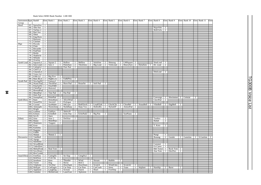#### Bank Select MSB=Bank Number LSB=000

| Instrument Pgm Bank0       |      |                                |                | Elem Bank 1                                                                     |                | Elem Bank 2                        |                | Elem Bank 3                        |              | Elem Bank 4         |                | Elem Bank 5                             |                | Elem Bank 6                                         |                | Elem Bank 7     | Elem Bank 8     |                | Elem Bank 9           |    | Elem Bank 10 |   | Elem Bank 11 | Elem           |
|----------------------------|------|--------------------------------|----------------|---------------------------------------------------------------------------------|----------------|------------------------------------|----------------|------------------------------------|--------------|---------------------|----------------|-----------------------------------------|----------------|-----------------------------------------------------|----------------|-----------------|-----------------|----------------|-----------------------|----|--------------|---|--------------|----------------|
| Group                      |      |                                |                |                                                                                 |                |                                    |                |                                    |              |                     |                |                                         |                |                                                     |                |                 |                 |                |                       |    |              |   |              |                |
| Reed                       |      | 65   SprnoSax                  |                |                                                                                 |                |                                    |                |                                    |              |                     |                |                                         |                |                                                     |                |                 |                 |                |                       |    |              |   |              |                |
|                            |      | 66 Alto Sax                    | $\mathbf{1}$   |                                                                                 |                |                                    |                |                                    |              |                     |                |                                         |                |                                                     |                |                 | HyprAlto        | 2              |                       |    |              |   |              |                |
|                            |      | 67 TnrSax 2                    | $\mathbf{I}$   |                                                                                 |                |                                    |                |                                    |              |                     |                |                                         |                |                                                     |                |                 | <b>BrthTnSx</b> | $\overline{2}$ |                       |    |              |   |              |                |
|                            |      | 68 Bari.Sax                    | $\overline{1}$ |                                                                                 |                |                                    |                |                                    |              |                     |                |                                         |                |                                                     |                |                 |                 |                |                       |    |              |   |              |                |
|                            |      | 69 Oboe                        | $\overline{2}$ |                                                                                 |                |                                    |                |                                    |              |                     |                |                                         |                |                                                     |                |                 |                 |                |                       |    |              |   |              |                |
|                            |      | 70 Eng.Horn                    | $\overline{1}$ |                                                                                 |                |                                    |                |                                    |              |                     |                |                                         |                |                                                     |                |                 |                 |                |                       |    |              |   |              |                |
|                            |      | 71 Bassoon                     | T              |                                                                                 |                |                                    |                |                                    |              |                     |                |                                         |                |                                                     |                |                 |                 |                |                       |    |              |   |              |                |
|                            |      | 72 Clarinet                    | $\overline{1}$ |                                                                                 |                |                                    |                |                                    |              |                     |                |                                         |                |                                                     |                |                 |                 |                |                       |    |              |   |              |                |
| Pipe                       |      | 73 Piccolo                     | $\mathbf{1}$   |                                                                                 |                |                                    |                |                                    |              |                     |                |                                         |                |                                                     |                |                 |                 |                |                       |    |              |   |              |                |
|                            |      | 74 Flute                       | $\overline{1}$ |                                                                                 |                |                                    |                |                                    |              |                     |                |                                         |                |                                                     |                |                 |                 |                |                       |    |              |   |              |                |
|                            |      | 75 Recorder                    | T              |                                                                                 |                |                                    |                |                                    |              |                     |                |                                         |                |                                                     |                |                 |                 |                |                       |    |              |   |              |                |
|                            |      | 76 PanFlute                    | $\mathbf{1}$   |                                                                                 |                |                                    |                |                                    |              |                     |                |                                         |                |                                                     |                |                 |                 |                |                       |    |              |   |              |                |
|                            |      | 77 Bottle                      | $\overline{2}$ |                                                                                 |                |                                    |                |                                    |              |                     |                |                                         |                |                                                     |                |                 |                 |                |                       |    |              |   |              |                |
|                            |      | 78 Shakhchi                    | $\overline{2}$ |                                                                                 |                |                                    |                |                                    |              |                     |                |                                         |                |                                                     |                |                 |                 |                |                       |    |              |   |              |                |
|                            | 79   | Whistle                        | $\mathbf{I}$   |                                                                                 |                |                                    |                |                                    |              |                     |                |                                         |                |                                                     |                |                 |                 |                |                       |    |              |   |              |                |
|                            |      | 80 Ocarina                     | $\mathbf{1}$   |                                                                                 |                |                                    |                |                                    |              |                     |                |                                         |                |                                                     |                |                 |                 |                |                       |    |              |   |              |                |
| Synth Lead                 |      | 81 SquareLd                    |                | 2 Square 2                                                                      | $\mathbf{1}$   | Hollow                             |                | 1 Mellow                           |              | 2 SoloSine 2 Shmoog |                |                                         |                | 2 LMSquare                                          | $\overline{c}$ |                 | SineLead        |                |                       |    |              |   |              |                |
|                            |      | 82 Saw.Lead                    |                | $\begin{array}{ c c } \hline 2 & \text{Saw 2} \\ \hline 2 & \hline \end{array}$ | $\mathbf{1}$   | PulseSaw                           | $\overline{2}$ |                                    |              |                     |                |                                         |                | ThickSaw 2 Big Lead 2 VeloLead 2 HeavySyn 2 DynaSaw |                |                 | 1 Dr. Lead      | $\overline{2}$ |                       |    |              |   |              |                |
|                            |      | 83 CaliopLd                    |                |                                                                                 |                | Pure Pad                           | $\overline{2}$ |                                    |              |                     |                |                                         |                |                                                     |                |                 |                 |                |                       |    |              |   |              |                |
|                            |      | 84 Chiff Ld                    | $\overline{2}$ |                                                                                 |                |                                    |                |                                    |              |                     |                |                                         |                |                                                     |                |                 |                 |                |                       |    |              |   |              |                |
|                            |      | 85 CharanLd                    | $\overline{2}$ |                                                                                 |                |                                    |                |                                    |              |                     |                |                                         |                |                                                     |                |                 | DistLead        | 2              |                       |    |              |   |              |                |
|                            |      | 86 Voice Ld                    |                | $\begin{array}{c c} 2 & \text{Big Five} \end{array}$                            |                |                                    |                |                                    |              |                     |                |                                         |                |                                                     |                |                 |                 |                |                       |    |              |   |              |                |
|                            |      | 87 Fifth Ld                    |                |                                                                                 | $\overline{2}$ |                                    |                |                                    |              |                     |                |                                         |                |                                                     |                |                 |                 |                |                       |    |              |   |              |                |
|                            |      | 88 Bass &Ld                    |                | $2$ Big&Low                                                                     |                | 2 Fat&Prky                         | 2              |                                    |              |                     |                |                                         |                |                                                     |                |                 |                 |                |                       |    |              |   |              |                |
| Synth Pad                  |      | 89 NewAgePd                    | $\overline{2}$ | Fantasy2                                                                        | $\overline{2}$ |                                    |                |                                    |              |                     |                |                                         |                |                                                     |                |                 |                 |                |                       |    |              |   |              |                |
|                            |      |                                |                | ThickPad                                                                        | $\overline{2}$ | Horn Pad                           |                | 2 RotarStr                         |              | 2 Soft Pad          | $\overline{2}$ |                                         |                |                                                     |                |                 |                 |                |                       |    |              |   |              |                |
|                            |      | 90 Warm Pad 2<br>91 PolySyPd 2 |                | PolyPd80                                                                        | $\overline{2}$ |                                    |                |                                    |              |                     |                |                                         |                |                                                     |                |                 |                 |                |                       |    |              |   |              |                |
|                            |      | 92 ChoirPad                    | $\overline{2}$ | Heaven <sub>2</sub>                                                             | 2              |                                    |                |                                    |              |                     |                |                                         |                |                                                     |                |                 |                 |                |                       |    |              |   |              |                |
|                            |      | 93 BowedPad                    | $\overline{2}$ |                                                                                 |                |                                    |                |                                    |              |                     |                |                                         |                |                                                     |                |                 |                 |                |                       |    |              |   |              |                |
|                            |      | 94 MetalPad                    | $\frac{2}{2}$  | Tine Pad                                                                        |                | 2 Pan Pad                          | $\overline{2}$ |                                    |              |                     |                |                                         |                |                                                     |                |                 |                 |                |                       |    |              |   |              |                |
|                            |      | 95 Halo Pad                    |                |                                                                                 |                |                                    |                |                                    |              |                     |                |                                         |                |                                                     |                |                 |                 |                |                       |    |              |   |              |                |
|                            |      | 96 SweepPad                    | $\overline{2}$ | PolarPad                                                                        | 2              |                                    |                |                                    |              |                     |                |                                         |                |                                                     |                |                 | Converge        | $2^{\circ}$    | Shwimmer 2   Celstial |    |              | 2 |              |                |
| Synth Effects              |      | 97 Rain                        |                | 2 HrmoRain                                                                      | $\overline{2}$ | AfrcnWnd                           | $\overline{2}$ |                                    |              |                     |                |                                         |                |                                                     |                |                 | ClaviPad        | $\overline{2}$ |                       |    |              |   |              |                |
|                            | 98 I | SoundTrk                       | $\frac{1}{2}$  | Ancestrl                                                                        | $\overline{2}$ | Prologue                           | $\overline{2}$ |                                    |              |                     |                |                                         |                |                                                     |                |                 |                 |                |                       |    |              |   |              |                |
|                            |      | 99 Crystal                     | $\overline{2}$ | SynMalet                                                                        | $\mathbf{1}$   | SftCryst                           |                | 2 RndGlock 2 LoudGlok 2 GlockChi 2 |              |                     |                |                                         |                | ClearBel                                            | $\overline{2}$ | <b>XmasBell</b> | 2 VibeBell      |                | $2$ DigiBell          | 2  |              |   |              |                |
|                            |      | 100 Atmosphr                   | $\overline{2}$ | WarmAtms                                                                        | 2              | NylnHarp                           | $\overline{2}$ |                                    |              |                     |                | Harp $Vox$   2   HollwRls   2   NylonEP | 2              | AtmosPad                                            | 2              |                 |                 |                |                       |    |              |   |              |                |
|                            |      | 101 Bright                     | $\overline{2}$ |                                                                                 |                |                                    |                |                                    |              |                     |                |                                         |                |                                                     |                |                 |                 |                |                       |    |              |   |              |                |
|                            |      | 102 Goblins                    | $\overline{2}$ | GobSyn                                                                          | $\overline{2}$ | 50sSciFi                           | $\overline{2}$ |                                    |              |                     |                |                                         |                |                                                     |                |                 |                 |                |                       |    |              |   |              |                |
|                            |      | 103 Echoes                     | $\overline{2}$ | EchoBell                                                                        | $\overline{2}$ | Echo Pan                           |                | 2 EchoPad2 2 Big Pan               |              |                     | 2              |                                         |                | SynPiano                                            | 2              |                 |                 |                |                       |    |              |   |              |                |
|                            |      | 104 Sci-Fi                     | $\overline{2}$ | Starz                                                                           | 2              |                                    |                |                                    |              |                     |                |                                         |                |                                                     |                |                 |                 |                |                       |    |              |   |              |                |
| Ethnic                     |      | 105 Sitar                      | $\overline{1}$ | Sitar <sub>2</sub>                                                              | $\overline{2}$ | DetSitar                           | $\overline{2}$ |                                    |              |                     |                |                                         |                |                                                     |                |                 | Tambra          | $\overline{c}$ |                       |    |              |   |              |                |
|                            |      | 106 Banjo                      | $\overline{1}$ | MuteBnjo                                                                        | $\mathbf{1}$   |                                    |                |                                    |              |                     |                |                                         |                |                                                     |                |                 | Rabab           | $\overline{2}$ |                       |    |              |   |              |                |
|                            |      | 107 Shamisen                   | -1             | Tsugaru                                                                         | $\overline{2}$ |                                    |                |                                    |              |                     |                |                                         |                |                                                     |                |                 |                 |                |                       |    |              |   |              |                |
|                            |      | 108 Koto                       | 1              |                                                                                 |                |                                    |                |                                    |              |                     |                |                                         |                |                                                     |                |                 | T. Koto         | 2              |                       |    |              |   |              |                |
|                            |      | 109 Kalimba                    | T              |                                                                                 |                |                                    |                |                                    |              |                     |                |                                         |                |                                                     |                |                 |                 |                |                       |    |              |   |              |                |
|                            |      | 110 Bagpipe                    | $\overline{2}$ |                                                                                 |                |                                    |                |                                    |              |                     |                |                                         |                |                                                     |                |                 |                 |                |                       |    |              |   |              |                |
|                            |      | 111 Fiddle                     | $\overline{1}$ |                                                                                 |                |                                    |                |                                    |              |                     |                |                                         |                |                                                     |                |                 |                 |                |                       |    |              |   |              |                |
|                            |      | 112 Shanai                     | T              | Shanai 2                                                                        | T              |                                    |                |                                    |              |                     |                |                                         |                |                                                     |                |                 | Pungi           |                |                       |    |              |   |              |                |
| Percussive 113 TnklBell    |      |                                | $\overline{2}$ |                                                                                 |                |                                    |                |                                    |              |                     |                |                                         |                |                                                     |                |                 | Bonang          | $\overline{2}$ | Gender                |    | 2 Gamelan    |   | 2 S.Gamlan   | $\overline{2}$ |
|                            |      | 114 Agogo                      | $\overline{2}$ |                                                                                 |                |                                    |                |                                    |              |                     |                |                                         |                |                                                     |                |                 |                 |                |                       |    |              |   |              |                |
|                            |      | 115 SteelDrm                   | $\overline{2}$ |                                                                                 |                |                                    |                |                                    |              |                     |                |                                         |                |                                                     |                |                 |                 |                |                       |    |              |   |              |                |
|                            |      | 116 WoodBlok                   | $\overline{1}$ |                                                                                 |                |                                    |                |                                    |              |                     |                |                                         |                |                                                     |                |                 | Castanet        |                |                       |    |              |   |              |                |
|                            |      | 117 TaikoDrm                   | $\overline{1}$ |                                                                                 |                |                                    |                |                                    |              |                     |                |                                         |                |                                                     |                |                 | Gr.Cassa        |                |                       |    |              |   |              |                |
|                            |      | 118 MelodTom                   |                | 2 Real Tom                                                                      | 2              |                                    |                |                                    |              |                     |                |                                         |                |                                                     |                |                 | Mel Tom2        | $\mathbf{1}$   | Rock Tom              | -2 |              |   |              |                |
|                            |      | 119 Syn.Drum                   | $\mathbf{1}$   |                                                                                 |                |                                    |                |                                    |              |                     |                |                                         |                |                                                     |                |                 | Ana Tom         | $\mathbf{1}$   | ElecPerc              | 2  |              |   |              |                |
|                            |      | 120 RevCymbl                   | $\overline{1}$ |                                                                                 |                |                                    |                |                                    |              |                     |                |                                         |                |                                                     |                |                 |                 |                |                       |    |              |   |              |                |
| Sound Effects 121 FretNoiz |      |                                |                | 2 CuttngNz                                                                      | $\mathbf{1}$   | Str Slap                           |                | 1 CttngNz2                         | 2            |                     |                |                                         |                |                                                     |                |                 |                 |                |                       |    |              |   |              |                |
|                            |      | 122 BrthNoiz                   |                | 2 Fl.KClik<br>2 Rain                                                            | -1             |                                    |                |                                    |              |                     |                |                                         |                |                                                     |                |                 |                 |                |                       |    |              |   |              |                |
|                            |      | 123 Seashore                   |                |                                                                                 | $\top$         | Thunder                            | $\top$         | Wind                               | $\mathbf{1}$ | Stream              |                | 2 Bubble                                | $\overline{2}$ |                                                     |                |                 |                 |                |                       |    |              |   |              |                |
|                            |      | 124 Tweet                      | $\overline{2}$ | Dog                                                                             | $\top$         | Horse                              |                | 1 Bird 2                           | -1           |                     |                |                                         |                |                                                     |                |                 |                 |                |                       |    |              |   |              |                |
|                            |      | 125 Telphone                   | $\top$         | Tel.Dial                                                                        | $\top$         | DoorSqek                           | $\frac{1}{2}$  | $DoorSlam$ 1                       |              | Scratch             |                | WindChm 1                               |                | Scratch <sub>2</sub>                                | $\overline{2}$ |                 |                 |                |                       |    |              |   |              |                |
|                            |      | 126 Helicptr                   | $\mathbf{1}$   | CarEngin                                                                        | $\mathbf{1}$   | Car Stop                           | $\vert$ 1      | Car Pass                           | $\mathbf{1}$ | CarCrash            | -1             | Siren                                   | $\overline{2}$ | Train                                               | $\mathbf{1}$   | Jetplane        | 2 Starship      | 2              | Burst                 | 2  |              |   |              |                |
|                            |      | 127 Applause                   | $\overline{1}$ | Laughing                                                                        |                | 1 Scream                           |                | 1 Punch                            | $\mathbf{1}$ | Heart               | $\mathbf{1}$   | FootStep                                | -1             |                                                     |                |                 |                 |                |                       |    |              |   |              |                |
|                            |      | 128 Gunshot                    |                |                                                                                 |                | 1 MchinGun 1 LaserGun 2 Xplosion 2 |                |                                    |              |                     |                |                                         |                |                                                     |                |                 |                 |                |                       |    |              |   |              |                |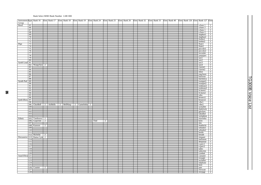#### Bank Select MSB=Bank Number LSB=000

| Tnstrument Pgm Bank 16 Elem Bank 17 Elem Bank 18 Elem Bank 19 Elem Bank 24 Elem Bank 25 Elem Bank 26 Elem Bank 32 Elem Bank 33 |                       |                        |                |  |  |                       |                |     |                |  |  |  |  | Elem Bank 40 |  | Elem Bank 126 Elem Bank 127 Elem                                                        |                                  |
|--------------------------------------------------------------------------------------------------------------------------------|-----------------------|------------------------|----------------|--|--|-----------------------|----------------|-----|----------------|--|--|--|--|--------------|--|-----------------------------------------------------------------------------------------|----------------------------------|
| Group<br>Reed                                                                                                                  |                       |                        |                |  |  |                       |                |     |                |  |  |  |  |              |  |                                                                                         |                                  |
|                                                                                                                                | 65                    |                        |                |  |  |                       |                |     |                |  |  |  |  |              |  | a.bass 1                                                                                | $\mathbf{1}$                     |
|                                                                                                                                | 66                    |                        |                |  |  |                       |                |     |                |  |  |  |  |              |  | a.bass 2                                                                                | $\top$                           |
|                                                                                                                                | 67                    |                        |                |  |  |                       |                |     |                |  |  |  |  |              |  | e.bass 1                                                                                | $\vert$                          |
|                                                                                                                                | 68<br>$\overline{69}$ |                        |                |  |  |                       |                |     |                |  |  |  |  |              |  | e.bass 2                                                                                | $\overline{1}$                   |
|                                                                                                                                | 70                    |                        |                |  |  |                       |                |     |                |  |  |  |  |              |  | slapbas1<br>slapbas2                                                                    | $\frac{1}{1}$                    |
|                                                                                                                                | 71                    |                        |                |  |  |                       |                |     |                |  |  |  |  |              |  | fretles1                                                                                |                                  |
|                                                                                                                                | $\overline{72}$       |                        |                |  |  |                       |                |     |                |  |  |  |  |              |  | fretles2                                                                                | $\top$                           |
| Pipe                                                                                                                           | 73                    |                        |                |  |  |                       |                |     |                |  |  |  |  |              |  | flute1                                                                                  | $\top$                           |
|                                                                                                                                | 74                    |                        |                |  |  |                       |                |     |                |  |  |  |  |              |  | flute2                                                                                  | $\overline{1}$                   |
|                                                                                                                                | $\overline{75}$       |                        |                |  |  |                       |                |     |                |  |  |  |  |              |  | piccolo1                                                                                | $\top$                           |
|                                                                                                                                | 76                    |                        |                |  |  |                       |                |     |                |  |  |  |  |              |  | piccolo <sub>2</sub>                                                                    | $\frac{2}{1}$                    |
|                                                                                                                                | 77                    |                        |                |  |  |                       |                |     |                |  |  |  |  |              |  | recorder                                                                                |                                  |
|                                                                                                                                | $\overline{78}$       |                        |                |  |  |                       |                |     |                |  |  |  |  |              |  | panpipes                                                                                | $\frac{2}{2}$                    |
|                                                                                                                                | 79                    |                        |                |  |  |                       |                |     |                |  |  |  |  |              |  | sax1                                                                                    |                                  |
|                                                                                                                                | 80                    |                        |                |  |  |                       |                |     |                |  |  |  |  |              |  | sax2                                                                                    | $\overline{1}$                   |
| Synth Lead                                                                                                                     | 81                    |                        |                |  |  |                       |                |     |                |  |  |  |  |              |  | sax3                                                                                    | $\overline{1}$                   |
|                                                                                                                                |                       | 82 WaspySyn 2          |                |  |  |                       |                |     |                |  |  |  |  |              |  | sax4                                                                                    | $\overline{1}$                   |
|                                                                                                                                | 83                    |                        |                |  |  |                       |                |     |                |  |  |  |  |              |  | clarint1                                                                                | $\top$                           |
|                                                                                                                                | 84<br>85              |                        |                |  |  |                       |                |     |                |  |  |  |  |              |  | clarint2<br>oboe                                                                        | $\top$<br>$\overline{1}$         |
|                                                                                                                                | 86                    |                        |                |  |  |                       |                |     |                |  |  |  |  |              |  | eng.horn                                                                                | $\overline{1}$                   |
|                                                                                                                                | 87                    |                        |                |  |  |                       |                |     |                |  |  |  |  |              |  | bassoon                                                                                 | $\top$                           |
|                                                                                                                                | 88                    |                        |                |  |  |                       |                |     |                |  |  |  |  |              |  | harmnica                                                                                | $\dot{\top}$                     |
| Synth Pad                                                                                                                      | 89                    |                        |                |  |  |                       |                |     |                |  |  |  |  |              |  |                                                                                         |                                  |
|                                                                                                                                | 90                    |                        |                |  |  |                       |                |     |                |  |  |  |  |              |  | $\begin{tabular}{c cc} \n    trumpet1 & 1 \\ \n    trumpet2 & 1 \\ \nend{tabular}$      |                                  |
|                                                                                                                                | $\overline{91}$       |                        |                |  |  |                       |                |     |                |  |  |  |  |              |  | trumper<br>trumbone1 2<br>trumbone2 2<br>fr.horn1 1<br>tuba<br>2<br>tuba<br>2<br>2<br>1 |                                  |
|                                                                                                                                | 92                    |                        |                |  |  |                       |                |     |                |  |  |  |  |              |  |                                                                                         |                                  |
|                                                                                                                                | $\overline{93}$       |                        |                |  |  |                       |                |     |                |  |  |  |  |              |  |                                                                                         |                                  |
|                                                                                                                                | 94                    |                        |                |  |  |                       |                |     |                |  |  |  |  |              |  |                                                                                         |                                  |
|                                                                                                                                | 95                    |                        |                |  |  |                       |                |     |                |  |  |  |  |              |  |                                                                                         |                                  |
|                                                                                                                                | 96                    |                        |                |  |  |                       |                |     |                |  |  |  |  |              |  | brssect1                                                                                | $\overline{1}$                   |
| Synth Effects 97                                                                                                               |                       |                        |                |  |  |                       |                |     |                |  |  |  |  |              |  | brssect2                                                                                | $\overline{2}$                   |
|                                                                                                                                | 98                    | 99 ChorBell 2 AirBells |                |  |  | 2 BellHarp 2 Gamelmba | $\overline{2}$ |     |                |  |  |  |  |              |  | vibe1<br>vibe2                                                                          | $\overline{1}$<br>$\overline{1}$ |
|                                                                                                                                | 100                   |                        |                |  |  |                       |                |     |                |  |  |  |  |              |  | symallet                                                                                | $\top$                           |
|                                                                                                                                | 101                   |                        |                |  |  |                       |                |     |                |  |  |  |  |              |  | maletwin                                                                                |                                  |
|                                                                                                                                | 102                   |                        |                |  |  |                       |                |     |                |  |  |  |  |              |  | glocken                                                                                 | $\frac{2}{2}$                    |
|                                                                                                                                | 103                   |                        |                |  |  |                       |                |     |                |  |  |  |  |              |  | tubulbel                                                                                |                                  |
|                                                                                                                                | 104                   |                        |                |  |  |                       |                |     |                |  |  |  |  |              |  | xylophon                                                                                | $\overline{1}$                   |
| Ethnic                                                                                                                         |                       | 105 Tamboura 2         |                |  |  |                       |                |     |                |  |  |  |  |              |  | marimba                                                                                 | $\frac{2}{1}$                    |
|                                                                                                                                |                       | 106 Gopichnt           | $\overline{2}$ |  |  |                       |                | Oud | $\overline{2}$ |  |  |  |  |              |  | koto                                                                                    |                                  |
|                                                                                                                                | 107                   |                        |                |  |  |                       |                |     |                |  |  |  |  |              |  | sho                                                                                     |                                  |
|                                                                                                                                |                       | 108 Kanoon             | $\overline{2}$ |  |  |                       |                |     |                |  |  |  |  |              |  | shakhchi                                                                                | $\frac{\frac{1}{2}}{2}$          |
|                                                                                                                                | 109                   |                        |                |  |  |                       |                |     |                |  |  |  |  |              |  | whistle1                                                                                |                                  |
|                                                                                                                                | 110                   |                        |                |  |  |                       |                |     |                |  |  |  |  |              |  | whistle2                                                                                | $\overline{1}$                   |
|                                                                                                                                | 111                   | 112 Hichriki 2         |                |  |  |                       |                |     |                |  |  |  |  |              |  | bottle<br>breath                                                                        | $\frac{\frac{1}{2}}{1}$          |
| Percussive 113 Rama Cym 2                                                                                                      |                       |                        |                |  |  |                       |                |     |                |  |  |  |  |              |  | timpani                                                                                 |                                  |
|                                                                                                                                | 114                   |                        |                |  |  |                       |                |     |                |  |  |  |  |              |  | melotom                                                                                 | $\overline{1}$                   |
|                                                                                                                                | 115                   |                        |                |  |  |                       |                |     |                |  |  |  |  |              |  | deepsnar                                                                                | $\overline{1}$                   |
|                                                                                                                                | 116                   |                        |                |  |  |                       |                |     |                |  |  |  |  |              |  | e.perc1                                                                                 |                                  |
|                                                                                                                                | 117                   |                        |                |  |  |                       |                |     |                |  |  |  |  |              |  | e.perc2                                                                                 | $\frac{1}{1}$                    |
|                                                                                                                                | 118                   |                        |                |  |  |                       |                |     |                |  |  |  |  |              |  | taiko                                                                                   | $\top$                           |
|                                                                                                                                | 119                   |                        |                |  |  |                       |                |     |                |  |  |  |  |              |  | taikorim                                                                                | $\top$                           |
|                                                                                                                                | 120                   |                        |                |  |  |                       |                |     |                |  |  |  |  |              |  | cymbal                                                                                  | $\frac{2}{1}$                    |
| Sound Effects 121                                                                                                              |                       |                        |                |  |  |                       |                |     |                |  |  |  |  |              |  | $\,$ castanet                                                                           |                                  |
|                                                                                                                                | 122                   |                        |                |  |  |                       |                |     |                |  |  |  |  |              |  | triangle                                                                                | $\overline{1}$                   |
|                                                                                                                                | 123                   |                        |                |  |  |                       |                |     |                |  |  |  |  |              |  | orchehit                                                                                | $\overline{1}$                   |
|                                                                                                                                |                       |                        |                |  |  |                       |                |     |                |  |  |  |  |              |  | telphone                                                                                | $\frac{1}{1}$                    |
|                                                                                                                                | 124                   |                        |                |  |  |                       |                |     |                |  |  |  |  |              |  |                                                                                         |                                  |
|                                                                                                                                | 125                   |                        |                |  |  |                       |                |     |                |  |  |  |  |              |  | bird                                                                                    |                                  |
|                                                                                                                                | 127                   | 126 Coaster            | $\overline{2}$ |  |  |                       |                |     |                |  |  |  |  |              |  | jam<br>efctwatr                                                                         | $\overline{1}$<br>$\overline{2}$ |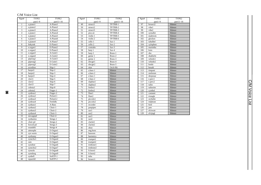# C/M Voice List

| Pgm#                    | TYPE1          | TYPE <sub>2</sub>             |
|-------------------------|----------------|-------------------------------|
|                         | part1~9        | part $11 - 16$                |
| 1                       | a.piano1       | A-Piano1                      |
| $\overline{c}$          | $a.$ piano $2$ | A-Piano2                      |
| 3                       | a.piano3       | A-Piano3                      |
| 4                       | e.piano1       | A-Piano4                      |
| 5                       | $e.$ piano $2$ | A-Piano5                      |
| 6                       | e.piano3       | A-Piano6                      |
| $\overline{7}$          | e.piano4       | A-Piano7                      |
| $\overline{\mathbf{8}}$ | hnkytnk        | E-Piano1                      |
| 9                       | e.organ1       | E-Piano2                      |
| 10                      | e.organ2       | E-Piano3                      |
| 11                      | e.organ3       | A-Guitr1                      |
| 12                      | e.organ4       | A-Guitr2                      |
| 13                      | pipeorg1       | A-Guitr3                      |
| 14                      | pipeorg2       | E-Guitr1                      |
| 15                      | pipeorg3       | E-Guitr2                      |
| 16                      | acordion       | Slap-1                        |
| $\overline{17}$         | harpsi1        | Slap-2                        |
| 18                      | harpsi2        | Slap-3                        |
| 19                      | harpsi3        | Slap-4                        |
| 20                      | clavi1         | $\overline{S}$ lap-5          |
| 21                      | clavi2         | Slap-6                        |
| 22                      | clavi3         | $Slap-7$                      |
| 23                      | celesta1       | $\overline{\text{Slap-8}}$    |
| 24                      | celesta2       | $\overline{\text{F}}$ inger-1 |
| $\overline{25}$         | synbras1       | Finger-2                      |
| $\overline{26}$         | synbras2       | Picked-1                      |
| 27                      | synbras3       | Picked-2                      |
| 28                      | synbras4       | FretlsBs                      |
| 29                      | synbass1       | A-Bass                        |
| 30                      | synbass2       | Choir-1                       |
| 31                      | synbass3       | Choir-2                       |
| 32                      | synbass4       | $\overline{\text{Choir-3}}$   |
| 33                      | newagepd       | Choir-4                       |
| 34                      | synharmo       | Strngs-1                      |
| 35                      | choir pd       | Strngs-2                      |
| 36                      | bowed pd       | Strngs-3                      |
| 37                      | soundtrk       | Strngs-4                      |
| 38                      | atmosphr       | $E$ -Organ $1$                |
| 39                      | syn warm       | E-Organ2                      |
| 40                      | synfunny       | E-Organ3                      |
| 41                      | synecho1       | E-Organ4                      |
| 42                      | rain           | E-Organ5                      |
| 43                      | synoboe        | E-Organ6                      |
| 44                      | synecho2       | E-Organ7                      |
| 45                      | synsolo        | $E-Organ8$                    |
| 46                      | synrdorg       | E-Organ9                      |
| 47                      | synbell        | SoftTP-1                      |
| 48                      | squareld       | SoftTP-2                      |

٦

L

| $\overline{Pgm#}$ | TYPE1                | TYPE <sub>2</sub>  |
|-------------------|----------------------|--------------------|
|                   | part1~9              | part11~16          |
| 49                | strsect1             | TP/TRB-1           |
| 50                | strsect2             | TP/TRB-2           |
| 51                | strsect3             | TP/TRB-3           |
| 52                | pizz.str             | TP/TRB-4           |
| 53                | violin 1             | TP/TRB-5           |
| 54                | violin 2             | TP/TRB-6           |
| 55                | cello 1              | $Sax-1$            |
| 56                | cello 2              | $Sax-2$            |
| 57                | contrabs             | $Sax-3$            |
| 58                | harp 1               | $Sax-4$            |
| 59                | harp 2               | Brass-1            |
| 60                | guitar 1             | Brass-2            |
| 61                | guitar 2             | Brass-3            |
| 62                | elecgtr1             | Brass-4            |
| 63                | elecgtr2             | Brass-5            |
| 64                | sitar                | Orch-Hit           |
| 65                | a.bass 1             | Silence            |
| 66                | a.bass 2             | Silence            |
| 67                | e.bass 1             | Silence            |
| 68                | e.bass 2             | Silence            |
| 69                | slapbas1             | Silence            |
| 70                | slapbas2             | Silence            |
| 71                | fretles1             | Silence            |
| 72                | fretles2             | Silence            |
| 73                | flute1               | Silence            |
| 74                | flute2               | Silence            |
| 75                | piccolo1             | Silence            |
| 76                | piccolo2             | Silence            |
| 77                | recorder             | Silence            |
| 78                | panpipes             | Silence            |
| 79                | sax1                 | Silence            |
| 80                | sax2                 | Silence            |
| 81<br>82          | sax3                 | Silence            |
|                   | sax4                 | Silence            |
| 83<br>84          | clarint1<br>clarint2 | Silence            |
| 85                | oboe                 | Silence<br>Silence |
| 86                |                      | Silence            |
| 87                | eng.horn<br>bassoon  | Silence            |
| 88                | harmnica             | Silence            |
| 89                | trumpet1             | Silence            |
| 90                | trumpet2             | Silence            |
| 91                | trmbone1             | Silence            |
| 92                | trmbone2             | Silence            |
| 93                | fr.horn1             | Silence            |
| 94                | fr.horn2             | Silence            |
| 95                | tuba                 | Silence            |
| 96                | brssect1             | Silence            |
|                   |                      |                    |

| Pgm# | TYPE1    | TYPE <sub>2</sub> |
|------|----------|-------------------|
|      | part1~9  | part11~16         |
| 97   | brssect2 | Silence           |
| 98   | vibe1    | Silence           |
| 99   | vibe2    | Silence           |
| 100  | symallet | Silence           |
| 101  | maletwin | Silence           |
| 102  | glocken  | Silence           |
| 103  | tubulbel | Silence           |
| 104  | xylophon | Silence           |
| 105  | marimba  | Silence           |
| 106  | koto     | Silence           |
| 107  | sho      | Silence           |
| 108  | shakhchi | Silence           |
| 109  | whistle1 | Silence           |
| 110  | whistle2 | Silence           |
| 111  | bottle   | Silence           |
| 112  | breath   | Silence           |
| 113  | timpani  | Silence           |
| 114  | melotom  | Silence           |
| 115  | deepsnar | Silence           |
| 116  | e.perc1  | Silence           |
| 117  | e.perc2  | Silence           |
| 118  | taiko    | Silence           |
| 119  | taikorim | Silence           |
| 120  | cymbal   | Silence           |
| 121  | castanet | Silence           |
| 122  | triangle | Silence           |
| 123  | orchehit | Silence           |
| 124  | telphone | Silence           |
| 125  | bird     | Silence           |
| 126  | jam      | Silence           |
| 127  | efctwatr | Silence           |
| 128  | efctjngl | Silence           |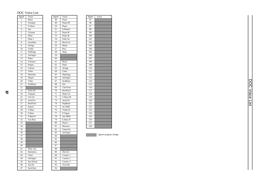# DOC Voice List

| Pgm#             | Voice                     |
|------------------|---------------------------|
| 1                | <b>Brass</b>              |
| $\overline{c}$   | Trumpet                   |
|                  | Fr.Horn                   |
| $\overline{4}$   | $\overline{S}ax$          |
| 5                | Clarinet                  |
| 6                | Oboe                      |
| 7                | Flute<br>$\mathbf{1}$     |
| 8                | Acordion                  |
| $\overline{9}$   | Strings                   |
| 10               | Violin                    |
| 11               | FullOrgn                  |
| $\overline{12}$  | JazOrgn1                  |
| 13               | Piano                     |
| 14               | $E.P$ iano1               |
| $\overline{15}$  | Harpsi.                   |
| $\overline{16}$  | Celesta                   |
| $\overline{17}$  | Vibes                     |
| 18               | Marimba                   |
| 19               | Harpsi.                   |
| $\overline{20}$  | Vibes                     |
| $\overline{21}$  | SynBrass                  |
| 22               |                           |
| $\overline{23}$  | SynCrstl                  |
| $\overline{2}$ 4 | Timpani                   |
| $\overline{25}$  | Gut Gtr                   |
| 26               | JazzGtr1                  |
| $\overline{27}$  | RockGtr1                  |
| 28               | Harpsi.                   |
| $\overline{29}$  | <b>U.Bass</b>             |
| $\overline{30}$  | E.Bass                    |
| 31               | E.Bass/S                  |
| 32               | Syn.Bass                  |
| 33               |                           |
| 34               |                           |
| $\overline{35}$  |                           |
| $\overline{36}$  |                           |
| 37               |                           |
| 38               |                           |
| 39               |                           |
| 40               |                           |
| $\overline{41}$  | Mute Trp                  |
| 42               | Harmnica                  |
| 43               | $\overline{\text{Choir}}$ |
| 44               | JazOrgn1                  |
| 45               | Syn.Wood                  |
| 46               | Syn.Str                   |
| 47               | SynChoir                  |
|                  |                           |

 $\boldsymbol{3}$ 

| Pgm#            | Voice                        |
|-----------------|------------------------------|
| 48              | Piano                        |
| 49              | Piano-M                      |
| 50              | Piano                        |
| 51              | E.Piano2                     |
| $\overline{52}$ | Piano-B                      |
| $\overline{53}$ | Piano-B                      |
| 54              | Folk Gtr                     |
| $\overline{55}$ | <b>Rock Gtr</b>              |
| 56              | Banjo                        |
| $\overline{57}$ | Pizz.                        |
| 58              | Harp                         |
| 59              |                              |
| 60              |                              |
| 61              | <b>Brass</b>                 |
| 62              | Flute                        |
| 63              | Strings                      |
| 64              | $\overline{\text{Choir}}$    |
| 65              | PipeOrgn                     |
| 66              | JazOrgn1                     |
| 67              | SynBrass                     |
| 68              | Sax                          |
| 69              | ClavTone                     |
| 70              | RockGtr2                     |
| $\overline{71}$ | Mute Gtr                     |
| $\overline{72}$ | U.Bass-M                     |
| $\overline{73}$ | JazzGtr2                     |
| $\overline{74}$ | PopBrass                     |
| $\overline{75}$ | Str-Mild                     |
| 76              | Violin-H                     |
| $\overline{77}$ | P.Organ                      |
| 78              | Sax-Mild                     |
| 79              | E.Bass-H                     |
| 80              | Flute 2                      |
| 81              | Bassoon                      |
| 82              | Cham.Str                     |
| 83              | JazOrgn2                     |
| 84              |                              |
| 85              |                              |
| 86              |                              |
| $\overline{87}$ |                              |
| 88              |                              |
| 89              | Dist.Gtr                     |
| 90              | $\overline{\text{Cosmic}}$ 1 |
| 91              | Cosmic 2                     |
| 92              | Cosmic 3                     |
| 93              | Orch.Hit                     |
| 94              |                              |
|                 |                              |

| Pgm#              | Voice |
|-------------------|-------|
| 95                |       |
| $\frac{96}{96}$   |       |
| 97                |       |
| 98                |       |
| 99                |       |
| 100               |       |
| $\overline{101}$  |       |
| 102               |       |
| 103               |       |
| 104               |       |
| $\frac{105}{x}$   |       |
| 106               |       |
| 107               |       |
| $\frac{108}{x}$   |       |
| 109               |       |
| 110               |       |
| 111               |       |
| $\overline{112}$  |       |
| $\frac{113}{2}$   |       |
| $\frac{114}{x}$   |       |
| $\overline{115}$  |       |
| $\frac{116}{116}$ |       |
| $\frac{117}{117}$ |       |
| $\frac{118}{118}$ |       |
| 119               |       |
| 120               |       |
| $\overline{121}$  |       |
| 122               |       |
| 123               |       |
| 124               |       |
| 125               |       |
| 126               |       |
| 127               |       |

: Ignore program change

128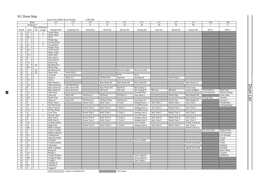# XG Drum Map

|                 |                                         |                    |                         | Bank Select MSB=Bank Number |                              | $LSB=000$  |                    |                 |                    |                |                    |                     |                    |                      |
|-----------------|-----------------------------------------|--------------------|-------------------------|-----------------------------|------------------------------|------------|--------------------|-----------------|--------------------|----------------|--------------------|---------------------|--------------------|----------------------|
|                 | Bank                                    |                    |                         | 127                         | 127                          | 127        | 127                | 127             | 127                | 127            | 127                | 127                 | 126                | 126                  |
|                 | Program#                                |                    |                         | $\mathbf{1}$                | $\overline{2}$               | 9          | 17                 | $\overline{25}$ | 26                 | 33             | 41                 | 49                  |                    | $\mathfrak{D}$       |
|                 |                                         | Key                | Alternate               |                             |                              |            |                    |                 |                    |                |                    |                     |                    |                      |
| Note#           | Note                                    | off                | assign                  | <b>Standard Kit</b>         | Standard <sub>2</sub> Kit    | Room Kit   | Rock Kit           | Electro Kit     | Analog Kit         | Jazz Kit       | <b>Brush Kit</b>   | Classic Kit         | SFX <sub>1</sub>   | SFX <sub>2</sub>     |
| 13              | $C# -1$                                 |                    | 3                       | Surdo Mute                  |                              |            |                    |                 |                    |                |                    |                     |                    |                      |
| 14              | $D -1$                                  |                    | $\overline{\mathbf{3}}$ | Surdo Open                  |                              |            |                    |                 |                    |                |                    |                     |                    |                      |
| 15              | $D# -1$                                 |                    |                         | Hi Q                        |                              |            |                    |                 |                    |                |                    |                     |                    |                      |
| 16              | $E - 1$                                 |                    |                         | Whip Slap                   |                              |            |                    |                 |                    |                |                    |                     |                    |                      |
| 17              | $F - 1$                                 |                    | 4                       | <b>Scratch Push</b>         |                              |            |                    |                 |                    |                |                    |                     |                    |                      |
| 18              | $F# -1$                                 |                    | $\overline{4}$          | ScratchPull                 |                              |            |                    |                 |                    |                |                    |                     |                    |                      |
| 19              | $G - 1$                                 |                    |                         | Finger Snap                 |                              |            |                    |                 |                    |                |                    |                     |                    |                      |
| 20              | $G# -1$                                 |                    |                         | <b>Click Noise</b>          |                              |            |                    |                 |                    |                |                    |                     |                    |                      |
| 21              | $A -1$                                  |                    |                         | <b>Metro Click</b>          |                              |            |                    |                 |                    |                |                    |                     |                    |                      |
| 22              | $A# -1$                                 |                    |                         | Metro Bell                  |                              |            |                    |                 |                    |                |                    |                     |                    |                      |
| 23              | $B - 1$                                 |                    |                         | Seq Click L                 |                              |            |                    |                 |                    |                |                    |                     |                    |                      |
| 24              | $\overline{C}$<br>$\overline{0}$        |                    |                         | Seq Click H                 |                              |            |                    |                 |                    |                |                    |                     |                    |                      |
| 25              | C# 0                                    |                    |                         | <b>Brush Tap</b>            |                              |            |                    |                 |                    |                |                    |                     |                    |                      |
| 26              | $\overline{0}$<br>D                     | $\overline{\circ}$ |                         | <b>BrushSwirl L</b>         |                              |            |                    |                 |                    |                |                    |                     |                    |                      |
| 27              | D# 0                                    |                    |                         | <b>Brush Slap</b>           |                              |            |                    |                 |                    |                |                    |                     |                    |                      |
| 28<br>29        | E<br>$\mathbf{0}$                       | $\circ$            |                         | <b>BrushSwirl H</b>         |                              |            |                    | ReversCymbal    | ReversCymbal       |                |                    |                     |                    |                      |
|                 | $\overline{0}$<br>$\mathbf{F}$          | $\overline{\circ}$ |                         | Snare Roll                  | Snare Roll 2                 |            |                    |                 |                    |                |                    |                     |                    |                      |
| 30              | F# 0                                    |                    |                         | Castanet                    |                              |            |                    | Hi Q            | Hi Q               |                |                    |                     |                    |                      |
| 31<br>32        | $G \quad 0$                             |                    |                         | Snare L<br><b>Sticks</b>    | Snare L <sub>2</sub>         |            | SD Rock M          | Snare M         | SD Rock H          |                | Brush Slap L       |                     |                    |                      |
| 33              | G# 0<br>A<br>$\overline{0}$             |                    |                         | Bass Drum L                 |                              |            | <b>Bass Drum M</b> | Bass Drum H4    | <b>Bass Drum M</b> |                |                    | Bass Drum L2        |                    |                      |
| 34              | A# 0                                    |                    |                         | Open RimShot                |                              |            |                    |                 |                    |                |                    |                     |                    |                      |
| $\overline{35}$ | $\overline{B}$<br>$\overline{0}$        |                    |                         | <b>Bass Drum M</b>          | OpenRimShot2<br>Bass Drum M2 |            | Bass Drum H3       | <b>BD</b> Rock  | <b>BD</b> Analog L |                |                    | <b>Gran Cassa</b>   |                    |                      |
| 36              | $\overline{C}$<br>$\overline{1}$        |                    |                         | <b>Bass Drum H</b>          | <b>Bass Drum H2</b>          |            | <b>BD</b> Rock     | <b>BD</b> Gate  | <b>BD</b> Analog H | <b>BD</b> Jazz | <b>BD</b> Soft     | <b>GranCasaMute</b> | GtrCutNoise        | Dial Tone            |
| 37              | $\overline{C#}$<br>$\overline{1}$       |                    |                         | Side Stick                  |                              |            |                    |                 | AnaSideStick       |                |                    |                     | GtrCutNoise2       | DoorCreaking         |
| 38              | D<br>$\mathbf{1}$                       |                    |                         | Snare M                     | Snare M2                     | SD Room L  | SD Rock            | SD Rock L       | Ana Snare L        |                | <b>Brush Slap</b>  | MarchingSn M        |                    | Door Slam            |
| 39              | D# 1                                    |                    |                         | Hand Clap                   |                              |            |                    |                 |                    |                |                    |                     | <b>String Slap</b> | Scratch              |
| 40              | E<br>-1                                 |                    |                         | Snare H                     | Snare H <sub>2</sub>         | SD Room H  | SD Rock Rim        | SD Rock H       | Ana Snare H        |                | <b>Brush Tap</b>   | MarchingSn H        |                    | Scratch <sub>2</sub> |
| 41              | $\mathbf{F}$<br>$\mathbf{1}$            |                    |                         | Floor Tom L                 |                              | Room Tom 1 | Rock Tom 1         | E Tom 1         | Analog Tom 1       | Jazz Tom 1     | Brush Tom 1        | Jazz Tom 1          |                    | Windchime            |
| 42              | F#<br>$\mathbf{1}$                      |                    |                         | Hi-HatClosed                |                              |            |                    |                 | AnaHHClosed1       |                |                    |                     |                    | TelephnRing2         |
| 43              | $\overline{G}$<br>$\mathbf{1}$          |                    |                         | Floor Tom H                 |                              | Room Tom 2 | Rock Tom 2         | E Tom 2         | Analog Tom 2       | Jazz Tom 2     | Brush Tom 2        | Jazz Tom 2          |                    |                      |
| 44              | G# 1                                    |                    | $\overline{1}$          | Hi-Hat Pedal                |                              |            |                    |                 | AnaHHClosed2       |                |                    |                     |                    |                      |
| 45              | A<br>-1                                 |                    |                         | Low Tom                     |                              | Room Tom 3 | Rock Tom 3         | E Tom 3         | Analog Tom 3       | Jazz Tom 3     | Brush Tom 3        | Jazz Tom 3          |                    |                      |
| 46              | A# 1                                    |                    | $\overline{1}$          | Hi-Hat Open                 |                              |            |                    |                 | Ana HH Open        |                |                    |                     |                    |                      |
| 47              | B<br>$\mathbf{1}$                       |                    |                         | Mid Tom L                   |                              | Room Tom 4 | Rock Tom 4         | E Tom 4         | Analog Tom 4       | Jazz Tom 4     | <b>Brush Tom 4</b> | Jazz Tom 4          |                    |                      |
| 48              | $\overline{C}$<br>$\overline{2}$        |                    |                         | Mid Tom H                   |                              | Room Tom 5 | Rock Tom 5         | E Tom 5         | Analog Tom 5       | Jazz Tom 5     | Brush Tom 5        | Jazz Tom 5          |                    |                      |
| 49              | $C#$ 2                                  |                    |                         | CrashCymbal1                |                              |            |                    |                 | Ana Cymbal         |                |                    | HandCymOpenL        |                    |                      |
| 50              | $\overline{2}$<br>D                     |                    |                         | High Tom                    |                              | Room Tom 6 | Rock Tom 6         | E Tom 6         | Analog Tom 6       | Jazz Tom 6     | Brush Tom 6        | Jazz Tom 6          |                    |                      |
| 51              | $\overline{2}$<br>D#                    |                    |                         | Ride Cymbal1                |                              |            |                    |                 |                    |                |                    | HandCymClosL        |                    |                      |
| 52              | $\overline{2}$<br>E                     |                    |                         | China Cymbal                |                              |            |                    |                 |                    |                |                    |                     | FL.Key Click       | <b>Engine Start</b>  |
| 53              | $\overline{2}$<br>$\overline{F}$        |                    |                         | RideCymbalCp                |                              |            |                    |                 |                    |                |                    |                     |                    | <b>Tire Screech</b>  |
| 54              | $F#$ 2                                  |                    |                         | Tambourine                  |                              |            |                    |                 |                    |                |                    |                     |                    | <b>Car Passing</b>   |
| 55              | $\overline{2}$<br>$\overline{G}$        |                    |                         | SplashCymbal                |                              |            |                    |                 |                    |                |                    |                     |                    | Crash                |
| 56              | $G#$ 2                                  |                    |                         | Cowbell                     |                              |            |                    |                 | Ana Cowbell        |                |                    |                     |                    | Siren                |
| 57              | $\overline{2}$<br>A                     |                    |                         | CrashCymbal2                |                              |            |                    |                 |                    |                |                    | HandCymOpenH        |                    | Train                |
| 58              | $A#$ 2                                  |                    |                         | Vibraslap                   |                              |            |                    |                 |                    |                |                    |                     |                    | Jetplane             |
| 59              | $\overline{2}$<br>$\overline{B}$        |                    |                         | Ride Cymbal2                |                              |            |                    |                 |                    |                |                    | HandCymClosH        |                    | Starship             |
| 60              | $\overline{\epsilon}$<br>$\overline{3}$ |                    |                         | Bongo H                     |                              |            |                    |                 |                    |                |                    |                     |                    | <b>Burst Noise</b>   |
| 61              | $\overline{\mathbf{3}}$<br>C#           |                    |                         | Bongo L                     |                              |            |                    |                 |                    |                |                    |                     |                    | Coaster              |
| 62              | D<br>$\overline{\mathbf{3}}$            |                    |                         | Conga H Mute                |                              |            |                    |                 | Ana Conga H        |                |                    |                     |                    | SbMarine             |
| 63              | $D#$ 3                                  |                    |                         | Conga H Open                |                              |            |                    |                 | Ana Conga M        |                |                    |                     |                    |                      |
| 64              | E<br>$\overline{\mathbf{3}}$            |                    |                         | Conga L                     |                              |            |                    |                 | Ana Conga L        |                |                    |                     |                    |                      |
| 65              | $\overline{\mathbf{3}}$<br>F            |                    |                         | Timbale H                   |                              |            |                    |                 |                    |                |                    |                     |                    |                      |
| 66              | F#                                      |                    |                         | Timbale L                   |                              |            |                    |                 |                    |                |                    |                     |                    |                      |
| 67              | $G \quad 3$                             |                    |                         | Agogo H                     |                              |            |                    |                 |                    |                |                    |                     |                    |                      |
|                 |                                         |                    |                         |                             | : Same as Standard Kit       |            |                    | : No Sound      |                    |                |                    |                     |                    |                      |

Drum List Drum List

38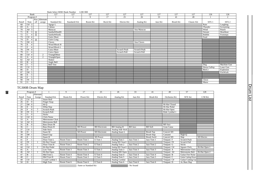|       |                            |         |                | Bank Select MSB=Bank Number |                           | $LSB=000$ |          |                 |                 |                 |                  |             |               |                  |
|-------|----------------------------|---------|----------------|-----------------------------|---------------------------|-----------|----------|-----------------|-----------------|-----------------|------------------|-------------|---------------|------------------|
|       | Bank                       |         |                | 127                         | 127                       | 127       | 127      | 127             | 127             | 127             | 127              | 127         | 126           | 126              |
|       | Program #                  |         |                |                             | 2                         | 9         | 17       | $\overline{25}$ | $\overline{26}$ | $\overline{33}$ | 41               | 49          | $\mathbf{1}$  | $\overline{2}$   |
|       |                            |         | Key Alternate  |                             |                           |           |          |                 |                 |                 |                  |             |               |                  |
| Note# | Note                       | off     | assign         | <b>Standard Kit</b>         | Standard <sub>2</sub> Kit | Room Kit  | Rock Kit | Electro Kit     | Analog Kit      | Jazz Kit        | <b>Brush Kit</b> | Classic Kit | SFX 1         | SFX <sub>2</sub> |
| 68    | $G#$ 3                     |         |                | Agogo L                     |                           |           |          |                 |                 |                 |                  |             | Rain          | Laughing         |
| 69    | 3<br>A                     |         |                | Cabasa                      |                           |           |          |                 |                 |                 |                  |             | Thunder       | Screaming        |
| 70    | $A#$ 3                     |         |                | Maracas                     |                           |           |          |                 | Ana Maracas     |                 |                  |             | Wind          | Punch            |
| 71    | B<br>3                     | $\circ$ |                | SambaWhistlH                |                           |           |          |                 |                 |                 |                  |             | Stream        | Heartbeat        |
| 72    | $\overline{C}$             | $\circ$ |                | SambaWhistlL                |                           |           |          |                 |                 |                 |                  |             | <b>Bubble</b> | Footsteps        |
| 73    | C#                         |         |                | Guiro Short                 |                           |           |          |                 |                 |                 |                  |             | Feed          |                  |
| 74    | D                          | $\circ$ |                | Guiro Long                  |                           |           |          |                 |                 |                 |                  |             |               |                  |
| 75    | D#                         |         |                | Claves                      |                           |           |          |                 | Ana Claves      |                 |                  |             |               |                  |
| 76    | Ε                          |         |                | Wood Block H                |                           |           |          |                 |                 |                 |                  |             |               |                  |
| 77    | F.                         |         |                | Wood Block L                |                           |           |          |                 |                 |                 |                  |             |               |                  |
| 78    | F#                         |         |                | Cuica Mute                  |                           |           |          | Scratch Push    | Scratch Push    |                 |                  |             |               |                  |
| 79    | $\overline{G}$<br>$\Delta$ |         |                | Cuica Open                  |                           |           |          | Scratch Pull    | Scratch Pull    |                 |                  |             |               |                  |
| 80    | G#                         |         | $\overline{2}$ | TriangleMute                |                           |           |          |                 |                 |                 |                  |             |               |                  |
| 81    | A<br>$\overline{4}$        |         | $\overline{2}$ | TriangleOpen                |                           |           |          |                 |                 |                 |                  |             |               |                  |
| 82    | $A#$ 4                     |         |                | Shaker                      |                           |           |          |                 |                 |                 |                  |             |               |                  |
| 83    | B                          |         |                | Jingle Bell                 |                           |           |          |                 |                 |                 |                  |             |               |                  |
| 84    | C<br>$\overline{5}$        |         |                | <b>Bell Tree</b>            |                           |           |          |                 |                 |                 |                  |             | Dog           | Machine Gun      |
| 85    | C#<br>5                    |         |                |                             |                           |           |          |                 |                 |                 |                  |             | Horse Gallop  | Laser Gun        |
| 86    | D<br>5                     |         |                |                             |                           |           |          |                 |                 |                 |                  |             | Bird 2        | Explosion        |
| 87    | D#<br>-5                   |         |                |                             |                           |           |          |                 |                 |                 |                  |             |               | FireWork         |
| 88    | Е<br>5                     |         |                |                             |                           |           |          |                 |                 |                 |                  |             |               |                  |
| 89    | F<br>$\sim$                |         |                |                             |                           |           |          |                 |                 |                 |                  |             |               |                  |
| 90    | F#<br>$\overline{5}$       |         |                |                             |                           |           |          |                 |                 |                 |                  |             | Ghost         |                  |
| 91    | $\overline{G}$<br>5        |         |                |                             |                           |           |          |                 |                 |                 |                  |             | Maou          |                  |

# TG300B Drum Map

|                 | Program #                        |                 |                        | $\overline{9}$ | 17                     | 25                   | 26                 | 33             | 41                 | 49             | 57                     | 128           |
|-----------------|----------------------------------|-----------------|------------------------|----------------|------------------------|----------------------|--------------------|----------------|--------------------|----------------|------------------------|---------------|
|                 |                                  | Alternate       |                        |                |                        |                      |                    |                |                    |                |                        |               |
| Note#           | Note                             | Assign          | <b>Standard Kit</b>    | Room Kit       | Power Kit              | Electro Kit          | Analog Kit         | Jazz Kit       | <b>Brush Kit</b>   | Orchestra Kit  | SFX Set                | C/M Kit       |
| 25              | C# 0                             |                 | Snare Roll             |                |                        |                      |                    |                |                    |                |                        |               |
| 26              | D<br>$\Omega$                    |                 | Finger Snap            |                |                        |                      |                    |                |                    |                |                        |               |
| 27              | D# 0                             |                 | Hi Q                   |                |                        |                      |                    |                |                    | Hi-Hat Closed  |                        |               |
| 28              | E<br>$\mathbf{0}$                |                 | Whip Slap              |                |                        |                      |                    |                |                    | Hi-Hat Pedal   |                        |               |
| 29              | F<br>$\Omega$                    | $7\phantom{.0}$ | <b>Scratch Push</b>    |                |                        |                      |                    |                |                    | Hi-Hat Open    |                        |               |
| 30              | F#<br>$\theta$                   | 7               | <b>Scratch Pull</b>    |                |                        |                      |                    |                |                    | Ride Cymbal 1  |                        |               |
| 31              | G<br>$\overline{0}$              |                 | <b>Sticks</b>          |                |                        |                      |                    |                |                    |                |                        |               |
| 32              | G# 0                             |                 | <b>Click Noise</b>     |                |                        |                      |                    |                |                    |                |                        |               |
| $\overline{33}$ | $\overline{0}$<br>A              |                 | <b>Metronome Click</b> |                |                        |                      |                    |                |                    |                |                        |               |
| 34              | A# 0                             |                 | Metronome Bell         |                |                        |                      |                    |                |                    |                |                        |               |
| $\overline{35}$ | B<br>$\mathbf{0}$                |                 | <b>Bass Drum M</b>     |                |                        |                      |                    |                |                    | <b>BD</b> Jazz |                        |               |
| $\overline{36}$ | $\overline{C}$                   |                 | <b>Bass Drum H</b>     |                | <b>BD</b> Power        | <b>BD</b> Electronic | <b>BD</b> Analog H | <b>BD</b> Jazz | <b>BD</b> Soft     | Gran Cassa     |                        |               |
| 37              | C#                               |                 | Side Stick             |                |                        |                      | Analog Side Stick  |                |                    |                |                        |               |
| 38              | D<br>$\mathbf{1}$                |                 | Snare M                |                | SD Power               | SD Electronic        | Analog Snare L     |                | <b>Brush Tap</b>   | Concert SD     |                        |               |
| 39              | D#                               |                 | Hand Clap              |                |                        |                      |                    |                | <b>Brush Slap</b>  | Castanet       | High-Q                 |               |
| 40              | Е                                |                 | Snare H                |                |                        | SD Power             |                    |                | <b>Brush Swirl</b> | Concert SD     | Slap                   | SD Electro    |
| 41              | F                                |                 | Floor Tom L            | Room Tom 1     | Room Tom 1             | $E$ Tom $1$          | Analog Tom 1       | Jazz Tom 1     | Jazz Tom 1         | Timpani F      | Scratch Push           |               |
| 42              | F#                               |                 | Hi-Hat Closed          |                |                        |                      | Analog HH Closed 1 |                |                    | Timpani F#     | <b>Scratch Pull</b>    |               |
| 43              | G                                |                 | Floor Tom H            | Room Tom 2     | Room Tom 2             | E Tom 2              | Analog Tom 2       | Jazz Tom 2     | Jazz Tom 2         | Timpani G      | <b>Sticks</b>          |               |
| 44              | G#<br>$\overline{1}$             |                 | Hi-Hat Pedal           |                |                        |                      | Analog HH Closed 2 |                |                    | Timpani G#     | <b>Square Click</b>    | Hi-Hat Open 1 |
| 45              | A                                |                 | Low Tom                | Room Tom 3     | Room Tom 3             | E Tom 3              | Analog Tom 3       | Jazz Tom 3     | Jazz Tom 3         | Timpani A      | <b>Metronome Click</b> |               |
| 46              | A#                               |                 | Hi-Hat Open            |                |                        |                      | Analog HH Open     |                |                    | Timpani A#     | Metronome Bell         | Hi-Hat Open 2 |
| 47              | B                                |                 | Mid Tom L              | Room Tom 4     | Room Tom 4             | E Tom 4              | Analog Tom 4       | Jazz Tom 4     | Jazz Tom 4         | Timpani B      | Guitar Fret Noise      |               |
| 48              | $\overline{2}$<br>$\overline{C}$ |                 | Mid Tom H              | Room Tom 5     | Room Tom 5             | E Tom 5              | Analog Tom 5       | Jazz Tom 5     | Jazz Tom 5         | Timpani C      | Guitar Cutting Down    |               |
| 49              | C#<br>$\overline{2}$             |                 | Crash Cymbal 1         |                |                        |                      | Analog Cymbal      |                |                    | Timpani C#     | Guitar Cutting Up      |               |
| 50              | 2<br>D                           |                 | High Tom               | Room Tom 6     | Room Tom 6             | E Tom 6              | Analog Tom 6       | Jazz Tom 6     | Jazz Tom 6         | Timpani D      | Ac Bass Slap           |               |
|                 |                                  |                 |                        |                | : Same as Standard Kit |                      |                    | : No Sound     |                    |                |                        |               |

39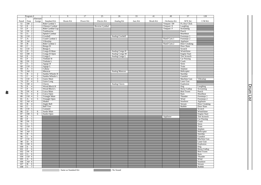|                 | Program #                                                   |                                  | $\overline{1}$         | $\overline{9}$         | $\overline{17}$ | $\overline{25}$ | $\overline{26}$       | 33       | 41               | 49            | $\overline{57}$            | 128                   |
|-----------------|-------------------------------------------------------------|----------------------------------|------------------------|------------------------|-----------------|-----------------|-----------------------|----------|------------------|---------------|----------------------------|-----------------------|
|                 |                                                             | Alternate                        |                        |                        |                 |                 |                       |          |                  |               |                            |                       |
| Note#           | Note                                                        | Assign                           | <b>Standard Kit</b>    | Room Kit               | Power Kit       | Electro Kit     | Analog Kit            | Jazz Kit | <b>Brush Kit</b> | Orchestra Kit | SFX Set                    | C/M Kit               |
| 51              | D# 2                                                        |                                  | Ride Cymbal 1          |                        |                 |                 |                       |          |                  | Timpani D#    | FL.Key Click               |                       |
| $\overline{52}$ | $\overline{2}$<br>$\overline{E}$                            |                                  | Chinese Cymbal         |                        |                 | Reverse Cymbal  |                       |          |                  | Timpani E     | Laughing                   |                       |
| 53              | $\overline{2}$<br>$\overline{\mathrm{F}}$                   |                                  | Ride Cymbal Cup        |                        |                 |                 |                       |          |                  | Timpani F     | <b>Screaming</b>           |                       |
| 54              | F#<br>$\overline{2}$                                        |                                  | Tambourine             |                        |                 |                 |                       |          |                  |               | Punch                      |                       |
| $\overline{55}$ | $\overline{2}$<br>$\overline{G}$                            |                                  | Splash Cymbal          |                        |                 |                 |                       |          |                  |               | Heartbeat                  |                       |
| 56              | $G#$ 2                                                      |                                  | Cowbell                |                        |                 |                 | <b>Analog Cowbell</b> |          |                  |               | Footsteps 1                |                       |
| 57              | $\overline{2}$<br>A                                         |                                  | Crash Cymbal 2         |                        |                 |                 |                       |          |                  | Hand Cym.1    | Footsteps 2                |                       |
| 58              | $A#$ 2                                                      |                                  | Vibraslap              |                        |                 |                 |                       |          |                  |               | Applause                   |                       |
| 59              | $\overline{2}$<br>$\overline{B}$                            |                                  | Ride Cymbal 2          |                        |                 |                 |                       |          |                  | Hand Cym.2    | Door Creaking              |                       |
| 60              | $\overline{\mathbf{3}}$<br>$\overline{c}$                   |                                  | Bongo H                |                        |                 |                 |                       |          |                  |               | Door Slam                  |                       |
| 61              | $C#$ 3                                                      |                                  | Bongo L                |                        |                 |                 |                       |          |                  |               | Scratch                    |                       |
| 62              | $\overline{3}$<br>$\overline{D}$                            |                                  | Conga H Mute           |                        |                 |                 | Analog Conga H        |          |                  |               | Windchime                  |                       |
| 63              | $D#$ 3                                                      |                                  | Conga H Open           |                        |                 |                 | Analog Conga M        |          |                  |               | <b>Engine Start</b>        |                       |
| 64              | $\overline{\mathbf{3}}$<br>Ε                                |                                  | Conga L                |                        |                 |                 | Analog Conga L        |          |                  |               | <b>Tire Screech</b>        |                       |
| 65              | $\overline{F}$                                              |                                  | Timbale H              |                        |                 |                 |                       |          |                  |               | <b>Car Passing</b>         |                       |
| 66              | $F#$ 3                                                      |                                  | Timbale L              |                        |                 |                 |                       |          |                  |               | Crash                      |                       |
| 67              | $\overline{G}$<br>$\overline{\mathbf{3}}$                   |                                  | Agogo H                |                        |                 |                 |                       |          |                  |               | Siren                      |                       |
| 68              | $G#$ 3                                                      |                                  | Agogo L                |                        |                 |                 |                       |          |                  |               | Train                      |                       |
| 69              | $\overline{\mathbf{3}}$<br>A                                |                                  | Cabasa                 |                        |                 |                 |                       |          |                  |               | Jetplane                   |                       |
| 70              | A# 3                                                        |                                  | Maracas                |                        |                 |                 | <b>Analog Maracas</b> |          |                  |               | Helicopter                 |                       |
| 71              | $\overline{B}$<br>$\overline{3}$                            | $\overline{2}$                   | Samba Whistle H        |                        |                 |                 |                       |          |                  |               | Starship                   |                       |
| 72<br>73        | $\overline{C}$<br>$\overline{4}$<br>$C#$ 4                  | $\overline{2}$                   | Samba Whistle L        |                        |                 |                 |                       |          |                  |               | Gunshot                    |                       |
| 74              | $\overline{D}$                                              | $\overline{\mathbf{3}}$          | Guiro Short            |                        |                 |                 |                       |          |                  |               | Machine Gun<br>Laser Gun   | Vibraslap             |
|                 | $\overline{4}$                                              | $\overline{\mathbf{3}}$          | Guiro Long             |                        |                 |                 |                       |          |                  |               |                            |                       |
| 75<br>76        | D# 4<br>$_{\rm E}$                                          |                                  | Claves<br>Wood Block H |                        |                 |                 | <b>Analog Claves</b>  |          |                  |               | Explosion                  |                       |
| $\overline{77}$ | $\overline{4}$<br>$\overline{\mathrm{F}}$<br>$\overline{4}$ |                                  | Wood Block L           |                        |                 |                 |                       |          |                  |               | Dog<br><b>Horse Gallop</b> | Laughing<br>Screaming |
| 78              | F#<br>$\overline{4}$                                        |                                  | Cuica Mute             |                        |                 |                 |                       |          |                  |               | <b>Bird Tweet</b>          | Punch                 |
| 79              | G<br>$\overline{4}$                                         | $\overline{4}$<br>$\overline{4}$ | Cuica Open             |                        |                 |                 |                       |          |                  |               | Rain                       | Heartbeat             |
| 80              | G#4                                                         | $\overline{5}$                   | <b>Triangle Mute</b>   |                        |                 |                 |                       |          |                  |               | Thunder                    | Footsteps 1           |
| 81              | A<br>$\overline{4}$                                         | 5                                | Triangle Open          |                        |                 |                 |                       |          |                  |               | Wind                       | Footsteps 2           |
| 82              | A# 4                                                        |                                  | Shaker                 |                        |                 |                 |                       |          |                  |               | Seashore                   | Applause              |
| 83              | $\overline{B}$<br>$\overline{4}$                            |                                  | Jingle Bell            |                        |                 |                 |                       |          |                  |               | Stream                     | Door Creaking         |
| 84              | $\overline{C}$<br>$\overline{5}$                            |                                  | <b>Bell Tree</b>       |                        |                 |                 |                       |          |                  |               | <b>Bubble</b>              | Door Slam             |
| 85              | C#<br>$\overline{5}$                                        |                                  | Castanet               |                        |                 |                 |                       |          |                  |               |                            | Scratch               |
| 86              | $\overline{5}$<br>$\overline{D}$                            | 6                                | Surdo Mute             |                        |                 |                 |                       |          |                  |               |                            | Windchime             |
| 87              | $D#$ 5                                                      | 6                                | Surdo Open             |                        |                 |                 |                       |          |                  |               |                            | <b>Engine Start</b>   |
| 88              | Ε<br>$\overline{5}$                                         |                                  |                        |                        |                 |                 |                       |          |                  | Applause      |                            | Tire Screech          |
| 89              | $\overline{\mathrm{F}}$<br>$\overline{5}$                   |                                  |                        |                        |                 |                 |                       |          |                  |               |                            | <b>Car Passing</b>    |
| 90              | F#<br>5                                                     |                                  |                        |                        |                 |                 |                       |          |                  |               |                            | Crash                 |
| 91              | $\overline{G}$<br>$\overline{5}$                            |                                  |                        |                        |                 |                 |                       |          |                  |               |                            | Siren                 |
| 92              | G# 5                                                        |                                  |                        |                        |                 |                 |                       |          |                  |               |                            | Train                 |
| 93              | $\overline{5}$<br>A                                         |                                  |                        |                        |                 |                 |                       |          |                  |               |                            | Jetplain              |
| 94              | A# 5                                                        |                                  |                        |                        |                 |                 |                       |          |                  |               |                            | Helicopter            |
| 95              | $\overline{5}$<br>$\overline{B}$                            |                                  |                        |                        |                 |                 |                       |          |                  |               |                            | Starship              |
| 96              | 6<br>$\overline{C}$                                         |                                  |                        |                        |                 |                 |                       |          |                  |               |                            | Gunshot               |
| 97              | C# 6                                                        |                                  |                        |                        |                 |                 |                       |          |                  |               |                            | Machine Gun           |
| 98              | $\overline{D}$<br>$\overline{6}$                            |                                  |                        |                        |                 |                 |                       |          |                  |               |                            | Laser Gun             |
| 99              | D# 6                                                        |                                  |                        |                        |                 |                 |                       |          |                  |               |                            | Explosion             |
| 100             | $_{\rm E}$<br>$\overline{6}$                                |                                  |                        |                        |                 |                 |                       |          |                  |               |                            | Dog                   |
| 101             | $\overline{F}$<br>$\overline{6}$                            |                                  |                        |                        |                 |                 |                       |          |                  |               |                            | <b>Horse Gallop</b>   |
| 102             | F#<br>6                                                     |                                  |                        |                        |                 |                 |                       |          |                  |               |                            | <b>Bird Tweet</b>     |
| 103             | G<br>6                                                      |                                  |                        |                        |                 |                 |                       |          |                  |               |                            | Rain                  |
| 104             | G# 6                                                        |                                  |                        |                        |                 |                 |                       |          |                  |               |                            | Thunder               |
| 105             | 6<br>A                                                      |                                  |                        |                        |                 |                 |                       |          |                  |               |                            | Wind                  |
| 106             | A# 6                                                        |                                  |                        |                        |                 |                 |                       |          |                  |               |                            | Seashore              |
| 107             | $\overline{B}$<br>$\overline{6}$                            |                                  |                        |                        |                 |                 |                       |          |                  |               |                            | Stream                |
| 108             | $\overline{7}$<br>C                                         |                                  |                        |                        |                 |                 |                       |          |                  |               |                            | <b>Bubble</b>         |
|                 |                                                             |                                  |                        | : Same as Standard Kit |                 |                 | : No Sound            |          |                  |               |                            |                       |

Drum List

Drum List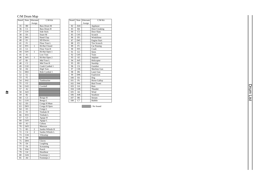# C/M Drum Map

| Note#           | Note                     | Alternate      | C/M Kit            |
|-----------------|--------------------------|----------------|--------------------|
|                 |                          | Assign         |                    |
| 35              | B <sub>0</sub>           |                | <b>Bass Drum M</b> |
| 36              | C1                       |                | <b>Bass Drum H</b> |
| 37              | C#1                      |                | <b>Side Stick</b>  |
| 38              | D1                       |                | Snare M            |
| 39              | D#1                      |                | <b>Hand Clap</b>   |
| 40              | E1                       |                | <b>SD</b> Electro  |
| 41              | F1                       |                | Floor Tom L        |
| 42              | F#1                      | 1              | Hi-Hat Closed      |
| 43              | G1                       |                | Floor Tom H        |
| 44              | G#1                      | 1              | Hi-Hat Open 1      |
| 45              | A <sub>1</sub>           |                | Low Tom            |
| 46              | A#1                      | 1              | Hi-Hat Open 2      |
| 47              | B1                       |                | Mid Tom L          |
| 48              | C <sub>2</sub>           |                | Mid Tom H          |
| 49              | C#2                      |                | Crash Cymbal 1     |
| $\overline{50}$ | D <sub>2</sub>           |                | <b>High Tom</b>    |
| 51              | D#2                      |                | Ride Cymbal 1      |
| 52              | E2                       |                |                    |
| 53              | $\overline{F2}$          |                |                    |
| 54              | F#2                      |                | Tambourine         |
| 55              | $\overline{G}2$          |                |                    |
| $\frac{1}{56}$  | G#2                      |                | Cowbell            |
| 57              | $\overline{A2}$          |                |                    |
| $5\overline{8}$ | A#2                      |                |                    |
| 59              | B <sub>2</sub>           |                |                    |
| 60              | C <sub>3</sub>           |                | Bongo H            |
| 61              | $\overline{\text{C}\#3}$ |                | Bongo L            |
| 62              | $\overline{D3}$          |                | Conga H Mute       |
| 63              | D#3                      |                | Conga H Open       |
| 64              | E <sub>3</sub>           |                | Conga <sub>L</sub> |
| 65              | F3                       |                | Timbale H          |
| 66              | F#3                      |                | Timbale L          |
| 67              | $\overline{G}$ 3         |                | Agogo H            |
| 68              | $\overline{G}$ #3        |                | Agogo L            |
| 69              | A <sub>3</sub>           |                | Cabasa             |
| 70              | A#3                      |                | Maracas            |
| 71              | B <sub>3</sub>           | $\overline{c}$ | Samba Whistle H    |
| 72              | C <sub>4</sub>           | $\overline{2}$ | Samba Whistle L    |
| $\overline{73}$ | C#4                      |                | Vibraslap          |
| 74              | D <sub>4</sub>           |                |                    |
| 75              | D#4                      |                | Claves             |
| 76              | E4                       |                | Laughing           |
| 77              | F <sub>4</sub>           |                | Screaming          |
| 78              | F#4                      |                | Punch              |
| 79              | G <sub>4</sub>           |                | Heartbeat          |
| 80              | G#4                      |                | Footsteps 1        |
| 81              | A <sub>4</sub>           |                | Footsteps 2        |

 $\mathbf{4}$ 

| Note# | Note           | Alternate | C/M Kit             |
|-------|----------------|-----------|---------------------|
|       |                | Assign    |                     |
| 82    | A#4            |           | Applause            |
| 83    | B4             |           | Door Creaking       |
| 84    | C <sub>5</sub> |           | Door Slam           |
| 85    | C#5            |           | Scratch             |
| 86    | D <sub>5</sub> |           | Windchime           |
| 87    | D#5            |           | <b>Engine Start</b> |
| 88    | E <sub>5</sub> |           | <b>Tire Screech</b> |
| 89    | F <sub>5</sub> |           | Car Passing         |
| 90    | F#5            |           | Crash               |
| 91    | G5             |           | Siren               |
| 92    | G#5            |           | Train               |
| 93    | A <sub>5</sub> |           | Jetplane            |
| 94    | A#5            |           | Helicopter          |
| 95    | <b>B5</b>      |           | Starship            |
| 96    | C <sub>6</sub> |           | Gunshot             |
| 97    | C#6            |           | Machine Gun         |
| 98    | D <sub>6</sub> |           | Laser Gun           |
| 99    | D#6            |           | Explosion           |
| 100   | E6             |           | Dog                 |
| 101   | F <sub>6</sub> |           | <b>Horse Gallop</b> |
| 102   | F#6            |           | <b>Bird Tweet</b>   |
| 103   | G6             |           | Rain                |
| 104   | G#6            |           | Thunder             |
| 105   | A6             |           | Wind                |
| 106   | A#6            |           | Seashore            |
| 107   | <b>B6</b>      |           | Stream              |
| 108   | C7             |           | <b>Bubble</b>       |
|       |                |           |                     |

: No Sound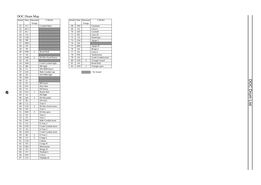# DOC Drum Map

| Note#           | Note            | Alternate      | C/M Kit             |
|-----------------|-----------------|----------------|---------------------|
|                 |                 | Assign         |                     |
| 21              | $A-1$           |                | Cymbal Mute         |
| 22              | $A#-1$          |                |                     |
| 23              | $B-1$           |                |                     |
| 24              | CO              |                |                     |
| 25              | C#0             |                |                     |
| 26              | D <sub>0</sub>  |                |                     |
| 27              | D#0             |                |                     |
| 28              | E <sub>0</sub>  |                |                     |
| 29              | F <sub>0</sub>  |                |                     |
| 30              | F#0             | 1              | <b>Brush Roll</b>   |
| 31              | G <sub>0</sub>  |                |                     |
| $3\overline{2}$ | G#0             | $\overline{2}$ | Hi-Hat closed heavy |
| 33              | A <sub>0</sub>  |                |                     |
| 34              | A#0             |                | Crash Cymbal light  |
| 35              | B <sub>0</sub>  |                | <b>BD</b> light     |
| 36              | C1              |                | SD+RIM heavy        |
| 37              | C#1             |                | Ride Cymbal cup     |
| 38              | D1              |                | SD+RIM light        |
| 39              | D#1             |                |                     |
| 40              | E1              |                |                     |
| 41              | F1              |                | BD norm             |
| 42              | F#1             |                | Rim Shot            |
| 43              | G1              |                | SD heavy            |
| 44              | G#1             | 1              | <b>Brush Shot</b>   |
| 45              | A <sub>1</sub>  |                | SD light            |
| 46              | A#1             | $\overline{c}$ | Hi-Hat pedal        |
| 47              | B1              |                | SD echo             |
| 48              | $\overline{C2}$ |                | Tom 4               |
| 49              | C#2             | $\overline{c}$ | Hi-Hat closed norm  |
| 50              | D <sub>2</sub>  |                | Tom 3               |
| 51              | D#2             | $\overline{2}$ | Hi-Hat open         |
| 52              | E <sub>2</sub>  |                | Tom <sub>2</sub>    |
| 53              | F <sub>2</sub>  |                | Tom 1               |
| 54              | F#2             |                | Ride Cymbal norm    |
| 55              | G <sub>2</sub>  |                | E.Tom 3             |
| 56              | G#2             |                | Crash Cymbal norm   |
| 57              | A2              |                | E.Tom 2             |
| 58              | A#2             |                | Crash Cymbal norm   |
| 59              | B <sub>2</sub>  | $\overline{c}$ | E.Tom 1             |
| 60              | C <sub>3</sub>  | $\overline{2}$ | Conga L             |
| 61              | C#3             |                | Cabasa              |
| 62              | D <sub>3</sub>  |                | Conga H             |
| 63              | D#3             |                | Metronome           |
| 64              | E3              |                | Bongo H             |
| 65              | F3              |                | Timbale L           |
| 66              | F#3             |                | Claves              |
| 67              | G3              |                | Timbale H           |
|                 |                 |                |                     |

 $\boldsymbol{t}$ 

| Note# | Note           | Alternate | $CM$ Kit          |
|-------|----------------|-----------|-------------------|
|       |                | Assign    |                   |
| 68    | G#3            |           | Castanets         |
| 69    | A <sub>3</sub> |           | Cuica L           |
| 70    | A#3            |           | Cowbell           |
| 71    | B <sub>3</sub> |           | Cuica H           |
| 72    | C <sub>4</sub> |           | Handclaps         |
| 73    | C#4            |           | Agogo L           |
| 74    | D <sub>4</sub> |           |                   |
| 75    | D#4            |           | Agogo H           |
| 76    | F <sub>4</sub> |           | Bongo L           |
| 77    | F <sub>4</sub> |           | Cuica L           |
| 78    | F#4            |           | Tambourine        |
| 79    | G4             |           | Crash Cymbal norm |
| 80    | G#4            | 3         | Triangle closed   |
| 81    | A <sub>4</sub> |           | <b>Brush Roll</b> |
| 82    | A#4            | 3         | Triangle open     |

: No Sound

DOC Drum List DOC Drum List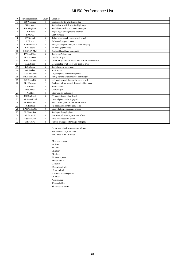# MU50 Performance List

| #              | Performance Name    | Layer          | Comment                                              |
|----------------|---------------------|----------------|------------------------------------------------------|
| $\mathbf{1}$   | LD: Whistlead       | $\overline{4}$ | Lead sound with whistle mixed in                     |
| $\overline{c}$ | CH:SynVox           | $\overline{c}$ | Synth chorus with distinctive high range             |
| 3              | <b>BA:KingBass</b>  | 3              | Synth bass for slow and medium tempos                |
| $\overline{4}$ | OR:Bright           | $\overline{2}$ | Bright organ through rotary speaker                  |
| 5              | EP:CP80             | $\mathbf{1}$   | CP80 revisited                                       |
| 6              | ST:Natural          | $\overline{4}$ | String voice; attack changes with velocity           |
| $\overline{7}$ | AP:Piano            | $\overline{2}$ | Full-sounding grand piano                            |
| 8              | PD:SnowyNite        | $\overline{c}$ | Snowy sound; use short, articulated key play         |
| 9              | <b>BR:Legend</b>    | 3              | Fat analog-synth brass                               |
| 10             | <b>SE:NASA-MW</b>   | $\overline{4}$ | Rockeet blastoff and space drift                     |
| 11             | ET:SouthEast        | 3              | Southeast-Asian sound                                |
| 12             | EP:Hammered         | $\overline{2}$ | Dry electric piano                                   |
| 13             | <b>GT:Distorted</b> | $\overline{4}$ | Distortion guitar with touch- and MW-driven feedback |
| 14             | LD:Obiees           | $\overline{c}$ | Mono analog-synth lead; also good as brass           |
| 15             | BA:Moogy            | 3              | Synth bass for fast tempos                           |
| 16             | OR:Rocker           | 3              | Rock organ                                           |
| 17             | AP:MIDIGrand        | $\overline{c}$ | Layered grand and electric pianos                    |
| 18             | MK:FunkyClav        | $\overline{c}$ | Funky clavinet with autowow and flanger              |
| 19             | ET:EthnicKit        | $\overline{4}$ | Left hand is small drum; right hand is bell          |
| 20             | ST:HiEnsembl        | $\overline{c}$ | Analog-synth string with distinctive high range      |
| 21             | CH:Natural          | 3              | Natural chorus                                       |
| 22             | OR:Church           | $\overline{4}$ | Church organ                                         |
| 23             | FX:ZHole            | $\overline{4}$ | Otherworldly pad sound                               |
| 24             | FX:DayBreak         | 3              | FX sound; image of daybreak                          |
| 25             | AP:Piano&Pad        | $\overline{c}$ | Layered piano and strings pad                        |
| 26             | <b>BR:PunchBRS</b>  | 3              | Punch brass; good for live performance               |
| 27             | FX:HiBeam           | $\overline{c}$ | Fat decay sound with brassy color                    |
| 28             | EP:EP&HiVCE         | 3              | Layered electric piano and chorus                    |
| 29             | ST:PhazedPad        | $\overline{2}$ | Synth pad through phaser                             |
| 30             | SE:TerrorSE         | $\overline{4}$ | Horror-type lower-depths sound effect                |
| 31             | KS:JazzClub         | 3              | Split: wood bass and piano                           |
| 32             | <b>BR:Festival</b>  | $\overline{c}$ | Fanfare brass; good for single-note play             |

Performance bank selects are as follows. PRE : MSB = 01, LSB = 00  $\text{INT}: \text{MSB} = 02, \text{LSB} = 00$ 

AP:acoustic piano BA:bass BR:brass CH:choir ET:ethnic EP:electric piano FX:synth SFX GT:guitar KS:keyboard split LD:synth lead MK:misc. piano/keyboard OR:organ PD:synth pad SE:sound effcts ST:strings/orchestra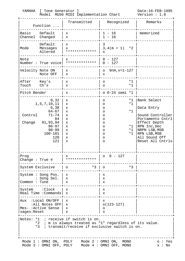| YAMAHA                    | [ Tone Generator ]                                                                                                                  | Model MU50 MIDI Implementation Chart                                                                                                              |                                                                                                                      | Date: 16-FEB-1995<br>Version : 1.0                                                                                                                                      |
|---------------------------|-------------------------------------------------------------------------------------------------------------------------------------|---------------------------------------------------------------------------------------------------------------------------------------------------|----------------------------------------------------------------------------------------------------------------------|-------------------------------------------------------------------------------------------------------------------------------------------------------------------------|
|                           | Function                                                                                                                            | Transmitted                                                                                                                                       | Recognized                                                                                                           | Remarks                                                                                                                                                                 |
| Basic<br>Channel          | Default<br>Changed                                                                                                                  | х<br>X                                                                                                                                            | $1 - 16$<br>$1 - 16$                                                                                                 | memorized                                                                                                                                                               |
| Mode                      | Default<br>Messages<br>Altered                                                                                                      | х<br>X<br>**************                                                                                                                          | 3<br>$*2$<br>$3,4(m = 1)$<br>X                                                                                       |                                                                                                                                                                         |
| Note                      | Number : True voice                                                                                                                 | x<br>**************                                                                                                                               | $0 - 127$<br>$-127$<br>$\Omega$                                                                                      |                                                                                                                                                                         |
|                           | Velocity Note ON<br>Note OFF                                                                                                        | х<br>X                                                                                                                                            | $9nH, v=1-127$<br>$\circ$<br>x                                                                                       |                                                                                                                                                                         |
| After Key's<br>Touch      | Ch's                                                                                                                                | х<br>X                                                                                                                                            | $*1$<br>O<br>$*1$<br>$\circ$                                                                                         |                                                                                                                                                                         |
| Pitch Bender              |                                                                                                                                     | х                                                                                                                                                 | $0 - 24$ semi *1                                                                                                     |                                                                                                                                                                         |
| Control<br>Change         | 0, 32<br>1, 5, 7, 10, 11<br>6,38<br>$64 - 67$<br>$71 - 74$<br>84<br>91,93,94<br>$96 - 97$<br>$98 - 99$<br>$100 - 101$<br>120<br>121 | х<br>x<br>$\mathbf x$<br>X<br>X<br>X<br>X<br>x<br>$\mathbf x$<br>X<br>X<br>X                                                                      | $*1$<br>O<br>$*1$<br>O<br>O<br>$*1$<br>O<br>O<br>O<br>O<br>$*1$<br>O<br>$*1$<br>O<br>$*1$<br>O<br>$\circ$<br>$\circ$ | Bank Select<br>Data Entry<br>Sound Controller<br>Portamento Cntrl<br>Effect Depth<br>RPN Inc, Dec<br>NRPN LSB, MSB<br>RPN LSB, MSB<br>All Sound Off<br>Reset All Cntrls |
| Prog<br>Change : True $#$ |                                                                                                                                     | x<br>**************                                                                                                                               | $0 - 127$                                                                                                            |                                                                                                                                                                         |
| System Exclusive          |                                                                                                                                     | $*3$<br>$\circ$                                                                                                                                   | $*3$<br>$\circ$                                                                                                      |                                                                                                                                                                         |
| Common : Tune             | System: Song Pos.<br>: Song Sel.                                                                                                    | х<br>X<br>X                                                                                                                                       | x<br>X<br>x                                                                                                          |                                                                                                                                                                         |
|                           | System : Clock<br>Real Time : Commands                                                                                              | X<br>X                                                                                                                                            | х<br>x                                                                                                               |                                                                                                                                                                         |
| sages: Reset              | Aux :Local ON/OFF<br>:All Notes OFF<br>Mes- :Active Sense                                                                           | X<br>X<br>x<br>х                                                                                                                                  | x<br>$o(123-127)$<br>O<br>х                                                                                          |                                                                                                                                                                         |
|                           | $*3$                                                                                                                                | Notes: *1 ; receive if switch is on.<br>*2 ; m is always treated as "1" regardless of its value.<br>; transmit/receive if exclusive switch is on. |                                                                                                                      |                                                                                                                                                                         |
|                           | Mode 1 : OMNI ON, POLY<br>Mode 3 : OMNI OFF, POLY                                                                                   |                                                                                                                                                   | Mode 2: OMNI ON, MONO<br>Mode $4:$ OMNI OFF, MONO                                                                    | o: Yes<br>x : No                                                                                                                                                        |